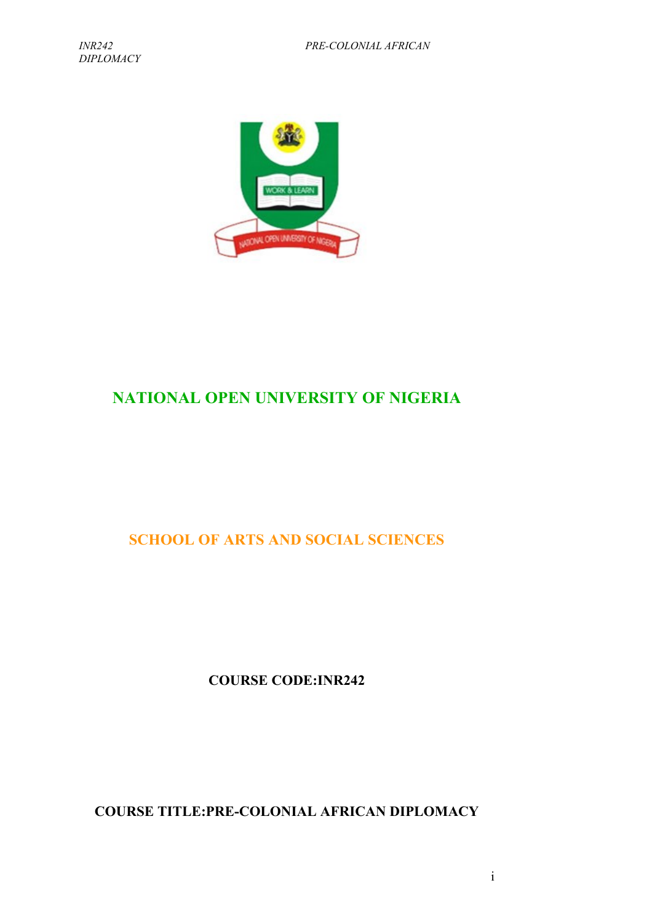

# **NATIONAL OPEN UNIVERSITY OF NIGERIA**

**SCHOOL OF ARTS AND SOCIAL SCIENCES**

**COURSE CODE:INR242**

**COURSE TITLE:PRE-COLONIAL AFRICAN DIPLOMACY**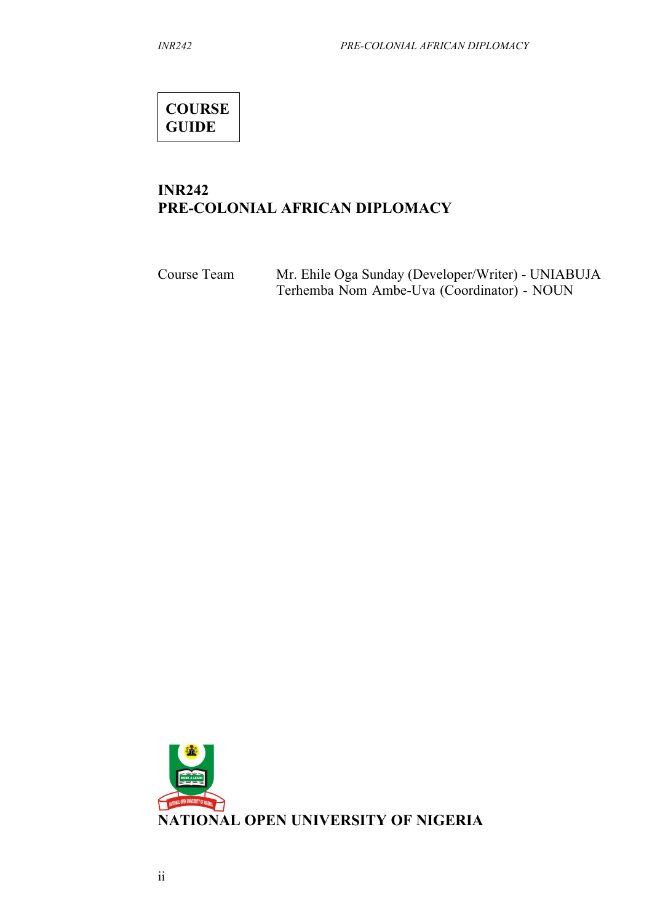# **COURSE GUIDE**

## **INR242 PRE-COLONIAL AFRICAN DIPLOMACY**

| Course Team | Mr. Ehile Oga Sunday (Developer/Writer) - UNIABUJA |
|-------------|----------------------------------------------------|
|             | Terhemba Nom Ambe-Uva (Coordinator) - NOUN         |

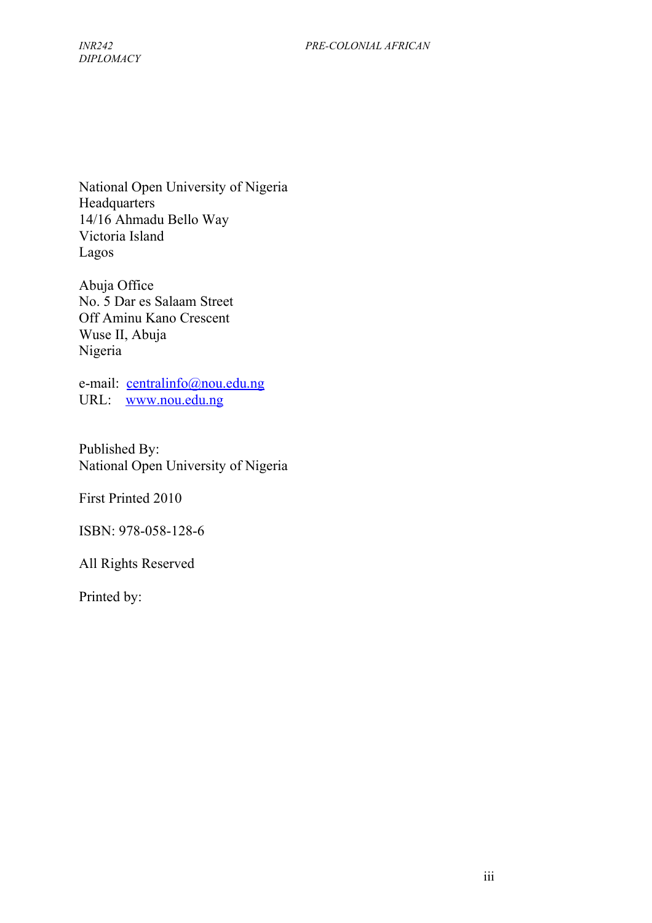National Open University of Nigeria **Headquarters** 14/16 Ahmadu Bello Way Victoria Island Lagos

Abuja Office No. 5 Dar es Salaam Street Off Aminu Kano Crescent Wuse II, Abuja Nigeria

e-mail: [centralinfo@nou.edu.ng](mailto:centralinfo@nou.edu.ng) URL: [www.nou.edu.ng](http://www.nou.edu.ng/)

Published By: National Open University of Nigeria

First Printed 2010

ISBN: 978-058-128-6

All Rights Reserved

Printed by: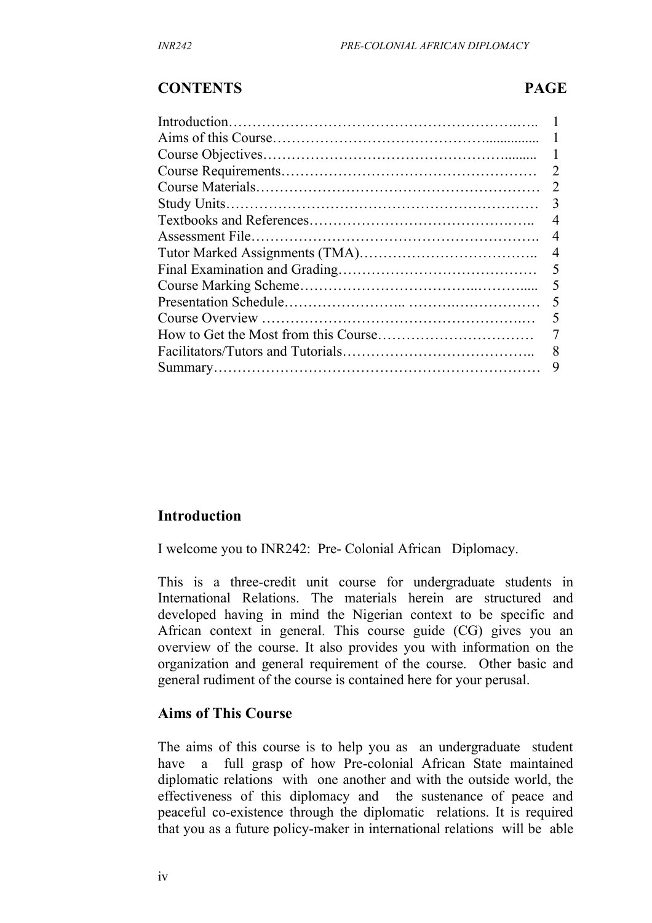#### **CONTENTS PAGE**

| 2              |
|----------------|
| 2              |
| 3              |
| 4              |
| 4              |
| 4              |
| 5              |
| 5              |
| 5              |
| 5              |
| $\overline{7}$ |
| 8              |
| 9              |
|                |

### **Introduction**

I welcome you to INR242: Pre- Colonial African Diplomacy.

This is a three-credit unit course for undergraduate students in International Relations. The materials herein are structured and developed having in mind the Nigerian context to be specific and African context in general. This course guide (CG) gives you an overview of the course. It also provides you with information on the organization and general requirement of the course. Other basic and general rudiment of the course is contained here for your perusal.

#### **Aims of This Course**

The aims of this course is to help you as an undergraduate student have a full grasp of how Pre-colonial African State maintained diplomatic relations with one another and with the outside world, the effectiveness of this diplomacy and the sustenance of peace and peaceful co-existence through the diplomatic relations. It is required that you as a future policy-maker in international relations will be able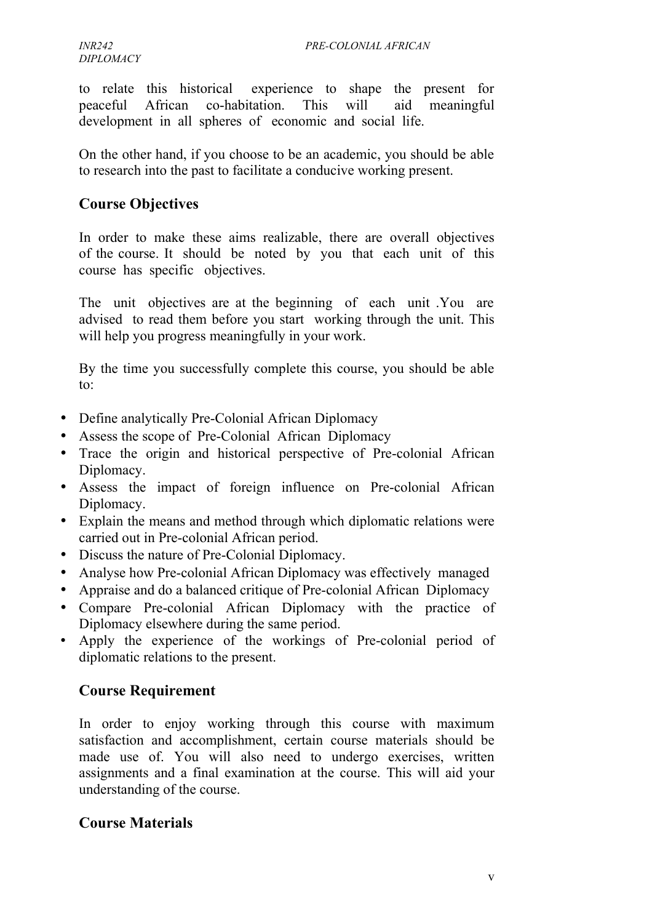to relate this historical experience to shape the present for peaceful African co-habitation. This will aid meaningful development in all spheres of economic and social life.

On the other hand, if you choose to be an academic, you should be able to research into the past to facilitate a conducive working present.

### **Course Objectives**

In order to make these aims realizable, there are overall objectives of the course. It should be noted by you that each unit of this course has specific objectives.

The unit objectives are at the beginning of each unit .You are advised to read them before you start working through the unit. This will help you progress meaningfully in your work.

By the time you successfully complete this course, you should be able to:

- Define analytically Pre-Colonial African Diplomacy
- Assess the scope of Pre-Colonial African Diplomacy
- Trace the origin and historical perspective of Pre-colonial African Diplomacy.
- Assess the impact of foreign influence on Pre-colonial African Diplomacy.
- Explain the means and method through which diplomatic relations were carried out in Pre-colonial African period.
- Discuss the nature of Pre-Colonial Diplomacy.
- Analyse how Pre-colonial African Diplomacy was effectively managed
- Appraise and do a balanced critique of Pre-colonial African Diplomacy
- Compare Pre-colonial African Diplomacy with the practice of Diplomacy elsewhere during the same period.
- Apply the experience of the workings of Pre-colonial period of diplomatic relations to the present.

#### **Course Requirement**

In order to enjoy working through this course with maximum satisfaction and accomplishment, certain course materials should be made use of. You will also need to undergo exercises, written assignments and a final examination at the course. This will aid your understanding of the course.

#### **Course Materials**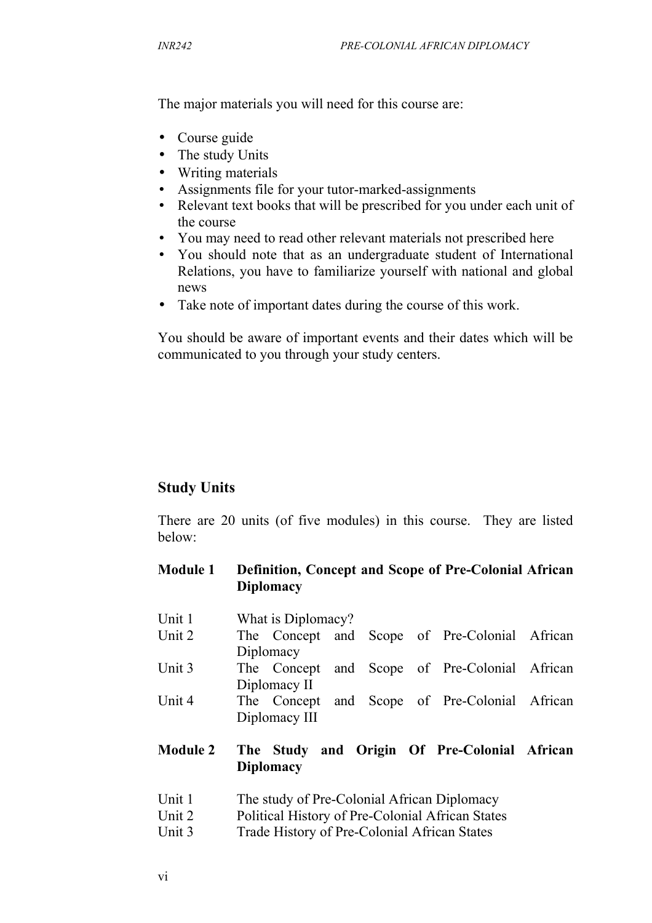The major materials you will need for this course are:

- Course guide
- The study Units
- Writing materials
- Assignments file for your tutor-marked-assignments
- Relevant text books that will be prescribed for you under each unit of the course
- You may need to read other relevant materials not prescribed here
- You should note that as an undergraduate student of International Relations, you have to familiarize yourself with national and global news
- Take note of important dates during the course of this work.

You should be aware of important events and their dates which will be communicated to you through your study centers.

## **Study Units**

There are 20 units (of five modules) in this course. They are listed below:

- **Module 1 Definition, Concept and Scope of Pre-Colonial African Diplomacy**
- Unit 1 What is Diplomacy? Unit 2 The Concept and Scope of Pre-Colonial African **Diplomacy** Unit 3 The Concept and Scope of Pre-Colonial African Diplomacy II
- Unit 4 The Concept and Scope of Pre-Colonial African Diplomacy III

#### **Module 2 The Study and Origin Of Pre-Colonial African Diplomacy**

- Unit 1 The study of Pre-Colonial African Diplomacy
- Unit 2 Political History of Pre-Colonial African States
- Unit 3 Trade History of Pre-Colonial African States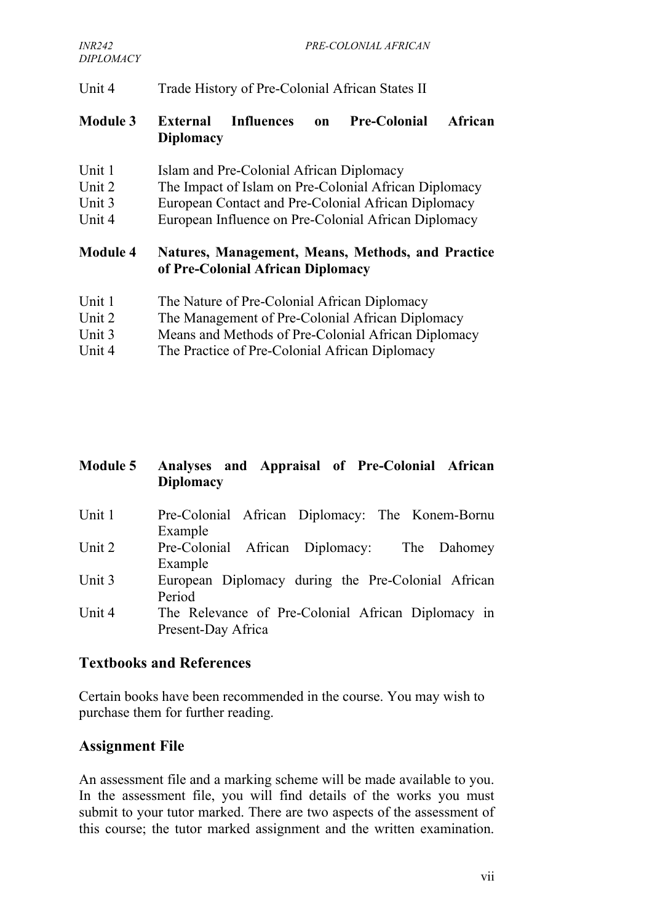| <i>INR242</i><br><i>DIPLOMACY</i>              | PRE-COLONIAL AFRICAN                                                                                                                                                                                             |  |  |
|------------------------------------------------|------------------------------------------------------------------------------------------------------------------------------------------------------------------------------------------------------------------|--|--|
| Unit 4                                         | Trade History of Pre-Colonial African States II                                                                                                                                                                  |  |  |
| <b>Module 3</b>                                | African<br><b>Influences</b><br><b>Pre-Colonial</b><br>External<br>on<br><b>Diplomacy</b>                                                                                                                        |  |  |
| Unit 1<br>Unit 2<br>Unit 3<br>Unit 4           | Islam and Pre-Colonial African Diplomacy<br>The Impact of Islam on Pre-Colonial African Diplomacy<br>European Contact and Pre-Colonial African Diplomacy<br>European Influence on Pre-Colonial African Diplomacy |  |  |
| <b>Module 4</b>                                | Natures, Management, Means, Methods, and Practice<br>of Pre-Colonial African Diplomacy                                                                                                                           |  |  |
| Unit 1<br>Unit 2<br>$\overline{\text{Unit 3}}$ | The Nature of Pre-Colonial African Diplomacy<br>The Management of Pre-Colonial African Diplomacy<br>Means and Methods of Pre-Colonial African Diplomacy                                                          |  |  |

Unit 3 Means and Methods of Pre-Colonial African Diplomacy<br>Unit 4 The Practice of Pre-Colonial African Diplomacy The Practice of Pre-Colonial African Diplomacy

| <b>Module 5</b> | Analyses and Appraisal of Pre-Colonial African<br><b>Diplomacy</b>       |
|-----------------|--------------------------------------------------------------------------|
| Unit 1          | Pre-Colonial African Diplomacy: The Konem-Bornu<br>Example               |
| Unit 2          | Pre-Colonial African Diplomacy:<br>The<br>Dahomey<br>Example             |
| Unit 3          | European Diplomacy during the Pre-Colonial African<br>Period             |
| Unit 4          | The Relevance of Pre-Colonial African Diplomacy in<br>Present-Day Africa |

#### **Textbooks and References**

Certain books have been recommended in the course. You may wish to purchase them for further reading.

#### **Assignment File**

An assessment file and a marking scheme will be made available to you. In the assessment file, you will find details of the works you must submit to your tutor marked. There are two aspects of the assessment of this course; the tutor marked assignment and the written examination.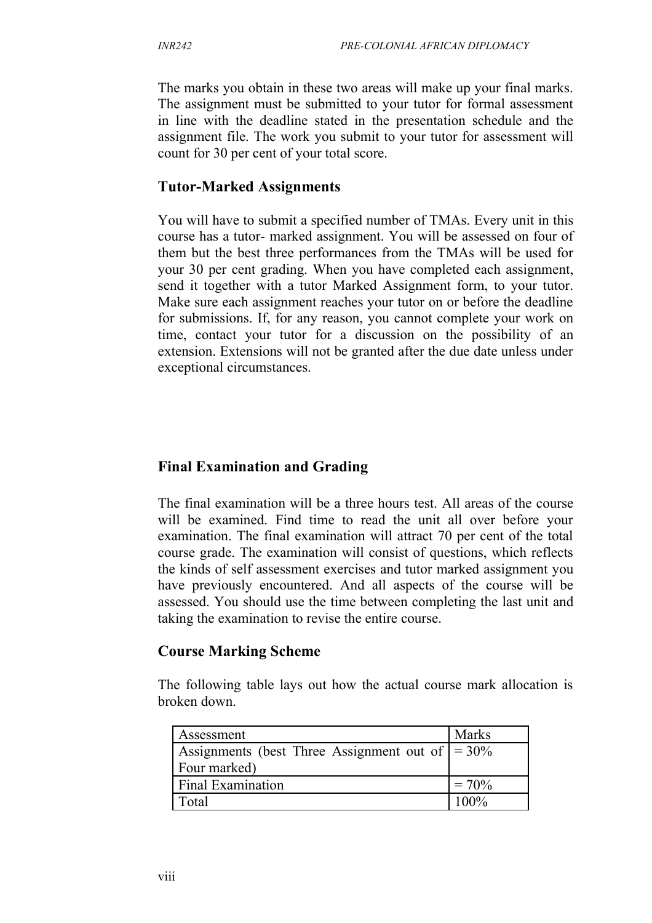The marks you obtain in these two areas will make up your final marks. The assignment must be submitted to your tutor for formal assessment in line with the deadline stated in the presentation schedule and the assignment file. The work you submit to your tutor for assessment will count for 30 per cent of your total score.

#### **Tutor-Marked Assignments**

You will have to submit a specified number of TMAs. Every unit in this course has a tutor- marked assignment. You will be assessed on four of them but the best three performances from the TMAs will be used for your 30 per cent grading. When you have completed each assignment, send it together with a tutor Marked Assignment form, to your tutor. Make sure each assignment reaches your tutor on or before the deadline for submissions. If, for any reason, you cannot complete your work on time, contact your tutor for a discussion on the possibility of an extension. Extensions will not be granted after the due date unless under exceptional circumstances.

### **Final Examination and Grading**

The final examination will be a three hours test. All areas of the course will be examined. Find time to read the unit all over before your examination. The final examination will attract 70 per cent of the total course grade. The examination will consist of questions, which reflects the kinds of self assessment exercises and tutor marked assignment you have previously encountered. And all aspects of the course will be assessed. You should use the time between completing the last unit and taking the examination to revise the entire course.

#### **Course Marking Scheme**

The following table lays out how the actual course mark allocation is broken down.

| Assessment                                         | <b>Marks</b> |
|----------------------------------------------------|--------------|
| Assignments (best Three Assignment out of $= 30\%$ |              |
| Four marked)                                       |              |
| <b>Final Examination</b>                           | $= 70\%$     |
| <b>Total</b>                                       | 100%         |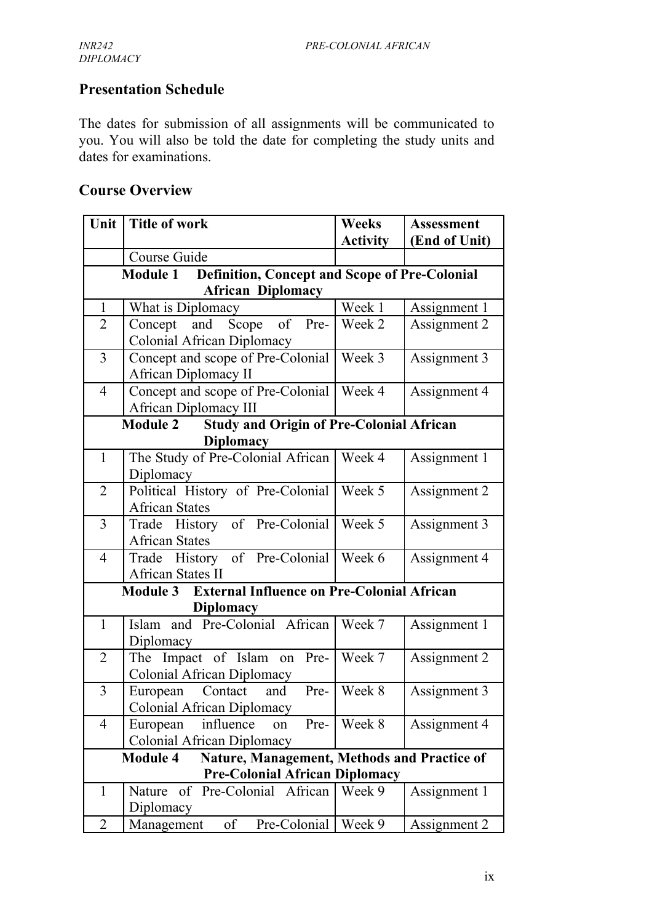## **Presentation Schedule**

The dates for submission of all assignments will be communicated to you. You will also be told the date for completing the study units and dates for examinations.

## **Course Overview**

| Unit                                                           | <b>Title of work</b>                                                      | Weeks           | <b>Assessment</b> |
|----------------------------------------------------------------|---------------------------------------------------------------------------|-----------------|-------------------|
|                                                                |                                                                           | <b>Activity</b> | (End of Unit)     |
|                                                                | Course Guide                                                              |                 |                   |
|                                                                | Definition, Concept and Scope of Pre-Colonial<br><b>Module 1</b>          |                 |                   |
|                                                                | <b>African Diplomacy</b>                                                  |                 |                   |
| $\mathbf{1}$                                                   | What is Diplomacy                                                         | Week 1          | Assignment 1      |
| $\overline{2}$                                                 | Concept and Scope of Pre-<br>Colonial African Diplomacy                   | Week 2          | Assignment 2      |
| $\overline{3}$                                                 | Concept and scope of Pre-Colonial   Week 3<br><b>African Diplomacy II</b> |                 | Assignment 3      |
| $\overline{4}$                                                 | Concept and scope of Pre-Colonial   Week 4<br>African Diplomacy III       |                 | Assignment 4      |
|                                                                | Module 2 Study and Origin of Pre-Colonial African                         |                 |                   |
|                                                                | <b>Diplomacy</b>                                                          |                 |                   |
| $\mathbf{1}$                                                   | The Study of Pre-Colonial African<br>Diplomacy                            | Week 4          | Assignment 1      |
| $\overline{2}$                                                 | Political History of Pre-Colonial<br><b>African States</b>                | Week 5          | Assignment 2      |
| $\overline{3}$                                                 | Trade History of Pre-Colonial<br><b>African States</b>                    | Week 5          | Assignment 3      |
| $\overline{4}$                                                 | Trade History of Pre-Colonial   Week 6<br><b>African States II</b>        |                 | Assignment 4      |
|                                                                | Module 3 External Influence on Pre-Colonial African                       |                 |                   |
|                                                                | <b>Diplomacy</b>                                                          |                 |                   |
| $\mathbf{1}$                                                   | Islam and Pre-Colonial African<br>Diplomacy                               | Week 7          | Assignment 1      |
| $\overline{2}$                                                 | The Impact of Islam on Pre-<br><b>Colonial African Diplomacy</b>          | Week 7          | Assignment 2      |
| $\overline{3}$                                                 | Contact<br>and<br>European<br>Pre-<br><b>Colonial African Diplomacy</b>   | Week 8          | Assignment 3      |
| $\overline{4}$                                                 | influence<br>Pre-<br>European<br>on<br>Colonial African Diplomacy         | Week 8          | Assignment 4      |
| Nature, Management, Methods and Practice of<br><b>Module 4</b> |                                                                           |                 |                   |
|                                                                | <b>Pre-Colonial African Diplomacy</b>                                     |                 |                   |
| $\mathbf{1}$                                                   | Nature of Pre-Colonial African<br>Diplomacy                               | Week 9          | Assignment 1      |
| $\overline{2}$                                                 | Management<br>Pre-Colonial<br>of                                          | Week 9          | Assignment 2      |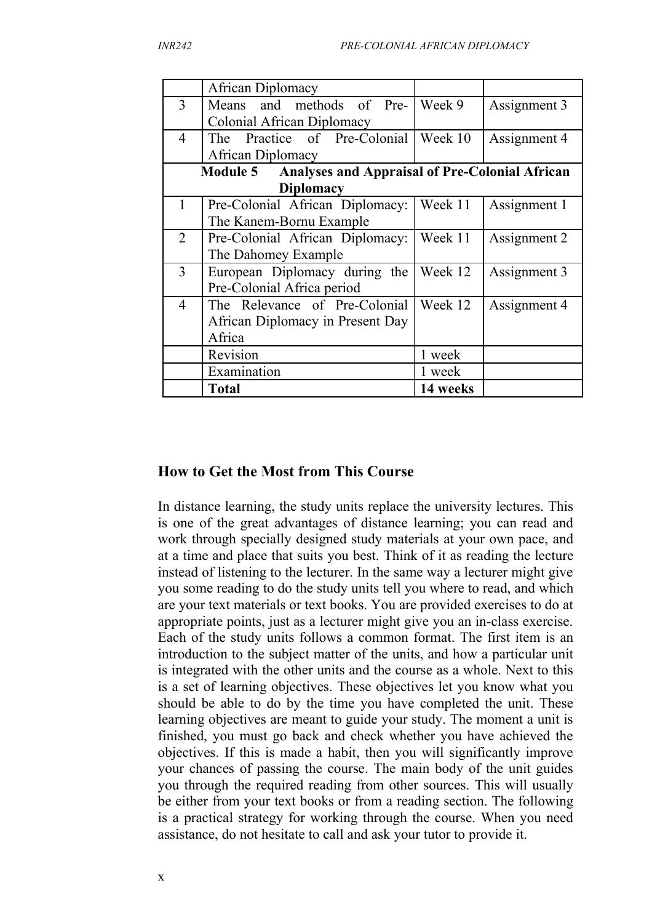|                | <b>African Diplomacy</b>                                |          |              |  |
|----------------|---------------------------------------------------------|----------|--------------|--|
| 3              | Means and methods of Pre-                               | Week 9   | Assignment 3 |  |
|                | Colonial African Diplomacy                              |          |              |  |
| $\overline{4}$ | The Practice of Pre-Colonial                            | Week 10  | Assignment 4 |  |
|                | <b>African Diplomacy</b>                                |          |              |  |
|                | Module 5 Analyses and Appraisal of Pre-Colonial African |          |              |  |
|                | <b>Diplomacy</b>                                        |          |              |  |
| 1              | Pre-Colonial African Diplomacy:                         | Week 11  | Assignment 1 |  |
|                | The Kanem-Bornu Example                                 |          |              |  |
| $\overline{2}$ | Pre-Colonial African Diplomacy:                         | Week 11  | Assignment 2 |  |
|                | The Dahomey Example                                     |          |              |  |
| 3              | European Diplomacy during the                           | Week 12  | Assignment 3 |  |
|                | Pre-Colonial Africa period                              |          |              |  |
| $\overline{4}$ | The Relevance of Pre-Colonial                           | Week 12  | Assignment 4 |  |
|                | African Diplomacy in Present Day                        |          |              |  |
|                | Africa                                                  |          |              |  |
|                | Revision                                                | 1 week   |              |  |
|                | Examination                                             | 1 week   |              |  |
|                | <b>Total</b>                                            | 14 weeks |              |  |

#### **How to Get the Most from This Course**

In distance learning, the study units replace the university lectures. This is one of the great advantages of distance learning; you can read and work through specially designed study materials at your own pace, and at a time and place that suits you best. Think of it as reading the lecture instead of listening to the lecturer. In the same way a lecturer might give you some reading to do the study units tell you where to read, and which are your text materials or text books. You are provided exercises to do at appropriate points, just as a lecturer might give you an in-class exercise. Each of the study units follows a common format. The first item is an introduction to the subject matter of the units, and how a particular unit is integrated with the other units and the course as a whole. Next to this is a set of learning objectives. These objectives let you know what you should be able to do by the time you have completed the unit. These learning objectives are meant to guide your study. The moment a unit is finished, you must go back and check whether you have achieved the objectives. If this is made a habit, then you will significantly improve your chances of passing the course. The main body of the unit guides you through the required reading from other sources. This will usually be either from your text books or from a reading section. The following is a practical strategy for working through the course. When you need assistance, do not hesitate to call and ask your tutor to provide it.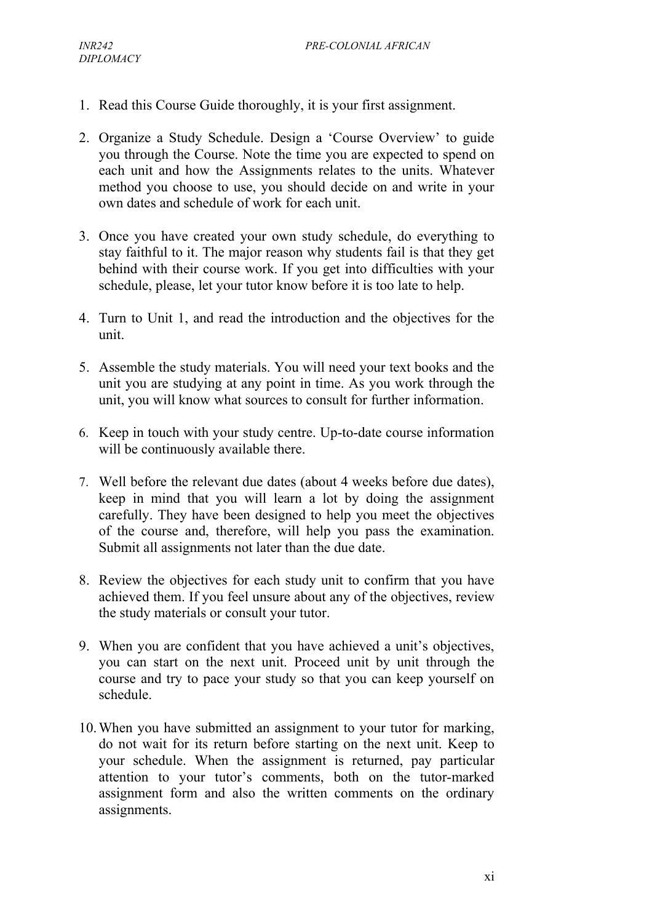- 1. Read this Course Guide thoroughly, it is your first assignment.
- 2. Organize a Study Schedule. Design a 'Course Overview' to guide you through the Course. Note the time you are expected to spend on each unit and how the Assignments relates to the units. Whatever method you choose to use, you should decide on and write in your own dates and schedule of work for each unit.
- 3. Once you have created your own study schedule, do everything to stay faithful to it. The major reason why students fail is that they get behind with their course work. If you get into difficulties with your schedule, please, let your tutor know before it is too late to help.
- 4. Turn to Unit 1, and read the introduction and the objectives for the unit.
- 5. Assemble the study materials. You will need your text books and the unit you are studying at any point in time. As you work through the unit, you will know what sources to consult for further information.
- 6. Keep in touch with your study centre. Up-to-date course information will be continuously available there.
- 7. Well before the relevant due dates (about 4 weeks before due dates), keep in mind that you will learn a lot by doing the assignment carefully. They have been designed to help you meet the objectives of the course and, therefore, will help you pass the examination. Submit all assignments not later than the due date.
- 8. Review the objectives for each study unit to confirm that you have achieved them. If you feel unsure about any of the objectives, review the study materials or consult your tutor.
- 9. When you are confident that you have achieved a unit's objectives, you can start on the next unit. Proceed unit by unit through the course and try to pace your study so that you can keep yourself on schedule.
- 10.When you have submitted an assignment to your tutor for marking, do not wait for its return before starting on the next unit. Keep to your schedule. When the assignment is returned, pay particular attention to your tutor's comments, both on the tutor-marked assignment form and also the written comments on the ordinary assignments.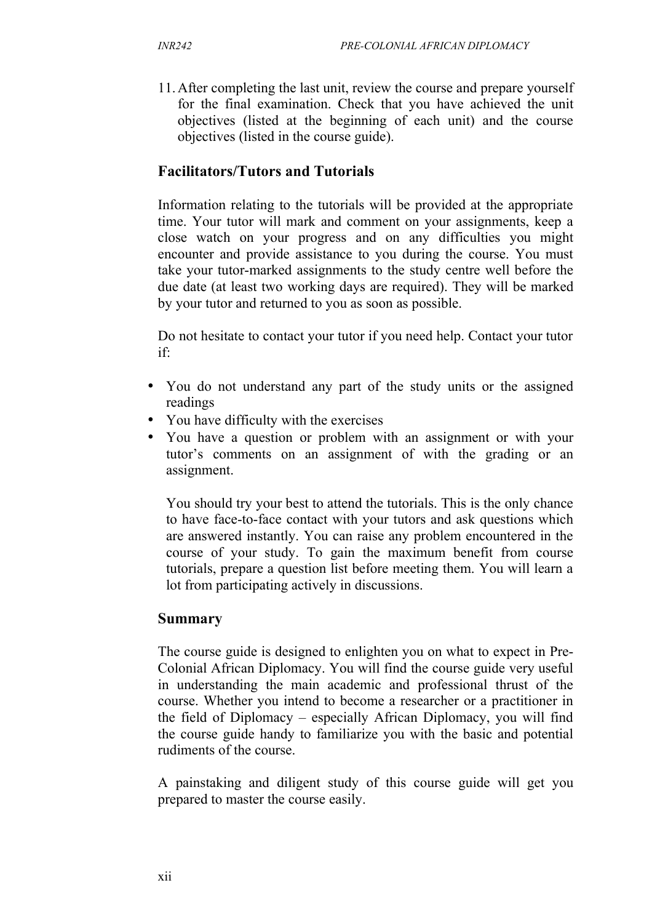11.After completing the last unit, review the course and prepare yourself for the final examination. Check that you have achieved the unit objectives (listed at the beginning of each unit) and the course objectives (listed in the course guide).

## **Facilitators/Tutors and Tutorials**

Information relating to the tutorials will be provided at the appropriate time. Your tutor will mark and comment on your assignments, keep a close watch on your progress and on any difficulties you might encounter and provide assistance to you during the course. You must take your tutor-marked assignments to the study centre well before the due date (at least two working days are required). They will be marked by your tutor and returned to you as soon as possible.

Do not hesitate to contact your tutor if you need help. Contact your tutor if:

- You do not understand any part of the study units or the assigned readings
- You have difficulty with the exercises
- You have a question or problem with an assignment or with your tutor's comments on an assignment of with the grading or an assignment.

You should try your best to attend the tutorials. This is the only chance to have face-to-face contact with your tutors and ask questions which are answered instantly. You can raise any problem encountered in the course of your study. To gain the maximum benefit from course tutorials, prepare a question list before meeting them. You will learn a lot from participating actively in discussions.

#### **Summary**

The course guide is designed to enlighten you on what to expect in Pre-Colonial African Diplomacy. You will find the course guide very useful in understanding the main academic and professional thrust of the course. Whether you intend to become a researcher or a practitioner in the field of Diplomacy – especially African Diplomacy, you will find the course guide handy to familiarize you with the basic and potential rudiments of the course.

A painstaking and diligent study of this course guide will get you prepared to master the course easily.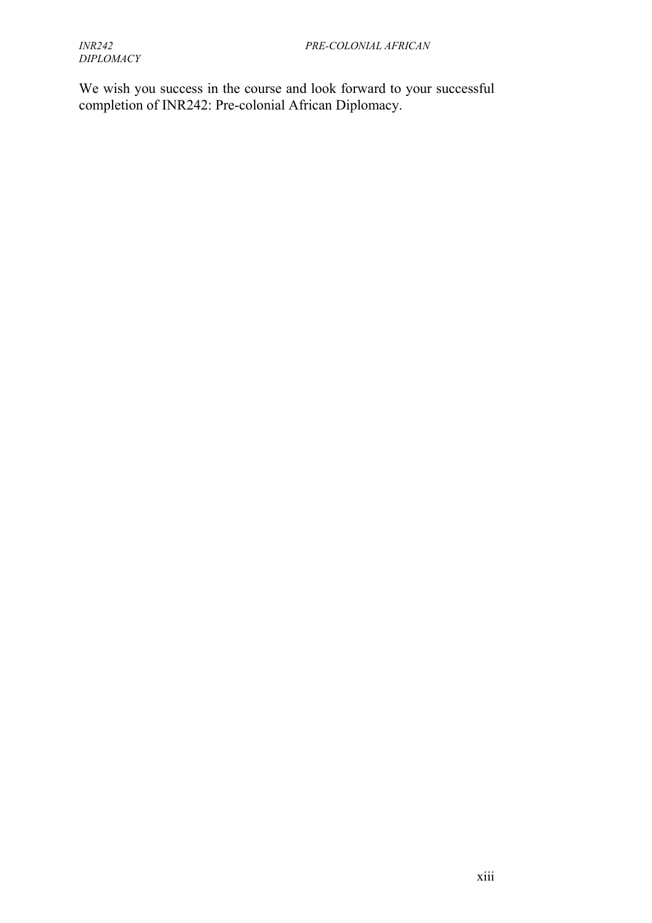We wish you success in the course and look forward to your successful completion of INR242: Pre-colonial African Diplomacy.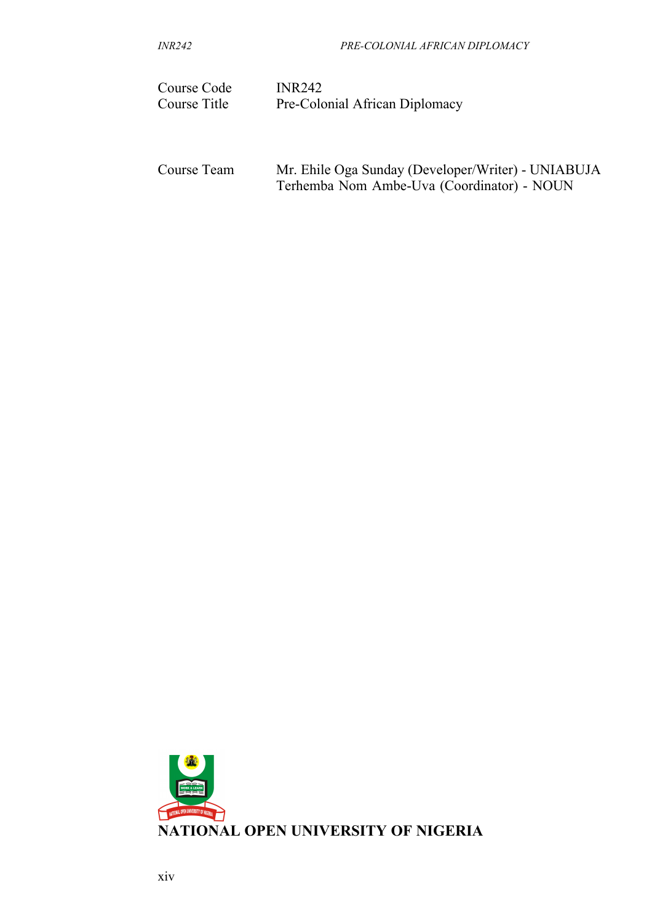| Course Code  | <b>INR242</b>                  |
|--------------|--------------------------------|
| Course Title | Pre-Colonial African Diplomacy |

Course Team Mr. Ehile Oga Sunday (Developer/Writer) - UNIABUJA Terhemba Nom Ambe-Uva (Coordinator) - NOUN

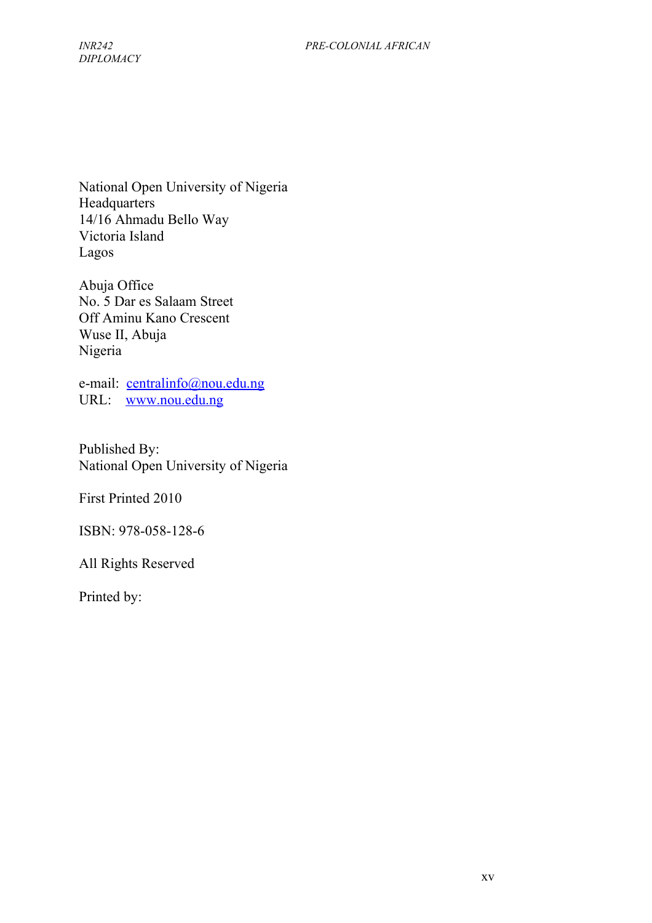National Open University of Nigeria **Headquarters** 14/16 Ahmadu Bello Way Victoria Island Lagos

Abuja Office No. 5 Dar es Salaam Street Off Aminu Kano Crescent Wuse II, Abuja Nigeria

e-mail: [centralinfo@nou.edu.ng](mailto:centralinfo@nou.edu.ng) URL: [www.nou.edu.ng](http://www.nou.edu.ng/)

Published By: National Open University of Nigeria

First Printed 2010

ISBN: 978-058-128-6

All Rights Reserved

Printed by: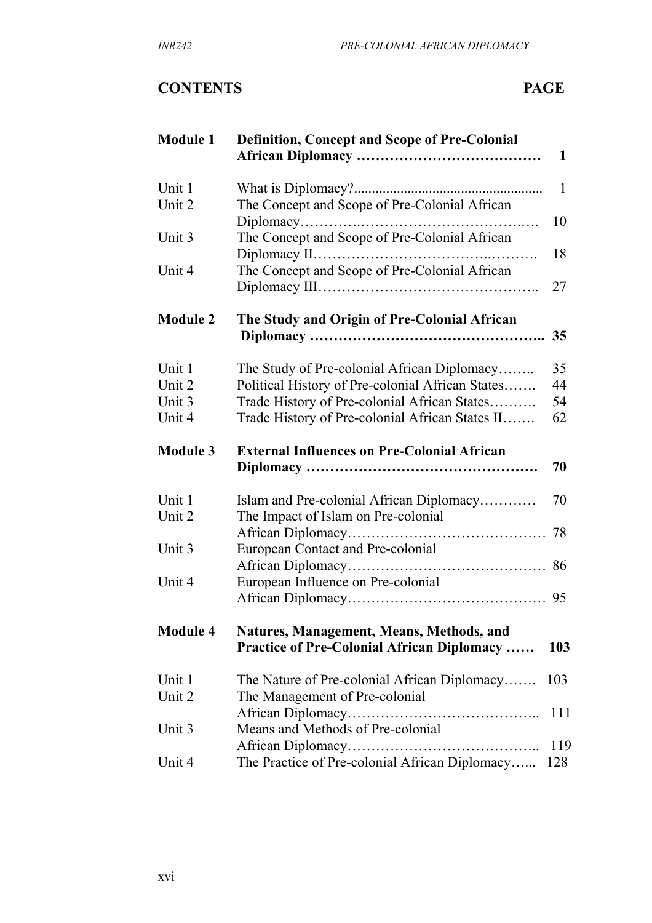## **CONTENTS PAGE**

| <b>Module 1</b> | <b>Definition, Concept and Scope of Pre-Colonial</b>                                                  | 1   |
|-----------------|-------------------------------------------------------------------------------------------------------|-----|
| Unit 1          |                                                                                                       | 1   |
| Unit 2          | The Concept and Scope of Pre-Colonial African                                                         | 10  |
| Unit 3          | The Concept and Scope of Pre-Colonial African                                                         | 18  |
| Unit 4          | The Concept and Scope of Pre-Colonial African                                                         | 27  |
| <b>Module 2</b> | The Study and Origin of Pre-Colonial African                                                          | 35  |
| Unit 1          | The Study of Pre-colonial African Diplomacy                                                           | 35  |
| Unit 2          | Political History of Pre-colonial African States                                                      | 44  |
| Unit 3          | Trade History of Pre-colonial African States                                                          | 54  |
| Unit 4          | Trade History of Pre-colonial African States II                                                       | 62  |
| <b>Module 3</b> | <b>External Influences on Pre-Colonial African</b>                                                    | 70  |
| Unit 1          | Islam and Pre-colonial African Diplomacy                                                              | 70  |
| Unit 2          | The Impact of Islam on Pre-colonial                                                                   |     |
|                 |                                                                                                       |     |
| Unit 3          | European Contact and Pre-colonial                                                                     |     |
| Unit 4          | European Influence on Pre-colonial                                                                    |     |
|                 |                                                                                                       |     |
| <b>Module 4</b> | <b>Natures, Management, Means, Methods, and</b><br><b>Practice of Pre-Colonial African Diplomacy </b> | 103 |
| Unit 1          | The Nature of Pre-colonial African Diplomacy                                                          | 103 |
| Unit 2          | The Management of Pre-colonial                                                                        |     |
| Unit 3          | Means and Methods of Pre-colonial                                                                     | 111 |
|                 |                                                                                                       | 119 |
| Unit 4          | The Practice of Pre-colonial African Diplomacy                                                        | 128 |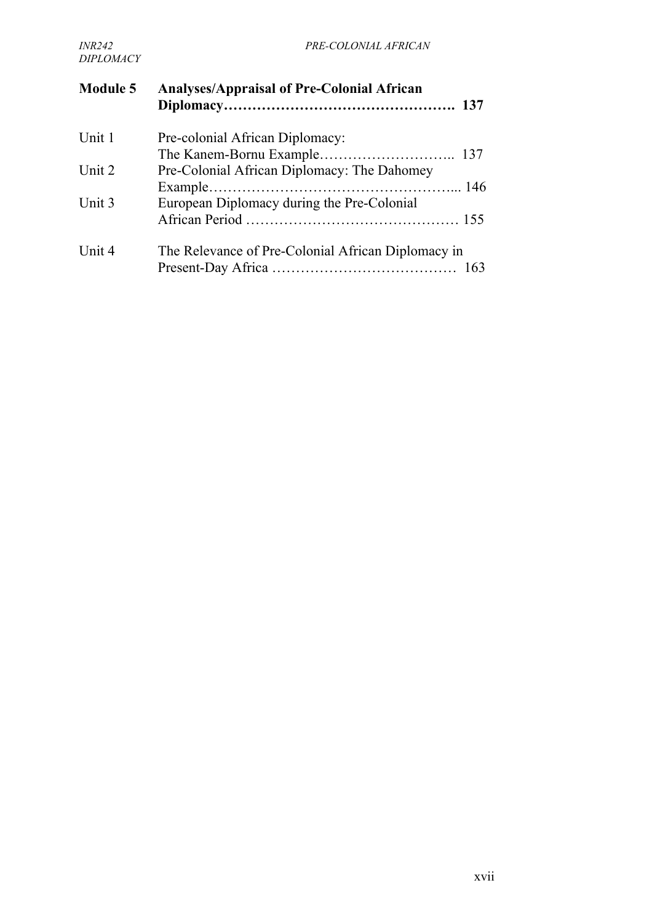| <b>Module 5</b> | <b>Analyses/Appraisal of Pre-Colonial African</b>  | 137 |
|-----------------|----------------------------------------------------|-----|
| Unit 1          | Pre-colonial African Diplomacy:                    |     |
|                 |                                                    |     |
| Unit 2          | Pre-Colonial African Diplomacy: The Dahomey        |     |
|                 |                                                    |     |
| Unit 3          | European Diplomacy during the Pre-Colonial         |     |
|                 |                                                    |     |
| Unit 4          | The Relevance of Pre-Colonial African Diplomacy in |     |
|                 |                                                    |     |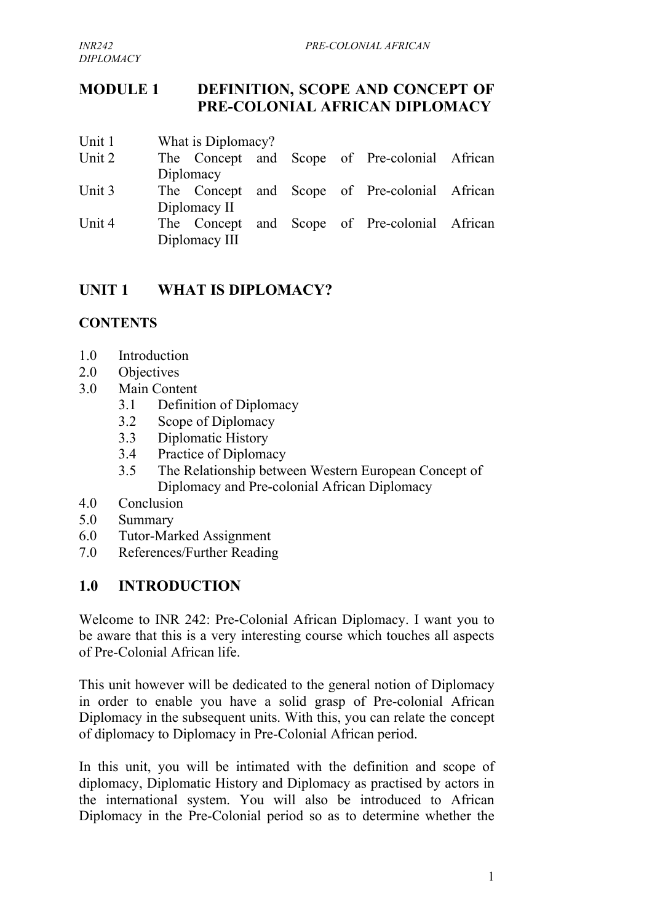## **MODULE 1 DEFINITION, SCOPE AND CONCEPT OF PRE-COLONIAL AFRICAN DIPLOMACY**

- Unit 1 What is Diplomacy?
- Unit 2 The Concept and Scope of Pre-colonial African **Diplomacy**
- Unit 3 The Concept and Scope of Pre-colonial African Diplomacy II
- Unit 4 The Concept and Scope of Pre-colonial African Diplomacy III

## **UNIT 1 WHAT IS DIPLOMACY?**

### **CONTENTS**

- 1.0 Introduction
- 2.0 Objectives
- 3.0 Main Content
	- 3.1 Definition of Diplomacy
	- 3.2 Scope of Diplomacy
	- 3.3 Diplomatic History
	- 3.4 Practice of Diplomacy
	- 3.5 The Relationship between Western European Concept of Diplomacy and Pre-colonial African Diplomacy
- 4.0 Conclusion
- 5.0 Summary
- 6.0 Tutor-Marked Assignment
- 7.0 References/Further Reading

### **1.0 INTRODUCTION**

Welcome to INR 242: Pre-Colonial African Diplomacy. I want you to be aware that this is a very interesting course which touches all aspects of Pre-Colonial African life.

This unit however will be dedicated to the general notion of Diplomacy in order to enable you have a solid grasp of Pre-colonial African Diplomacy in the subsequent units. With this, you can relate the concept of diplomacy to Diplomacy in Pre-Colonial African period.

In this unit, you will be intimated with the definition and scope of diplomacy, Diplomatic History and Diplomacy as practised by actors in the international system. You will also be introduced to African Diplomacy in the Pre-Colonial period so as to determine whether the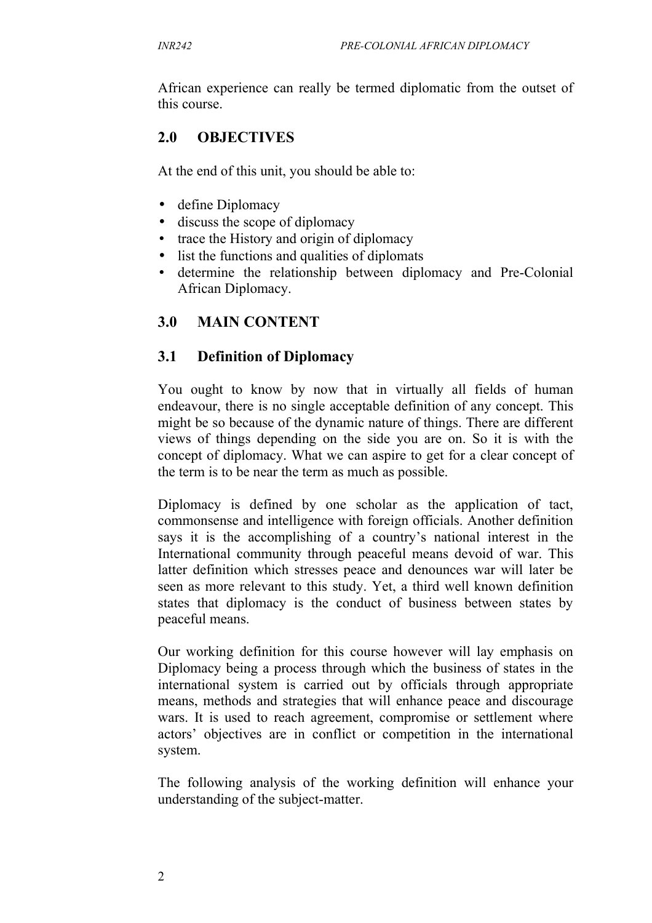African experience can really be termed diplomatic from the outset of this course.

## **2.0 OBJECTIVES**

At the end of this unit, you should be able to:

- define Diplomacy
- discuss the scope of diplomacy
- trace the History and origin of diplomacy
- list the functions and qualities of diplomats
- determine the relationship between diplomacy and Pre-Colonial African Diplomacy.

## **3.0 MAIN CONTENT**

## **3.1 Definition of Diplomacy**

You ought to know by now that in virtually all fields of human endeavour, there is no single acceptable definition of any concept. This might be so because of the dynamic nature of things. There are different views of things depending on the side you are on. So it is with the concept of diplomacy. What we can aspire to get for a clear concept of the term is to be near the term as much as possible.

Diplomacy is defined by one scholar as the application of tact, commonsense and intelligence with foreign officials. Another definition says it is the accomplishing of a country's national interest in the International community through peaceful means devoid of war. This latter definition which stresses peace and denounces war will later be seen as more relevant to this study. Yet, a third well known definition states that diplomacy is the conduct of business between states by peaceful means.

Our working definition for this course however will lay emphasis on Diplomacy being a process through which the business of states in the international system is carried out by officials through appropriate means, methods and strategies that will enhance peace and discourage wars. It is used to reach agreement, compromise or settlement where actors' objectives are in conflict or competition in the international system.

The following analysis of the working definition will enhance your understanding of the subject-matter.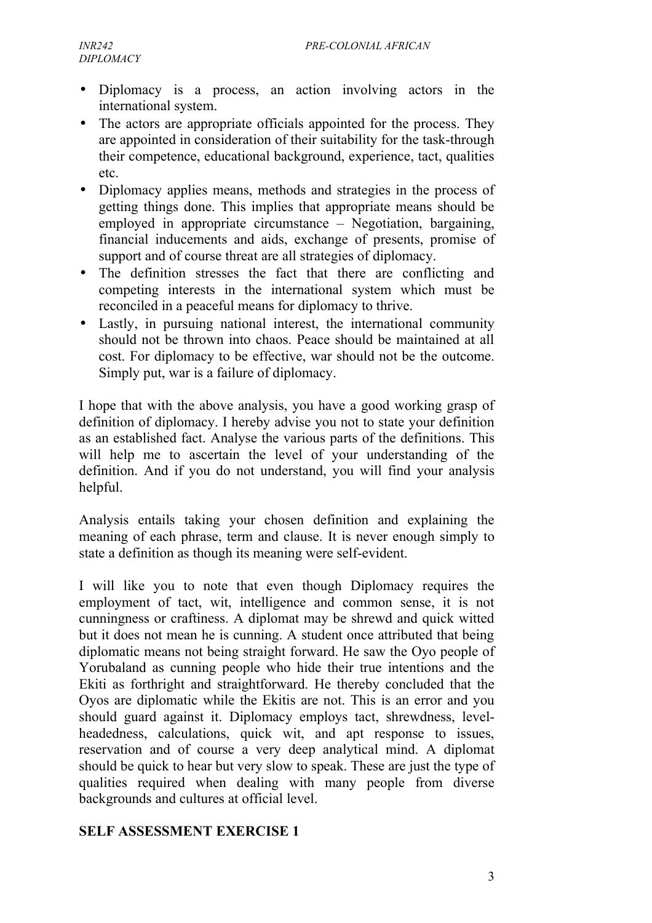- Diplomacy is a process, an action involving actors in the international system.
- The actors are appropriate officials appointed for the process. They are appointed in consideration of their suitability for the task-through their competence, educational background, experience, tact, qualities etc.
- Diplomacy applies means, methods and strategies in the process of getting things done. This implies that appropriate means should be employed in appropriate circumstance – Negotiation, bargaining, financial inducements and aids, exchange of presents, promise of support and of course threat are all strategies of diplomacy.
- The definition stresses the fact that there are conflicting and competing interests in the international system which must be reconciled in a peaceful means for diplomacy to thrive.
- Lastly, in pursuing national interest, the international community should not be thrown into chaos. Peace should be maintained at all cost. For diplomacy to be effective, war should not be the outcome. Simply put, war is a failure of diplomacy.

I hope that with the above analysis, you have a good working grasp of definition of diplomacy. I hereby advise you not to state your definition as an established fact. Analyse the various parts of the definitions. This will help me to ascertain the level of your understanding of the definition. And if you do not understand, you will find your analysis helpful.

Analysis entails taking your chosen definition and explaining the meaning of each phrase, term and clause. It is never enough simply to state a definition as though its meaning were self-evident.

I will like you to note that even though Diplomacy requires the employment of tact, wit, intelligence and common sense, it is not cunningness or craftiness. A diplomat may be shrewd and quick witted but it does not mean he is cunning. A student once attributed that being diplomatic means not being straight forward. He saw the Oyo people of Yorubaland as cunning people who hide their true intentions and the Ekiti as forthright and straightforward. He thereby concluded that the Oyos are diplomatic while the Ekitis are not. This is an error and you should guard against it. Diplomacy employs tact, shrewdness, levelheadedness, calculations, quick wit, and apt response to issues, reservation and of course a very deep analytical mind. A diplomat should be quick to hear but very slow to speak. These are just the type of qualities required when dealing with many people from diverse backgrounds and cultures at official level.

#### **SELF ASSESSMENT EXERCISE 1**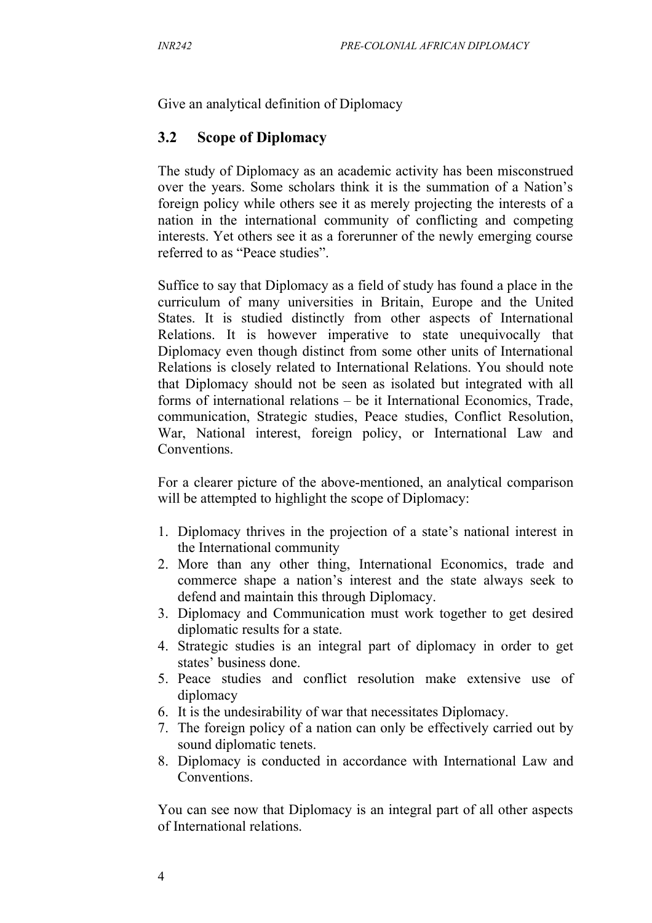Give an analytical definition of Diplomacy

#### **3.2 Scope of Diplomacy**

The study of Diplomacy as an academic activity has been misconstrued over the years. Some scholars think it is the summation of a Nation's foreign policy while others see it as merely projecting the interests of a nation in the international community of conflicting and competing interests. Yet others see it as a forerunner of the newly emerging course referred to as "Peace studies".

Suffice to say that Diplomacy as a field of study has found a place in the curriculum of many universities in Britain, Europe and the United States. It is studied distinctly from other aspects of International Relations. It is however imperative to state unequivocally that Diplomacy even though distinct from some other units of International Relations is closely related to International Relations. You should note that Diplomacy should not be seen as isolated but integrated with all forms of international relations – be it International Economics, Trade, communication, Strategic studies, Peace studies, Conflict Resolution, War, National interest, foreign policy, or International Law and Conventions.

For a clearer picture of the above-mentioned, an analytical comparison will be attempted to highlight the scope of Diplomacy:

- 1. Diplomacy thrives in the projection of a state's national interest in the International community
- 2. More than any other thing, International Economics, trade and commerce shape a nation's interest and the state always seek to defend and maintain this through Diplomacy.
- 3. Diplomacy and Communication must work together to get desired diplomatic results for a state.
- 4. Strategic studies is an integral part of diplomacy in order to get states' business done.
- 5. Peace studies and conflict resolution make extensive use of diplomacy
- 6. It is the undesirability of war that necessitates Diplomacy.
- 7. The foreign policy of a nation can only be effectively carried out by sound diplomatic tenets.
- 8. Diplomacy is conducted in accordance with International Law and **Conventions**

You can see now that Diplomacy is an integral part of all other aspects of International relations.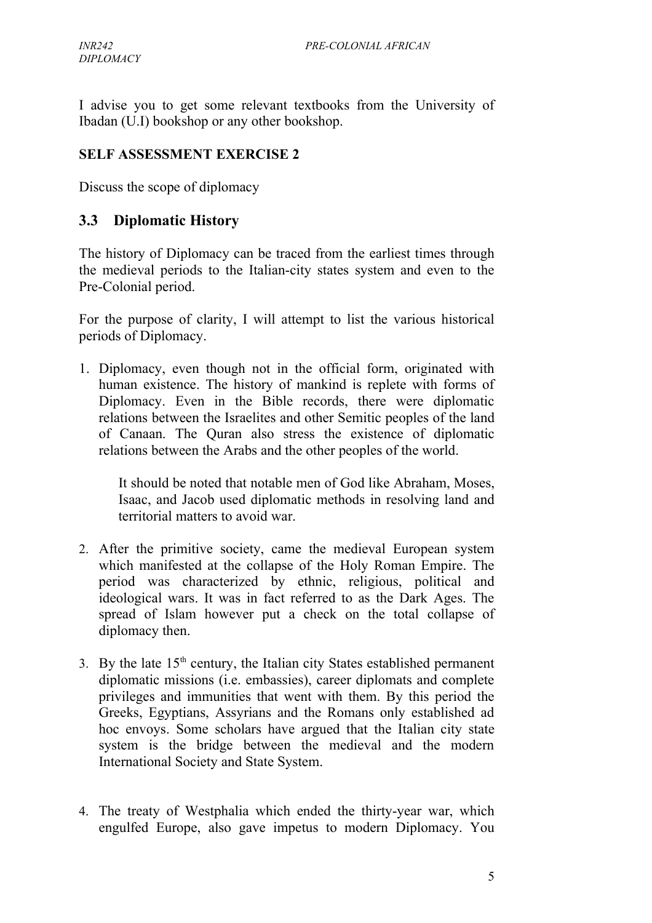I advise you to get some relevant textbooks from the University of Ibadan (U.I) bookshop or any other bookshop.

#### **SELF ASSESSMENT EXERCISE 2**

Discuss the scope of diplomacy

#### **3.3 Diplomatic History**

The history of Diplomacy can be traced from the earliest times through the medieval periods to the Italian-city states system and even to the Pre-Colonial period.

For the purpose of clarity, I will attempt to list the various historical periods of Diplomacy.

1. Diplomacy, even though not in the official form, originated with human existence. The history of mankind is replete with forms of Diplomacy. Even in the Bible records, there were diplomatic relations between the Israelites and other Semitic peoples of the land of Canaan. The Quran also stress the existence of diplomatic relations between the Arabs and the other peoples of the world.

It should be noted that notable men of God like Abraham, Moses, Isaac, and Jacob used diplomatic methods in resolving land and territorial matters to avoid war.

- 2. After the primitive society, came the medieval European system which manifested at the collapse of the Holy Roman Empire. The period was characterized by ethnic, religious, political and ideological wars. It was in fact referred to as the Dark Ages. The spread of Islam however put a check on the total collapse of diplomacy then.
- 3. By the late  $15<sup>th</sup>$  century, the Italian city States established permanent diplomatic missions (i.e. embassies), career diplomats and complete privileges and immunities that went with them. By this period the Greeks, Egyptians, Assyrians and the Romans only established ad hoc envoys. Some scholars have argued that the Italian city state system is the bridge between the medieval and the modern International Society and State System.
- 4. The treaty of Westphalia which ended the thirty-year war, which engulfed Europe, also gave impetus to modern Diplomacy. You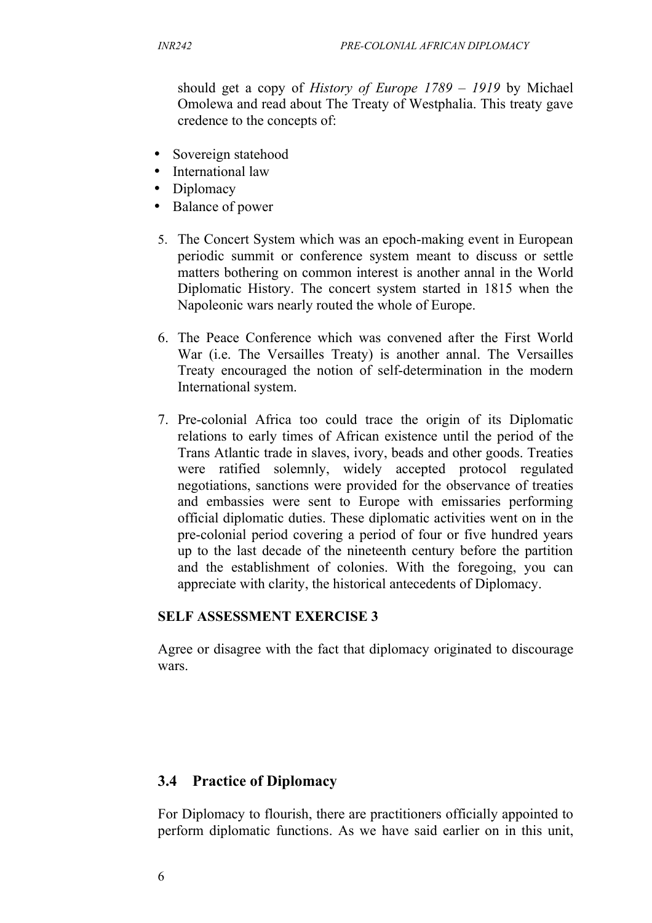should get a copy of *History of Europe 1789 – 1919* by Michael Omolewa and read about The Treaty of Westphalia. This treaty gave credence to the concepts of:

- Sovereign statehood
- International law
- Diplomacy
- Balance of power
- 5. The Concert System which was an epoch-making event in European periodic summit or conference system meant to discuss or settle matters bothering on common interest is another annal in the World Diplomatic History. The concert system started in 1815 when the Napoleonic wars nearly routed the whole of Europe.
- 6. The Peace Conference which was convened after the First World War (i.e. The Versailles Treaty) is another annal. The Versailles Treaty encouraged the notion of self-determination in the modern International system.
- 7. Pre-colonial Africa too could trace the origin of its Diplomatic relations to early times of African existence until the period of the Trans Atlantic trade in slaves, ivory, beads and other goods. Treaties were ratified solemnly, widely accepted protocol regulated negotiations, sanctions were provided for the observance of treaties and embassies were sent to Europe with emissaries performing official diplomatic duties. These diplomatic activities went on in the pre-colonial period covering a period of four or five hundred years up to the last decade of the nineteenth century before the partition and the establishment of colonies. With the foregoing, you can appreciate with clarity, the historical antecedents of Diplomacy.

#### **SELF ASSESSMENT EXERCISE 3**

Agree or disagree with the fact that diplomacy originated to discourage wars.

### **3.4 Practice of Diplomacy**

For Diplomacy to flourish, there are practitioners officially appointed to perform diplomatic functions. As we have said earlier on in this unit,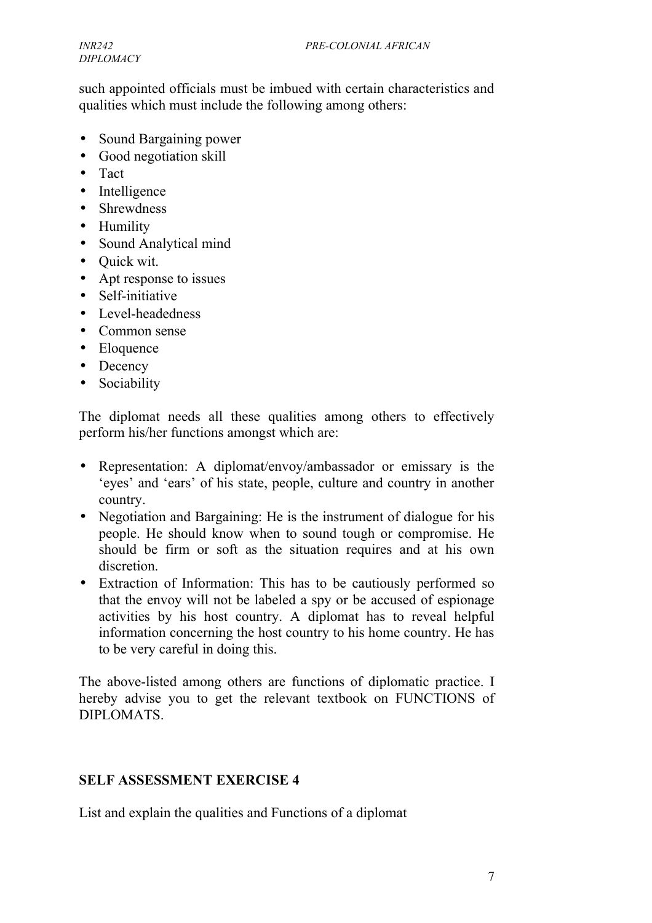such appointed officials must be imbued with certain characteristics and qualities which must include the following among others:

- Sound Bargaining power
- Good negotiation skill
- Tact
- Intelligence
- Shrewdness
- Humility
- Sound Analytical mind
- Ouick wit.
- Apt response to issues
- Self-initiative
- Level-headedness
- Common sense
- Eloquence
- Decency
- Sociability

The diplomat needs all these qualities among others to effectively perform his/her functions amongst which are:

- Representation: A diplomat/envoy/ambassador or emissary is the 'eyes' and 'ears' of his state, people, culture and country in another country.
- Negotiation and Bargaining: He is the instrument of dialogue for his people. He should know when to sound tough or compromise. He should be firm or soft as the situation requires and at his own discretion.
- Extraction of Information: This has to be cautiously performed so that the envoy will not be labeled a spy or be accused of espionage activities by his host country. A diplomat has to reveal helpful information concerning the host country to his home country. He has to be very careful in doing this.

The above-listed among others are functions of diplomatic practice. I hereby advise you to get the relevant textbook on FUNCTIONS of DIPLOMATS.

#### **SELF ASSESSMENT EXERCISE 4**

List and explain the qualities and Functions of a diplomat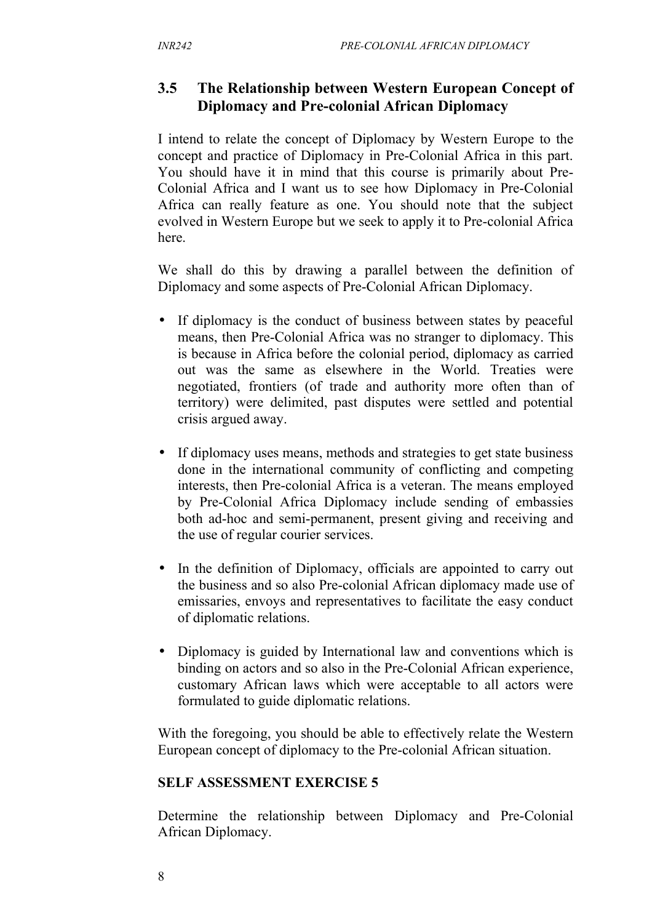## **3.5 The Relationship between Western European Concept of Diplomacy and Pre-colonial African Diplomacy**

I intend to relate the concept of Diplomacy by Western Europe to the concept and practice of Diplomacy in Pre-Colonial Africa in this part. You should have it in mind that this course is primarily about Pre-Colonial Africa and I want us to see how Diplomacy in Pre-Colonial Africa can really feature as one. You should note that the subject evolved in Western Europe but we seek to apply it to Pre-colonial Africa here.

We shall do this by drawing a parallel between the definition of Diplomacy and some aspects of Pre-Colonial African Diplomacy.

- If diplomacy is the conduct of business between states by peaceful means, then Pre-Colonial Africa was no stranger to diplomacy. This is because in Africa before the colonial period, diplomacy as carried out was the same as elsewhere in the World. Treaties were negotiated, frontiers (of trade and authority more often than of territory) were delimited, past disputes were settled and potential crisis argued away.
- If diplomacy uses means, methods and strategies to get state business done in the international community of conflicting and competing interests, then Pre-colonial Africa is a veteran. The means employed by Pre-Colonial Africa Diplomacy include sending of embassies both ad-hoc and semi-permanent, present giving and receiving and the use of regular courier services.
- In the definition of Diplomacy, officials are appointed to carry out the business and so also Pre-colonial African diplomacy made use of emissaries, envoys and representatives to facilitate the easy conduct of diplomatic relations.
- Diplomacy is guided by International law and conventions which is binding on actors and so also in the Pre-Colonial African experience, customary African laws which were acceptable to all actors were formulated to guide diplomatic relations.

With the foregoing, you should be able to effectively relate the Western European concept of diplomacy to the Pre-colonial African situation.

#### **SELF ASSESSMENT EXERCISE 5**

Determine the relationship between Diplomacy and Pre-Colonial African Diplomacy.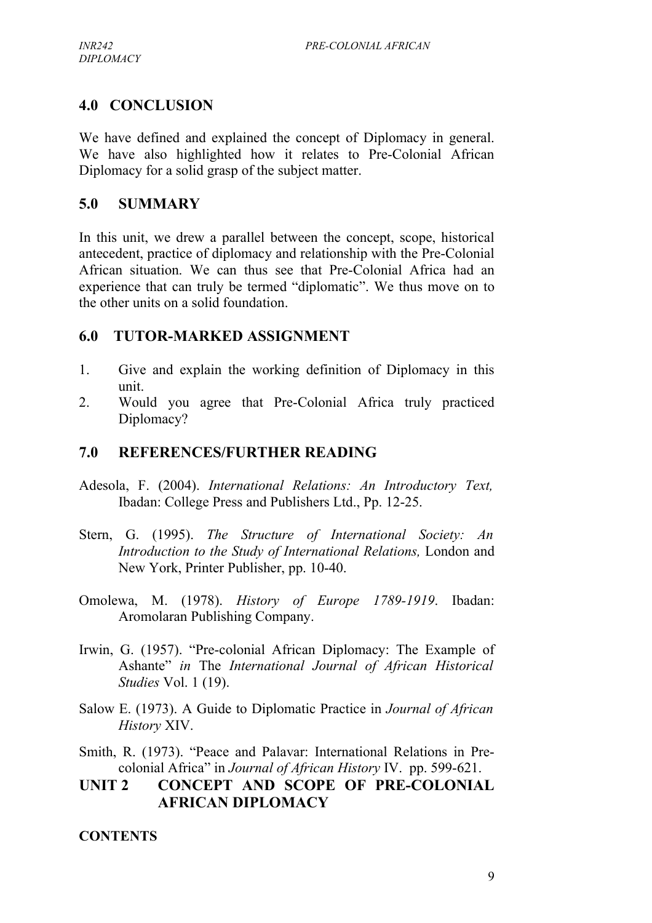### **4.0 CONCLUSION**

We have defined and explained the concept of Diplomacy in general. We have also highlighted how it relates to Pre-Colonial African Diplomacy for a solid grasp of the subject matter.

#### **5.0 SUMMARY**

In this unit, we drew a parallel between the concept, scope, historical antecedent, practice of diplomacy and relationship with the Pre-Colonial African situation. We can thus see that Pre-Colonial Africa had an experience that can truly be termed "diplomatic". We thus move on to the other units on a solid foundation.

#### **6.0 TUTOR-MARKED ASSIGNMENT**

- 1. Give and explain the working definition of Diplomacy in this unit.
- 2. Would you agree that Pre-Colonial Africa truly practiced Diplomacy?

#### **7.0 REFERENCES/FURTHER READING**

- Adesola, F. (2004). *International Relations: An Introductory Text,* Ibadan: College Press and Publishers Ltd., Pp. 12-25.
- Stern, G. (1995). *The Structure of International Society: An Introduction to the Study of International Relations,* London and New York, Printer Publisher, pp. 10-40.
- Omolewa, M. (1978). *History of Europe 1789-1919*. Ibadan: Aromolaran Publishing Company.
- Irwin, G. (1957). "Pre-colonial African Diplomacy: The Example of Ashante" *in* The *International Journal of African Historical Studies* Vol. 1 (19).
- Salow E. (1973). A Guide to Diplomatic Practice in *Journal of African History* XIV.
- Smith, R. (1973). "Peace and Palavar: International Relations in Precolonial Africa" in *Journal of African History* IV. pp. 599-621.
- **UNIT 2 CONCEPT AND SCOPE OF PRE-COLONIAL AFRICAN DIPLOMACY**

#### **CONTENTS**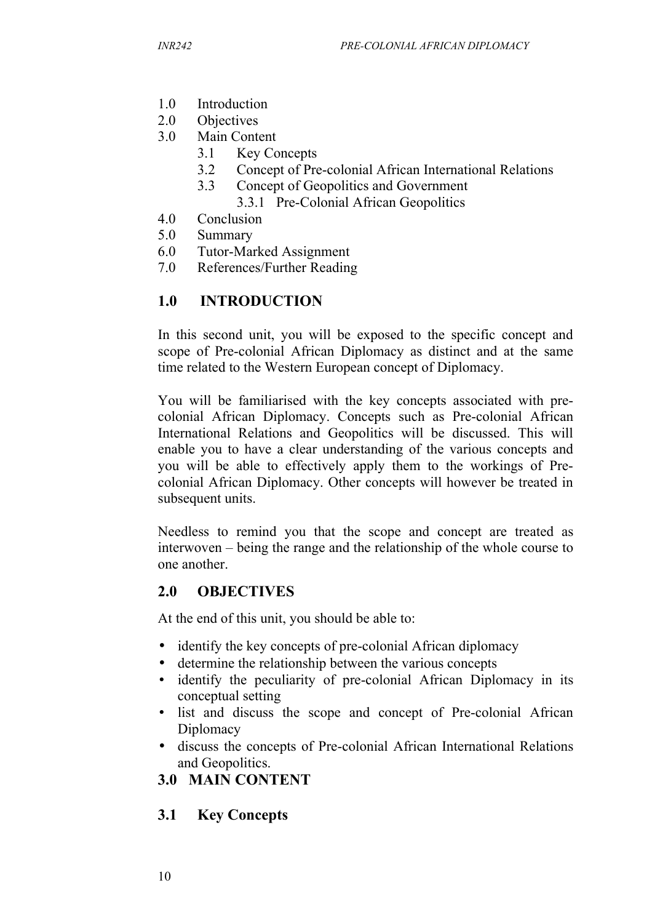- 1.0 Introduction
- 2.0 Objectives
- 3.0 Main Content
	- 3.1 Key Concepts
	- 3.2 Concept of Pre-colonial African International Relations
	- 3.3 Concept of Geopolitics and Government
		- 3.3.1 Pre-Colonial African Geopolitics
- 4.0 Conclusion
- 5.0 Summary
- 6.0 Tutor-Marked Assignment
- 7.0 References/Further Reading

## **1.0 INTRODUCTION**

In this second unit, you will be exposed to the specific concept and scope of Pre-colonial African Diplomacy as distinct and at the same time related to the Western European concept of Diplomacy.

You will be familiarised with the key concepts associated with precolonial African Diplomacy. Concepts such as Pre-colonial African International Relations and Geopolitics will be discussed. This will enable you to have a clear understanding of the various concepts and you will be able to effectively apply them to the workings of Precolonial African Diplomacy. Other concepts will however be treated in subsequent units.

Needless to remind you that the scope and concept are treated as interwoven – being the range and the relationship of the whole course to one another.

### **2.0 OBJECTIVES**

At the end of this unit, you should be able to:

- identify the key concepts of pre-colonial African diplomacy
- determine the relationship between the various concepts
- identify the peculiarity of pre-colonial African Diplomacy in its conceptual setting
- list and discuss the scope and concept of Pre-colonial African Diplomacy
- discuss the concepts of Pre-colonial African International Relations and Geopolitics.

### **3.0 MAIN CONTENT**

### **3.1 Key Concepts**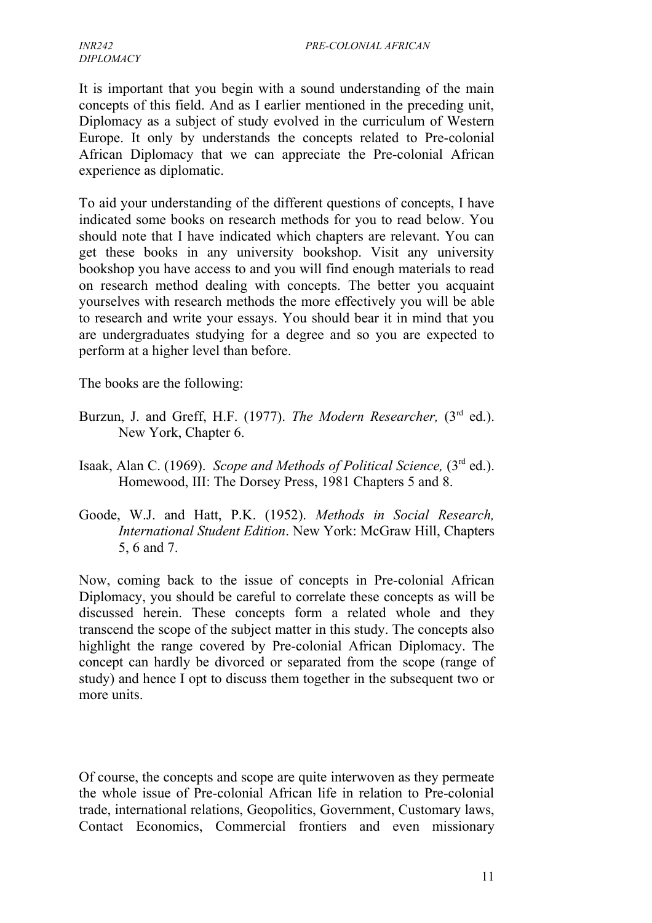It is important that you begin with a sound understanding of the main concepts of this field. And as I earlier mentioned in the preceding unit, Diplomacy as a subject of study evolved in the curriculum of Western Europe. It only by understands the concepts related to Pre-colonial African Diplomacy that we can appreciate the Pre-colonial African experience as diplomatic.

To aid your understanding of the different questions of concepts, I have indicated some books on research methods for you to read below. You should note that I have indicated which chapters are relevant. You can get these books in any university bookshop. Visit any university bookshop you have access to and you will find enough materials to read on research method dealing with concepts. The better you acquaint yourselves with research methods the more effectively you will be able to research and write your essays. You should bear it in mind that you are undergraduates studying for a degree and so you are expected to perform at a higher level than before.

The books are the following:

- Burzun, J. and Greff, H.F. (1977). *The Modern Researcher*, (3<sup>rd</sup> ed.). New York, Chapter 6.
- Isaak, Alan C. (1969). *Scope and Methods of Political Science,* (3rd ed.). Homewood, III: The Dorsey Press, 1981 Chapters 5 and 8.
- Goode, W.J. and Hatt, P.K. (1952). *Methods in Social Research, International Student Edition*. New York: McGraw Hill, Chapters 5, 6 and 7.

Now, coming back to the issue of concepts in Pre-colonial African Diplomacy, you should be careful to correlate these concepts as will be discussed herein. These concepts form a related whole and they transcend the scope of the subject matter in this study. The concepts also highlight the range covered by Pre-colonial African Diplomacy. The concept can hardly be divorced or separated from the scope (range of study) and hence I opt to discuss them together in the subsequent two or more units.

Of course, the concepts and scope are quite interwoven as they permeate the whole issue of Pre-colonial African life in relation to Pre-colonial trade, international relations, Geopolitics, Government, Customary laws, Contact Economics, Commercial frontiers and even missionary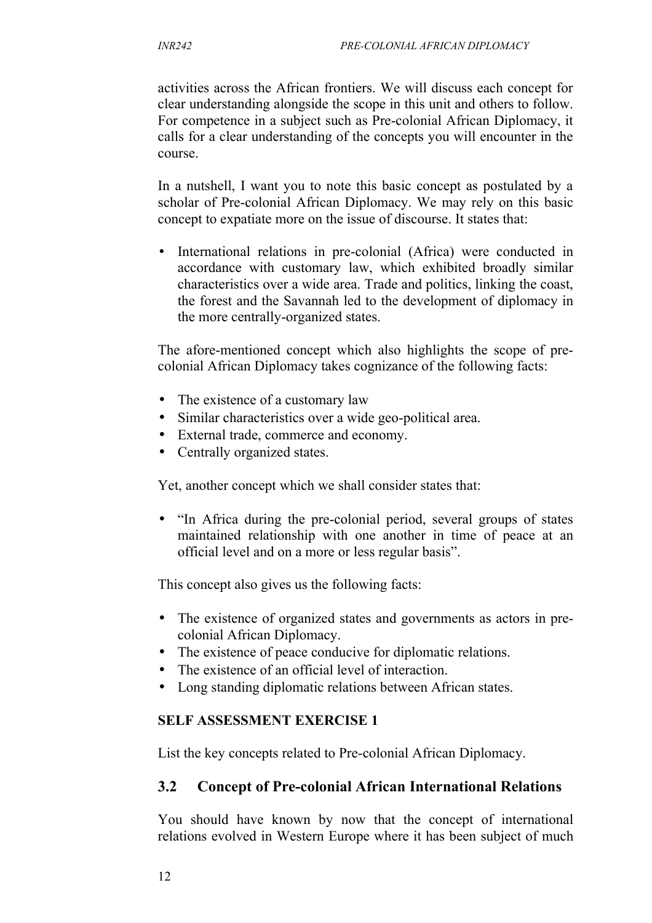activities across the African frontiers. We will discuss each concept for clear understanding alongside the scope in this unit and others to follow. For competence in a subject such as Pre-colonial African Diplomacy, it calls for a clear understanding of the concepts you will encounter in the course.

In a nutshell, I want you to note this basic concept as postulated by a scholar of Pre-colonial African Diplomacy. We may rely on this basic concept to expatiate more on the issue of discourse. It states that:

• International relations in pre-colonial (Africa) were conducted in accordance with customary law, which exhibited broadly similar characteristics over a wide area. Trade and politics, linking the coast, the forest and the Savannah led to the development of diplomacy in the more centrally-organized states.

The afore-mentioned concept which also highlights the scope of precolonial African Diplomacy takes cognizance of the following facts:

- The existence of a customary law
- Similar characteristics over a wide geo-political area.
- External trade, commerce and economy.
- Centrally organized states.

Yet, another concept which we shall consider states that:

• "In Africa during the pre-colonial period, several groups of states maintained relationship with one another in time of peace at an official level and on a more or less regular basis".

This concept also gives us the following facts:

- The existence of organized states and governments as actors in precolonial African Diplomacy.
- The existence of peace conducive for diplomatic relations.
- The existence of an official level of interaction.
- Long standing diplomatic relations between African states.

#### **SELF ASSESSMENT EXERCISE 1**

List the key concepts related to Pre-colonial African Diplomacy.

### **3.2 Concept of Pre-colonial African International Relations**

You should have known by now that the concept of international relations evolved in Western Europe where it has been subject of much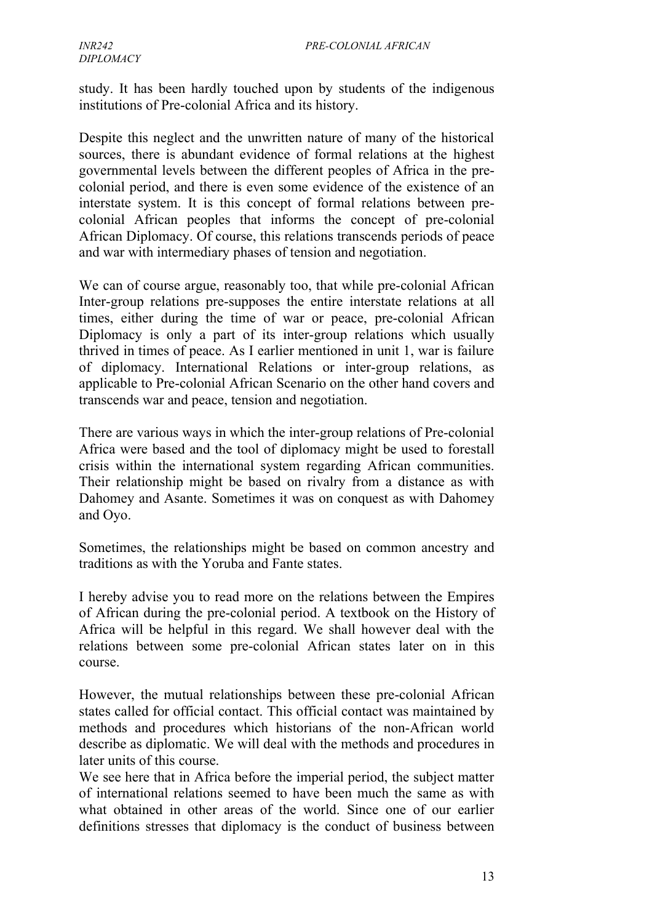study. It has been hardly touched upon by students of the indigenous institutions of Pre-colonial Africa and its history.

Despite this neglect and the unwritten nature of many of the historical sources, there is abundant evidence of formal relations at the highest governmental levels between the different peoples of Africa in the precolonial period, and there is even some evidence of the existence of an interstate system. It is this concept of formal relations between precolonial African peoples that informs the concept of pre-colonial African Diplomacy. Of course, this relations transcends periods of peace and war with intermediary phases of tension and negotiation.

We can of course argue, reasonably too, that while pre-colonial African Inter-group relations pre-supposes the entire interstate relations at all times, either during the time of war or peace, pre-colonial African Diplomacy is only a part of its inter-group relations which usually thrived in times of peace. As I earlier mentioned in unit 1, war is failure of diplomacy. International Relations or inter-group relations, as applicable to Pre-colonial African Scenario on the other hand covers and transcends war and peace, tension and negotiation.

There are various ways in which the inter-group relations of Pre-colonial Africa were based and the tool of diplomacy might be used to forestall crisis within the international system regarding African communities. Their relationship might be based on rivalry from a distance as with Dahomey and Asante. Sometimes it was on conquest as with Dahomey and Oyo.

Sometimes, the relationships might be based on common ancestry and traditions as with the Yoruba and Fante states.

I hereby advise you to read more on the relations between the Empires of African during the pre-colonial period. A textbook on the History of Africa will be helpful in this regard. We shall however deal with the relations between some pre-colonial African states later on in this course.

However, the mutual relationships between these pre-colonial African states called for official contact. This official contact was maintained by methods and procedures which historians of the non-African world describe as diplomatic. We will deal with the methods and procedures in later units of this course.

We see here that in Africa before the imperial period, the subject matter of international relations seemed to have been much the same as with what obtained in other areas of the world. Since one of our earlier definitions stresses that diplomacy is the conduct of business between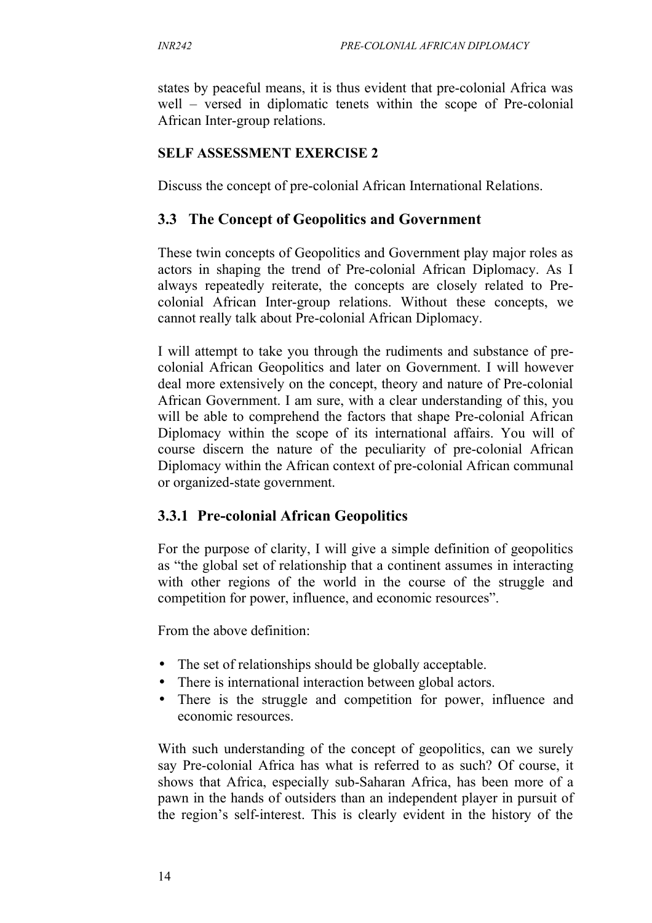states by peaceful means, it is thus evident that pre-colonial Africa was well – versed in diplomatic tenets within the scope of Pre-colonial African Inter-group relations.

#### **SELF ASSESSMENT EXERCISE 2**

Discuss the concept of pre-colonial African International Relations.

## **3.3 The Concept of Geopolitics and Government**

These twin concepts of Geopolitics and Government play major roles as actors in shaping the trend of Pre-colonial African Diplomacy. As I always repeatedly reiterate, the concepts are closely related to Precolonial African Inter-group relations. Without these concepts, we cannot really talk about Pre-colonial African Diplomacy.

I will attempt to take you through the rudiments and substance of precolonial African Geopolitics and later on Government. I will however deal more extensively on the concept, theory and nature of Pre-colonial African Government. I am sure, with a clear understanding of this, you will be able to comprehend the factors that shape Pre-colonial African Diplomacy within the scope of its international affairs. You will of course discern the nature of the peculiarity of pre-colonial African Diplomacy within the African context of pre-colonial African communal or organized-state government.

### **3.3.1 Pre-colonial African Geopolitics**

For the purpose of clarity, I will give a simple definition of geopolitics as "the global set of relationship that a continent assumes in interacting with other regions of the world in the course of the struggle and competition for power, influence, and economic resources".

From the above definition:

- The set of relationships should be globally acceptable.
- There is international interaction between global actors.
- There is the struggle and competition for power, influence and economic resources.

With such understanding of the concept of geopolitics, can we surely say Pre-colonial Africa has what is referred to as such? Of course, it shows that Africa, especially sub-Saharan Africa, has been more of a pawn in the hands of outsiders than an independent player in pursuit of the region's self-interest. This is clearly evident in the history of the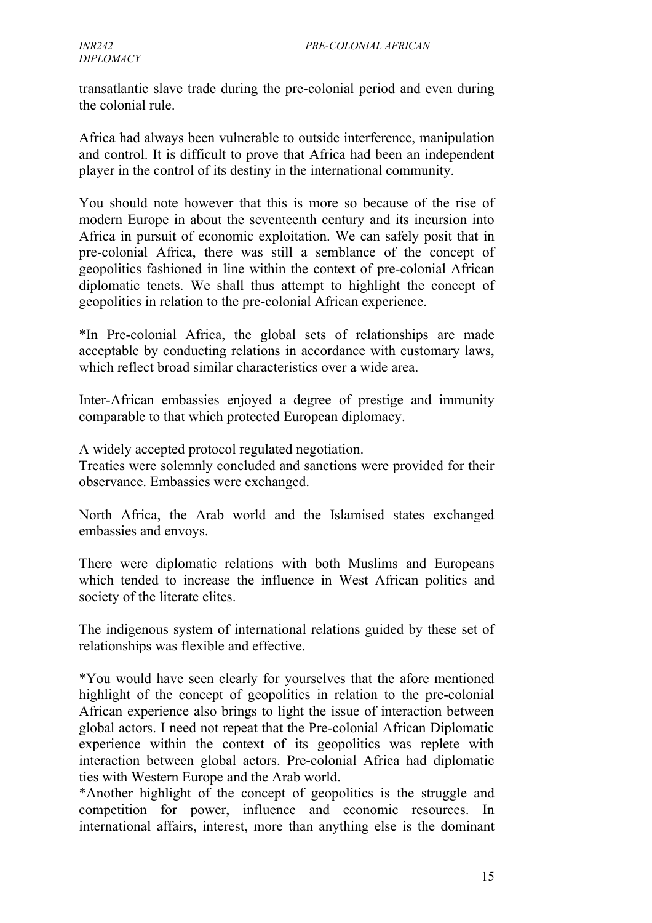transatlantic slave trade during the pre-colonial period and even during the colonial rule.

Africa had always been vulnerable to outside interference, manipulation and control. It is difficult to prove that Africa had been an independent player in the control of its destiny in the international community.

You should note however that this is more so because of the rise of modern Europe in about the seventeenth century and its incursion into Africa in pursuit of economic exploitation. We can safely posit that in pre-colonial Africa, there was still a semblance of the concept of geopolitics fashioned in line within the context of pre-colonial African diplomatic tenets. We shall thus attempt to highlight the concept of geopolitics in relation to the pre-colonial African experience.

\*In Pre-colonial Africa, the global sets of relationships are made acceptable by conducting relations in accordance with customary laws, which reflect broad similar characteristics over a wide area.

Inter-African embassies enjoyed a degree of prestige and immunity comparable to that which protected European diplomacy.

A widely accepted protocol regulated negotiation.

Treaties were solemnly concluded and sanctions were provided for their observance. Embassies were exchanged.

North Africa, the Arab world and the Islamised states exchanged embassies and envoys.

There were diplomatic relations with both Muslims and Europeans which tended to increase the influence in West African politics and society of the literate elites.

The indigenous system of international relations guided by these set of relationships was flexible and effective.

\*You would have seen clearly for yourselves that the afore mentioned highlight of the concept of geopolitics in relation to the pre-colonial African experience also brings to light the issue of interaction between global actors. I need not repeat that the Pre-colonial African Diplomatic experience within the context of its geopolitics was replete with interaction between global actors. Pre-colonial Africa had diplomatic ties with Western Europe and the Arab world.

\*Another highlight of the concept of geopolitics is the struggle and competition for power, influence and economic resources. In international affairs, interest, more than anything else is the dominant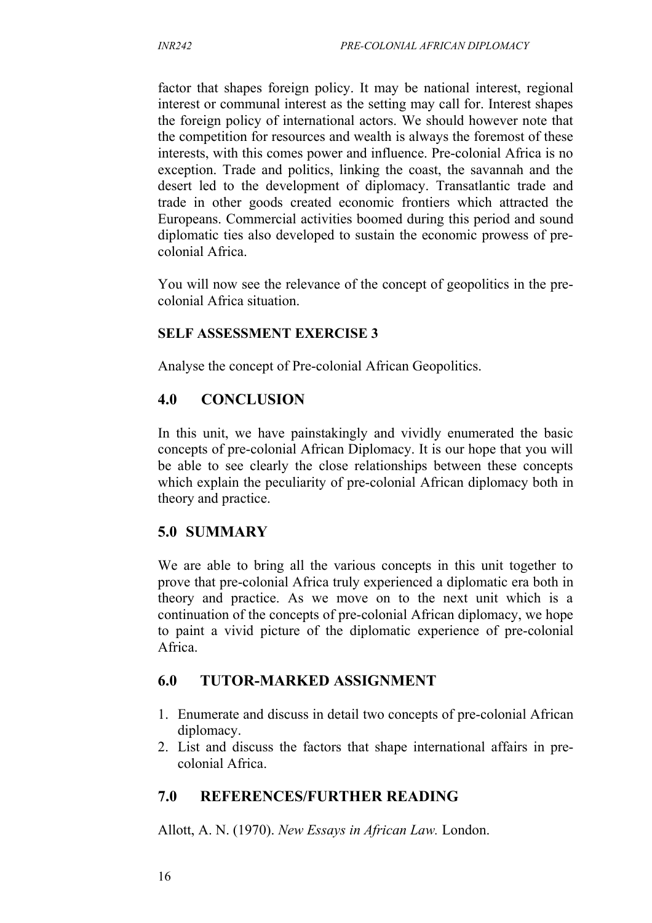factor that shapes foreign policy. It may be national interest, regional interest or communal interest as the setting may call for. Interest shapes the foreign policy of international actors. We should however note that the competition for resources and wealth is always the foremost of these interests, with this comes power and influence. Pre-colonial Africa is no exception. Trade and politics, linking the coast, the savannah and the desert led to the development of diplomacy. Transatlantic trade and trade in other goods created economic frontiers which attracted the Europeans. Commercial activities boomed during this period and sound diplomatic ties also developed to sustain the economic prowess of precolonial Africa.

You will now see the relevance of the concept of geopolitics in the precolonial Africa situation.

#### **SELF ASSESSMENT EXERCISE 3**

Analyse the concept of Pre-colonial African Geopolitics.

## **4.0 CONCLUSION**

In this unit, we have painstakingly and vividly enumerated the basic concepts of pre-colonial African Diplomacy. It is our hope that you will be able to see clearly the close relationships between these concepts which explain the peculiarity of pre-colonial African diplomacy both in theory and practice.

## **5.0 SUMMARY**

We are able to bring all the various concepts in this unit together to prove that pre-colonial Africa truly experienced a diplomatic era both in theory and practice. As we move on to the next unit which is a continuation of the concepts of pre-colonial African diplomacy, we hope to paint a vivid picture of the diplomatic experience of pre-colonial Africa.

## **6.0 TUTOR-MARKED ASSIGNMENT**

- 1. Enumerate and discuss in detail two concepts of pre-colonial African diplomacy.
- 2. List and discuss the factors that shape international affairs in precolonial Africa.

### **7.0 REFERENCES/FURTHER READING**

Allott, A. N. (1970). *New Essays in African Law.* London.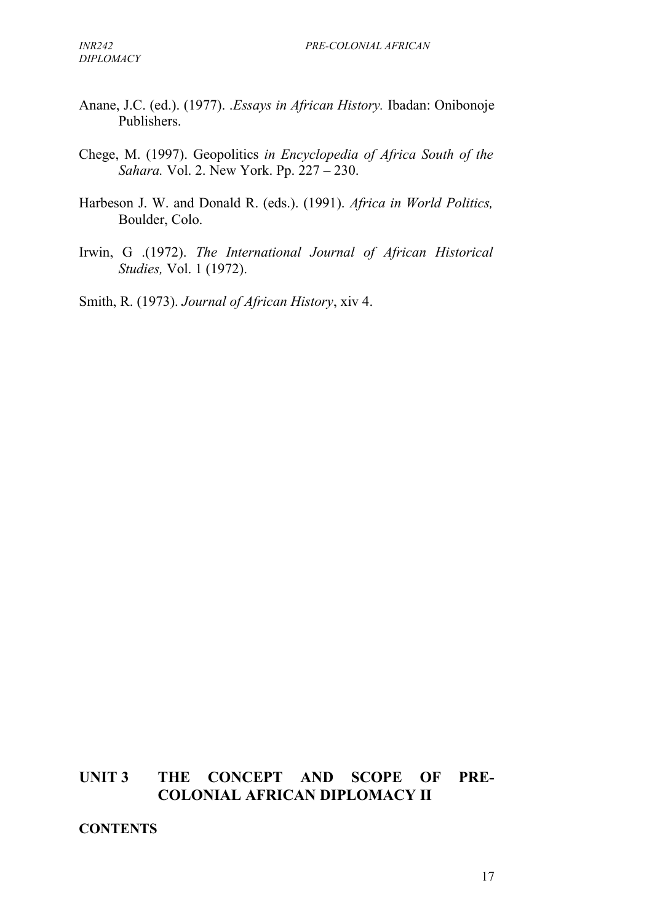- Anane, J.C. (ed.). (1977). .*Essays in African History.* Ibadan: Onibonoje Publishers.
- Chege, M. (1997). Geopolitics *in Encyclopedia of Africa South of the Sahara.* Vol. 2. New York. Pp. 227 – 230.
- Harbeson J. W. and Donald R. (eds.). (1991). *Africa in World Politics,* Boulder, Colo.
- Irwin, G .(1972). *The International Journal of African Historical Studies,* Vol. 1 (1972).

Smith, R. (1973). *Journal of African History*, xiv 4.

## **UNIT 3 THE CONCEPT AND SCOPE OF PRE-COLONIAL AFRICAN DIPLOMACY II**

#### **CONTENTS**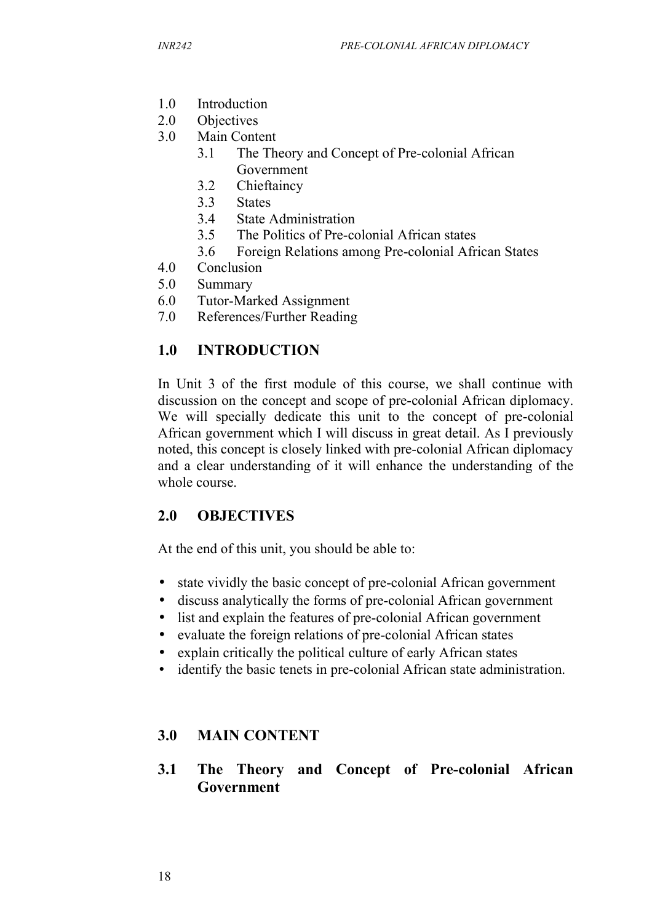- 1.0 Introduction
- 2.0 Objectives
- 3.0 Main Content
	- 3.1 The Theory and Concept of Pre-colonial African Government
	- 3.2 Chieftaincy
	- 3.3 States
	- 3.4 State Administration
	- 3.5 The Politics of Pre-colonial African states
	- 3.6 Foreign Relations among Pre-colonial African States
- 4.0 Conclusion
- 5.0 Summary
- 6.0 Tutor-Marked Assignment
- 7.0 References/Further Reading

## **1.0 INTRODUCTION**

In Unit 3 of the first module of this course, we shall continue with discussion on the concept and scope of pre-colonial African diplomacy. We will specially dedicate this unit to the concept of pre-colonial African government which I will discuss in great detail. As I previously noted, this concept is closely linked with pre-colonial African diplomacy and a clear understanding of it will enhance the understanding of the whole course.

### **2.0 OBJECTIVES**

At the end of this unit, you should be able to:

- state vividly the basic concept of pre-colonial African government
- discuss analytically the forms of pre-colonial African government
- list and explain the features of pre-colonial African government
- evaluate the foreign relations of pre-colonial African states
- explain critically the political culture of early African states
- identify the basic tenets in pre-colonial African state administration.

### **3.0 MAIN CONTENT**

**3.1 The Theory and Concept of Pre-colonial African Government**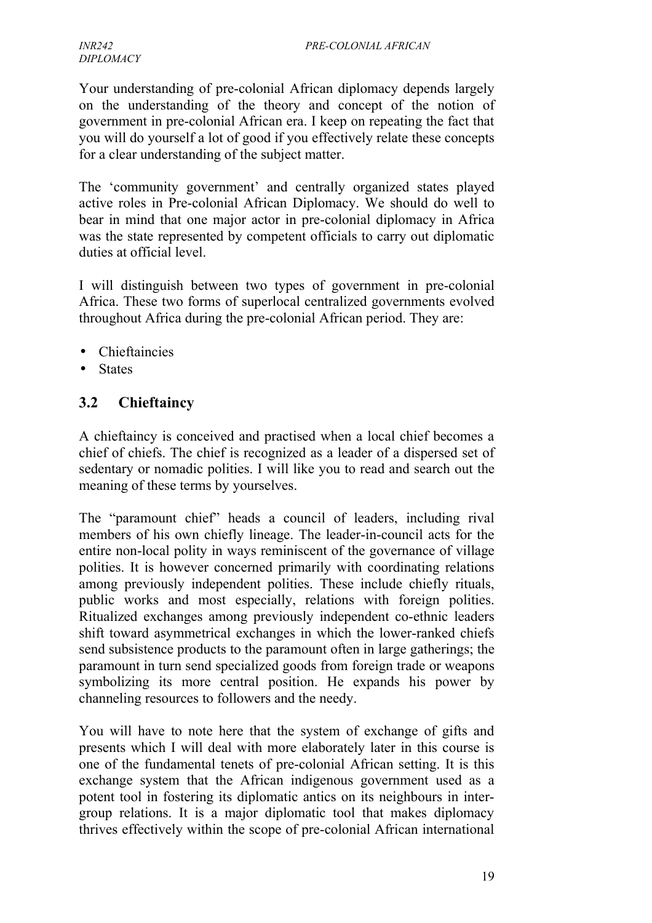Your understanding of pre-colonial African diplomacy depends largely on the understanding of the theory and concept of the notion of government in pre-colonial African era. I keep on repeating the fact that you will do yourself a lot of good if you effectively relate these concepts for a clear understanding of the subject matter.

The 'community government' and centrally organized states played active roles in Pre-colonial African Diplomacy. We should do well to bear in mind that one major actor in pre-colonial diplomacy in Africa was the state represented by competent officials to carry out diplomatic duties at official level.

I will distinguish between two types of government in pre-colonial Africa. These two forms of superlocal centralized governments evolved throughout Africa during the pre-colonial African period. They are:

- Chieftaincies
- States

## **3.2 Chieftaincy**

A chieftaincy is conceived and practised when a local chief becomes a chief of chiefs. The chief is recognized as a leader of a dispersed set of sedentary or nomadic polities. I will like you to read and search out the meaning of these terms by yourselves.

The "paramount chief" heads a council of leaders, including rival members of his own chiefly lineage. The leader-in-council acts for the entire non-local polity in ways reminiscent of the governance of village polities. It is however concerned primarily with coordinating relations among previously independent polities. These include chiefly rituals, public works and most especially, relations with foreign polities. Ritualized exchanges among previously independent co-ethnic leaders shift toward asymmetrical exchanges in which the lower-ranked chiefs send subsistence products to the paramount often in large gatherings; the paramount in turn send specialized goods from foreign trade or weapons symbolizing its more central position. He expands his power by channeling resources to followers and the needy.

You will have to note here that the system of exchange of gifts and presents which I will deal with more elaborately later in this course is one of the fundamental tenets of pre-colonial African setting. It is this exchange system that the African indigenous government used as a potent tool in fostering its diplomatic antics on its neighbours in intergroup relations. It is a major diplomatic tool that makes diplomacy thrives effectively within the scope of pre-colonial African international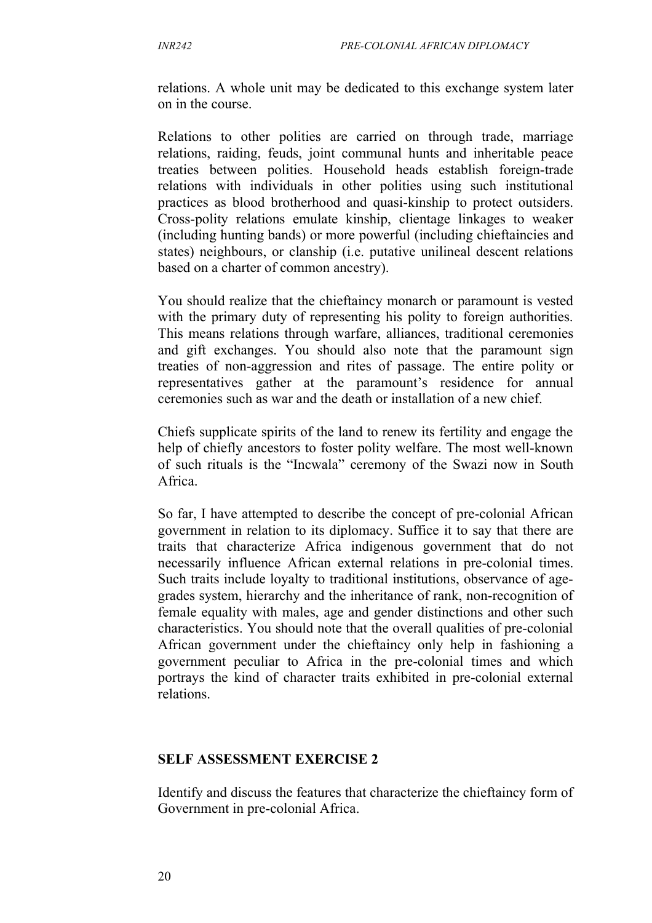relations. A whole unit may be dedicated to this exchange system later on in the course.

Relations to other polities are carried on through trade, marriage relations, raiding, feuds, joint communal hunts and inheritable peace treaties between polities. Household heads establish foreign-trade relations with individuals in other polities using such institutional practices as blood brotherhood and quasi-kinship to protect outsiders. Cross-polity relations emulate kinship, clientage linkages to weaker (including hunting bands) or more powerful (including chieftaincies and states) neighbours, or clanship (i.e. putative unilineal descent relations based on a charter of common ancestry).

You should realize that the chieftaincy monarch or paramount is vested with the primary duty of representing his polity to foreign authorities. This means relations through warfare, alliances, traditional ceremonies and gift exchanges. You should also note that the paramount sign treaties of non-aggression and rites of passage. The entire polity or representatives gather at the paramount's residence for annual ceremonies such as war and the death or installation of a new chief.

Chiefs supplicate spirits of the land to renew its fertility and engage the help of chiefly ancestors to foster polity welfare. The most well-known of such rituals is the "Incwala" ceremony of the Swazi now in South Africa.

So far, I have attempted to describe the concept of pre-colonial African government in relation to its diplomacy. Suffice it to say that there are traits that characterize Africa indigenous government that do not necessarily influence African external relations in pre-colonial times. Such traits include loyalty to traditional institutions, observance of agegrades system, hierarchy and the inheritance of rank, non-recognition of female equality with males, age and gender distinctions and other such characteristics. You should note that the overall qualities of pre-colonial African government under the chieftaincy only help in fashioning a government peculiar to Africa in the pre-colonial times and which portrays the kind of character traits exhibited in pre-colonial external relations.

#### **SELF ASSESSMENT EXERCISE 2**

Identify and discuss the features that characterize the chieftaincy form of Government in pre-colonial Africa.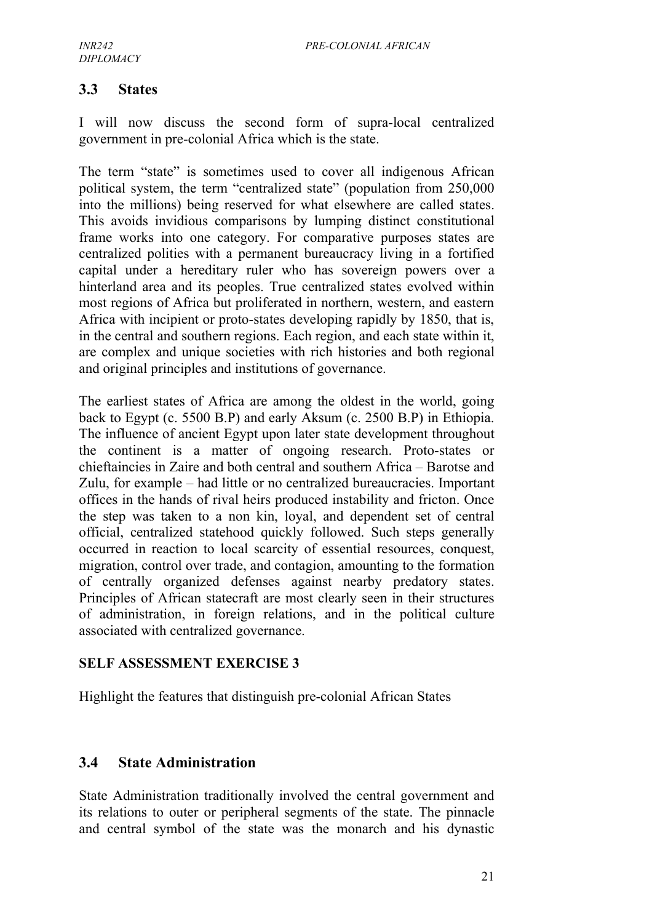### **3.3 States**

I will now discuss the second form of supra-local centralized government in pre-colonial Africa which is the state.

The term "state" is sometimes used to cover all indigenous African political system, the term "centralized state" (population from 250,000 into the millions) being reserved for what elsewhere are called states. This avoids invidious comparisons by lumping distinct constitutional frame works into one category. For comparative purposes states are centralized polities with a permanent bureaucracy living in a fortified capital under a hereditary ruler who has sovereign powers over a hinterland area and its peoples. True centralized states evolved within most regions of Africa but proliferated in northern, western, and eastern Africa with incipient or proto-states developing rapidly by 1850, that is, in the central and southern regions. Each region, and each state within it, are complex and unique societies with rich histories and both regional and original principles and institutions of governance.

The earliest states of Africa are among the oldest in the world, going back to Egypt (c. 5500 B.P) and early Aksum (c. 2500 B.P) in Ethiopia. The influence of ancient Egypt upon later state development throughout the continent is a matter of ongoing research. Proto-states or chieftaincies in Zaire and both central and southern Africa – Barotse and Zulu, for example – had little or no centralized bureaucracies. Important offices in the hands of rival heirs produced instability and fricton. Once the step was taken to a non kin, loyal, and dependent set of central official, centralized statehood quickly followed. Such steps generally occurred in reaction to local scarcity of essential resources, conquest, migration, control over trade, and contagion, amounting to the formation of centrally organized defenses against nearby predatory states. Principles of African statecraft are most clearly seen in their structures of administration, in foreign relations, and in the political culture associated with centralized governance.

#### **SELF ASSESSMENT EXERCISE 3**

Highlight the features that distinguish pre-colonial African States

## **3.4 State Administration**

State Administration traditionally involved the central government and its relations to outer or peripheral segments of the state. The pinnacle and central symbol of the state was the monarch and his dynastic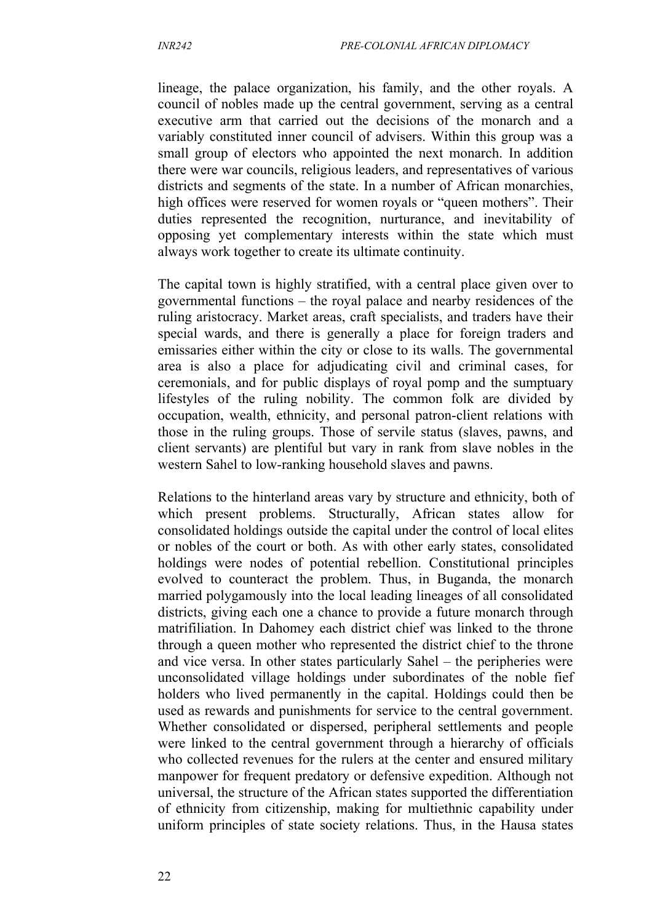lineage, the palace organization, his family, and the other royals. A council of nobles made up the central government, serving as a central executive arm that carried out the decisions of the monarch and a variably constituted inner council of advisers. Within this group was a small group of electors who appointed the next monarch. In addition there were war councils, religious leaders, and representatives of various districts and segments of the state. In a number of African monarchies, high offices were reserved for women royals or "queen mothers". Their duties represented the recognition, nurturance, and inevitability of opposing yet complementary interests within the state which must always work together to create its ultimate continuity.

The capital town is highly stratified, with a central place given over to governmental functions – the royal palace and nearby residences of the ruling aristocracy. Market areas, craft specialists, and traders have their special wards, and there is generally a place for foreign traders and emissaries either within the city or close to its walls. The governmental area is also a place for adjudicating civil and criminal cases, for ceremonials, and for public displays of royal pomp and the sumptuary lifestyles of the ruling nobility. The common folk are divided by occupation, wealth, ethnicity, and personal patron-client relations with those in the ruling groups. Those of servile status (slaves, pawns, and client servants) are plentiful but vary in rank from slave nobles in the western Sahel to low-ranking household slaves and pawns.

Relations to the hinterland areas vary by structure and ethnicity, both of which present problems. Structurally, African states allow for consolidated holdings outside the capital under the control of local elites or nobles of the court or both. As with other early states, consolidated holdings were nodes of potential rebellion. Constitutional principles evolved to counteract the problem. Thus, in Buganda, the monarch married polygamously into the local leading lineages of all consolidated districts, giving each one a chance to provide a future monarch through matrifiliation. In Dahomey each district chief was linked to the throne through a queen mother who represented the district chief to the throne and vice versa. In other states particularly Sahel – the peripheries were unconsolidated village holdings under subordinates of the noble fief holders who lived permanently in the capital. Holdings could then be used as rewards and punishments for service to the central government. Whether consolidated or dispersed, peripheral settlements and people were linked to the central government through a hierarchy of officials who collected revenues for the rulers at the center and ensured military manpower for frequent predatory or defensive expedition. Although not universal, the structure of the African states supported the differentiation of ethnicity from citizenship, making for multiethnic capability under uniform principles of state society relations. Thus, in the Hausa states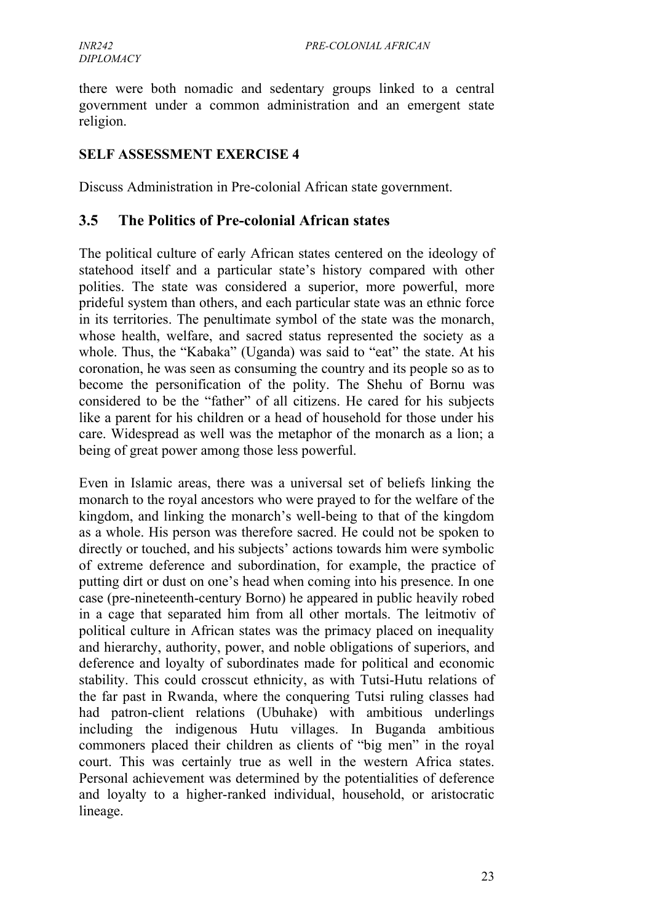there were both nomadic and sedentary groups linked to a central government under a common administration and an emergent state religion.

#### **SELF ASSESSMENT EXERCISE 4**

Discuss Administration in Pre-colonial African state government.

#### **3.5 The Politics of Pre-colonial African states**

The political culture of early African states centered on the ideology of statehood itself and a particular state's history compared with other polities. The state was considered a superior, more powerful, more prideful system than others, and each particular state was an ethnic force in its territories. The penultimate symbol of the state was the monarch, whose health, welfare, and sacred status represented the society as a whole. Thus, the "Kabaka" (Uganda) was said to "eat" the state. At his coronation, he was seen as consuming the country and its people so as to become the personification of the polity. The Shehu of Bornu was considered to be the "father" of all citizens. He cared for his subjects like a parent for his children or a head of household for those under his care. Widespread as well was the metaphor of the monarch as a lion; a being of great power among those less powerful.

Even in Islamic areas, there was a universal set of beliefs linking the monarch to the royal ancestors who were prayed to for the welfare of the kingdom, and linking the monarch's well-being to that of the kingdom as a whole. His person was therefore sacred. He could not be spoken to directly or touched, and his subjects' actions towards him were symbolic of extreme deference and subordination, for example, the practice of putting dirt or dust on one's head when coming into his presence. In one case (pre-nineteenth-century Borno) he appeared in public heavily robed in a cage that separated him from all other mortals. The leitmotiv of political culture in African states was the primacy placed on inequality and hierarchy, authority, power, and noble obligations of superiors, and deference and loyalty of subordinates made for political and economic stability. This could crosscut ethnicity, as with Tutsi-Hutu relations of the far past in Rwanda, where the conquering Tutsi ruling classes had had patron-client relations (Ubuhake) with ambitious underlings including the indigenous Hutu villages. In Buganda ambitious commoners placed their children as clients of "big men" in the royal court. This was certainly true as well in the western Africa states. Personal achievement was determined by the potentialities of deference and loyalty to a higher-ranked individual, household, or aristocratic lineage.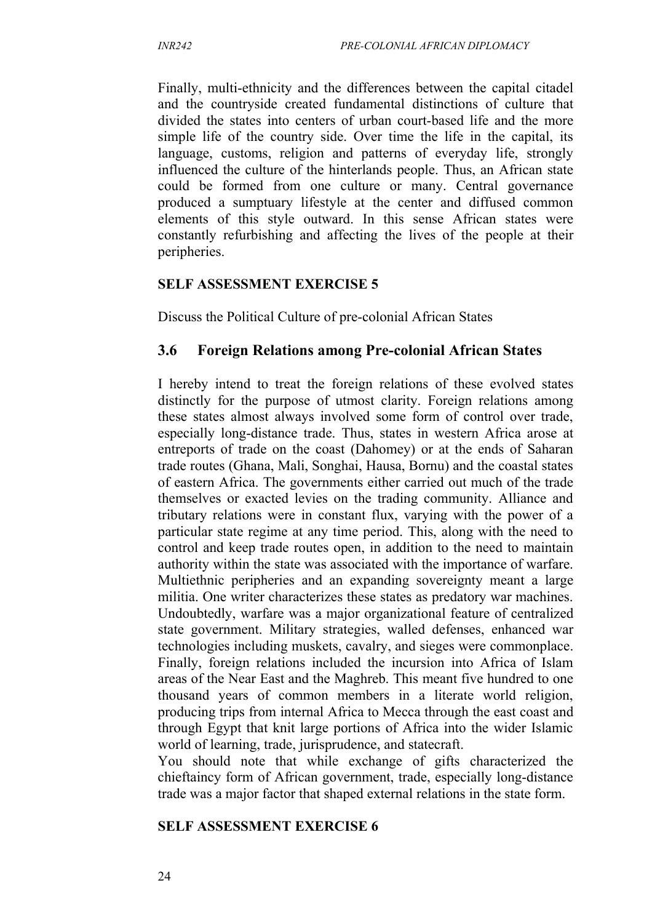Finally, multi-ethnicity and the differences between the capital citadel and the countryside created fundamental distinctions of culture that divided the states into centers of urban court-based life and the more simple life of the country side. Over time the life in the capital, its language, customs, religion and patterns of everyday life, strongly influenced the culture of the hinterlands people. Thus, an African state could be formed from one culture or many. Central governance produced a sumptuary lifestyle at the center and diffused common elements of this style outward. In this sense African states were constantly refurbishing and affecting the lives of the people at their peripheries.

### **SELF ASSESSMENT EXERCISE 5**

Discuss the Political Culture of pre-colonial African States

## **3.6 Foreign Relations among Pre-colonial African States**

I hereby intend to treat the foreign relations of these evolved states distinctly for the purpose of utmost clarity. Foreign relations among these states almost always involved some form of control over trade, especially long-distance trade. Thus, states in western Africa arose at entreports of trade on the coast (Dahomey) or at the ends of Saharan trade routes (Ghana, Mali, Songhai, Hausa, Bornu) and the coastal states of eastern Africa. The governments either carried out much of the trade themselves or exacted levies on the trading community. Alliance and tributary relations were in constant flux, varying with the power of a particular state regime at any time period. This, along with the need to control and keep trade routes open, in addition to the need to maintain authority within the state was associated with the importance of warfare. Multiethnic peripheries and an expanding sovereignty meant a large militia. One writer characterizes these states as predatory war machines. Undoubtedly, warfare was a major organizational feature of centralized state government. Military strategies, walled defenses, enhanced war technologies including muskets, cavalry, and sieges were commonplace. Finally, foreign relations included the incursion into Africa of Islam areas of the Near East and the Maghreb. This meant five hundred to one thousand years of common members in a literate world religion, producing trips from internal Africa to Mecca through the east coast and through Egypt that knit large portions of Africa into the wider Islamic world of learning, trade, jurisprudence, and statecraft.

You should note that while exchange of gifts characterized the chieftaincy form of African government, trade, especially long-distance trade was a major factor that shaped external relations in the state form.

#### **SELF ASSESSMENT EXERCISE 6**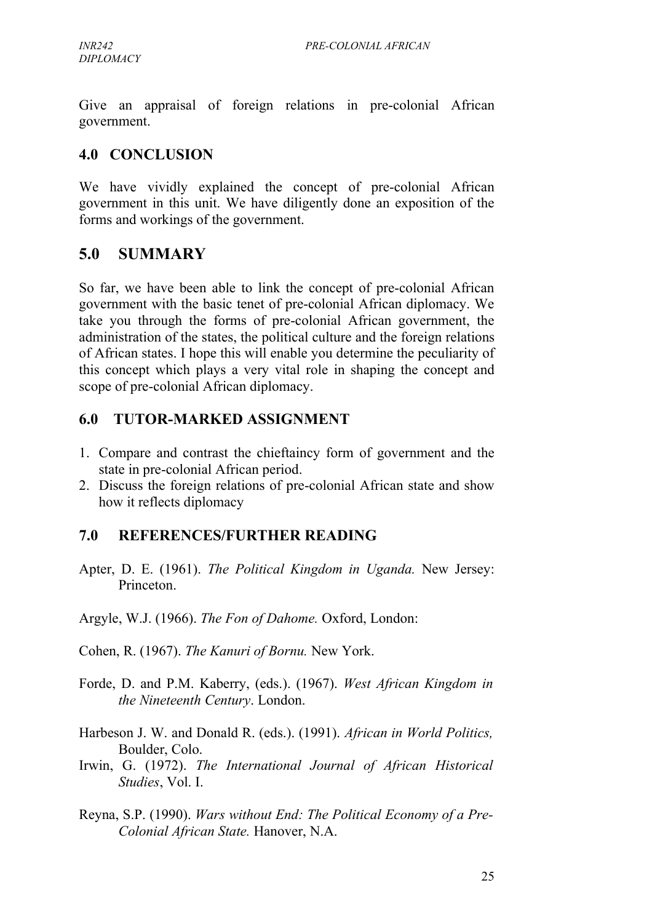Give an appraisal of foreign relations in pre-colonial African government.

#### **4.0 CONCLUSION**

We have vividly explained the concept of pre-colonial African government in this unit. We have diligently done an exposition of the forms and workings of the government.

## **5.0 SUMMARY**

So far, we have been able to link the concept of pre-colonial African government with the basic tenet of pre-colonial African diplomacy. We take you through the forms of pre-colonial African government, the administration of the states, the political culture and the foreign relations of African states. I hope this will enable you determine the peculiarity of this concept which plays a very vital role in shaping the concept and scope of pre-colonial African diplomacy.

#### **6.0 TUTOR-MARKED ASSIGNMENT**

- 1. Compare and contrast the chieftaincy form of government and the state in pre-colonial African period.
- 2. Discuss the foreign relations of pre-colonial African state and show how it reflects diplomacy

#### **7.0 REFERENCES/FURTHER READING**

- Apter, D. E. (1961). *The Political Kingdom in Uganda.* New Jersey: Princeton.
- Argyle, W.J. (1966). *The Fon of Dahome.* Oxford, London:

Cohen, R. (1967). *The Kanuri of Bornu.* New York.

- Forde, D. and P.M. Kaberry, (eds.). (1967). *West African Kingdom in the Nineteenth Century*. London.
- Harbeson J. W. and Donald R. (eds.). (1991). *African in World Politics,* Boulder, Colo.
- Irwin, G. (1972). *The International Journal of African Historical Studies*, Vol. I.
- Reyna, S.P. (1990). *Wars without End: The Political Economy of a Pre-Colonial African State.* Hanover, N.A.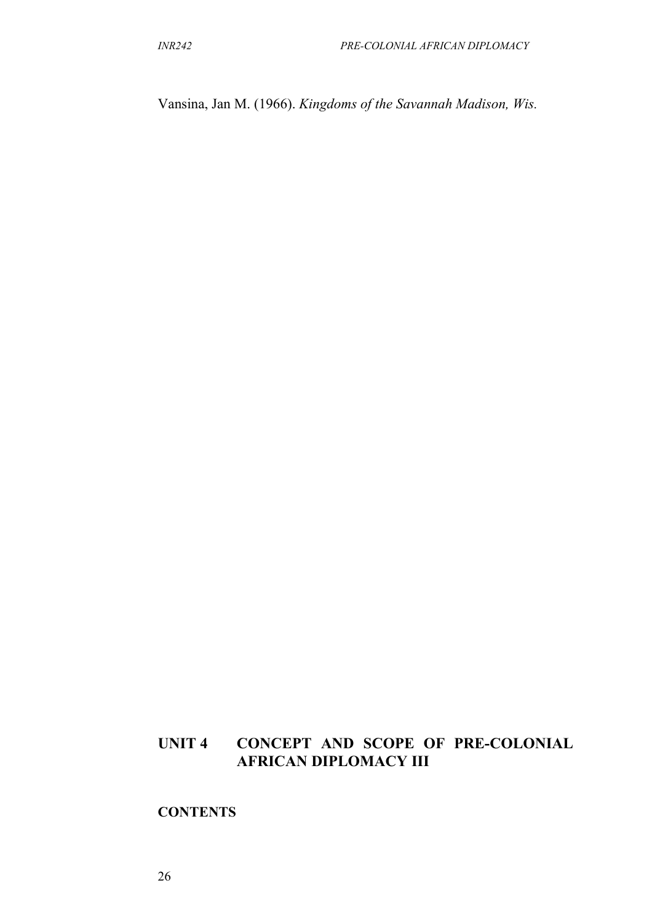Vansina, Jan M. (1966). *Kingdoms of the Savannah Madison, Wis.*

# **UNIT 4 CONCEPT AND SCOPE OF PRE-COLONIAL AFRICAN DIPLOMACY III**

# **CONTENTS**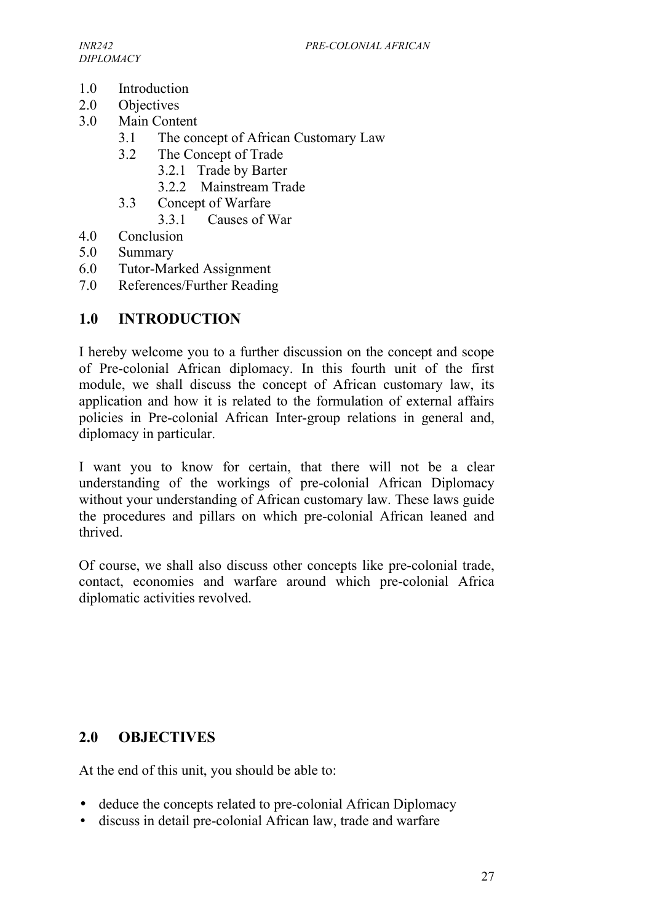- 1.0 Introduction
- 2.0 Objectives
- 3.0 Main Content
	- 3.1 The concept of African Customary Law
	- 3.2 The Concept of Trade
		- 3.2.1 Trade by Barter
		- 3.2.2 Mainstream Trade
	- 3.3 Concept of Warfare
		- 3.3.1 Causes of War
- 4.0 Conclusion
- 5.0 Summary
- 6.0 Tutor-Marked Assignment
- 7.0 References/Further Reading

## **1.0 INTRODUCTION**

I hereby welcome you to a further discussion on the concept and scope of Pre-colonial African diplomacy. In this fourth unit of the first module, we shall discuss the concept of African customary law, its application and how it is related to the formulation of external affairs policies in Pre-colonial African Inter-group relations in general and, diplomacy in particular.

I want you to know for certain, that there will not be a clear understanding of the workings of pre-colonial African Diplomacy without your understanding of African customary law. These laws guide the procedures and pillars on which pre-colonial African leaned and thrived.

Of course, we shall also discuss other concepts like pre-colonial trade, contact, economies and warfare around which pre-colonial Africa diplomatic activities revolved.

# **2.0 OBJECTIVES**

At the end of this unit, you should be able to:

- deduce the concepts related to pre-colonial African Diplomacy
- discuss in detail pre-colonial African law, trade and warfare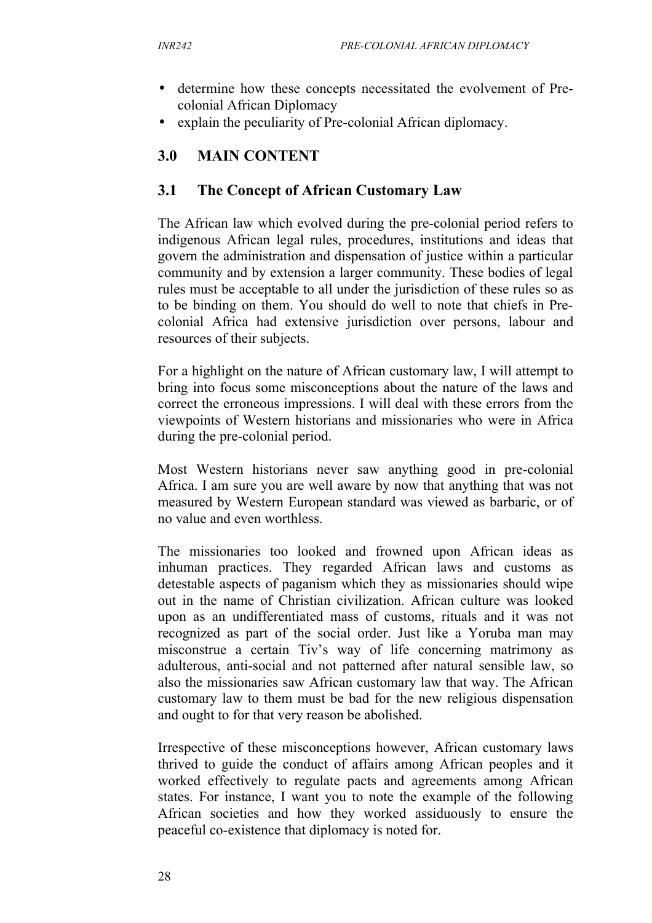- determine how these concepts necessitated the evolvement of Precolonial African Diplomacy
- explain the peculiarity of Pre-colonial African diplomacy.

## **3.0 MAIN CONTENT**

## **3.1 The Concept of African Customary Law**

The African law which evolved during the pre-colonial period refers to indigenous African legal rules, procedures, institutions and ideas that govern the administration and dispensation of justice within a particular community and by extension a larger community. These bodies of legal rules must be acceptable to all under the jurisdiction of these rules so as to be binding on them. You should do well to note that chiefs in Precolonial Africa had extensive jurisdiction over persons, labour and resources of their subjects.

For a highlight on the nature of African customary law, I will attempt to bring into focus some misconceptions about the nature of the laws and correct the erroneous impressions. I will deal with these errors from the viewpoints of Western historians and missionaries who were in Africa during the pre-colonial period.

Most Western historians never saw anything good in pre-colonial Africa. I am sure you are well aware by now that anything that was not measured by Western European standard was viewed as barbaric, or of no value and even worthless.

The missionaries too looked and frowned upon African ideas as inhuman practices. They regarded African laws and customs as detestable aspects of paganism which they as missionaries should wipe out in the name of Christian civilization. African culture was looked upon as an undifferentiated mass of customs, rituals and it was not recognized as part of the social order. Just like a Yoruba man may misconstrue a certain Tiv's way of life concerning matrimony as adulterous, anti-social and not patterned after natural sensible law, so also the missionaries saw African customary law that way. The African customary law to them must be bad for the new religious dispensation and ought to for that very reason be abolished.

Irrespective of these misconceptions however, African customary laws thrived to guide the conduct of affairs among African peoples and it worked effectively to regulate pacts and agreements among African states. For instance, I want you to note the example of the following African societies and how they worked assiduously to ensure the peaceful co-existence that diplomacy is noted for.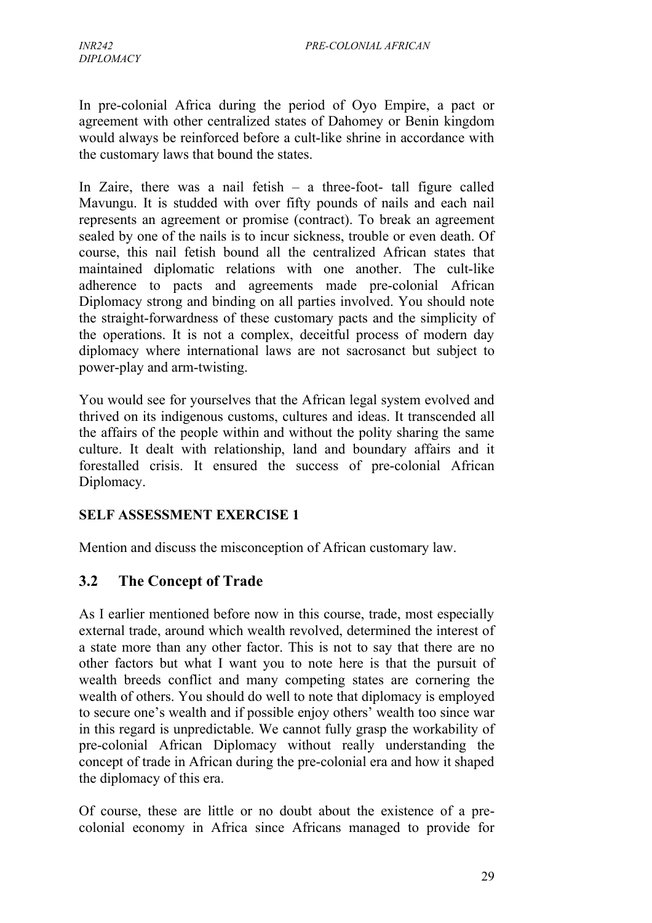In pre-colonial Africa during the period of Oyo Empire, a pact or agreement with other centralized states of Dahomey or Benin kingdom would always be reinforced before a cult-like shrine in accordance with the customary laws that bound the states.

In Zaire, there was a nail fetish  $-$  a three-foot- tall figure called Mavungu. It is studded with over fifty pounds of nails and each nail represents an agreement or promise (contract). To break an agreement sealed by one of the nails is to incur sickness, trouble or even death. Of course, this nail fetish bound all the centralized African states that maintained diplomatic relations with one another. The cult-like adherence to pacts and agreements made pre-colonial African Diplomacy strong and binding on all parties involved. You should note the straight-forwardness of these customary pacts and the simplicity of the operations. It is not a complex, deceitful process of modern day diplomacy where international laws are not sacrosanct but subject to power-play and arm-twisting.

You would see for yourselves that the African legal system evolved and thrived on its indigenous customs, cultures and ideas. It transcended all the affairs of the people within and without the polity sharing the same culture. It dealt with relationship, land and boundary affairs and it forestalled crisis. It ensured the success of pre-colonial African Diplomacy.

#### **SELF ASSESSMENT EXERCISE 1**

Mention and discuss the misconception of African customary law.

## **3.2 The Concept of Trade**

As I earlier mentioned before now in this course, trade, most especially external trade, around which wealth revolved, determined the interest of a state more than any other factor. This is not to say that there are no other factors but what I want you to note here is that the pursuit of wealth breeds conflict and many competing states are cornering the wealth of others. You should do well to note that diplomacy is employed to secure one's wealth and if possible enjoy others' wealth too since war in this regard is unpredictable. We cannot fully grasp the workability of pre-colonial African Diplomacy without really understanding the concept of trade in African during the pre-colonial era and how it shaped the diplomacy of this era.

Of course, these are little or no doubt about the existence of a precolonial economy in Africa since Africans managed to provide for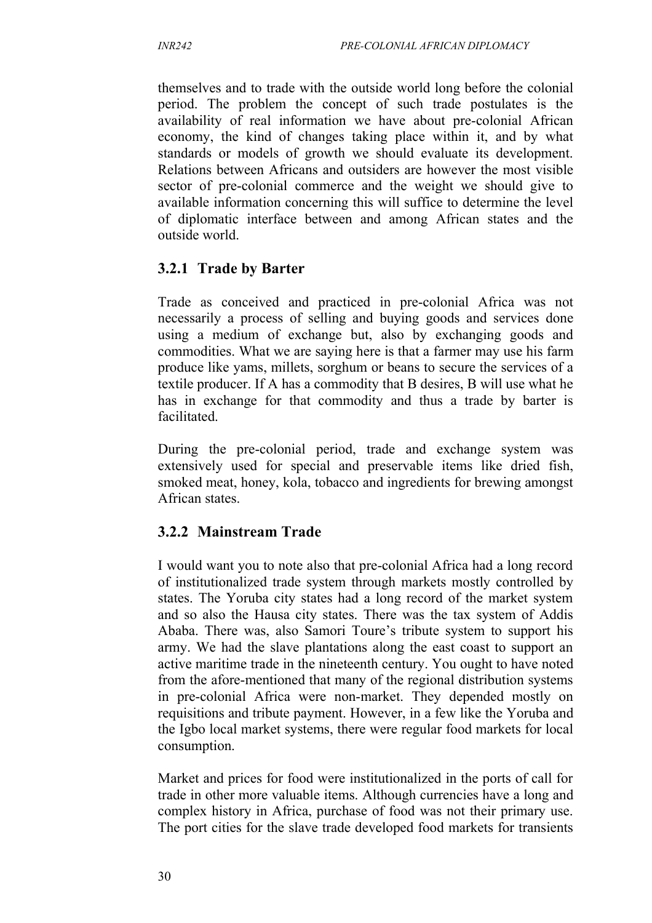themselves and to trade with the outside world long before the colonial period. The problem the concept of such trade postulates is the availability of real information we have about pre-colonial African economy, the kind of changes taking place within it, and by what standards or models of growth we should evaluate its development. Relations between Africans and outsiders are however the most visible sector of pre-colonial commerce and the weight we should give to available information concerning this will suffice to determine the level of diplomatic interface between and among African states and the outside world.

# **3.2.1 Trade by Barter**

Trade as conceived and practiced in pre-colonial Africa was not necessarily a process of selling and buying goods and services done using a medium of exchange but, also by exchanging goods and commodities. What we are saying here is that a farmer may use his farm produce like yams, millets, sorghum or beans to secure the services of a textile producer. If A has a commodity that B desires, B will use what he has in exchange for that commodity and thus a trade by barter is facilitated.

During the pre-colonial period, trade and exchange system was extensively used for special and preservable items like dried fish, smoked meat, honey, kola, tobacco and ingredients for brewing amongst African states.

# **3.2.2 Mainstream Trade**

I would want you to note also that pre-colonial Africa had a long record of institutionalized trade system through markets mostly controlled by states. The Yoruba city states had a long record of the market system and so also the Hausa city states. There was the tax system of Addis Ababa. There was, also Samori Toure's tribute system to support his army. We had the slave plantations along the east coast to support an active maritime trade in the nineteenth century. You ought to have noted from the afore-mentioned that many of the regional distribution systems in pre-colonial Africa were non-market. They depended mostly on requisitions and tribute payment. However, in a few like the Yoruba and the Igbo local market systems, there were regular food markets for local consumption.

Market and prices for food were institutionalized in the ports of call for trade in other more valuable items. Although currencies have a long and complex history in Africa, purchase of food was not their primary use. The port cities for the slave trade developed food markets for transients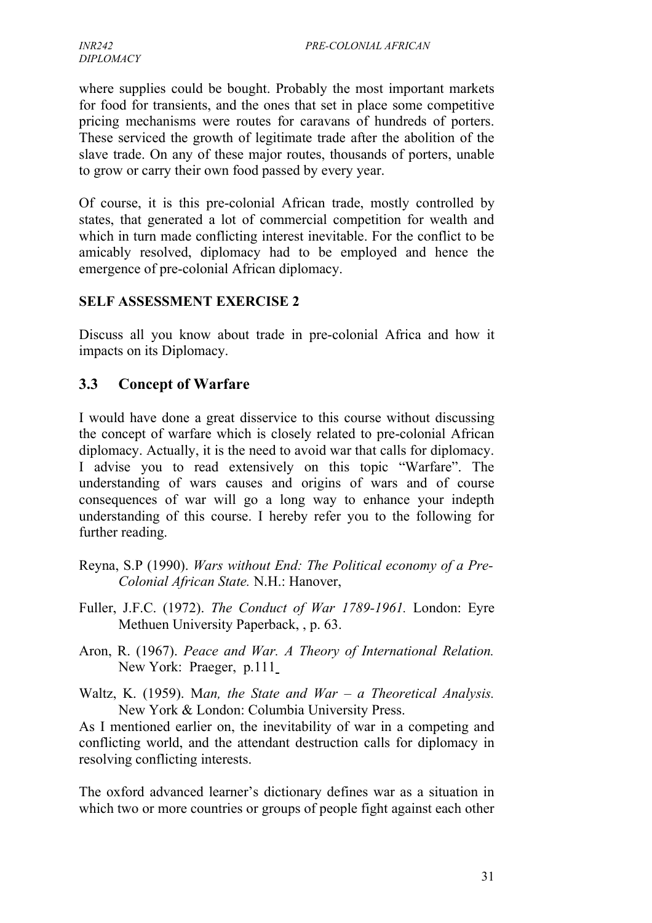where supplies could be bought. Probably the most important markets for food for transients, and the ones that set in place some competitive pricing mechanisms were routes for caravans of hundreds of porters. These serviced the growth of legitimate trade after the abolition of the slave trade. On any of these major routes, thousands of porters, unable to grow or carry their own food passed by every year.

Of course, it is this pre-colonial African trade, mostly controlled by states, that generated a lot of commercial competition for wealth and which in turn made conflicting interest inevitable. For the conflict to be amicably resolved, diplomacy had to be employed and hence the emergence of pre-colonial African diplomacy.

### **SELF ASSESSMENT EXERCISE 2**

Discuss all you know about trade in pre-colonial Africa and how it impacts on its Diplomacy.

## **3.3 Concept of Warfare**

I would have done a great disservice to this course without discussing the concept of warfare which is closely related to pre-colonial African diplomacy. Actually, it is the need to avoid war that calls for diplomacy. I advise you to read extensively on this topic "Warfare". The understanding of wars causes and origins of wars and of course consequences of war will go a long way to enhance your indepth understanding of this course. I hereby refer you to the following for further reading.

- Reyna, S.P (1990). *Wars without End: The Political economy of a Pre-Colonial African State.* N.H.: Hanover,
- Fuller, J.F.C. (1972). *The Conduct of War 1789-1961.* London: Eyre Methuen University Paperback, , p. 63.
- Aron, R. (1967). *Peace and War. A Theory of International Relation.* New York: Praeger, p.111
- Waltz, K. (1959). M*an, the State and War a Theoretical Analysis.* New York & London: Columbia University Press.

As I mentioned earlier on, the inevitability of war in a competing and conflicting world, and the attendant destruction calls for diplomacy in resolving conflicting interests.

The oxford advanced learner's dictionary defines war as a situation in which two or more countries or groups of people fight against each other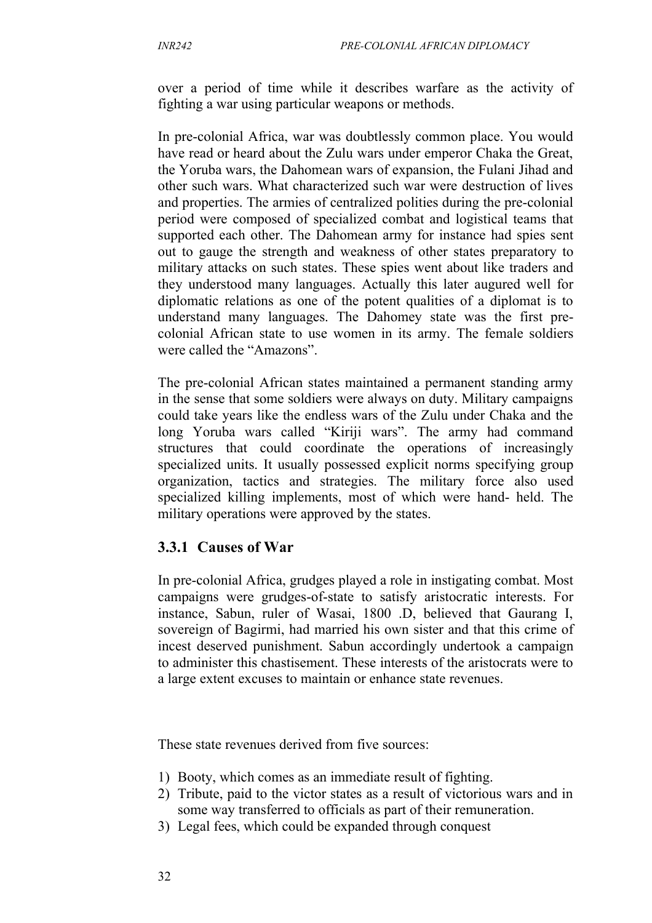over a period of time while it describes warfare as the activity of fighting a war using particular weapons or methods.

In pre-colonial Africa, war was doubtlessly common place. You would have read or heard about the Zulu wars under emperor Chaka the Great, the Yoruba wars, the Dahomean wars of expansion, the Fulani Jihad and other such wars. What characterized such war were destruction of lives and properties. The armies of centralized polities during the pre-colonial period were composed of specialized combat and logistical teams that supported each other. The Dahomean army for instance had spies sent out to gauge the strength and weakness of other states preparatory to military attacks on such states. These spies went about like traders and they understood many languages. Actually this later augured well for diplomatic relations as one of the potent qualities of a diplomat is to understand many languages. The Dahomey state was the first precolonial African state to use women in its army. The female soldiers were called the "Amazons".

The pre-colonial African states maintained a permanent standing army in the sense that some soldiers were always on duty. Military campaigns could take years like the endless wars of the Zulu under Chaka and the long Yoruba wars called "Kiriji wars". The army had command structures that could coordinate the operations of increasingly specialized units. It usually possessed explicit norms specifying group organization, tactics and strategies. The military force also used specialized killing implements, most of which were hand- held. The military operations were approved by the states.

# **3.3.1 Causes of War**

In pre-colonial Africa, grudges played a role in instigating combat. Most campaigns were grudges-of-state to satisfy aristocratic interests. For instance, Sabun, ruler of Wasai, 1800 .D, believed that Gaurang I, sovereign of Bagirmi, had married his own sister and that this crime of incest deserved punishment. Sabun accordingly undertook a campaign to administer this chastisement. These interests of the aristocrats were to a large extent excuses to maintain or enhance state revenues.

These state revenues derived from five sources:

- 1) Booty, which comes as an immediate result of fighting.
- 2) Tribute, paid to the victor states as a result of victorious wars and in some way transferred to officials as part of their remuneration.
- 3) Legal fees, which could be expanded through conquest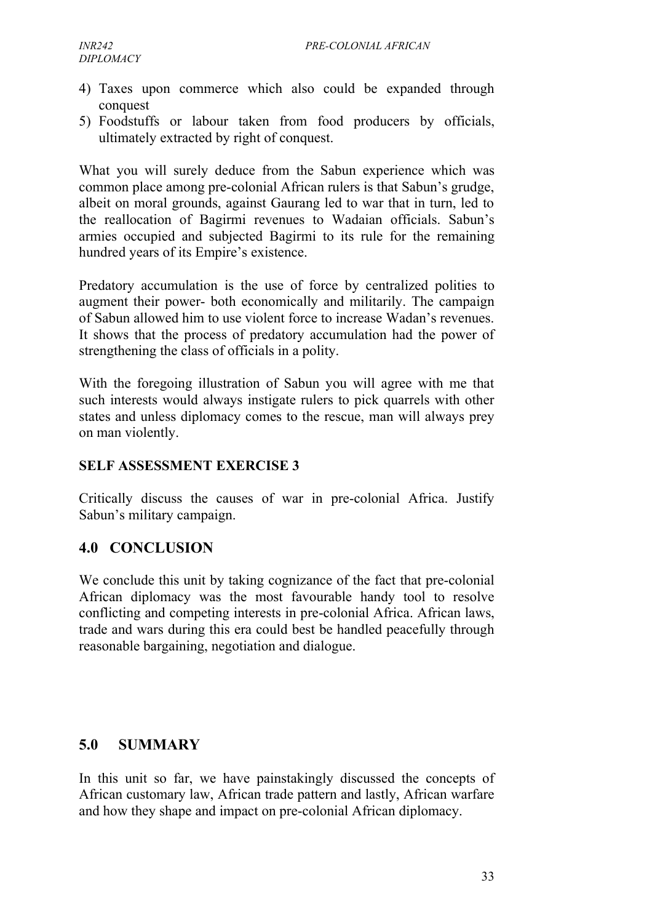- 4) Taxes upon commerce which also could be expanded through conquest
- 5) Foodstuffs or labour taken from food producers by officials, ultimately extracted by right of conquest.

What you will surely deduce from the Sabun experience which was common place among pre-colonial African rulers is that Sabun's grudge, albeit on moral grounds, against Gaurang led to war that in turn, led to the reallocation of Bagirmi revenues to Wadaian officials. Sabun's armies occupied and subjected Bagirmi to its rule for the remaining hundred years of its Empire's existence.

Predatory accumulation is the use of force by centralized polities to augment their power- both economically and militarily. The campaign of Sabun allowed him to use violent force to increase Wadan's revenues. It shows that the process of predatory accumulation had the power of strengthening the class of officials in a polity.

With the foregoing illustration of Sabun you will agree with me that such interests would always instigate rulers to pick quarrels with other states and unless diplomacy comes to the rescue, man will always prey on man violently.

#### **SELF ASSESSMENT EXERCISE 3**

Critically discuss the causes of war in pre-colonial Africa. Justify Sabun's military campaign.

# **4.0 CONCLUSION**

We conclude this unit by taking cognizance of the fact that pre-colonial African diplomacy was the most favourable handy tool to resolve conflicting and competing interests in pre-colonial Africa. African laws, trade and wars during this era could best be handled peacefully through reasonable bargaining, negotiation and dialogue.

## **5.0 SUMMARY**

In this unit so far, we have painstakingly discussed the concepts of African customary law, African trade pattern and lastly, African warfare and how they shape and impact on pre-colonial African diplomacy.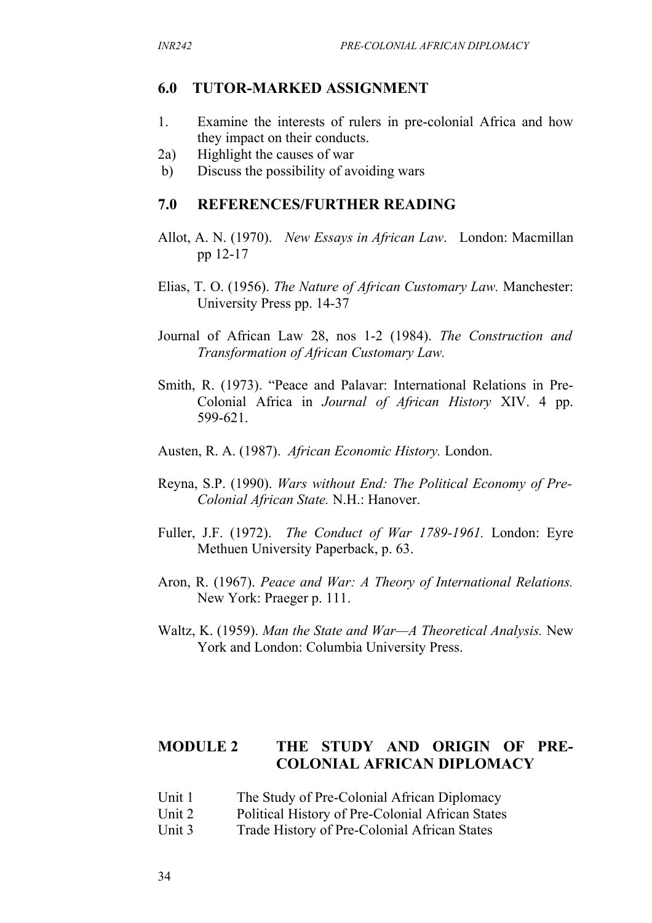#### **6.0 TUTOR-MARKED ASSIGNMENT**

- 1. Examine the interests of rulers in pre-colonial Africa and how they impact on their conducts.
- 2a) Highlight the causes of war
- b) Discuss the possibility of avoiding wars

#### **7.0 REFERENCES/FURTHER READING**

- Allot, A. N. (1970). *New Essays in African Law*. London: Macmillan pp 12-17
- Elias, T. O. (1956). *The Nature of African Customary Law.* Manchester: University Press pp. 14-37
- Journal of African Law 28, nos 1-2 (1984). *The Construction and Transformation of African Customary Law.*
- Smith, R. (1973). "Peace and Palavar: International Relations in Pre-Colonial Africa in *Journal of African History* XIV. 4 pp. 599-621.
- Austen, R. A. (1987). *African Economic History.* London.
- Reyna, S.P. (1990). *Wars without End: The Political Economy of Pre-Colonial African State.* N.H.: Hanover.
- Fuller, J.F. (1972). *The Conduct of War 1789-1961.* London: Eyre Methuen University Paperback, p. 63.
- Aron, R. (1967). *Peace and War: A Theory of International Relations.* New York: Praeger p. 111.
- Waltz, K. (1959). *Man the State and War—A Theoretical Analysis.* New York and London: Columbia University Press.

## **MODULE 2 THE STUDY AND ORIGIN OF PRE-COLONIAL AFRICAN DIPLOMACY**

- Unit 1 The Study of Pre-Colonial African Diplomacy
- Unit 2 Political History of Pre-Colonial African States
- Unit 3 Trade History of Pre-Colonial African States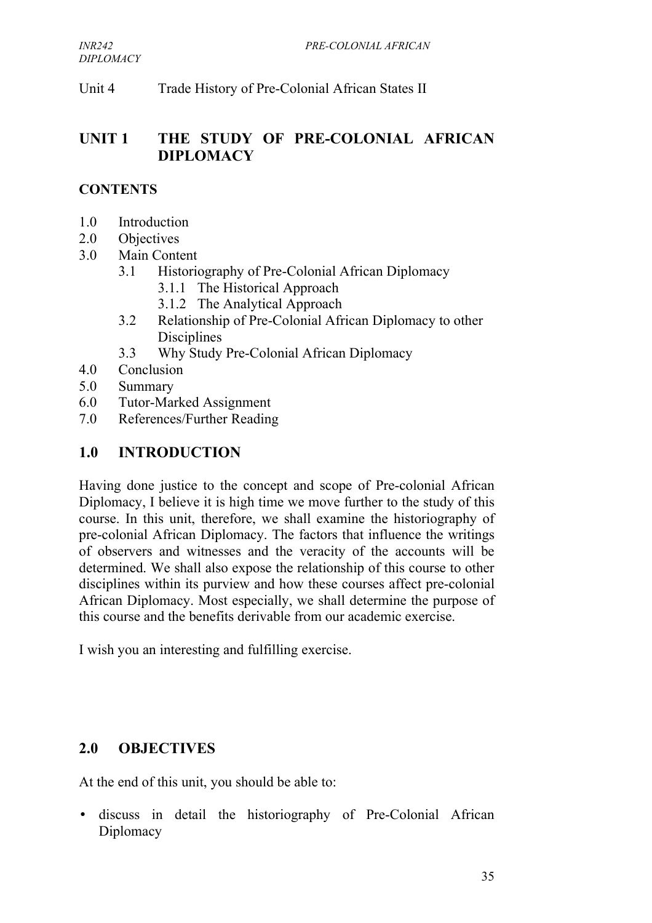Unit 4 Trade History of Pre-Colonial African States II

## **UNIT 1 THE STUDY OF PRE-COLONIAL AFRICAN DIPLOMACY**

## **CONTENTS**

- 1.0 Introduction
- 2.0 Objectives
- 3.0 Main Content
	- 3.1 Historiography of Pre-Colonial African Diplomacy
		- 3.1.1 The Historical Approach
		- 3.1.2 The Analytical Approach
	- 3.2 Relationship of Pre-Colonial African Diplomacy to other Disciplines
	- 3.3 Why Study Pre-Colonial African Diplomacy
- 4.0 Conclusion
- 5.0 Summary
- 6.0 Tutor-Marked Assignment
- 7.0 References/Further Reading

### **1.0 INTRODUCTION**

Having done justice to the concept and scope of Pre-colonial African Diplomacy, I believe it is high time we move further to the study of this course. In this unit, therefore, we shall examine the historiography of pre-colonial African Diplomacy. The factors that influence the writings of observers and witnesses and the veracity of the accounts will be determined. We shall also expose the relationship of this course to other disciplines within its purview and how these courses affect pre-colonial African Diplomacy. Most especially, we shall determine the purpose of this course and the benefits derivable from our academic exercise.

I wish you an interesting and fulfilling exercise.

#### **2.0 OBJECTIVES**

At the end of this unit, you should be able to:

• discuss in detail the historiography of Pre-Colonial African Diplomacy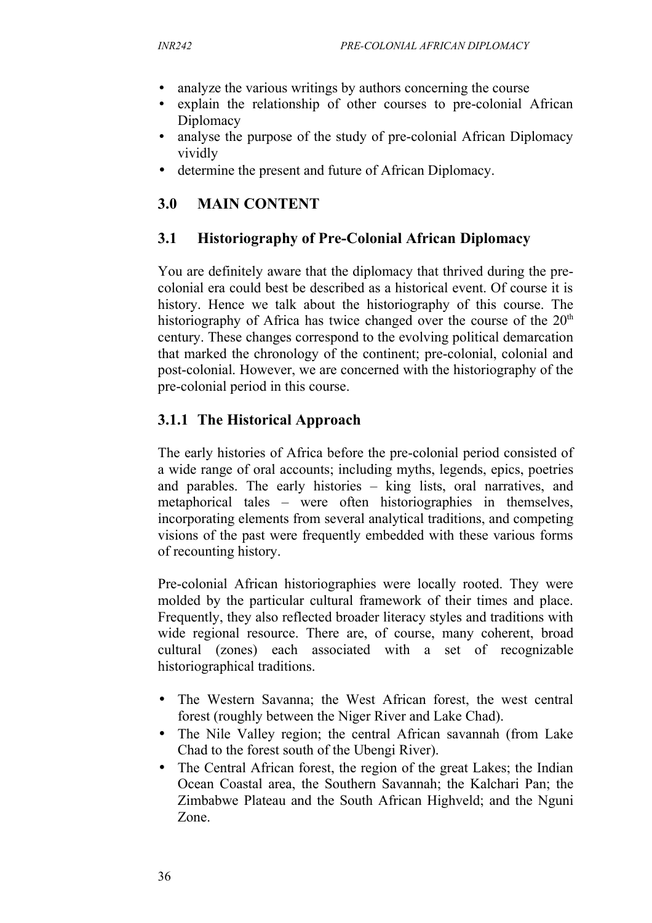- analyze the various writings by authors concerning the course
- explain the relationship of other courses to pre-colonial African Diplomacy
- analyse the purpose of the study of pre-colonial African Diplomacy vividly
- determine the present and future of African Diplomacy.

# **3.0 MAIN CONTENT**

# **3.1 Historiography of Pre-Colonial African Diplomacy**

You are definitely aware that the diplomacy that thrived during the precolonial era could best be described as a historical event. Of course it is history. Hence we talk about the historiography of this course. The historiography of Africa has twice changed over the course of the  $20<sup>th</sup>$ century. These changes correspond to the evolving political demarcation that marked the chronology of the continent; pre-colonial, colonial and post-colonial. However, we are concerned with the historiography of the pre-colonial period in this course.

# **3.1.1 The Historical Approach**

The early histories of Africa before the pre-colonial period consisted of a wide range of oral accounts; including myths, legends, epics, poetries and parables. The early histories – king lists, oral narratives, and metaphorical tales – were often historiographies in themselves, incorporating elements from several analytical traditions, and competing visions of the past were frequently embedded with these various forms of recounting history.

Pre-colonial African historiographies were locally rooted. They were molded by the particular cultural framework of their times and place. Frequently, they also reflected broader literacy styles and traditions with wide regional resource. There are, of course, many coherent, broad cultural (zones) each associated with a set of recognizable historiographical traditions.

- The Western Savanna; the West African forest, the west central forest (roughly between the Niger River and Lake Chad).
- The Nile Valley region; the central African savannah (from Lake Chad to the forest south of the Ubengi River).
- The Central African forest, the region of the great Lakes; the Indian Ocean Coastal area, the Southern Savannah; the Kalchari Pan; the Zimbabwe Plateau and the South African Highveld; and the Nguni Zone.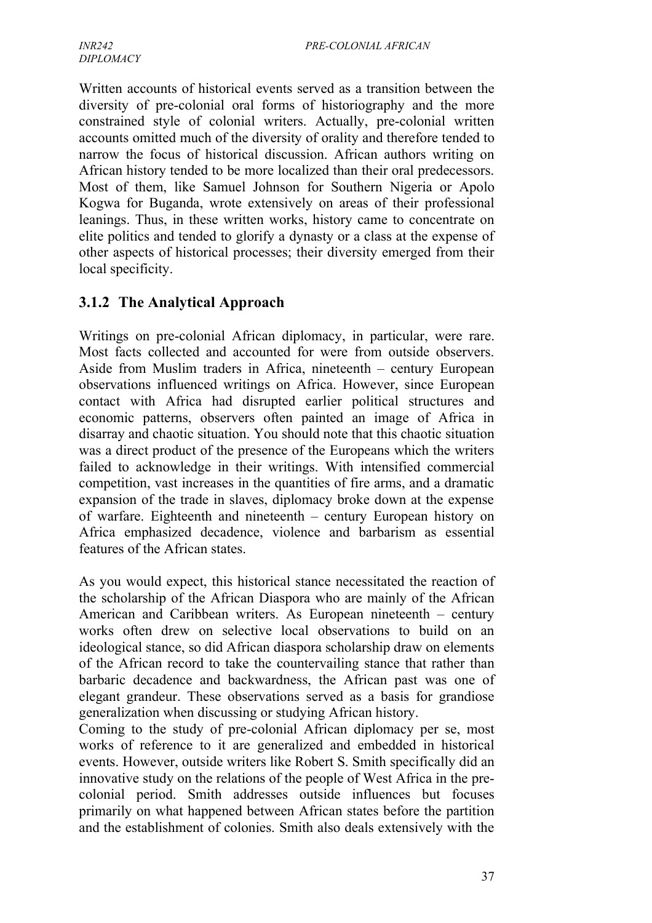Written accounts of historical events served as a transition between the diversity of pre-colonial oral forms of historiography and the more constrained style of colonial writers. Actually, pre-colonial written accounts omitted much of the diversity of orality and therefore tended to narrow the focus of historical discussion. African authors writing on African history tended to be more localized than their oral predecessors. Most of them, like Samuel Johnson for Southern Nigeria or Apolo Kogwa for Buganda, wrote extensively on areas of their professional leanings. Thus, in these written works, history came to concentrate on elite politics and tended to glorify a dynasty or a class at the expense of other aspects of historical processes; their diversity emerged from their local specificity.

# **3.1.2 The Analytical Approach**

Writings on pre-colonial African diplomacy, in particular, were rare. Most facts collected and accounted for were from outside observers. Aside from Muslim traders in Africa, nineteenth – century European observations influenced writings on Africa. However, since European contact with Africa had disrupted earlier political structures and economic patterns, observers often painted an image of Africa in disarray and chaotic situation. You should note that this chaotic situation was a direct product of the presence of the Europeans which the writers failed to acknowledge in their writings. With intensified commercial competition, vast increases in the quantities of fire arms, and a dramatic expansion of the trade in slaves, diplomacy broke down at the expense of warfare. Eighteenth and nineteenth – century European history on Africa emphasized decadence, violence and barbarism as essential features of the African states.

As you would expect, this historical stance necessitated the reaction of the scholarship of the African Diaspora who are mainly of the African American and Caribbean writers. As European nineteenth – century works often drew on selective local observations to build on an ideological stance, so did African diaspora scholarship draw on elements of the African record to take the countervailing stance that rather than barbaric decadence and backwardness, the African past was one of elegant grandeur. These observations served as a basis for grandiose generalization when discussing or studying African history.

Coming to the study of pre-colonial African diplomacy per se, most works of reference to it are generalized and embedded in historical events. However, outside writers like Robert S. Smith specifically did an innovative study on the relations of the people of West Africa in the precolonial period. Smith addresses outside influences but focuses primarily on what happened between African states before the partition and the establishment of colonies. Smith also deals extensively with the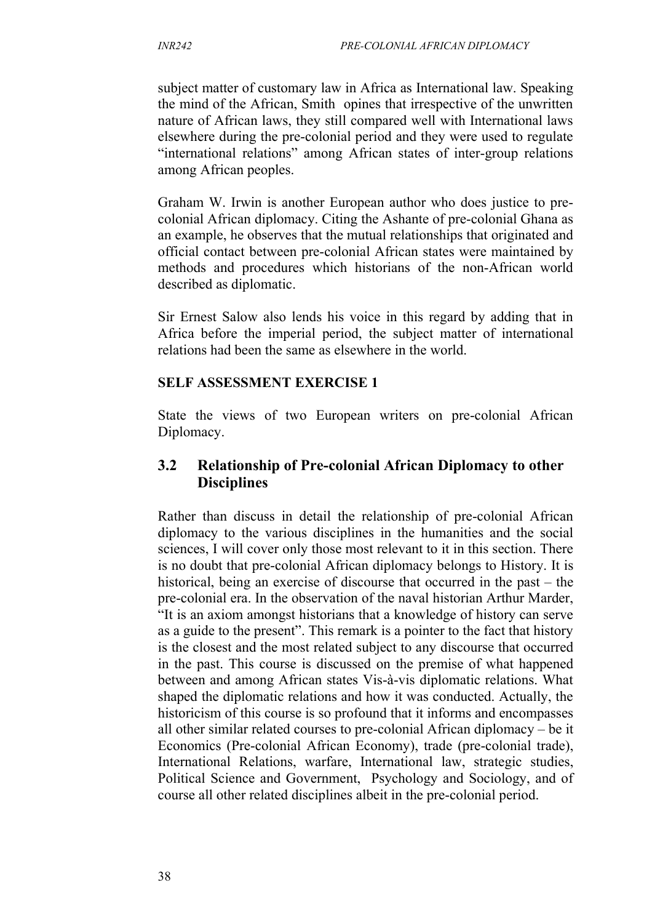subject matter of customary law in Africa as International law. Speaking the mind of the African, Smith opines that irrespective of the unwritten nature of African laws, they still compared well with International laws elsewhere during the pre-colonial period and they were used to regulate "international relations" among African states of inter-group relations among African peoples.

Graham W. Irwin is another European author who does justice to precolonial African diplomacy. Citing the Ashante of pre-colonial Ghana as an example, he observes that the mutual relationships that originated and official contact between pre-colonial African states were maintained by methods and procedures which historians of the non-African world described as diplomatic.

Sir Ernest Salow also lends his voice in this regard by adding that in Africa before the imperial period, the subject matter of international relations had been the same as elsewhere in the world.

#### **SELF ASSESSMENT EXERCISE 1**

State the views of two European writers on pre-colonial African Diplomacy.

## **3.2 Relationship of Pre-colonial African Diplomacy to other Disciplines**

Rather than discuss in detail the relationship of pre-colonial African diplomacy to the various disciplines in the humanities and the social sciences, I will cover only those most relevant to it in this section. There is no doubt that pre-colonial African diplomacy belongs to History. It is historical, being an exercise of discourse that occurred in the past – the pre-colonial era. In the observation of the naval historian Arthur Marder, "It is an axiom amongst historians that a knowledge of history can serve as a guide to the present". This remark is a pointer to the fact that history is the closest and the most related subject to any discourse that occurred in the past. This course is discussed on the premise of what happened between and among African states Vis-à-vis diplomatic relations. What shaped the diplomatic relations and how it was conducted. Actually, the historicism of this course is so profound that it informs and encompasses all other similar related courses to pre-colonial African diplomacy – be it Economics (Pre-colonial African Economy), trade (pre-colonial trade), International Relations, warfare, International law, strategic studies, Political Science and Government, Psychology and Sociology, and of course all other related disciplines albeit in the pre-colonial period.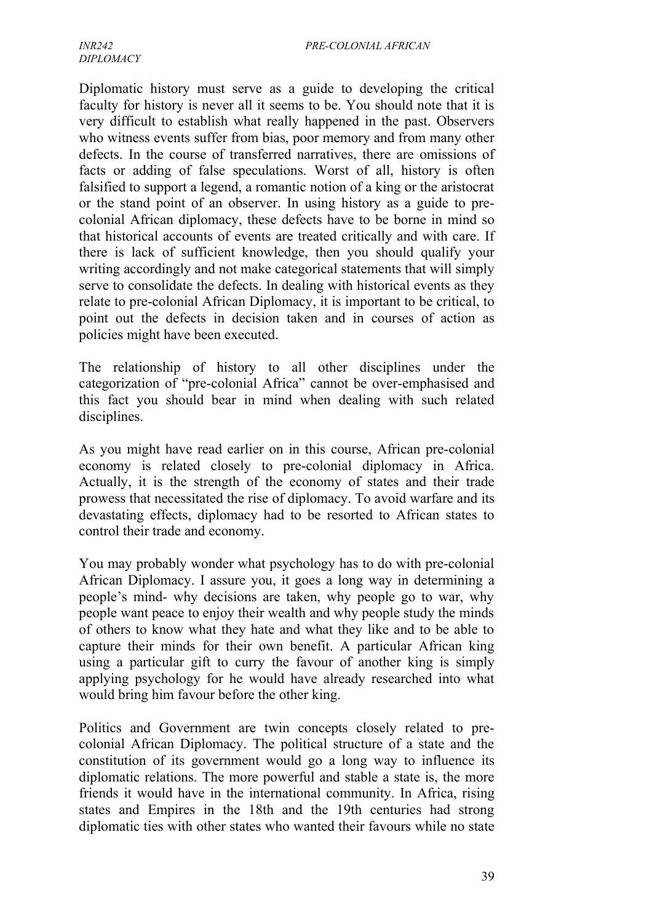Diplomatic history must serve as a guide to developing the critical faculty for history is never all it seems to be. You should note that it is very difficult to establish what really happened in the past. Observers who witness events suffer from bias, poor memory and from many other defects. In the course of transferred narratives, there are omissions of facts or adding of false speculations. Worst of all, history is often falsified to support a legend, a romantic notion of a king or the aristocrat or the stand point of an observer. In using history as a guide to precolonial African diplomacy, these defects have to be borne in mind so that historical accounts of events are treated critically and with care. If there is lack of sufficient knowledge, then you should qualify your writing accordingly and not make categorical statements that will simply serve to consolidate the defects. In dealing with historical events as they relate to pre-colonial African Diplomacy, it is important to be critical, to point out the defects in decision taken and in courses of action as policies might have been executed.

The relationship of history to all other disciplines under the categorization of "pre-colonial Africa" cannot be over-emphasised and this fact you should bear in mind when dealing with such related disciplines.

As you might have read earlier on in this course, African pre-colonial economy is related closely to pre-colonial diplomacy in Africa. Actually, it is the strength of the economy of states and their trade prowess that necessitated the rise of diplomacy. To avoid warfare and its devastating effects, diplomacy had to be resorted to African states to control their trade and economy.

You may probably wonder what psychology has to do with pre-colonial African Diplomacy. I assure you, it goes a long way in determining a people's mind- why decisions are taken, why people go to war, why people want peace to enjoy their wealth and why people study the minds of others to know what they hate and what they like and to be able to capture their minds for their own benefit. A particular African king using a particular gift to curry the favour of another king is simply applying psychology for he would have already researched into what would bring him favour before the other king.

Politics and Government are twin concepts closely related to precolonial African Diplomacy. The political structure of a state and the constitution of its government would go a long way to influence its diplomatic relations. The more powerful and stable a state is, the more friends it would have in the international community. In Africa, rising states and Empires in the 18th and the 19th centuries had strong diplomatic ties with other states who wanted their favours while no state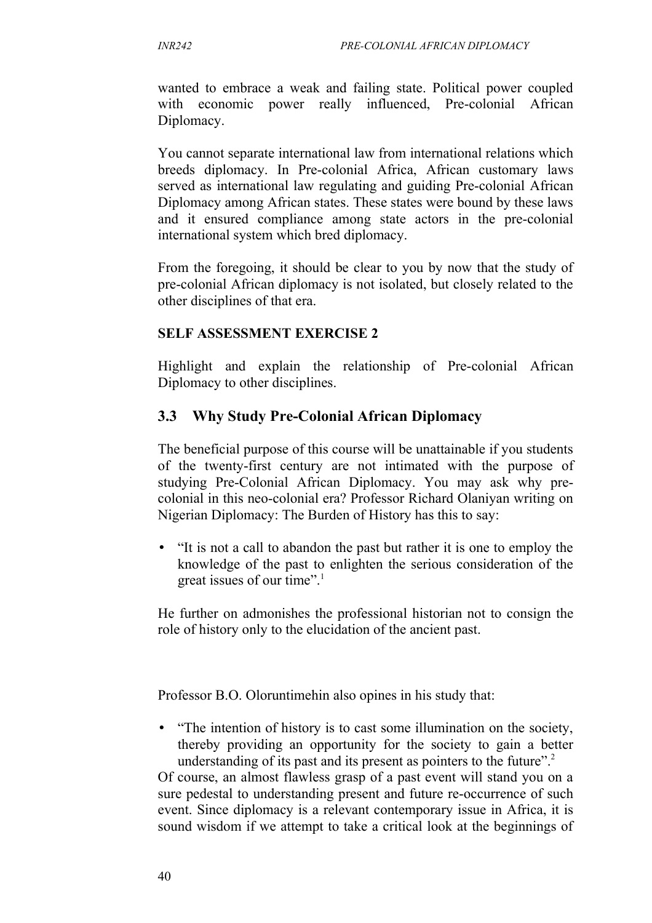wanted to embrace a weak and failing state. Political power coupled with economic power really influenced, Pre-colonial African Diplomacy.

You cannot separate international law from international relations which breeds diplomacy. In Pre-colonial Africa, African customary laws served as international law regulating and guiding Pre-colonial African Diplomacy among African states. These states were bound by these laws and it ensured compliance among state actors in the pre-colonial international system which bred diplomacy.

From the foregoing, it should be clear to you by now that the study of pre-colonial African diplomacy is not isolated, but closely related to the other disciplines of that era.

### **SELF ASSESSMENT EXERCISE 2**

Highlight and explain the relationship of Pre-colonial African Diplomacy to other disciplines.

## **3.3 Why Study Pre-Colonial African Diplomacy**

The beneficial purpose of this course will be unattainable if you students of the twenty-first century are not intimated with the purpose of studying Pre-Colonial African Diplomacy. You may ask why precolonial in this neo-colonial era? Professor Richard Olaniyan writing on Nigerian Diplomacy: The Burden of History has this to say:

• "It is not a call to abandon the past but rather it is one to employ the knowledge of the past to enlighten the serious consideration of the great issues of our time".<sup>1</sup>

He further on admonishes the professional historian not to consign the role of history only to the elucidation of the ancient past.

Professor B.O. Oloruntimehin also opines in his study that:

• "The intention of history is to cast some illumination on the society, thereby providing an opportunity for the society to gain a better understanding of its past and its present as pointers to the future".<sup>2</sup>

Of course, an almost flawless grasp of a past event will stand you on a sure pedestal to understanding present and future re-occurrence of such event. Since diplomacy is a relevant contemporary issue in Africa, it is sound wisdom if we attempt to take a critical look at the beginnings of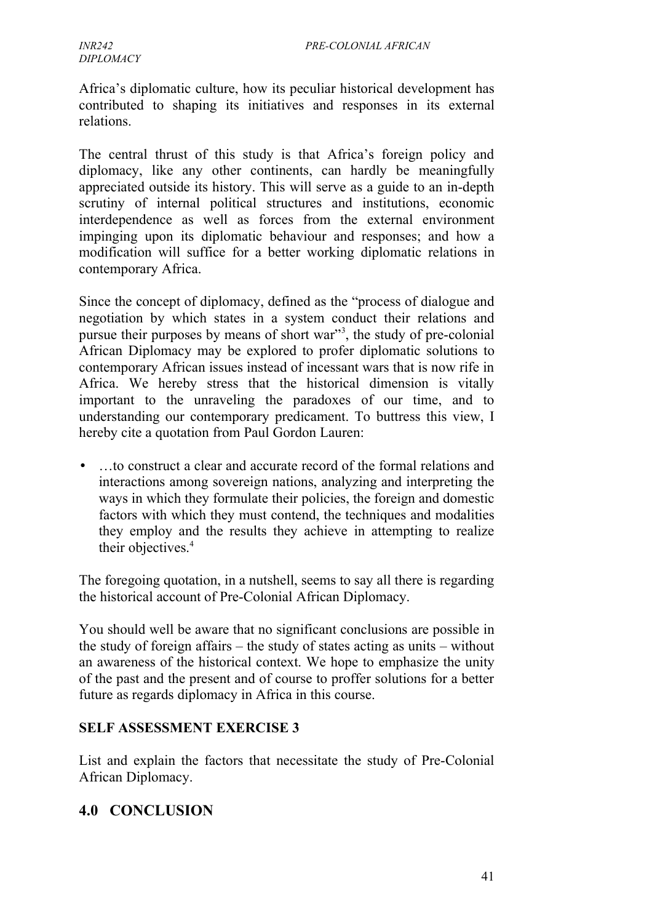Africa's diplomatic culture, how its peculiar historical development has contributed to shaping its initiatives and responses in its external relations.

The central thrust of this study is that Africa's foreign policy and diplomacy, like any other continents, can hardly be meaningfully appreciated outside its history. This will serve as a guide to an in-depth scrutiny of internal political structures and institutions, economic interdependence as well as forces from the external environment impinging upon its diplomatic behaviour and responses; and how a modification will suffice for a better working diplomatic relations in contemporary Africa.

Since the concept of diplomacy, defined as the "process of dialogue and negotiation by which states in a system conduct their relations and pursue their purposes by means of short war"<sup>3</sup>, the study of pre-colonial African Diplomacy may be explored to profer diplomatic solutions to contemporary African issues instead of incessant wars that is now rife in Africa. We hereby stress that the historical dimension is vitally important to the unraveling the paradoxes of our time, and to understanding our contemporary predicament. To buttress this view, I hereby cite a quotation from Paul Gordon Lauren:

• ...to construct a clear and accurate record of the formal relations and interactions among sovereign nations, analyzing and interpreting the ways in which they formulate their policies, the foreign and domestic factors with which they must contend, the techniques and modalities they employ and the results they achieve in attempting to realize their objectives.<sup>4</sup>

The foregoing quotation, in a nutshell, seems to say all there is regarding the historical account of Pre-Colonial African Diplomacy.

You should well be aware that no significant conclusions are possible in the study of foreign affairs – the study of states acting as units – without an awareness of the historical context. We hope to emphasize the unity of the past and the present and of course to proffer solutions for a better future as regards diplomacy in Africa in this course.

#### **SELF ASSESSMENT EXERCISE 3**

List and explain the factors that necessitate the study of Pre-Colonial African Diplomacy.

## **4.0 CONCLUSION**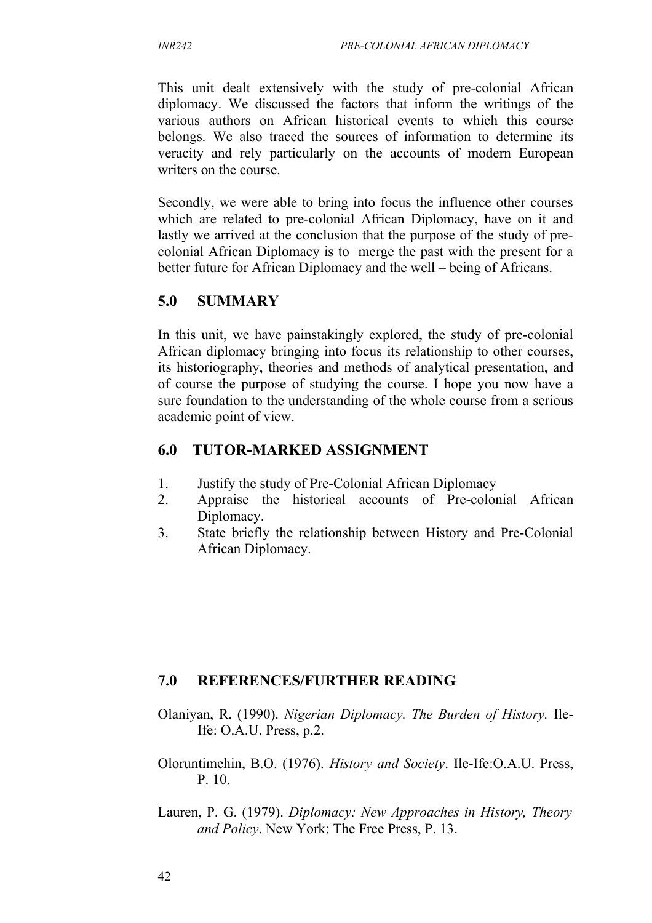This unit dealt extensively with the study of pre-colonial African diplomacy. We discussed the factors that inform the writings of the various authors on African historical events to which this course belongs. We also traced the sources of information to determine its veracity and rely particularly on the accounts of modern European writers on the course.

Secondly, we were able to bring into focus the influence other courses which are related to pre-colonial African Diplomacy, have on it and lastly we arrived at the conclusion that the purpose of the study of precolonial African Diplomacy is to merge the past with the present for a better future for African Diplomacy and the well – being of Africans.

# **5.0 SUMMARY**

In this unit, we have painstakingly explored, the study of pre-colonial African diplomacy bringing into focus its relationship to other courses, its historiography, theories and methods of analytical presentation, and of course the purpose of studying the course. I hope you now have a sure foundation to the understanding of the whole course from a serious academic point of view.

## **6.0 TUTOR-MARKED ASSIGNMENT**

- 1. Justify the study of Pre-Colonial African Diplomacy
- 2. Appraise the historical accounts of Pre-colonial African Diplomacy.
- 3. State briefly the relationship between History and Pre-Colonial African Diplomacy.

# **7.0 REFERENCES/FURTHER READING**

- Olaniyan, R. (1990). *Nigerian Diplomacy. The Burden of History.* Ile-Ife: O.A.U. Press, p.2.
- Oloruntimehin, B.O. (1976). *History and Society*. Ile-Ife:O.A.U. Press, P. 10.
- Lauren, P. G. (1979). *Diplomacy: New Approaches in History, Theory and Policy*. New York: The Free Press, P. 13.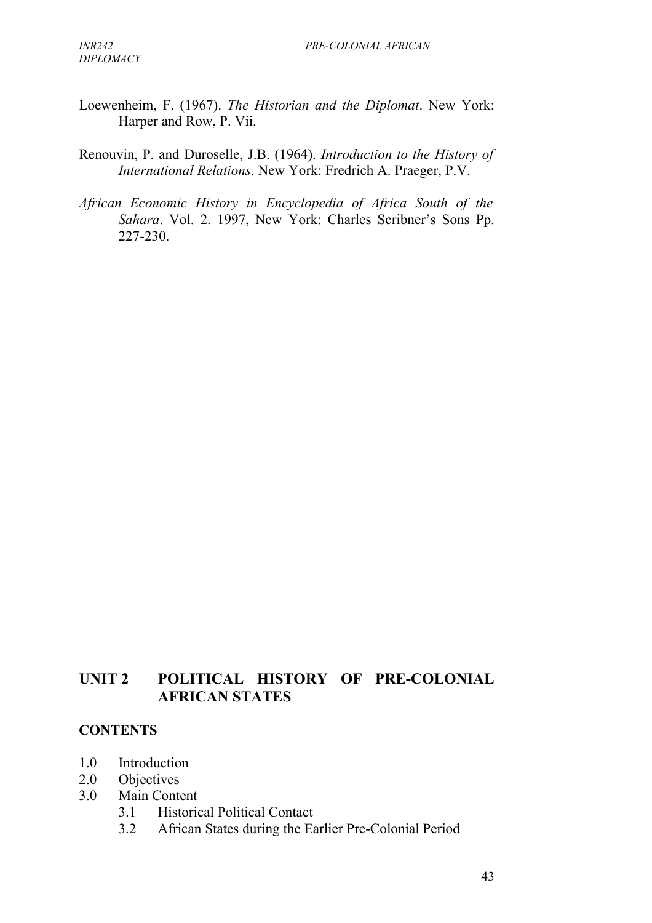- Loewenheim, F. (1967). *The Historian and the Diplomat*. New York: Harper and Row, P. Vii.
- Renouvin, P. and Duroselle, J.B. (1964). *Introduction to the History of International Relations*. New York: Fredrich A. Praeger, P.V.
- *African Economic History in Encyclopedia of Africa South of the Sahara*. Vol. 2. 1997, New York: Charles Scribner's Sons Pp. 227-230.

# **UNIT 2 POLITICAL HISTORY OF PRE-COLONIAL AFRICAN STATES**

#### **CONTENTS**

- 1.0 Introduction
- 2.0 Objectives
- 3.0 Main Content
	- 3.1 Historical Political Contact
	- 3.2 African States during the Earlier Pre-Colonial Period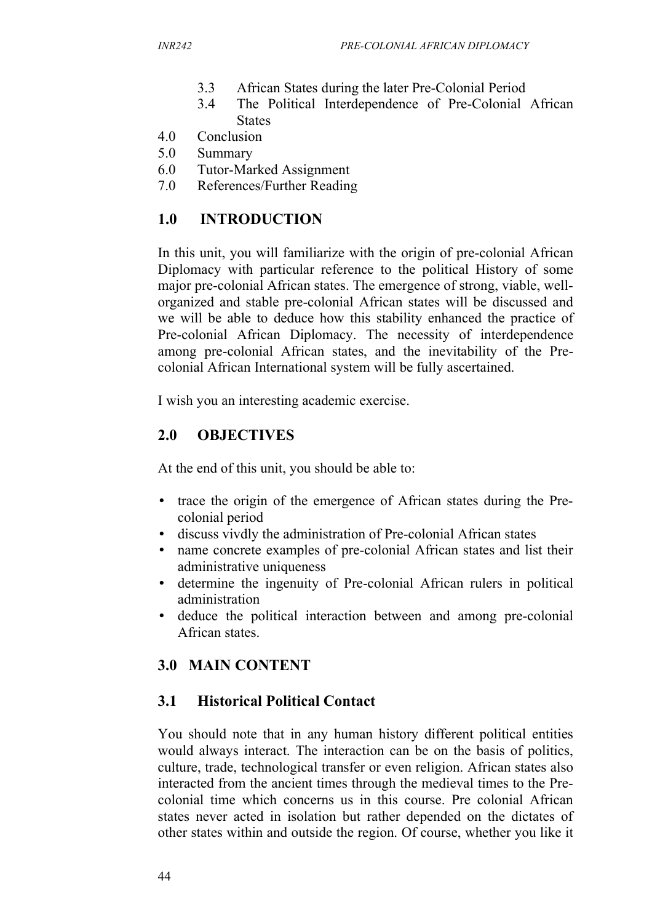- 3.3 African States during the later Pre-Colonial Period
- 3.4 The Political Interdependence of Pre-Colonial African **States**
- 4.0 Conclusion
- 5.0 Summary
- 6.0 Tutor-Marked Assignment
- 7.0 References/Further Reading

## **1.0 INTRODUCTION**

In this unit, you will familiarize with the origin of pre-colonial African Diplomacy with particular reference to the political History of some major pre-colonial African states. The emergence of strong, viable, wellorganized and stable pre-colonial African states will be discussed and we will be able to deduce how this stability enhanced the practice of Pre-colonial African Diplomacy. The necessity of interdependence among pre-colonial African states, and the inevitability of the Precolonial African International system will be fully ascertained.

I wish you an interesting academic exercise.

# **2.0 OBJECTIVES**

At the end of this unit, you should be able to:

- trace the origin of the emergence of African states during the Precolonial period
- discuss vivdly the administration of Pre-colonial African states
- name concrete examples of pre-colonial African states and list their administrative uniqueness
- determine the ingenuity of Pre-colonial African rulers in political administration
- deduce the political interaction between and among pre-colonial African states.

# **3.0 MAIN CONTENT**

# **3.1 Historical Political Contact**

You should note that in any human history different political entities would always interact. The interaction can be on the basis of politics, culture, trade, technological transfer or even religion. African states also interacted from the ancient times through the medieval times to the Precolonial time which concerns us in this course. Pre colonial African states never acted in isolation but rather depended on the dictates of other states within and outside the region. Of course, whether you like it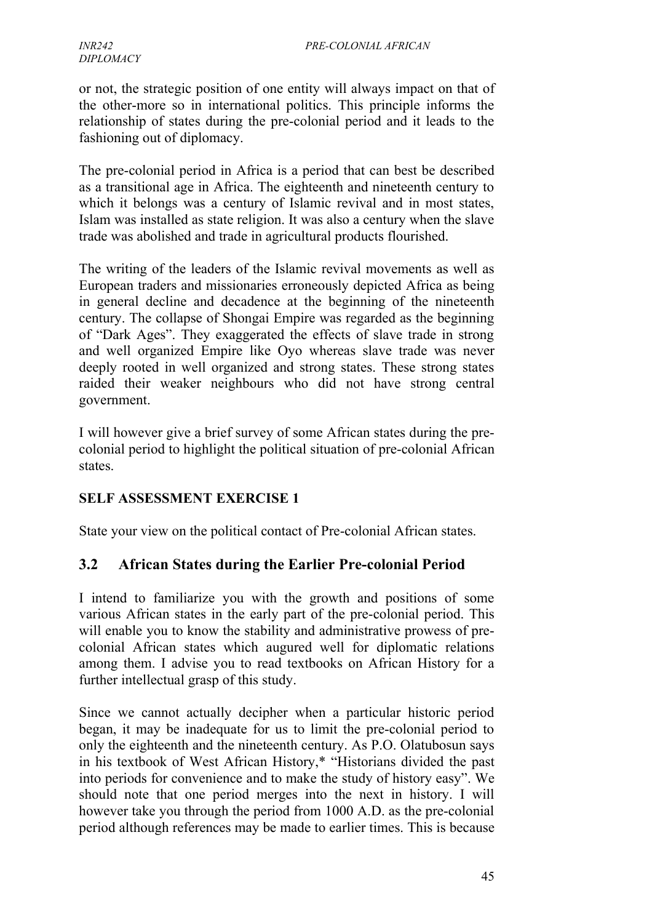or not, the strategic position of one entity will always impact on that of the other-more so in international politics. This principle informs the relationship of states during the pre-colonial period and it leads to the fashioning out of diplomacy.

The pre-colonial period in Africa is a period that can best be described as a transitional age in Africa. The eighteenth and nineteenth century to which it belongs was a century of Islamic revival and in most states, Islam was installed as state religion. It was also a century when the slave trade was abolished and trade in agricultural products flourished.

The writing of the leaders of the Islamic revival movements as well as European traders and missionaries erroneously depicted Africa as being in general decline and decadence at the beginning of the nineteenth century. The collapse of Shongai Empire was regarded as the beginning of "Dark Ages". They exaggerated the effects of slave trade in strong and well organized Empire like Oyo whereas slave trade was never deeply rooted in well organized and strong states. These strong states raided their weaker neighbours who did not have strong central government.

I will however give a brief survey of some African states during the precolonial period to highlight the political situation of pre-colonial African states.

## **SELF ASSESSMENT EXERCISE 1**

State your view on the political contact of Pre-colonial African states.

## **3.2 African States during the Earlier Pre-colonial Period**

I intend to familiarize you with the growth and positions of some various African states in the early part of the pre-colonial period. This will enable you to know the stability and administrative prowess of precolonial African states which augured well for diplomatic relations among them. I advise you to read textbooks on African History for a further intellectual grasp of this study.

Since we cannot actually decipher when a particular historic period began, it may be inadequate for us to limit the pre-colonial period to only the eighteenth and the nineteenth century. As P.O. Olatubosun says in his textbook of West African History,\* "Historians divided the past into periods for convenience and to make the study of history easy". We should note that one period merges into the next in history. I will however take you through the period from 1000 A.D. as the pre-colonial period although references may be made to earlier times. This is because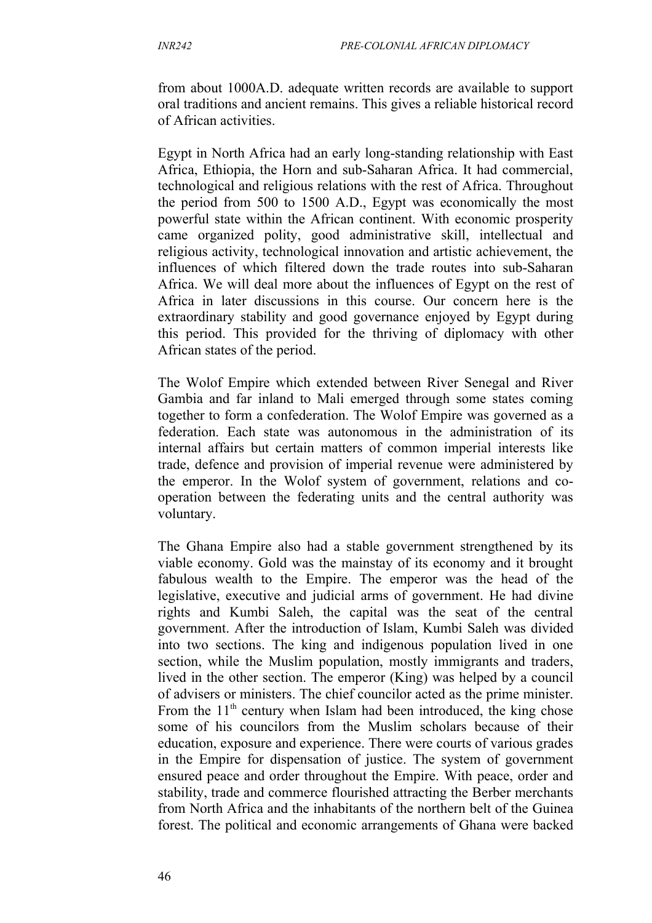from about 1000A.D. adequate written records are available to support oral traditions and ancient remains. This gives a reliable historical record of African activities.

Egypt in North Africa had an early long-standing relationship with East Africa, Ethiopia, the Horn and sub-Saharan Africa. It had commercial, technological and religious relations with the rest of Africa. Throughout the period from 500 to 1500 A.D., Egypt was economically the most powerful state within the African continent. With economic prosperity came organized polity, good administrative skill, intellectual and religious activity, technological innovation and artistic achievement, the influences of which filtered down the trade routes into sub-Saharan Africa. We will deal more about the influences of Egypt on the rest of Africa in later discussions in this course. Our concern here is the extraordinary stability and good governance enjoyed by Egypt during this period. This provided for the thriving of diplomacy with other African states of the period.

The Wolof Empire which extended between River Senegal and River Gambia and far inland to Mali emerged through some states coming together to form a confederation. The Wolof Empire was governed as a federation. Each state was autonomous in the administration of its internal affairs but certain matters of common imperial interests like trade, defence and provision of imperial revenue were administered by the emperor. In the Wolof system of government, relations and cooperation between the federating units and the central authority was voluntary.

The Ghana Empire also had a stable government strengthened by its viable economy. Gold was the mainstay of its economy and it brought fabulous wealth to the Empire. The emperor was the head of the legislative, executive and judicial arms of government. He had divine rights and Kumbi Saleh, the capital was the seat of the central government. After the introduction of Islam, Kumbi Saleh was divided into two sections. The king and indigenous population lived in one section, while the Muslim population, mostly immigrants and traders, lived in the other section. The emperor (King) was helped by a council of advisers or ministers. The chief councilor acted as the prime minister. From the  $11<sup>th</sup>$  century when Islam had been introduced, the king chose some of his councilors from the Muslim scholars because of their education, exposure and experience. There were courts of various grades in the Empire for dispensation of justice. The system of government ensured peace and order throughout the Empire. With peace, order and stability, trade and commerce flourished attracting the Berber merchants from North Africa and the inhabitants of the northern belt of the Guinea forest. The political and economic arrangements of Ghana were backed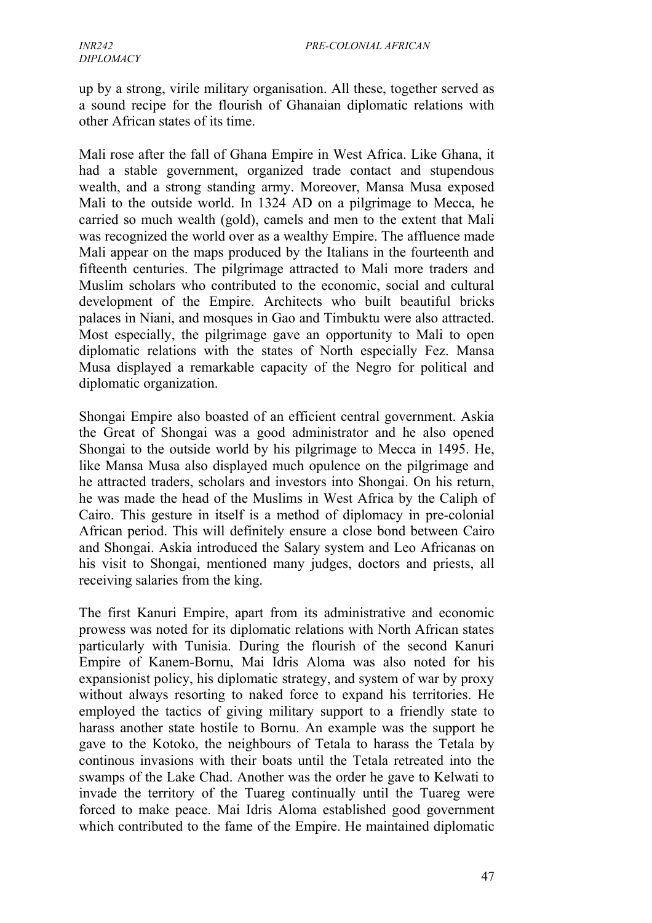up by a strong, virile military organisation. All these, together served as a sound recipe for the flourish of Ghanaian diplomatic relations with other African states of its time.

Mali rose after the fall of Ghana Empire in West Africa. Like Ghana, it had a stable government, organized trade contact and stupendous wealth, and a strong standing army. Moreover, Mansa Musa exposed Mali to the outside world. In 1324 AD on a pilgrimage to Mecca, he carried so much wealth (gold), camels and men to the extent that Mali was recognized the world over as a wealthy Empire. The affluence made Mali appear on the maps produced by the Italians in the fourteenth and fifteenth centuries. The pilgrimage attracted to Mali more traders and Muslim scholars who contributed to the economic, social and cultural development of the Empire. Architects who built beautiful bricks palaces in Niani, and mosques in Gao and Timbuktu were also attracted. Most especially, the pilgrimage gave an opportunity to Mali to open diplomatic relations with the states of North especially Fez. Mansa Musa displayed a remarkable capacity of the Negro for political and diplomatic organization.

Shongai Empire also boasted of an efficient central government. Askia the Great of Shongai was a good administrator and he also opened Shongai to the outside world by his pilgrimage to Mecca in 1495. He, like Mansa Musa also displayed much opulence on the pilgrimage and he attracted traders, scholars and investors into Shongai. On his return, he was made the head of the Muslims in West Africa by the Caliph of Cairo. This gesture in itself is a method of diplomacy in pre-colonial African period. This will definitely ensure a close bond between Cairo and Shongai. Askia introduced the Salary system and Leo Africanas on his visit to Shongai, mentioned many judges, doctors and priests, all receiving salaries from the king.

The first Kanuri Empire, apart from its administrative and economic prowess was noted for its diplomatic relations with North African states particularly with Tunisia. During the flourish of the second Kanuri Empire of Kanem-Bornu, Mai Idris Aloma was also noted for his expansionist policy, his diplomatic strategy, and system of war by proxy without always resorting to naked force to expand his territories. He employed the tactics of giving military support to a friendly state to harass another state hostile to Bornu. An example was the support he gave to the Kotoko, the neighbours of Tetala to harass the Tetala by continous invasions with their boats until the Tetala retreated into the swamps of the Lake Chad. Another was the order he gave to Kelwati to invade the territory of the Tuareg continually until the Tuareg were forced to make peace. Mai Idris Aloma established good government which contributed to the fame of the Empire. He maintained diplomatic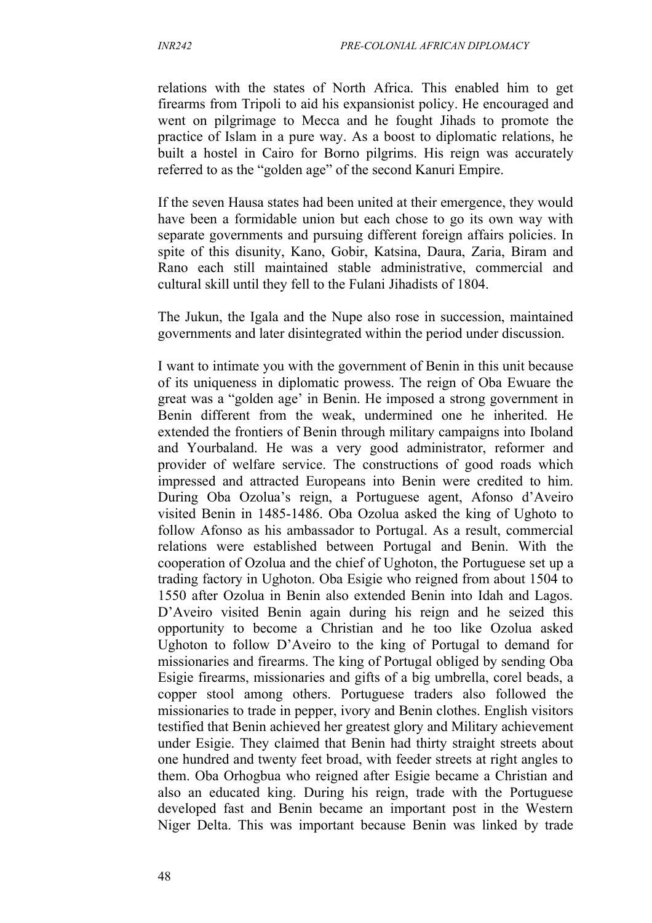relations with the states of North Africa. This enabled him to get firearms from Tripoli to aid his expansionist policy. He encouraged and went on pilgrimage to Mecca and he fought Jihads to promote the practice of Islam in a pure way. As a boost to diplomatic relations, he built a hostel in Cairo for Borno pilgrims. His reign was accurately referred to as the "golden age" of the second Kanuri Empire.

If the seven Hausa states had been united at their emergence, they would have been a formidable union but each chose to go its own way with separate governments and pursuing different foreign affairs policies. In spite of this disunity, Kano, Gobir, Katsina, Daura, Zaria, Biram and Rano each still maintained stable administrative, commercial and cultural skill until they fell to the Fulani Jihadists of 1804.

The Jukun, the Igala and the Nupe also rose in succession, maintained governments and later disintegrated within the period under discussion.

I want to intimate you with the government of Benin in this unit because of its uniqueness in diplomatic prowess. The reign of Oba Ewuare the great was a "golden age' in Benin. He imposed a strong government in Benin different from the weak, undermined one he inherited. He extended the frontiers of Benin through military campaigns into Iboland and Yourbaland. He was a very good administrator, reformer and provider of welfare service. The constructions of good roads which impressed and attracted Europeans into Benin were credited to him. During Oba Ozolua's reign, a Portuguese agent, Afonso d'Aveiro visited Benin in 1485-1486. Oba Ozolua asked the king of Ughoto to follow Afonso as his ambassador to Portugal. As a result, commercial relations were established between Portugal and Benin. With the cooperation of Ozolua and the chief of Ughoton, the Portuguese set up a trading factory in Ughoton. Oba Esigie who reigned from about 1504 to 1550 after Ozolua in Benin also extended Benin into Idah and Lagos. D'Aveiro visited Benin again during his reign and he seized this opportunity to become a Christian and he too like Ozolua asked Ughoton to follow D'Aveiro to the king of Portugal to demand for missionaries and firearms. The king of Portugal obliged by sending Oba Esigie firearms, missionaries and gifts of a big umbrella, corel beads, a copper stool among others. Portuguese traders also followed the missionaries to trade in pepper, ivory and Benin clothes. English visitors testified that Benin achieved her greatest glory and Military achievement under Esigie. They claimed that Benin had thirty straight streets about one hundred and twenty feet broad, with feeder streets at right angles to them. Oba Orhogbua who reigned after Esigie became a Christian and also an educated king. During his reign, trade with the Portuguese developed fast and Benin became an important post in the Western Niger Delta. This was important because Benin was linked by trade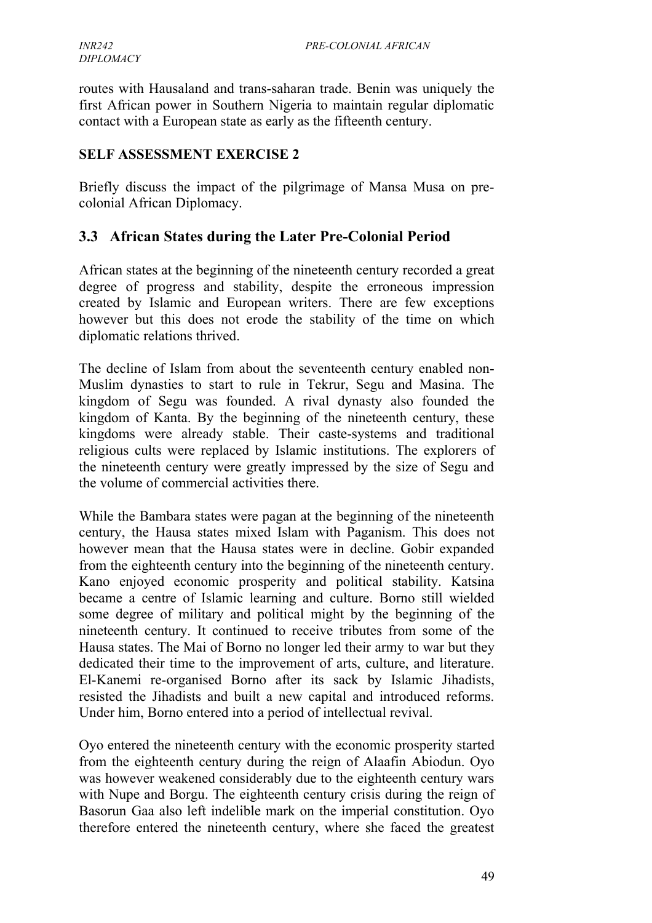routes with Hausaland and trans-saharan trade. Benin was uniquely the first African power in Southern Nigeria to maintain regular diplomatic contact with a European state as early as the fifteenth century.

#### **SELF ASSESSMENT EXERCISE 2**

Briefly discuss the impact of the pilgrimage of Mansa Musa on precolonial African Diplomacy.

#### **3.3 African States during the Later Pre-Colonial Period**

African states at the beginning of the nineteenth century recorded a great degree of progress and stability, despite the erroneous impression created by Islamic and European writers. There are few exceptions however but this does not erode the stability of the time on which diplomatic relations thrived.

The decline of Islam from about the seventeenth century enabled non-Muslim dynasties to start to rule in Tekrur, Segu and Masina. The kingdom of Segu was founded. A rival dynasty also founded the kingdom of Kanta. By the beginning of the nineteenth century, these kingdoms were already stable. Their caste-systems and traditional religious cults were replaced by Islamic institutions. The explorers of the nineteenth century were greatly impressed by the size of Segu and the volume of commercial activities there.

While the Bambara states were pagan at the beginning of the nineteenth century, the Hausa states mixed Islam with Paganism. This does not however mean that the Hausa states were in decline. Gobir expanded from the eighteenth century into the beginning of the nineteenth century. Kano enjoyed economic prosperity and political stability. Katsina became a centre of Islamic learning and culture. Borno still wielded some degree of military and political might by the beginning of the nineteenth century. It continued to receive tributes from some of the Hausa states. The Mai of Borno no longer led their army to war but they dedicated their time to the improvement of arts, culture, and literature. El-Kanemi re-organised Borno after its sack by Islamic Jihadists, resisted the Jihadists and built a new capital and introduced reforms. Under him, Borno entered into a period of intellectual revival.

Oyo entered the nineteenth century with the economic prosperity started from the eighteenth century during the reign of Alaafin Abiodun. Oyo was however weakened considerably due to the eighteenth century wars with Nupe and Borgu. The eighteenth century crisis during the reign of Basorun Gaa also left indelible mark on the imperial constitution. Oyo therefore entered the nineteenth century, where she faced the greatest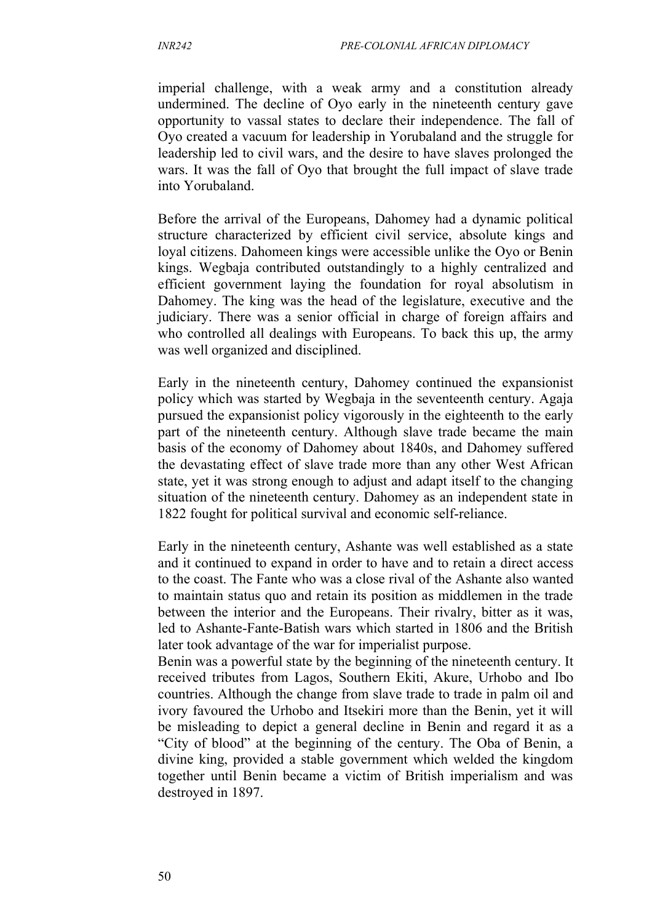imperial challenge, with a weak army and a constitution already undermined. The decline of Oyo early in the nineteenth century gave opportunity to vassal states to declare their independence. The fall of Oyo created a vacuum for leadership in Yorubaland and the struggle for leadership led to civil wars, and the desire to have slaves prolonged the wars. It was the fall of Oyo that brought the full impact of slave trade into Yorubaland.

Before the arrival of the Europeans, Dahomey had a dynamic political structure characterized by efficient civil service, absolute kings and loyal citizens. Dahomeen kings were accessible unlike the Oyo or Benin kings. Wegbaja contributed outstandingly to a highly centralized and efficient government laying the foundation for royal absolutism in Dahomey. The king was the head of the legislature, executive and the judiciary. There was a senior official in charge of foreign affairs and who controlled all dealings with Europeans. To back this up, the army was well organized and disciplined.

Early in the nineteenth century, Dahomey continued the expansionist policy which was started by Wegbaja in the seventeenth century. Agaja pursued the expansionist policy vigorously in the eighteenth to the early part of the nineteenth century. Although slave trade became the main basis of the economy of Dahomey about 1840s, and Dahomey suffered the devastating effect of slave trade more than any other West African state, yet it was strong enough to adjust and adapt itself to the changing situation of the nineteenth century. Dahomey as an independent state in 1822 fought for political survival and economic self-reliance.

Early in the nineteenth century, Ashante was well established as a state and it continued to expand in order to have and to retain a direct access to the coast. The Fante who was a close rival of the Ashante also wanted to maintain status quo and retain its position as middlemen in the trade between the interior and the Europeans. Their rivalry, bitter as it was, led to Ashante-Fante-Batish wars which started in 1806 and the British later took advantage of the war for imperialist purpose.

Benin was a powerful state by the beginning of the nineteenth century. It received tributes from Lagos, Southern Ekiti, Akure, Urhobo and Ibo countries. Although the change from slave trade to trade in palm oil and ivory favoured the Urhobo and Itsekiri more than the Benin, yet it will be misleading to depict a general decline in Benin and regard it as a "City of blood" at the beginning of the century. The Oba of Benin, a divine king, provided a stable government which welded the kingdom together until Benin became a victim of British imperialism and was destroyed in 1897.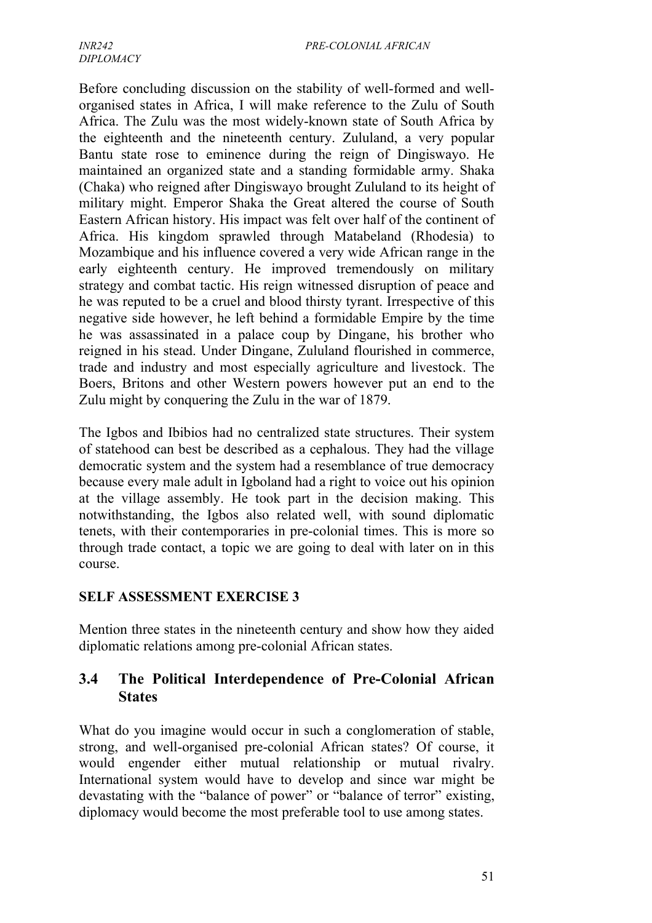Before concluding discussion on the stability of well-formed and wellorganised states in Africa, I will make reference to the Zulu of South Africa. The Zulu was the most widely-known state of South Africa by the eighteenth and the nineteenth century. Zululand, a very popular Bantu state rose to eminence during the reign of Dingiswayo. He maintained an organized state and a standing formidable army. Shaka (Chaka) who reigned after Dingiswayo brought Zululand to its height of military might. Emperor Shaka the Great altered the course of South Eastern African history. His impact was felt over half of the continent of Africa. His kingdom sprawled through Matabeland (Rhodesia) to Mozambique and his influence covered a very wide African range in the early eighteenth century. He improved tremendously on military strategy and combat tactic. His reign witnessed disruption of peace and he was reputed to be a cruel and blood thirsty tyrant. Irrespective of this negative side however, he left behind a formidable Empire by the time he was assassinated in a palace coup by Dingane, his brother who reigned in his stead. Under Dingane, Zululand flourished in commerce, trade and industry and most especially agriculture and livestock. The Boers, Britons and other Western powers however put an end to the Zulu might by conquering the Zulu in the war of 1879.

The Igbos and Ibibios had no centralized state structures. Their system of statehood can best be described as a cephalous. They had the village democratic system and the system had a resemblance of true democracy because every male adult in Igboland had a right to voice out his opinion at the village assembly. He took part in the decision making. This notwithstanding, the Igbos also related well, with sound diplomatic tenets, with their contemporaries in pre-colonial times. This is more so through trade contact, a topic we are going to deal with later on in this course.

#### **SELF ASSESSMENT EXERCISE 3**

Mention three states in the nineteenth century and show how they aided diplomatic relations among pre-colonial African states.

### **3.4 The Political Interdependence of Pre-Colonial African States**

What do you imagine would occur in such a conglomeration of stable, strong, and well-organised pre-colonial African states? Of course, it would engender either mutual relationship or mutual rivalry. International system would have to develop and since war might be devastating with the "balance of power" or "balance of terror" existing, diplomacy would become the most preferable tool to use among states.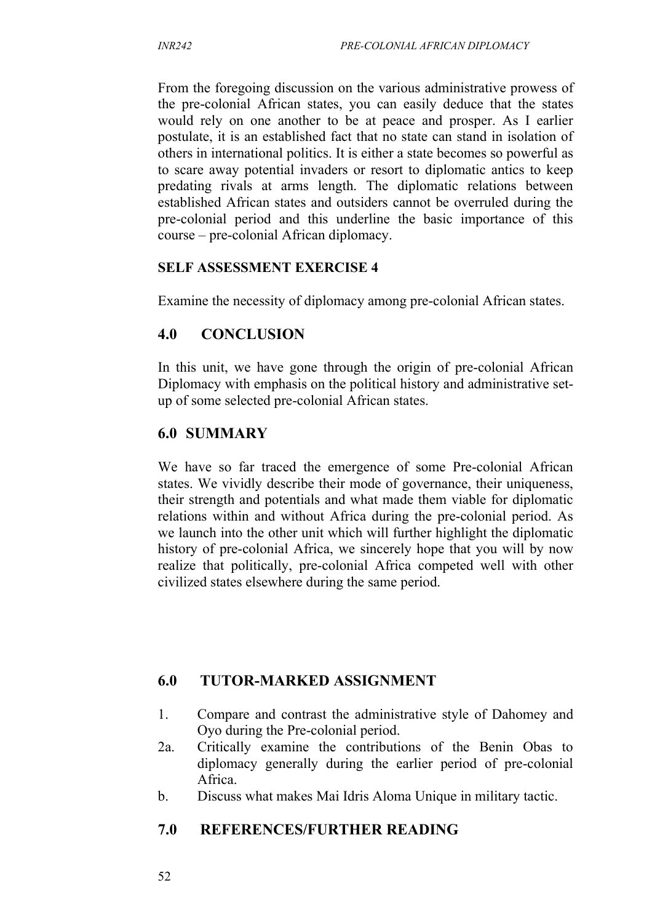From the foregoing discussion on the various administrative prowess of the pre-colonial African states, you can easily deduce that the states would rely on one another to be at peace and prosper. As I earlier postulate, it is an established fact that no state can stand in isolation of others in international politics. It is either a state becomes so powerful as to scare away potential invaders or resort to diplomatic antics to keep predating rivals at arms length. The diplomatic relations between established African states and outsiders cannot be overruled during the pre-colonial period and this underline the basic importance of this course – pre-colonial African diplomacy.

### **SELF ASSESSMENT EXERCISE 4**

Examine the necessity of diplomacy among pre-colonial African states.

# **4.0 CONCLUSION**

In this unit, we have gone through the origin of pre-colonial African Diplomacy with emphasis on the political history and administrative setup of some selected pre-colonial African states.

## **6.0 SUMMARY**

We have so far traced the emergence of some Pre-colonial African states. We vividly describe their mode of governance, their uniqueness, their strength and potentials and what made them viable for diplomatic relations within and without Africa during the pre-colonial period. As we launch into the other unit which will further highlight the diplomatic history of pre-colonial Africa, we sincerely hope that you will by now realize that politically, pre-colonial Africa competed well with other civilized states elsewhere during the same period.

# **6.0 TUTOR-MARKED ASSIGNMENT**

- 1. Compare and contrast the administrative style of Dahomey and Oyo during the Pre-colonial period.
- 2a. Critically examine the contributions of the Benin Obas to diplomacy generally during the earlier period of pre-colonial Africa.
- b. Discuss what makes Mai Idris Aloma Unique in military tactic.

## **7.0 REFERENCES/FURTHER READING**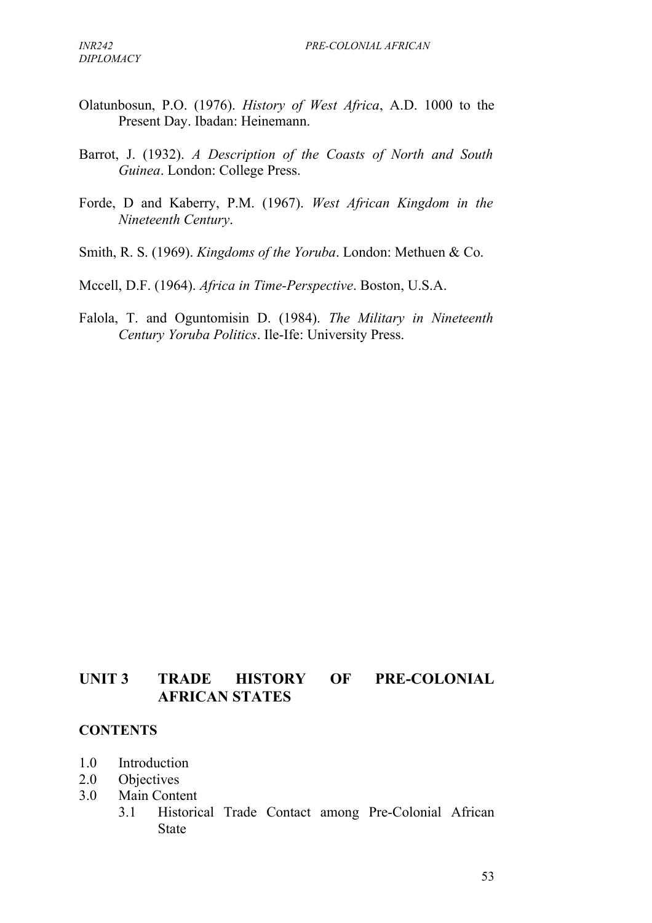- Olatunbosun, P.O. (1976). *History of West Africa*, A.D. 1000 to the Present Day. Ibadan: Heinemann.
- Barrot, J. (1932). *A Description of the Coasts of North and South Guinea*. London: College Press.
- Forde, D and Kaberry, P.M. (1967). *West African Kingdom in the Nineteenth Century*.
- Smith, R. S. (1969). *Kingdoms of the Yoruba*. London: Methuen & Co.
- Mccell, D.F. (1964). *Africa in Time-Perspective*. Boston, U.S.A.
- Falola, T. and Oguntomisin D. (1984). *The Military in Nineteenth Century Yoruba Politics*. Ile-Ife: University Press.

### **UNIT 3 TRADE HISTORY OF PRE-COLONIAL AFRICAN STATES**

#### **CONTENTS**

- 1.0 Introduction
- 2.0 Objectives
- 3.0 Main Content
	- 3.1 Historical Trade Contact among Pre-Colonial African State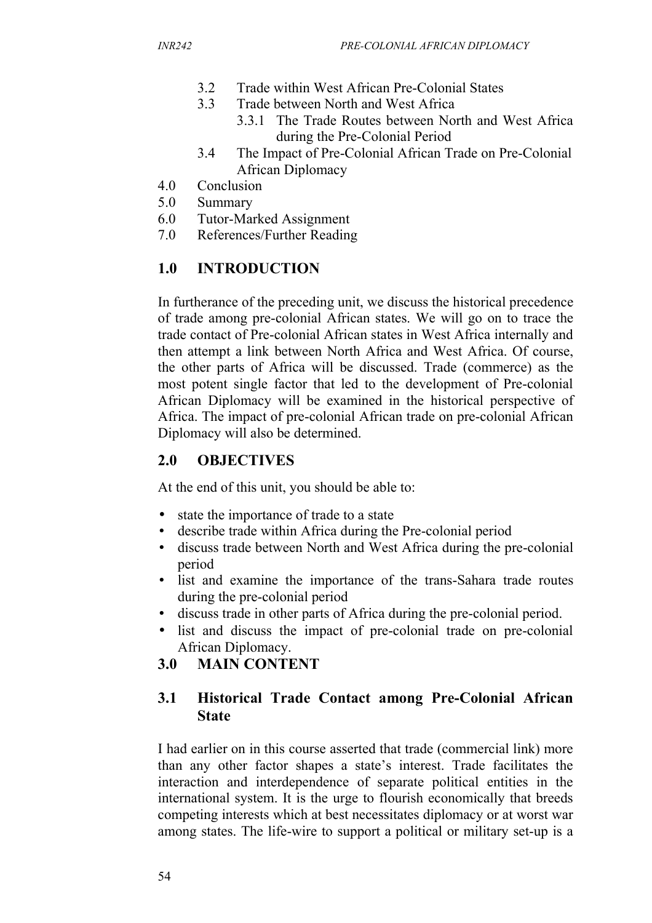- 3.2 Trade within West African Pre-Colonial States
- 3.3 Trade between North and West Africa
	- 3.3.1 The Trade Routes between North and West Africa during the Pre-Colonial Period
- 3.4 The Impact of Pre-Colonial African Trade on Pre-Colonial African Diplomacy
- 4.0 Conclusion
- 5.0 Summary
- 6.0 Tutor-Marked Assignment
- 7.0 References/Further Reading

# **1.0 INTRODUCTION**

In furtherance of the preceding unit, we discuss the historical precedence of trade among pre-colonial African states. We will go on to trace the trade contact of Pre-colonial African states in West Africa internally and then attempt a link between North Africa and West Africa. Of course, the other parts of Africa will be discussed. Trade (commerce) as the most potent single factor that led to the development of Pre-colonial African Diplomacy will be examined in the historical perspective of Africa. The impact of pre-colonial African trade on pre-colonial African Diplomacy will also be determined.

# **2.0 OBJECTIVES**

At the end of this unit, you should be able to:

- state the importance of trade to a state
- describe trade within Africa during the Pre-colonial period
- discuss trade between North and West Africa during the pre-colonial period
- list and examine the importance of the trans-Sahara trade routes during the pre-colonial period
- discuss trade in other parts of Africa during the pre-colonial period.
- list and discuss the impact of pre-colonial trade on pre-colonial African Diplomacy.
- **3.0 MAIN CONTENT**

# **3.1 Historical Trade Contact among Pre-Colonial African State**

I had earlier on in this course asserted that trade (commercial link) more than any other factor shapes a state's interest. Trade facilitates the interaction and interdependence of separate political entities in the international system. It is the urge to flourish economically that breeds competing interests which at best necessitates diplomacy or at worst war among states. The life-wire to support a political or military set-up is a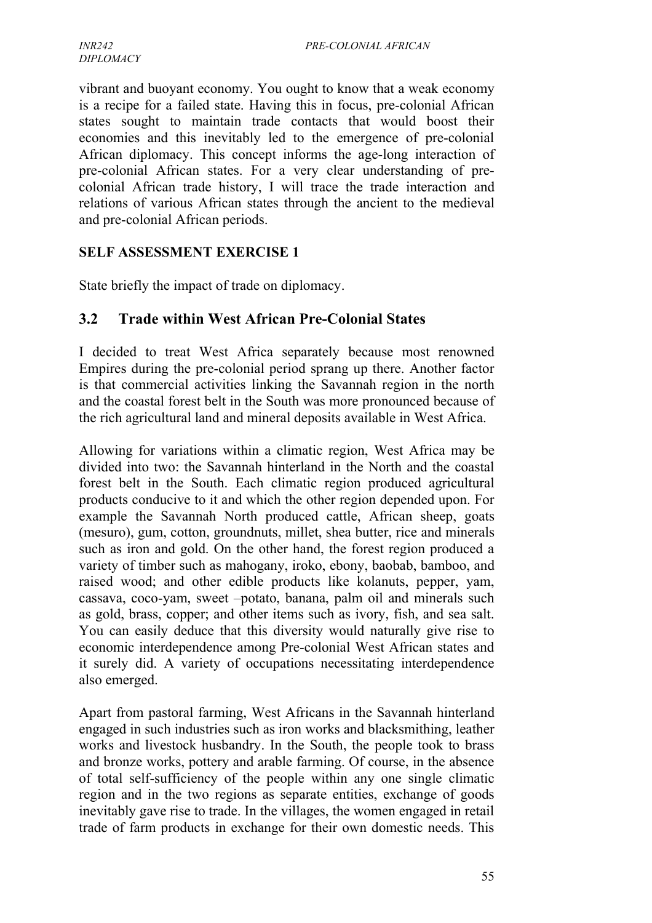vibrant and buoyant economy. You ought to know that a weak economy is a recipe for a failed state. Having this in focus, pre-colonial African states sought to maintain trade contacts that would boost their economies and this inevitably led to the emergence of pre-colonial African diplomacy. This concept informs the age-long interaction of pre-colonial African states. For a very clear understanding of precolonial African trade history, I will trace the trade interaction and relations of various African states through the ancient to the medieval and pre-colonial African periods.

#### **SELF ASSESSMENT EXERCISE 1**

State briefly the impact of trade on diplomacy.

### **3.2 Trade within West African Pre-Colonial States**

I decided to treat West Africa separately because most renowned Empires during the pre-colonial period sprang up there. Another factor is that commercial activities linking the Savannah region in the north and the coastal forest belt in the South was more pronounced because of the rich agricultural land and mineral deposits available in West Africa.

Allowing for variations within a climatic region, West Africa may be divided into two: the Savannah hinterland in the North and the coastal forest belt in the South. Each climatic region produced agricultural products conducive to it and which the other region depended upon. For example the Savannah North produced cattle, African sheep, goats (mesuro), gum, cotton, groundnuts, millet, shea butter, rice and minerals such as iron and gold. On the other hand, the forest region produced a variety of timber such as mahogany, iroko, ebony, baobab, bamboo, and raised wood; and other edible products like kolanuts, pepper, yam, cassava, coco-yam, sweet –potato, banana, palm oil and minerals such as gold, brass, copper; and other items such as ivory, fish, and sea salt. You can easily deduce that this diversity would naturally give rise to economic interdependence among Pre-colonial West African states and it surely did. A variety of occupations necessitating interdependence also emerged.

Apart from pastoral farming, West Africans in the Savannah hinterland engaged in such industries such as iron works and blacksmithing, leather works and livestock husbandry. In the South, the people took to brass and bronze works, pottery and arable farming. Of course, in the absence of total self-sufficiency of the people within any one single climatic region and in the two regions as separate entities, exchange of goods inevitably gave rise to trade. In the villages, the women engaged in retail trade of farm products in exchange for their own domestic needs. This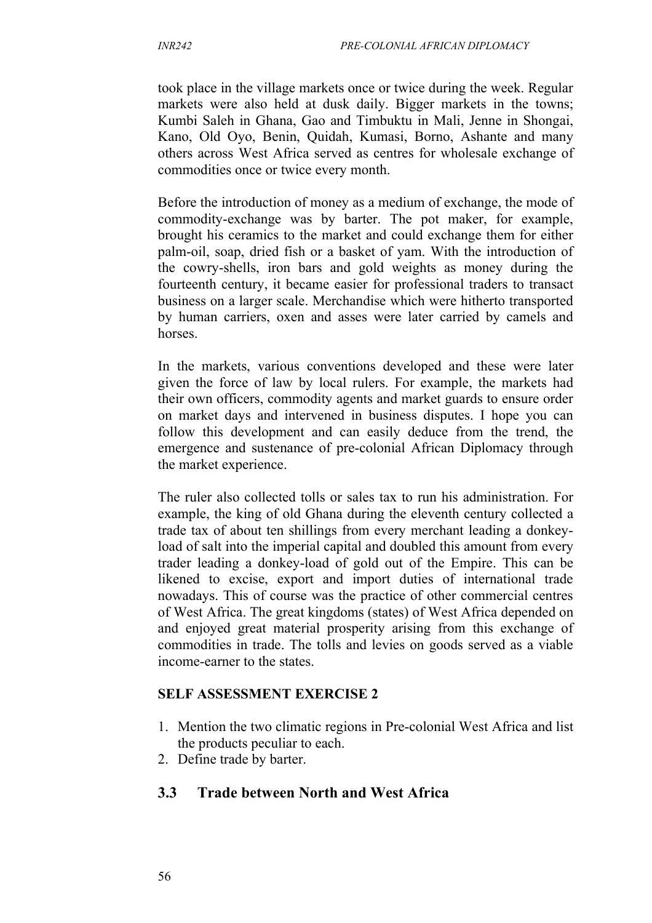took place in the village markets once or twice during the week. Regular markets were also held at dusk daily. Bigger markets in the towns; Kumbi Saleh in Ghana, Gao and Timbuktu in Mali, Jenne in Shongai, Kano, Old Oyo, Benin, Quidah, Kumasi, Borno, Ashante and many others across West Africa served as centres for wholesale exchange of commodities once or twice every month.

Before the introduction of money as a medium of exchange, the mode of commodity-exchange was by barter. The pot maker, for example, brought his ceramics to the market and could exchange them for either palm-oil, soap, dried fish or a basket of yam. With the introduction of the cowry-shells, iron bars and gold weights as money during the fourteenth century, it became easier for professional traders to transact business on a larger scale. Merchandise which were hitherto transported by human carriers, oxen and asses were later carried by camels and horses.

In the markets, various conventions developed and these were later given the force of law by local rulers. For example, the markets had their own officers, commodity agents and market guards to ensure order on market days and intervened in business disputes. I hope you can follow this development and can easily deduce from the trend, the emergence and sustenance of pre-colonial African Diplomacy through the market experience.

The ruler also collected tolls or sales tax to run his administration. For example, the king of old Ghana during the eleventh century collected a trade tax of about ten shillings from every merchant leading a donkeyload of salt into the imperial capital and doubled this amount from every trader leading a donkey-load of gold out of the Empire. This can be likened to excise, export and import duties of international trade nowadays. This of course was the practice of other commercial centres of West Africa. The great kingdoms (states) of West Africa depended on and enjoyed great material prosperity arising from this exchange of commodities in trade. The tolls and levies on goods served as a viable income-earner to the states.

#### **SELF ASSESSMENT EXERCISE 2**

- 1. Mention the two climatic regions in Pre-colonial West Africa and list the products peculiar to each.
- 2. Define trade by barter.

#### **3.3 Trade between North and West Africa**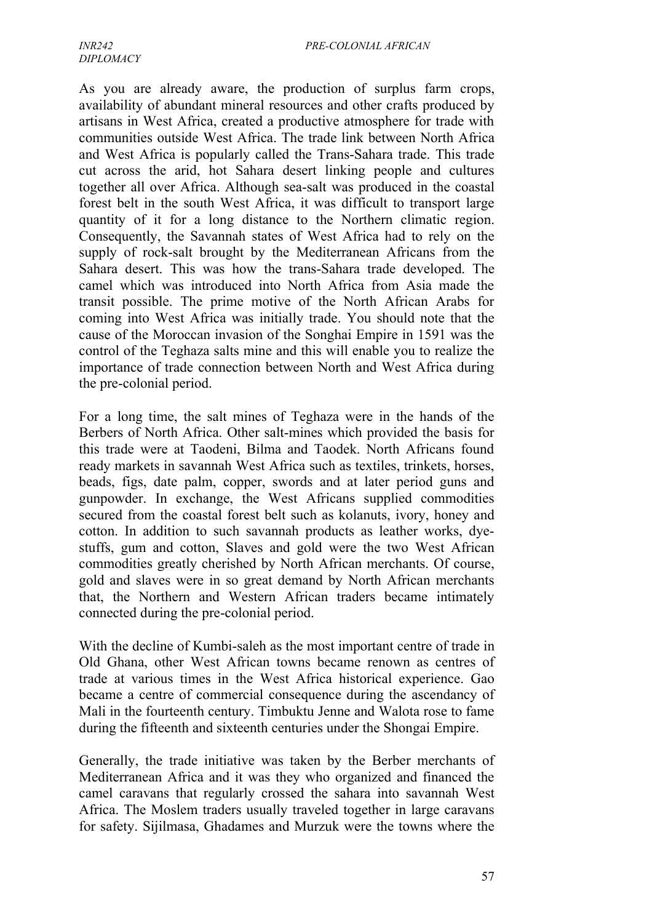As you are already aware, the production of surplus farm crops, availability of abundant mineral resources and other crafts produced by artisans in West Africa, created a productive atmosphere for trade with communities outside West Africa. The trade link between North Africa and West Africa is popularly called the Trans-Sahara trade. This trade cut across the arid, hot Sahara desert linking people and cultures together all over Africa. Although sea-salt was produced in the coastal forest belt in the south West Africa, it was difficult to transport large quantity of it for a long distance to the Northern climatic region. Consequently, the Savannah states of West Africa had to rely on the supply of rock-salt brought by the Mediterranean Africans from the Sahara desert. This was how the trans-Sahara trade developed. The camel which was introduced into North Africa from Asia made the transit possible. The prime motive of the North African Arabs for coming into West Africa was initially trade. You should note that the cause of the Moroccan invasion of the Songhai Empire in 1591 was the control of the Teghaza salts mine and this will enable you to realize the importance of trade connection between North and West Africa during the pre-colonial period.

For a long time, the salt mines of Teghaza were in the hands of the Berbers of North Africa. Other salt-mines which provided the basis for this trade were at Taodeni, Bilma and Taodek. North Africans found ready markets in savannah West Africa such as textiles, trinkets, horses, beads, figs, date palm, copper, swords and at later period guns and gunpowder. In exchange, the West Africans supplied commodities secured from the coastal forest belt such as kolanuts, ivory, honey and cotton. In addition to such savannah products as leather works, dyestuffs, gum and cotton, Slaves and gold were the two West African commodities greatly cherished by North African merchants. Of course, gold and slaves were in so great demand by North African merchants that, the Northern and Western African traders became intimately connected during the pre-colonial period.

With the decline of Kumbi-saleh as the most important centre of trade in Old Ghana, other West African towns became renown as centres of trade at various times in the West Africa historical experience. Gao became a centre of commercial consequence during the ascendancy of Mali in the fourteenth century. Timbuktu Jenne and Walota rose to fame during the fifteenth and sixteenth centuries under the Shongai Empire.

Generally, the trade initiative was taken by the Berber merchants of Mediterranean Africa and it was they who organized and financed the camel caravans that regularly crossed the sahara into savannah West Africa. The Moslem traders usually traveled together in large caravans for safety. Sijilmasa, Ghadames and Murzuk were the towns where the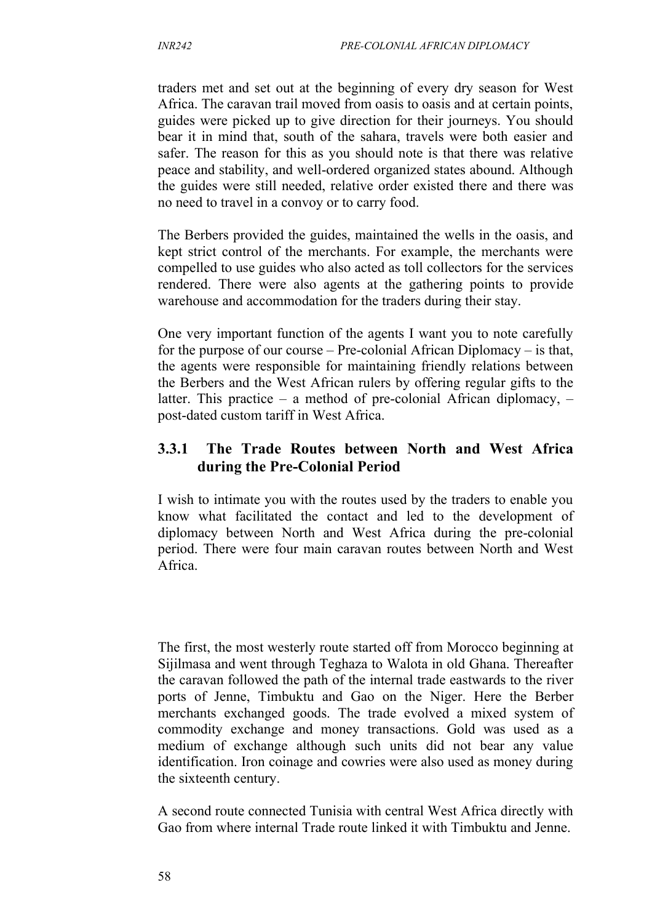traders met and set out at the beginning of every dry season for West Africa. The caravan trail moved from oasis to oasis and at certain points, guides were picked up to give direction for their journeys. You should bear it in mind that, south of the sahara, travels were both easier and safer. The reason for this as you should note is that there was relative peace and stability, and well-ordered organized states abound. Although the guides were still needed, relative order existed there and there was no need to travel in a convoy or to carry food.

The Berbers provided the guides, maintained the wells in the oasis, and kept strict control of the merchants. For example, the merchants were compelled to use guides who also acted as toll collectors for the services rendered. There were also agents at the gathering points to provide warehouse and accommodation for the traders during their stay.

One very important function of the agents I want you to note carefully for the purpose of our course – Pre-colonial African Diplomacy – is that, the agents were responsible for maintaining friendly relations between the Berbers and the West African rulers by offering regular gifts to the latter. This practice – a method of pre-colonial African diplomacy, – post-dated custom tariff in West Africa.

## **3.3.1 The Trade Routes between North and West Africa during the Pre-Colonial Period**

I wish to intimate you with the routes used by the traders to enable you know what facilitated the contact and led to the development of diplomacy between North and West Africa during the pre-colonial period. There were four main caravan routes between North and West Africa.

The first, the most westerly route started off from Morocco beginning at Sijilmasa and went through Teghaza to Walota in old Ghana. Thereafter the caravan followed the path of the internal trade eastwards to the river ports of Jenne, Timbuktu and Gao on the Niger. Here the Berber merchants exchanged goods. The trade evolved a mixed system of commodity exchange and money transactions. Gold was used as a medium of exchange although such units did not bear any value identification. Iron coinage and cowries were also used as money during the sixteenth century.

A second route connected Tunisia with central West Africa directly with Gao from where internal Trade route linked it with Timbuktu and Jenne.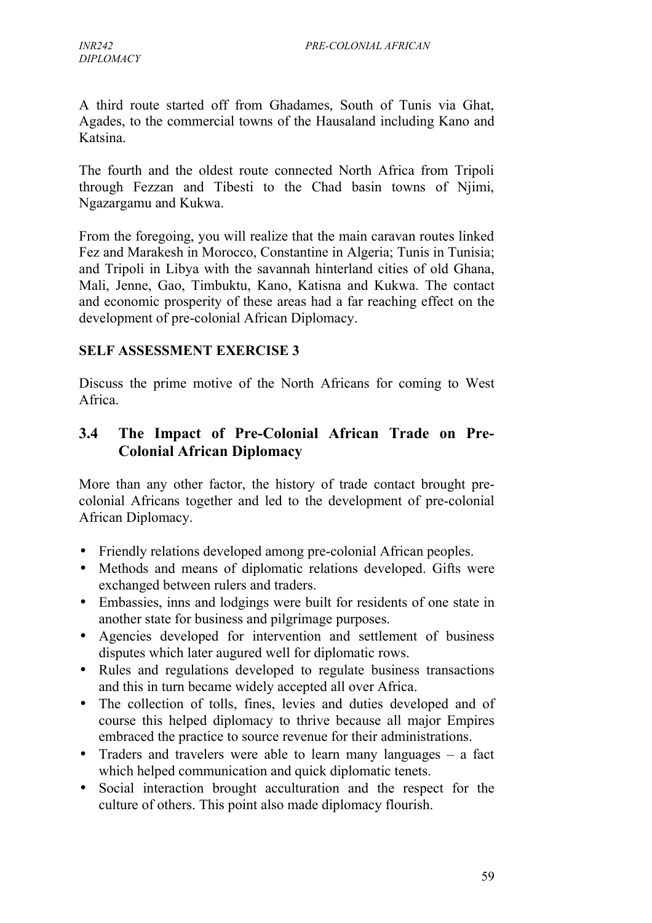A third route started off from Ghadames, South of Tunis via Ghat, Agades, to the commercial towns of the Hausaland including Kano and Katsina.

The fourth and the oldest route connected North Africa from Tripoli through Fezzan and Tibesti to the Chad basin towns of Njimi, Ngazargamu and Kukwa.

From the foregoing, you will realize that the main caravan routes linked Fez and Marakesh in Morocco, Constantine in Algeria; Tunis in Tunisia; and Tripoli in Libya with the savannah hinterland cities of old Ghana, Mali, Jenne, Gao, Timbuktu, Kano, Katisna and Kukwa. The contact and economic prosperity of these areas had a far reaching effect on the development of pre-colonial African Diplomacy.

#### **SELF ASSESSMENT EXERCISE 3**

Discuss the prime motive of the North Africans for coming to West Africa.

## **3.4 The Impact of Pre-Colonial African Trade on Pre-Colonial African Diplomacy**

More than any other factor, the history of trade contact brought precolonial Africans together and led to the development of pre-colonial African Diplomacy.

- Friendly relations developed among pre-colonial African peoples.
- Methods and means of diplomatic relations developed. Gifts were exchanged between rulers and traders.
- Embassies, inns and lodgings were built for residents of one state in another state for business and pilgrimage purposes.
- Agencies developed for intervention and settlement of business disputes which later augured well for diplomatic rows.
- Rules and regulations developed to regulate business transactions and this in turn became widely accepted all over Africa.
- The collection of tolls, fines, levies and duties developed and of course this helped diplomacy to thrive because all major Empires embraced the practice to source revenue for their administrations.
- Traders and travelers were able to learn many languages a fact which helped communication and quick diplomatic tenets.
- Social interaction brought acculturation and the respect for the culture of others. This point also made diplomacy flourish.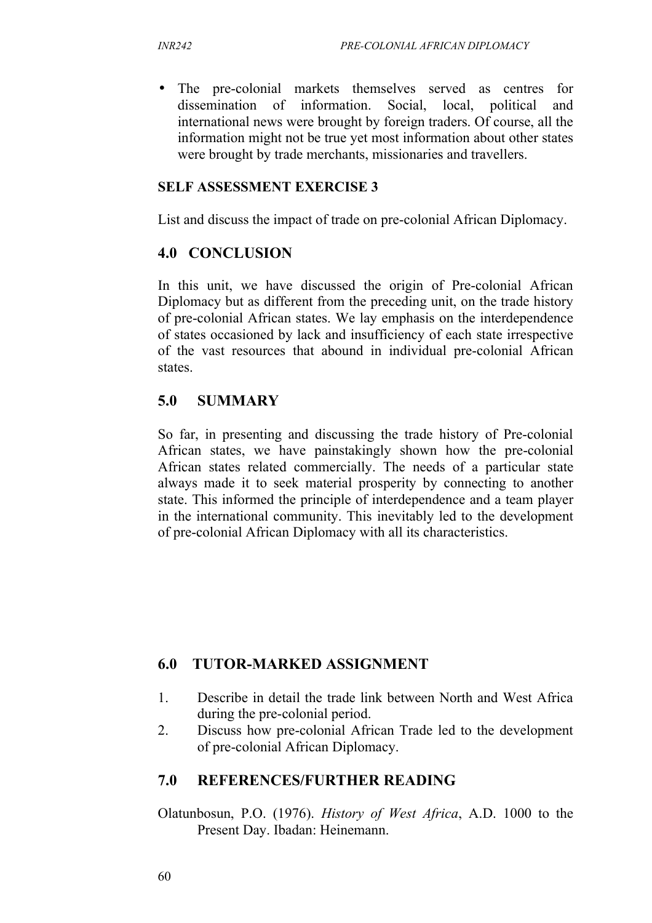The pre-colonial markets themselves served as centres for dissemination of information. Social, local, political and international news were brought by foreign traders. Of course, all the information might not be true yet most information about other states were brought by trade merchants, missionaries and travellers.

#### **SELF ASSESSMENT EXERCISE 3**

List and discuss the impact of trade on pre-colonial African Diplomacy.

#### **4.0 CONCLUSION**

In this unit, we have discussed the origin of Pre-colonial African Diplomacy but as different from the preceding unit, on the trade history of pre-colonial African states. We lay emphasis on the interdependence of states occasioned by lack and insufficiency of each state irrespective of the vast resources that abound in individual pre-colonial African states.

### **5.0 SUMMARY**

So far, in presenting and discussing the trade history of Pre-colonial African states, we have painstakingly shown how the pre-colonial African states related commercially. The needs of a particular state always made it to seek material prosperity by connecting to another state. This informed the principle of interdependence and a team player in the international community. This inevitably led to the development of pre-colonial African Diplomacy with all its characteristics.

#### **6.0 TUTOR-MARKED ASSIGNMENT**

- 1. Describe in detail the trade link between North and West Africa during the pre-colonial period.
- 2. Discuss how pre-colonial African Trade led to the development of pre-colonial African Diplomacy.

#### **7.0 REFERENCES/FURTHER READING**

Olatunbosun, P.O. (1976). *History of West Africa*, A.D. 1000 to the Present Day. Ibadan: Heinemann.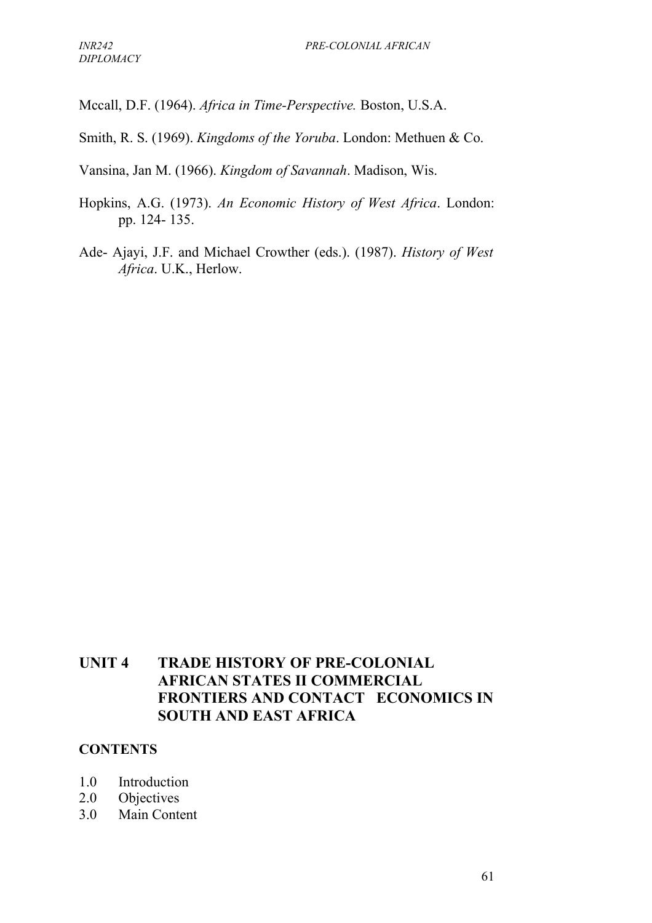Mccall, D.F. (1964). *Africa in Time-Perspective.* Boston, U.S.A.

Smith, R. S. (1969). *Kingdoms of the Yoruba*. London: Methuen & Co.

Vansina, Jan M. (1966). *Kingdom of Savannah*. Madison, Wis.

- Hopkins, A.G. (1973). *An Economic History of West Africa*. London: pp. 124- 135.
- Ade- Ajayi, J.F. and Michael Crowther (eds.). (1987). *History of West Africa*. U.K., Herlow.

## **UNIT 4 TRADE HISTORY OF PRE-COLONIAL AFRICAN STATES II COMMERCIAL FRONTIERS AND CONTACT ECONOMICS IN SOUTH AND EAST AFRICA**

#### **CONTENTS**

- 1.0 Introduction
- 2.0 Objectives
- 3.0 Main Content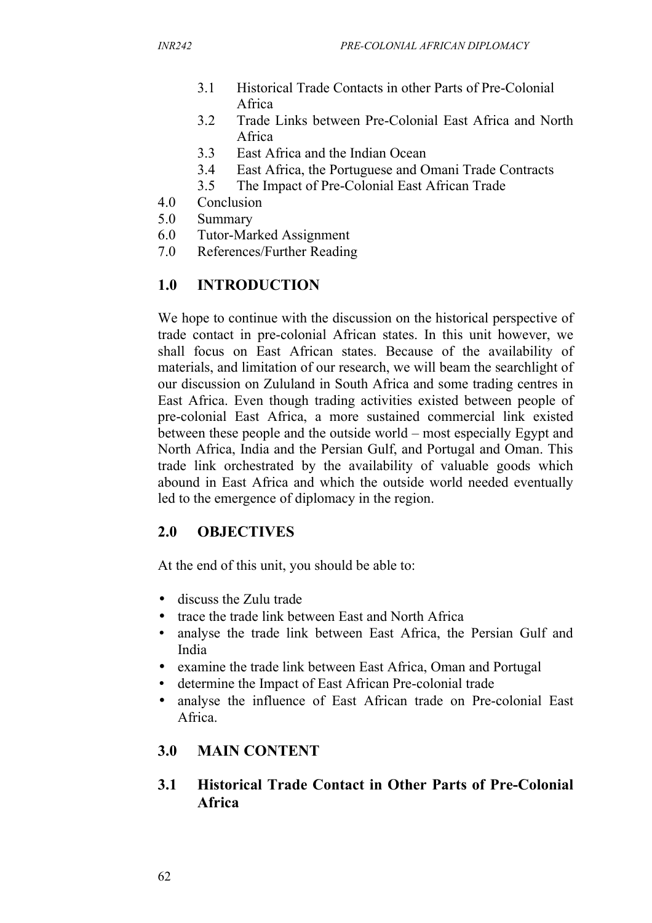- 3.1 Historical Trade Contacts in other Parts of Pre-Colonial Africa
- 3.2 Trade Links between Pre-Colonial East Africa and North Africa
- 3.3 East Africa and the Indian Ocean
- 3.4 East Africa, the Portuguese and Omani Trade Contracts
- 3.5 The Impact of Pre-Colonial East African Trade
- 4.0 Conclusion
- 5.0 Summary
- 6.0 Tutor-Marked Assignment
- 7.0 References/Further Reading

## **1.0 INTRODUCTION**

We hope to continue with the discussion on the historical perspective of trade contact in pre-colonial African states. In this unit however, we shall focus on East African states. Because of the availability of materials, and limitation of our research, we will beam the searchlight of our discussion on Zululand in South Africa and some trading centres in East Africa. Even though trading activities existed between people of pre-colonial East Africa, a more sustained commercial link existed between these people and the outside world – most especially Egypt and North Africa, India and the Persian Gulf, and Portugal and Oman. This trade link orchestrated by the availability of valuable goods which abound in East Africa and which the outside world needed eventually led to the emergence of diplomacy in the region.

## **2.0 OBJECTIVES**

At the end of this unit, you should be able to:

- discuss the Zulu trade
- trace the trade link between East and North Africa
- analyse the trade link between East Africa, the Persian Gulf and India
- examine the trade link between East Africa, Oman and Portugal
- determine the Impact of East African Pre-colonial trade
- analyse the influence of East African trade on Pre-colonial East Africa.

# **3.0 MAIN CONTENT**

## **3.1 Historical Trade Contact in Other Parts of Pre-Colonial Africa**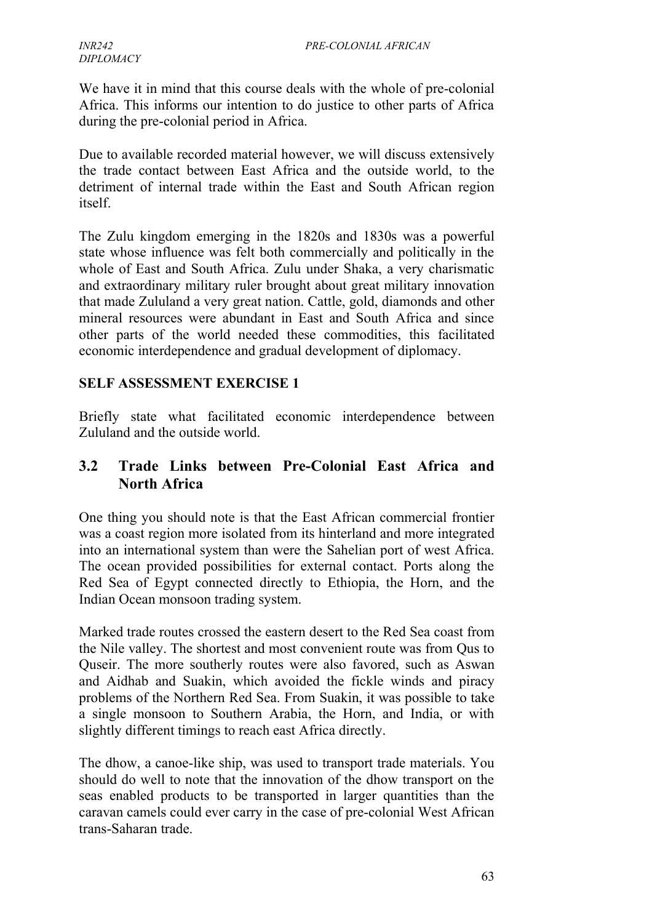We have it in mind that this course deals with the whole of pre-colonial Africa. This informs our intention to do justice to other parts of Africa during the pre-colonial period in Africa.

Due to available recorded material however, we will discuss extensively the trade contact between East Africa and the outside world, to the detriment of internal trade within the East and South African region itself.

The Zulu kingdom emerging in the 1820s and 1830s was a powerful state whose influence was felt both commercially and politically in the whole of East and South Africa. Zulu under Shaka, a very charismatic and extraordinary military ruler brought about great military innovation that made Zululand a very great nation. Cattle, gold, diamonds and other mineral resources were abundant in East and South Africa and since other parts of the world needed these commodities, this facilitated economic interdependence and gradual development of diplomacy.

### **SELF ASSESSMENT EXERCISE 1**

Briefly state what facilitated economic interdependence between Zululand and the outside world.

### **3.2 Trade Links between Pre-Colonial East Africa and North Africa**

One thing you should note is that the East African commercial frontier was a coast region more isolated from its hinterland and more integrated into an international system than were the Sahelian port of west Africa. The ocean provided possibilities for external contact. Ports along the Red Sea of Egypt connected directly to Ethiopia, the Horn, and the Indian Ocean monsoon trading system.

Marked trade routes crossed the eastern desert to the Red Sea coast from the Nile valley. The shortest and most convenient route was from Qus to Quseir. The more southerly routes were also favored, such as Aswan and Aidhab and Suakin, which avoided the fickle winds and piracy problems of the Northern Red Sea. From Suakin, it was possible to take a single monsoon to Southern Arabia, the Horn, and India, or with slightly different timings to reach east Africa directly.

The dhow, a canoe-like ship, was used to transport trade materials. You should do well to note that the innovation of the dhow transport on the seas enabled products to be transported in larger quantities than the caravan camels could ever carry in the case of pre-colonial West African trans-Saharan trade.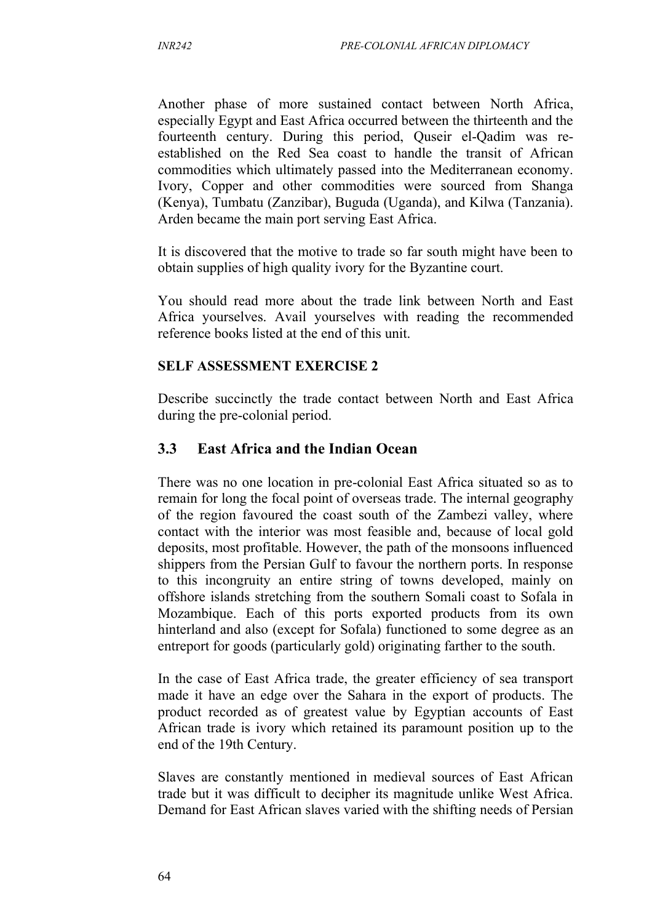Another phase of more sustained contact between North Africa, especially Egypt and East Africa occurred between the thirteenth and the fourteenth century. During this period, Quseir el-Qadim was reestablished on the Red Sea coast to handle the transit of African commodities which ultimately passed into the Mediterranean economy. Ivory, Copper and other commodities were sourced from Shanga (Kenya), Tumbatu (Zanzibar), Buguda (Uganda), and Kilwa (Tanzania). Arden became the main port serving East Africa.

It is discovered that the motive to trade so far south might have been to obtain supplies of high quality ivory for the Byzantine court.

You should read more about the trade link between North and East Africa yourselves. Avail yourselves with reading the recommended reference books listed at the end of this unit.

### **SELF ASSESSMENT EXERCISE 2**

Describe succinctly the trade contact between North and East Africa during the pre-colonial period.

## **3.3 East Africa and the Indian Ocean**

There was no one location in pre-colonial East Africa situated so as to remain for long the focal point of overseas trade. The internal geography of the region favoured the coast south of the Zambezi valley, where contact with the interior was most feasible and, because of local gold deposits, most profitable. However, the path of the monsoons influenced shippers from the Persian Gulf to favour the northern ports. In response to this incongruity an entire string of towns developed, mainly on offshore islands stretching from the southern Somali coast to Sofala in Mozambique. Each of this ports exported products from its own hinterland and also (except for Sofala) functioned to some degree as an entreport for goods (particularly gold) originating farther to the south.

In the case of East Africa trade, the greater efficiency of sea transport made it have an edge over the Sahara in the export of products. The product recorded as of greatest value by Egyptian accounts of East African trade is ivory which retained its paramount position up to the end of the 19th Century.

Slaves are constantly mentioned in medieval sources of East African trade but it was difficult to decipher its magnitude unlike West Africa. Demand for East African slaves varied with the shifting needs of Persian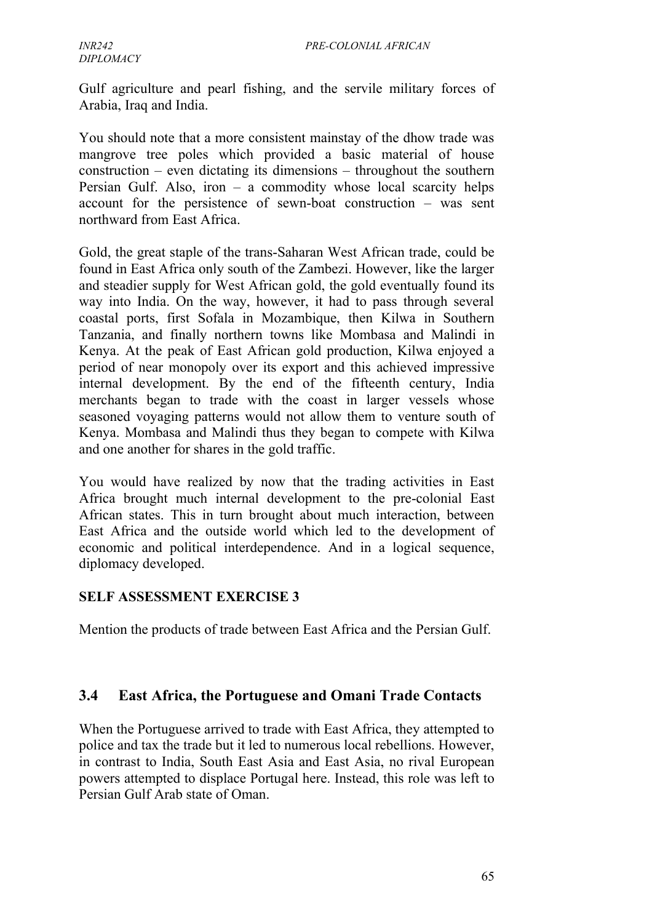Gulf agriculture and pearl fishing, and the servile military forces of Arabia, Iraq and India.

You should note that a more consistent mainstay of the dhow trade was mangrove tree poles which provided a basic material of house construction – even dictating its dimensions – throughout the southern Persian Gulf. Also, iron – a commodity whose local scarcity helps account for the persistence of sewn-boat construction – was sent northward from East Africa.

Gold, the great staple of the trans-Saharan West African trade, could be found in East Africa only south of the Zambezi. However, like the larger and steadier supply for West African gold, the gold eventually found its way into India. On the way, however, it had to pass through several coastal ports, first Sofala in Mozambique, then Kilwa in Southern Tanzania, and finally northern towns like Mombasa and Malindi in Kenya. At the peak of East African gold production, Kilwa enjoyed a period of near monopoly over its export and this achieved impressive internal development. By the end of the fifteenth century, India merchants began to trade with the coast in larger vessels whose seasoned voyaging patterns would not allow them to venture south of Kenya. Mombasa and Malindi thus they began to compete with Kilwa and one another for shares in the gold traffic.

You would have realized by now that the trading activities in East Africa brought much internal development to the pre-colonial East African states. This in turn brought about much interaction, between East Africa and the outside world which led to the development of economic and political interdependence. And in a logical sequence, diplomacy developed.

#### **SELF ASSESSMENT EXERCISE 3**

Mention the products of trade between East Africa and the Persian Gulf.

### **3.4 East Africa, the Portuguese and Omani Trade Contacts**

When the Portuguese arrived to trade with East Africa, they attempted to police and tax the trade but it led to numerous local rebellions. However, in contrast to India, South East Asia and East Asia, no rival European powers attempted to displace Portugal here. Instead, this role was left to Persian Gulf Arab state of Oman.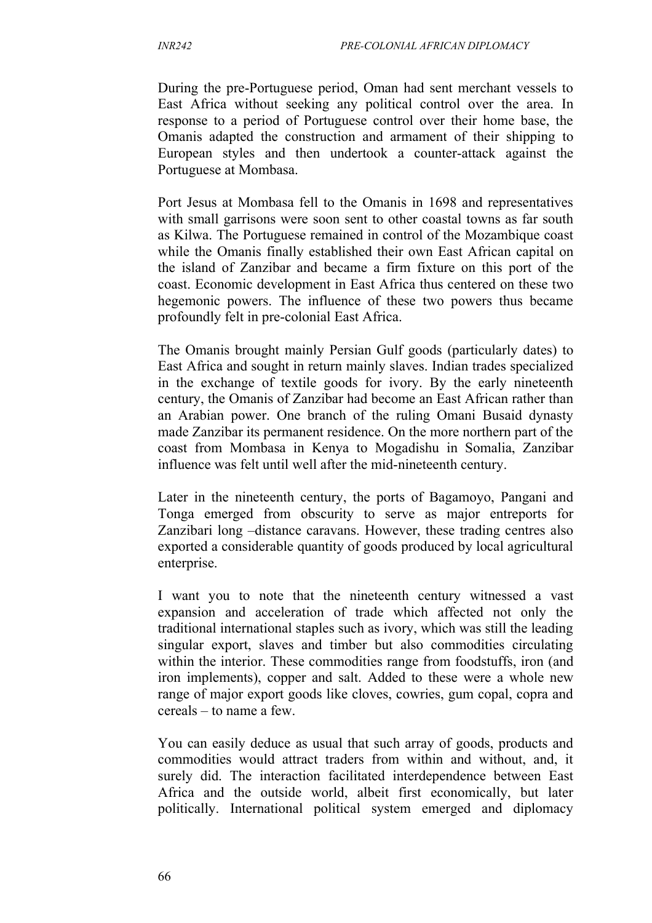During the pre-Portuguese period, Oman had sent merchant vessels to East Africa without seeking any political control over the area. In response to a period of Portuguese control over their home base, the Omanis adapted the construction and armament of their shipping to European styles and then undertook a counter-attack against the Portuguese at Mombasa.

Port Jesus at Mombasa fell to the Omanis in 1698 and representatives with small garrisons were soon sent to other coastal towns as far south as Kilwa. The Portuguese remained in control of the Mozambique coast while the Omanis finally established their own East African capital on the island of Zanzibar and became a firm fixture on this port of the coast. Economic development in East Africa thus centered on these two hegemonic powers. The influence of these two powers thus became profoundly felt in pre-colonial East Africa.

The Omanis brought mainly Persian Gulf goods (particularly dates) to East Africa and sought in return mainly slaves. Indian trades specialized in the exchange of textile goods for ivory. By the early nineteenth century, the Omanis of Zanzibar had become an East African rather than an Arabian power. One branch of the ruling Omani Busaid dynasty made Zanzibar its permanent residence. On the more northern part of the coast from Mombasa in Kenya to Mogadishu in Somalia, Zanzibar influence was felt until well after the mid-nineteenth century.

Later in the nineteenth century, the ports of Bagamoyo, Pangani and Tonga emerged from obscurity to serve as major entreports for Zanzibari long –distance caravans. However, these trading centres also exported a considerable quantity of goods produced by local agricultural enterprise.

I want you to note that the nineteenth century witnessed a vast expansion and acceleration of trade which affected not only the traditional international staples such as ivory, which was still the leading singular export, slaves and timber but also commodities circulating within the interior. These commodities range from foodstuffs, iron (and iron implements), copper and salt. Added to these were a whole new range of major export goods like cloves, cowries, gum copal, copra and cereals – to name a few.

You can easily deduce as usual that such array of goods, products and commodities would attract traders from within and without, and, it surely did. The interaction facilitated interdependence between East Africa and the outside world, albeit first economically, but later politically. International political system emerged and diplomacy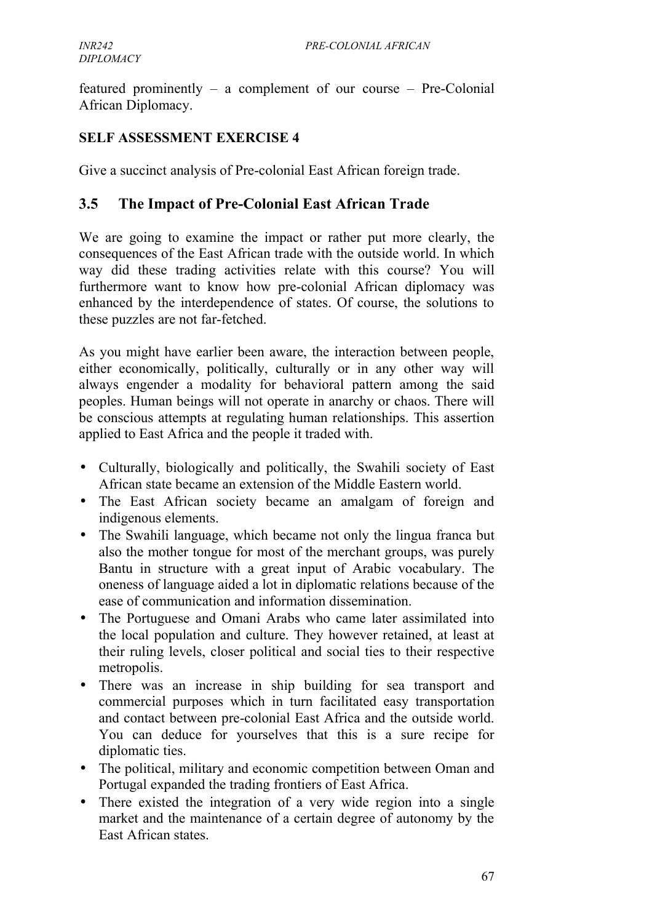featured prominently – a complement of our course – Pre-Colonial African Diplomacy.

## **SELF ASSESSMENT EXERCISE 4**

Give a succinct analysis of Pre-colonial East African foreign trade.

### **3.5 The Impact of Pre-Colonial East African Trade**

We are going to examine the impact or rather put more clearly, the consequences of the East African trade with the outside world. In which way did these trading activities relate with this course? You will furthermore want to know how pre-colonial African diplomacy was enhanced by the interdependence of states. Of course, the solutions to these puzzles are not far-fetched.

As you might have earlier been aware, the interaction between people, either economically, politically, culturally or in any other way will always engender a modality for behavioral pattern among the said peoples. Human beings will not operate in anarchy or chaos. There will be conscious attempts at regulating human relationships. This assertion applied to East Africa and the people it traded with.

- Culturally, biologically and politically, the Swahili society of East African state became an extension of the Middle Eastern world.
- The East African society became an amalgam of foreign and indigenous elements.
- The Swahili language, which became not only the lingua franca but also the mother tongue for most of the merchant groups, was purely Bantu in structure with a great input of Arabic vocabulary. The oneness of language aided a lot in diplomatic relations because of the ease of communication and information dissemination.
- The Portuguese and Omani Arabs who came later assimilated into the local population and culture. They however retained, at least at their ruling levels, closer political and social ties to their respective metropolis.
- There was an increase in ship building for sea transport and commercial purposes which in turn facilitated easy transportation and contact between pre-colonial East Africa and the outside world. You can deduce for yourselves that this is a sure recipe for diplomatic ties.
- The political, military and economic competition between Oman and Portugal expanded the trading frontiers of East Africa.
- There existed the integration of a very wide region into a single market and the maintenance of a certain degree of autonomy by the East African states.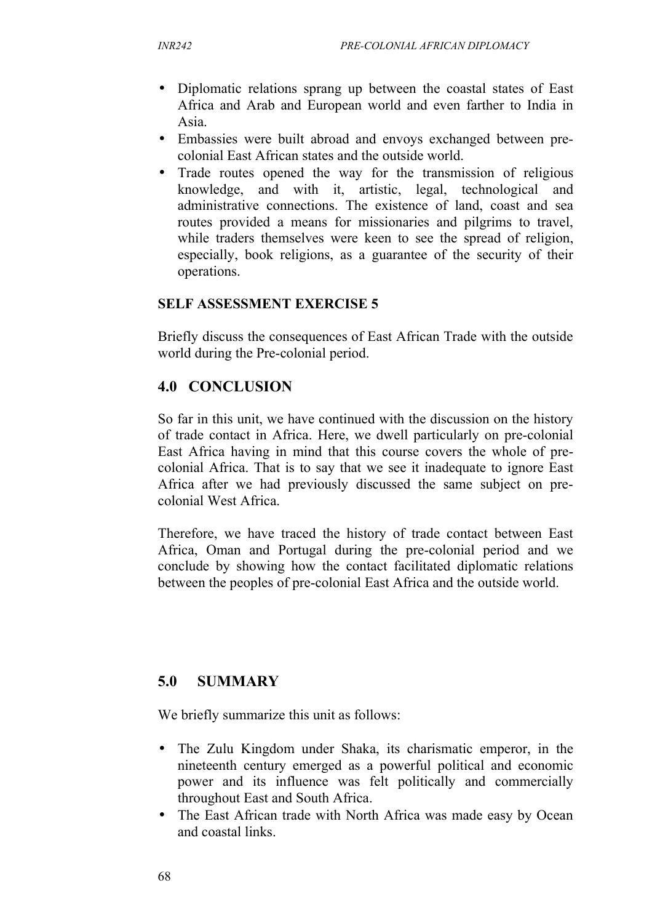- Diplomatic relations sprang up between the coastal states of East Africa and Arab and European world and even farther to India in Asia.
- Embassies were built abroad and envoys exchanged between precolonial East African states and the outside world.
- Trade routes opened the way for the transmission of religious knowledge, and with it, artistic, legal, technological and administrative connections. The existence of land, coast and sea routes provided a means for missionaries and pilgrims to travel, while traders themselves were keen to see the spread of religion, especially, book religions, as a guarantee of the security of their operations.

### **SELF ASSESSMENT EXERCISE 5**

Briefly discuss the consequences of East African Trade with the outside world during the Pre-colonial period.

### **4.0 CONCLUSION**

So far in this unit, we have continued with the discussion on the history of trade contact in Africa. Here, we dwell particularly on pre-colonial East Africa having in mind that this course covers the whole of precolonial Africa. That is to say that we see it inadequate to ignore East Africa after we had previously discussed the same subject on precolonial West Africa.

Therefore, we have traced the history of trade contact between East Africa, Oman and Portugal during the pre-colonial period and we conclude by showing how the contact facilitated diplomatic relations between the peoples of pre-colonial East Africa and the outside world.

## **5.0 SUMMARY**

We briefly summarize this unit as follows:

- The Zulu Kingdom under Shaka, its charismatic emperor, in the nineteenth century emerged as a powerful political and economic power and its influence was felt politically and commercially throughout East and South Africa.
- The East African trade with North Africa was made easy by Ocean and coastal links.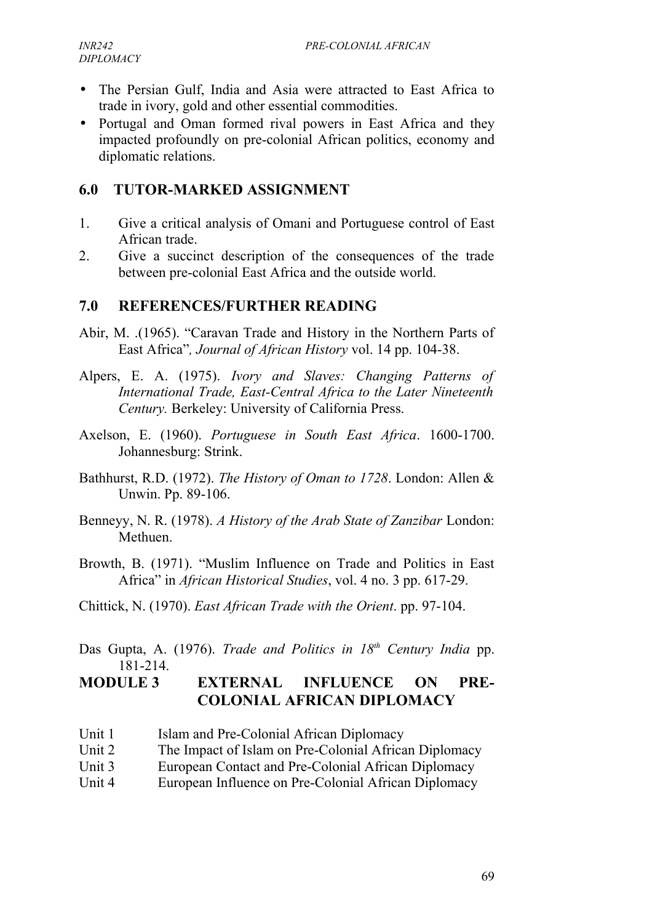- The Persian Gulf, India and Asia were attracted to East Africa to trade in ivory, gold and other essential commodities.
- Portugal and Oman formed rival powers in East Africa and they impacted profoundly on pre-colonial African politics, economy and diplomatic relations.

### **6.0 TUTOR-MARKED ASSIGNMENT**

- 1. Give a critical analysis of Omani and Portuguese control of East African trade.
- 2. Give a succinct description of the consequences of the trade between pre-colonial East Africa and the outside world.

### **7.0 REFERENCES/FURTHER READING**

- Abir, M. .(1965). "Caravan Trade and History in the Northern Parts of East Africa"*, Journal of African History* vol. 14 pp. 104-38.
- Alpers, E. A. (1975). *Ivory and Slaves: Changing Patterns of International Trade, East-Central Africa to the Later Nineteenth Century.* Berkeley: University of California Press.
- Axelson, E. (1960). *Portuguese in South East Africa*. 1600-1700. Johannesburg: Strink.
- Bathhurst, R.D. (1972). *The History of Oman to 1728*. London: Allen & Unwin. Pp. 89-106.
- Benneyy, N. R. (1978). *A History of the Arab State of Zanzibar* London: Methuen.
- Browth, B. (1971). "Muslim Influence on Trade and Politics in East Africa" in *African Historical Studies*, vol. 4 no. 3 pp. 617-29.
- Chittick, N. (1970). *East African Trade with the Orient*. pp. 97-104.
- Das Gupta, A. (1976). *Trade and Politics in 18th Century India* pp. 181-214.

## **MODULE 3 EXTERNAL INFLUENCE ON PRE-COLONIAL AFRICAN DIPLOMACY**

- Unit 1 Islam and Pre-Colonial African Diplomacy
- Unit 2 The Impact of Islam on Pre-Colonial African Diplomacy
- Unit 3 European Contact and Pre-Colonial African Diplomacy
- Unit 4 European Influence on Pre-Colonial African Diplomacy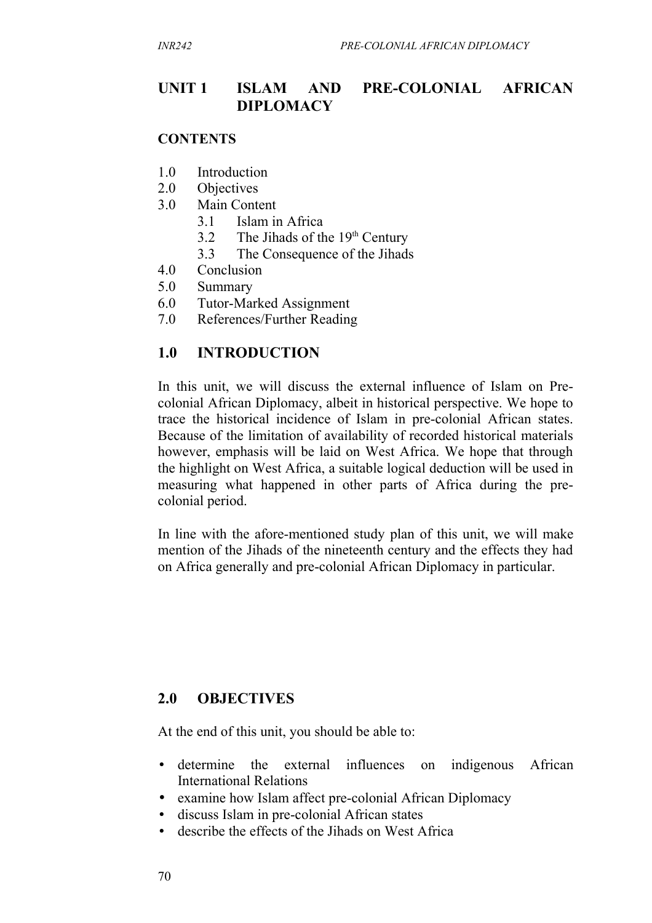### **UNIT 1 ISLAM AND PRE-COLONIAL AFRICAN DIPLOMACY**

#### **CONTENTS**

- 1.0 Introduction
- 2.0 Objectives
- 3.0 Main Content
	- 3.1 Islam in Africa
	- 3.2 The Jihads of the  $19<sup>th</sup>$  Century
	- 3.3 The Consequence of the Jihads
- 4.0 Conclusion
- 5.0 Summary
- 6.0 Tutor-Marked Assignment
- 7.0 References/Further Reading

#### **1.0 INTRODUCTION**

In this unit, we will discuss the external influence of Islam on Precolonial African Diplomacy, albeit in historical perspective. We hope to trace the historical incidence of Islam in pre-colonial African states. Because of the limitation of availability of recorded historical materials however, emphasis will be laid on West Africa. We hope that through the highlight on West Africa, a suitable logical deduction will be used in measuring what happened in other parts of Africa during the precolonial period.

In line with the afore-mentioned study plan of this unit, we will make mention of the Jihads of the nineteenth century and the effects they had on Africa generally and pre-colonial African Diplomacy in particular.

#### **2.0 OBJECTIVES**

At the end of this unit, you should be able to:

- determine the external influences on indigenous African International Relations
- examine how Islam affect pre-colonial African Diplomacy
- discuss Islam in pre-colonial African states
- describe the effects of the Jihads on West Africa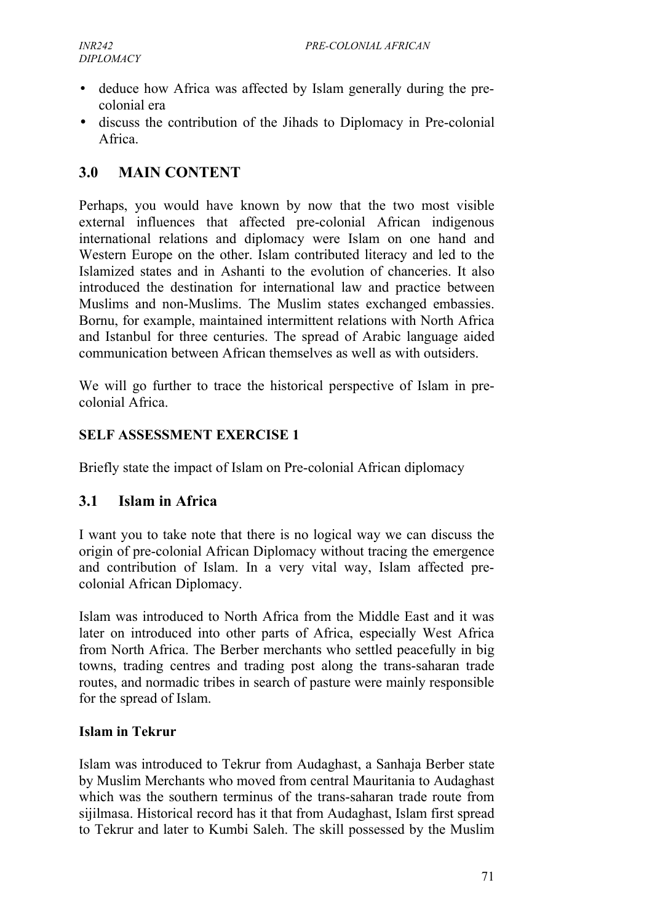- deduce how Africa was affected by Islam generally during the precolonial era
- discuss the contribution of the Jihads to Diplomacy in Pre-colonial Africa.

## **3.0 MAIN CONTENT**

Perhaps, you would have known by now that the two most visible external influences that affected pre-colonial African indigenous international relations and diplomacy were Islam on one hand and Western Europe on the other. Islam contributed literacy and led to the Islamized states and in Ashanti to the evolution of chanceries. It also introduced the destination for international law and practice between Muslims and non-Muslims. The Muslim states exchanged embassies. Bornu, for example, maintained intermittent relations with North Africa and Istanbul for three centuries. The spread of Arabic language aided communication between African themselves as well as with outsiders.

We will go further to trace the historical perspective of Islam in precolonial Africa.

### **SELF ASSESSMENT EXERCISE 1**

Briefly state the impact of Islam on Pre-colonial African diplomacy

### **3.1 Islam in Africa**

I want you to take note that there is no logical way we can discuss the origin of pre-colonial African Diplomacy without tracing the emergence and contribution of Islam. In a very vital way, Islam affected precolonial African Diplomacy.

Islam was introduced to North Africa from the Middle East and it was later on introduced into other parts of Africa, especially West Africa from North Africa. The Berber merchants who settled peacefully in big towns, trading centres and trading post along the trans-saharan trade routes, and normadic tribes in search of pasture were mainly responsible for the spread of Islam.

#### **Islam in Tekrur**

Islam was introduced to Tekrur from Audaghast, a Sanhaja Berber state by Muslim Merchants who moved from central Mauritania to Audaghast which was the southern terminus of the trans-saharan trade route from sijilmasa. Historical record has it that from Audaghast, Islam first spread to Tekrur and later to Kumbi Saleh. The skill possessed by the Muslim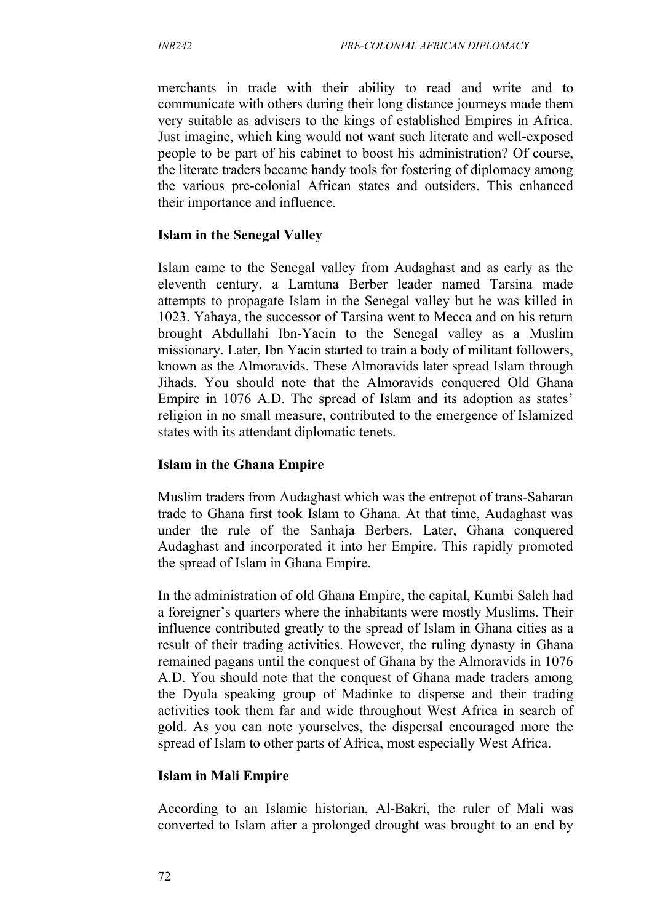merchants in trade with their ability to read and write and to communicate with others during their long distance journeys made them very suitable as advisers to the kings of established Empires in Africa. Just imagine, which king would not want such literate and well-exposed people to be part of his cabinet to boost his administration? Of course, the literate traders became handy tools for fostering of diplomacy among the various pre-colonial African states and outsiders. This enhanced their importance and influence.

### **Islam in the Senegal Valley**

Islam came to the Senegal valley from Audaghast and as early as the eleventh century, a Lamtuna Berber leader named Tarsina made attempts to propagate Islam in the Senegal valley but he was killed in 1023. Yahaya, the successor of Tarsina went to Mecca and on his return brought Abdullahi Ibn-Yacin to the Senegal valley as a Muslim missionary. Later, Ibn Yacin started to train a body of militant followers, known as the Almoravids. These Almoravids later spread Islam through Jihads. You should note that the Almoravids conquered Old Ghana Empire in 1076 A.D. The spread of Islam and its adoption as states' religion in no small measure, contributed to the emergence of Islamized states with its attendant diplomatic tenets.

#### **Islam in the Ghana Empire**

Muslim traders from Audaghast which was the entrepot of trans-Saharan trade to Ghana first took Islam to Ghana. At that time, Audaghast was under the rule of the Sanhaja Berbers. Later, Ghana conquered Audaghast and incorporated it into her Empire. This rapidly promoted the spread of Islam in Ghana Empire.

In the administration of old Ghana Empire, the capital, Kumbi Saleh had a foreigner's quarters where the inhabitants were mostly Muslims. Their influence contributed greatly to the spread of Islam in Ghana cities as a result of their trading activities. However, the ruling dynasty in Ghana remained pagans until the conquest of Ghana by the Almoravids in 1076 A.D. You should note that the conquest of Ghana made traders among the Dyula speaking group of Madinke to disperse and their trading activities took them far and wide throughout West Africa in search of gold. As you can note yourselves, the dispersal encouraged more the spread of Islam to other parts of Africa, most especially West Africa.

#### **Islam in Mali Empire**

According to an Islamic historian, Al-Bakri, the ruler of Mali was converted to Islam after a prolonged drought was brought to an end by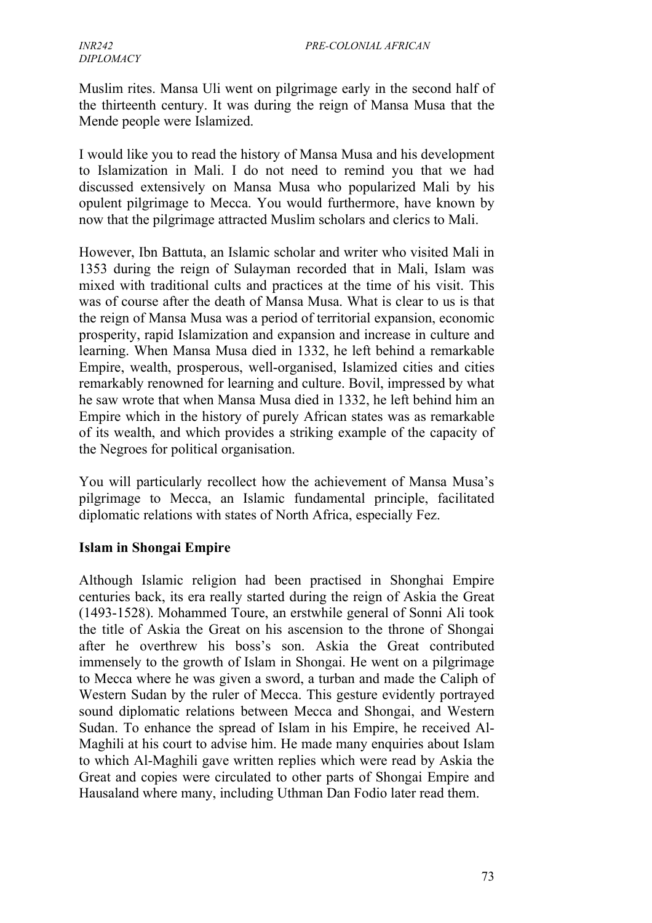Muslim rites. Mansa Uli went on pilgrimage early in the second half of the thirteenth century. It was during the reign of Mansa Musa that the Mende people were Islamized.

I would like you to read the history of Mansa Musa and his development to Islamization in Mali. I do not need to remind you that we had discussed extensively on Mansa Musa who popularized Mali by his opulent pilgrimage to Mecca. You would furthermore, have known by now that the pilgrimage attracted Muslim scholars and clerics to Mali.

However, Ibn Battuta, an Islamic scholar and writer who visited Mali in 1353 during the reign of Sulayman recorded that in Mali, Islam was mixed with traditional cults and practices at the time of his visit. This was of course after the death of Mansa Musa. What is clear to us is that the reign of Mansa Musa was a period of territorial expansion, economic prosperity, rapid Islamization and expansion and increase in culture and learning. When Mansa Musa died in 1332, he left behind a remarkable Empire, wealth, prosperous, well-organised, Islamized cities and cities remarkably renowned for learning and culture. Bovil, impressed by what he saw wrote that when Mansa Musa died in 1332, he left behind him an Empire which in the history of purely African states was as remarkable of its wealth, and which provides a striking example of the capacity of the Negroes for political organisation.

You will particularly recollect how the achievement of Mansa Musa's pilgrimage to Mecca, an Islamic fundamental principle, facilitated diplomatic relations with states of North Africa, especially Fez.

#### **Islam in Shongai Empire**

Although Islamic religion had been practised in Shonghai Empire centuries back, its era really started during the reign of Askia the Great (1493-1528). Mohammed Toure, an erstwhile general of Sonni Ali took the title of Askia the Great on his ascension to the throne of Shongai after he overthrew his boss's son. Askia the Great contributed immensely to the growth of Islam in Shongai. He went on a pilgrimage to Mecca where he was given a sword, a turban and made the Caliph of Western Sudan by the ruler of Mecca. This gesture evidently portrayed sound diplomatic relations between Mecca and Shongai, and Western Sudan. To enhance the spread of Islam in his Empire, he received Al-Maghili at his court to advise him. He made many enquiries about Islam to which Al-Maghili gave written replies which were read by Askia the Great and copies were circulated to other parts of Shongai Empire and Hausaland where many, including Uthman Dan Fodio later read them.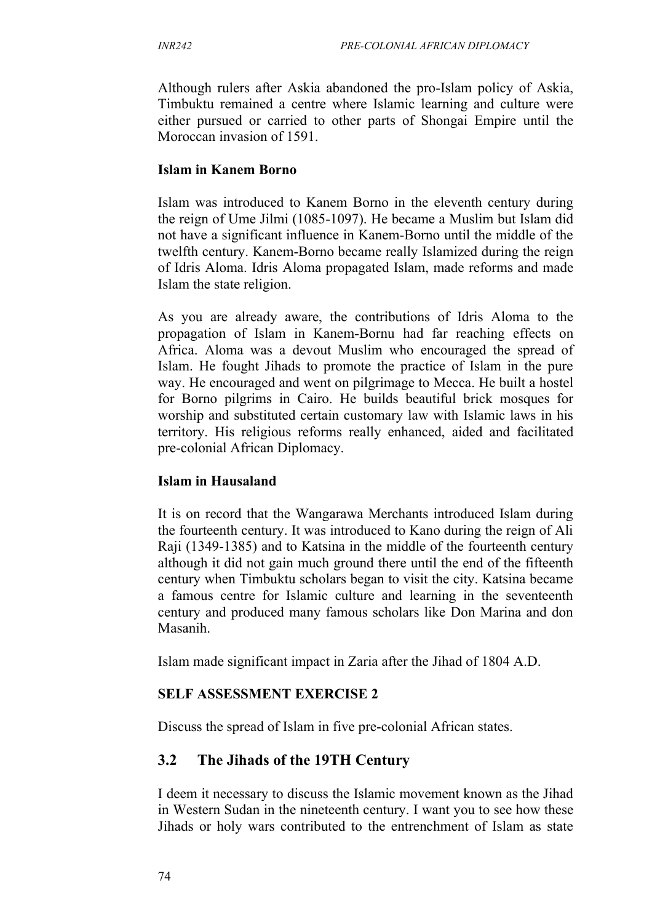Although rulers after Askia abandoned the pro-Islam policy of Askia, Timbuktu remained a centre where Islamic learning and culture were either pursued or carried to other parts of Shongai Empire until the Moroccan invasion of 1591.

### **Islam in Kanem Borno**

Islam was introduced to Kanem Borno in the eleventh century during the reign of Ume Jilmi (1085-1097). He became a Muslim but Islam did not have a significant influence in Kanem-Borno until the middle of the twelfth century. Kanem-Borno became really Islamized during the reign of Idris Aloma. Idris Aloma propagated Islam, made reforms and made Islam the state religion.

As you are already aware, the contributions of Idris Aloma to the propagation of Islam in Kanem-Bornu had far reaching effects on Africa. Aloma was a devout Muslim who encouraged the spread of Islam. He fought Jihads to promote the practice of Islam in the pure way. He encouraged and went on pilgrimage to Mecca. He built a hostel for Borno pilgrims in Cairo. He builds beautiful brick mosques for worship and substituted certain customary law with Islamic laws in his territory. His religious reforms really enhanced, aided and facilitated pre-colonial African Diplomacy.

#### **Islam in Hausaland**

It is on record that the Wangarawa Merchants introduced Islam during the fourteenth century. It was introduced to Kano during the reign of Ali Raji (1349-1385) and to Katsina in the middle of the fourteenth century although it did not gain much ground there until the end of the fifteenth century when Timbuktu scholars began to visit the city. Katsina became a famous centre for Islamic culture and learning in the seventeenth century and produced many famous scholars like Don Marina and don Masanih.

Islam made significant impact in Zaria after the Jihad of 1804 A.D.

### **SELF ASSESSMENT EXERCISE 2**

Discuss the spread of Islam in five pre-colonial African states.

## **3.2 The Jihads of the 19TH Century**

I deem it necessary to discuss the Islamic movement known as the Jihad in Western Sudan in the nineteenth century. I want you to see how these Jihads or holy wars contributed to the entrenchment of Islam as state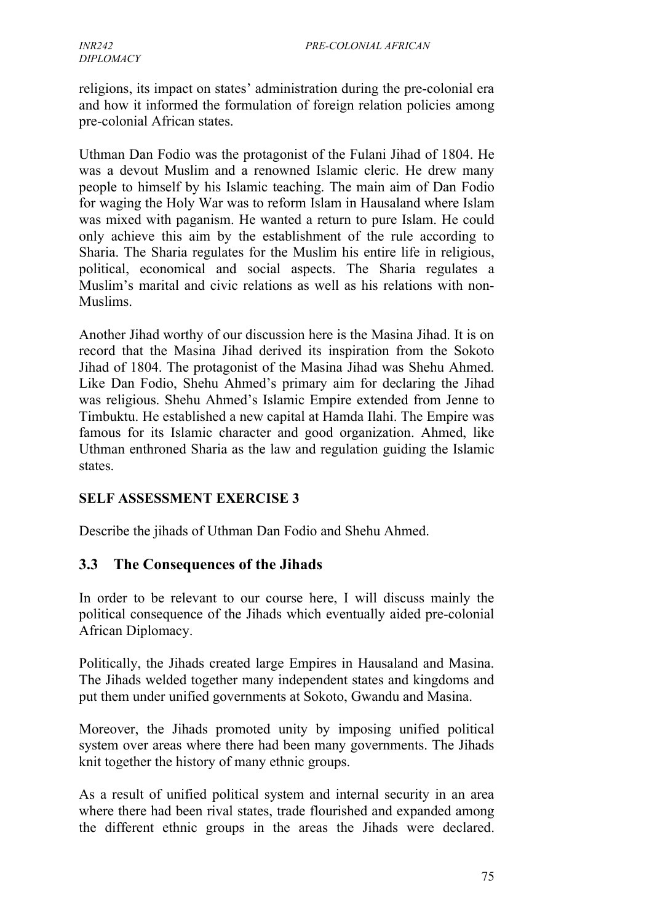religions, its impact on states' administration during the pre-colonial era and how it informed the formulation of foreign relation policies among pre-colonial African states.

Uthman Dan Fodio was the protagonist of the Fulani Jihad of 1804. He was a devout Muslim and a renowned Islamic cleric. He drew many people to himself by his Islamic teaching. The main aim of Dan Fodio for waging the Holy War was to reform Islam in Hausaland where Islam was mixed with paganism. He wanted a return to pure Islam. He could only achieve this aim by the establishment of the rule according to Sharia. The Sharia regulates for the Muslim his entire life in religious, political, economical and social aspects. The Sharia regulates a Muslim's marital and civic relations as well as his relations with non-Muslims.

Another Jihad worthy of our discussion here is the Masina Jihad. It is on record that the Masina Jihad derived its inspiration from the Sokoto Jihad of 1804. The protagonist of the Masina Jihad was Shehu Ahmed. Like Dan Fodio, Shehu Ahmed's primary aim for declaring the Jihad was religious. Shehu Ahmed's Islamic Empire extended from Jenne to Timbuktu. He established a new capital at Hamda Ilahi. The Empire was famous for its Islamic character and good organization. Ahmed, like Uthman enthroned Sharia as the law and regulation guiding the Islamic states.

#### **SELF ASSESSMENT EXERCISE 3**

Describe the jihads of Uthman Dan Fodio and Shehu Ahmed.

### **3.3 The Consequences of the Jihads**

In order to be relevant to our course here, I will discuss mainly the political consequence of the Jihads which eventually aided pre-colonial African Diplomacy.

Politically, the Jihads created large Empires in Hausaland and Masina. The Jihads welded together many independent states and kingdoms and put them under unified governments at Sokoto, Gwandu and Masina.

Moreover, the Jihads promoted unity by imposing unified political system over areas where there had been many governments. The Jihads knit together the history of many ethnic groups.

As a result of unified political system and internal security in an area where there had been rival states, trade flourished and expanded among the different ethnic groups in the areas the Jihads were declared.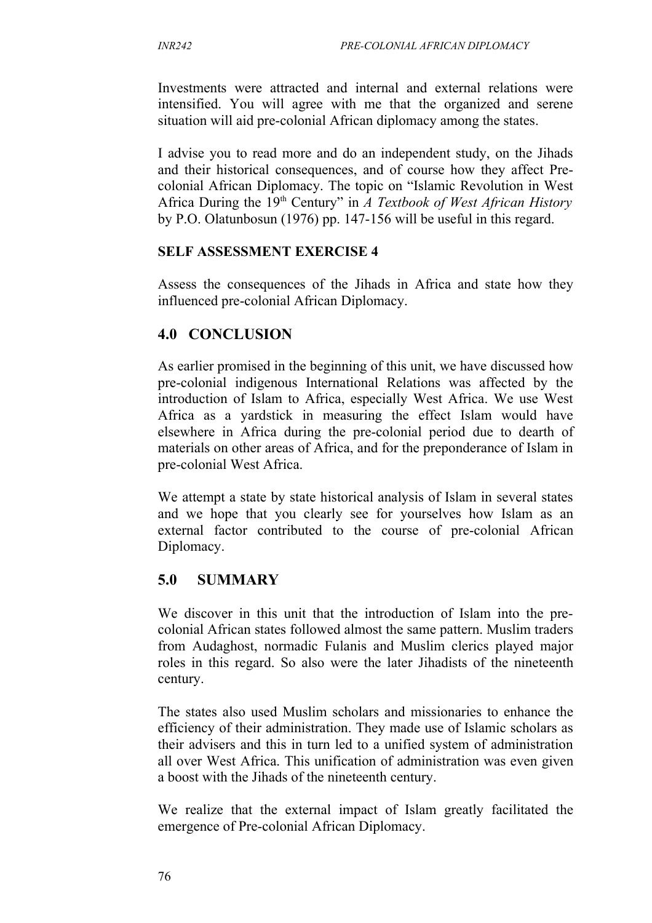Investments were attracted and internal and external relations were intensified. You will agree with me that the organized and serene situation will aid pre-colonial African diplomacy among the states.

I advise you to read more and do an independent study, on the Jihads and their historical consequences, and of course how they affect Precolonial African Diplomacy. The topic on "Islamic Revolution in West Africa During the 19th Century" in *A Textbook of West African History* by P.O. Olatunbosun (1976) pp. 147-156 will be useful in this regard.

#### **SELF ASSESSMENT EXERCISE 4**

Assess the consequences of the Jihads in Africa and state how they influenced pre-colonial African Diplomacy.

## **4.0 CONCLUSION**

As earlier promised in the beginning of this unit, we have discussed how pre-colonial indigenous International Relations was affected by the introduction of Islam to Africa, especially West Africa. We use West Africa as a yardstick in measuring the effect Islam would have elsewhere in Africa during the pre-colonial period due to dearth of materials on other areas of Africa, and for the preponderance of Islam in pre-colonial West Africa.

We attempt a state by state historical analysis of Islam in several states and we hope that you clearly see for yourselves how Islam as an external factor contributed to the course of pre-colonial African Diplomacy.

### **5.0 SUMMARY**

We discover in this unit that the introduction of Islam into the precolonial African states followed almost the same pattern. Muslim traders from Audaghost, normadic Fulanis and Muslim clerics played major roles in this regard. So also were the later Jihadists of the nineteenth century.

The states also used Muslim scholars and missionaries to enhance the efficiency of their administration. They made use of Islamic scholars as their advisers and this in turn led to a unified system of administration all over West Africa. This unification of administration was even given a boost with the Jihads of the nineteenth century.

We realize that the external impact of Islam greatly facilitated the emergence of Pre-colonial African Diplomacy.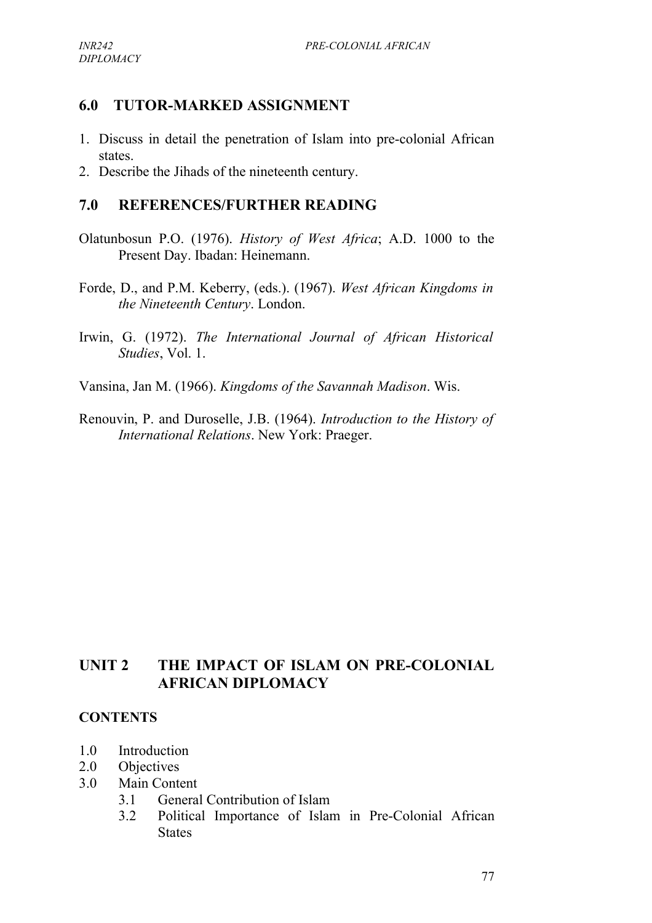### **6.0 TUTOR-MARKED ASSIGNMENT**

- 1. Discuss in detail the penetration of Islam into pre-colonial African states.
- 2. Describe the Jihads of the nineteenth century.

### **7.0 REFERENCES/FURTHER READING**

- Olatunbosun P.O. (1976). *History of West Africa*; A.D. 1000 to the Present Day. Ibadan: Heinemann.
- Forde, D., and P.M. Keberry, (eds.). (1967). *West African Kingdoms in the Nineteenth Century*. London.
- Irwin, G. (1972). *The International Journal of African Historical Studies*, Vol. 1.
- Vansina, Jan M. (1966). *Kingdoms of the Savannah Madison*. Wis.
- Renouvin, P. and Duroselle, J.B. (1964). *Introduction to the History of International Relations*. New York: Praeger.

## **UNIT 2 THE IMPACT OF ISLAM ON PRE-COLONIAL AFRICAN DIPLOMACY**

#### **CONTENTS**

- 1.0 Introduction
- 2.0 Objectives
- 3.0 Main Content
	- 3.1 General Contribution of Islam
	- 3.2 Political Importance of Islam in Pre-Colonial African **States**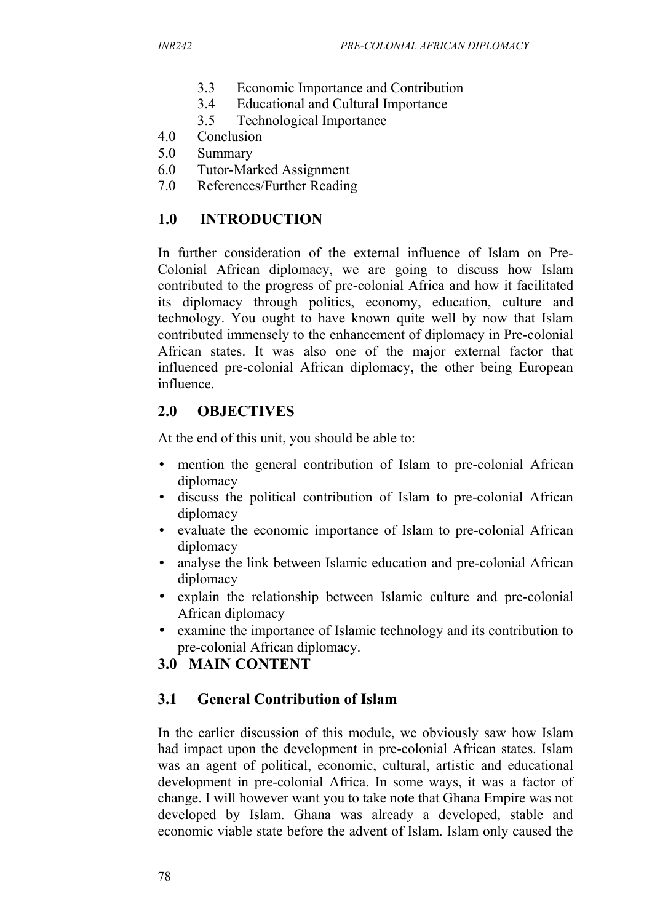- 3.3 Economic Importance and Contribution
- 3.4 Educational and Cultural Importance
- 3.5 Technological Importance
- 4.0 Conclusion
- 5.0 Summary
- 6.0 Tutor-Marked Assignment
- 7.0 References/Further Reading

# **1.0 INTRODUCTION**

In further consideration of the external influence of Islam on Pre-Colonial African diplomacy, we are going to discuss how Islam contributed to the progress of pre-colonial Africa and how it facilitated its diplomacy through politics, economy, education, culture and technology. You ought to have known quite well by now that Islam contributed immensely to the enhancement of diplomacy in Pre-colonial African states. It was also one of the major external factor that influenced pre-colonial African diplomacy, the other being European influence.

## **2.0 OBJECTIVES**

At the end of this unit, you should be able to:

- mention the general contribution of Islam to pre-colonial African diplomacy
- discuss the political contribution of Islam to pre-colonial African diplomacy
- evaluate the economic importance of Islam to pre-colonial African diplomacy
- analyse the link between Islamic education and pre-colonial African diplomacy
- explain the relationship between Islamic culture and pre-colonial African diplomacy
- examine the importance of Islamic technology and its contribution to pre-colonial African diplomacy.

# **3.0 MAIN CONTENT**

# **3.1 General Contribution of Islam**

In the earlier discussion of this module, we obviously saw how Islam had impact upon the development in pre-colonial African states. Islam was an agent of political, economic, cultural, artistic and educational development in pre-colonial Africa. In some ways, it was a factor of change. I will however want you to take note that Ghana Empire was not developed by Islam. Ghana was already a developed, stable and economic viable state before the advent of Islam. Islam only caused the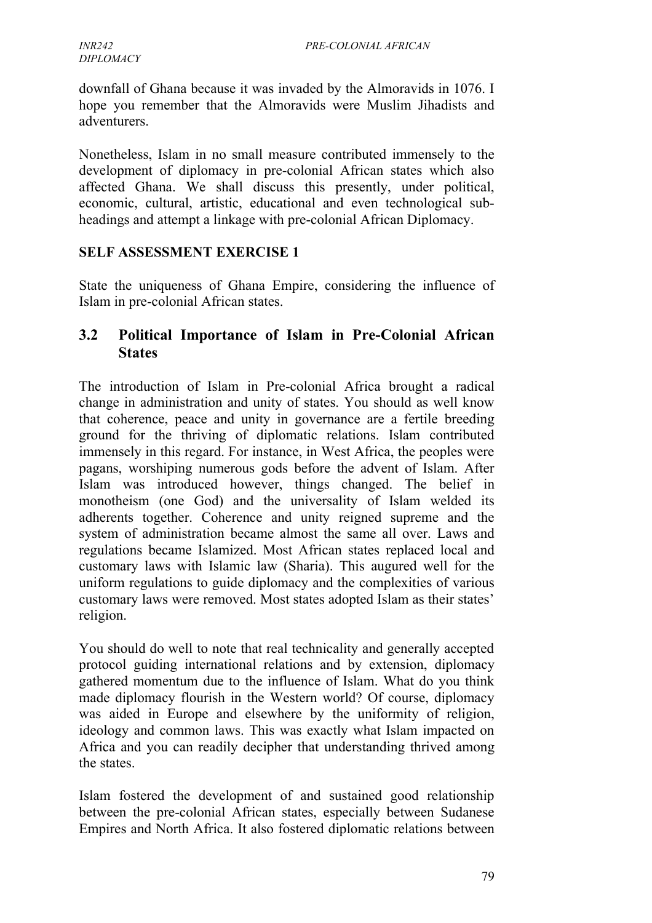downfall of Ghana because it was invaded by the Almoravids in 1076. I hope you remember that the Almoravids were Muslim Jihadists and adventurers.

Nonetheless, Islam in no small measure contributed immensely to the development of diplomacy in pre-colonial African states which also affected Ghana. We shall discuss this presently, under political, economic, cultural, artistic, educational and even technological subheadings and attempt a linkage with pre-colonial African Diplomacy.

#### **SELF ASSESSMENT EXERCISE 1**

State the uniqueness of Ghana Empire, considering the influence of Islam in pre-colonial African states.

### **3.2 Political Importance of Islam in Pre-Colonial African States**

The introduction of Islam in Pre-colonial Africa brought a radical change in administration and unity of states. You should as well know that coherence, peace and unity in governance are a fertile breeding ground for the thriving of diplomatic relations. Islam contributed immensely in this regard. For instance, in West Africa, the peoples were pagans, worshiping numerous gods before the advent of Islam. After Islam was introduced however, things changed. The belief in monotheism (one God) and the universality of Islam welded its adherents together. Coherence and unity reigned supreme and the system of administration became almost the same all over. Laws and regulations became Islamized. Most African states replaced local and customary laws with Islamic law (Sharia). This augured well for the uniform regulations to guide diplomacy and the complexities of various customary laws were removed. Most states adopted Islam as their states' religion.

You should do well to note that real technicality and generally accepted protocol guiding international relations and by extension, diplomacy gathered momentum due to the influence of Islam. What do you think made diplomacy flourish in the Western world? Of course, diplomacy was aided in Europe and elsewhere by the uniformity of religion. ideology and common laws. This was exactly what Islam impacted on Africa and you can readily decipher that understanding thrived among the states.

Islam fostered the development of and sustained good relationship between the pre-colonial African states, especially between Sudanese Empires and North Africa. It also fostered diplomatic relations between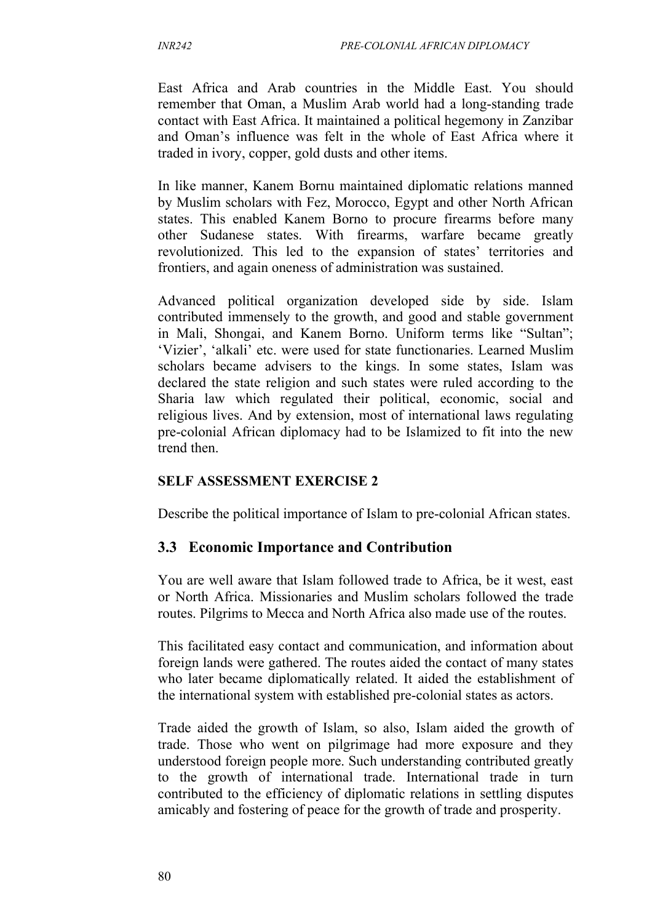East Africa and Arab countries in the Middle East. You should remember that Oman, a Muslim Arab world had a long-standing trade contact with East Africa. It maintained a political hegemony in Zanzibar and Oman's influence was felt in the whole of East Africa where it traded in ivory, copper, gold dusts and other items.

In like manner, Kanem Bornu maintained diplomatic relations manned by Muslim scholars with Fez, Morocco, Egypt and other North African states. This enabled Kanem Borno to procure firearms before many other Sudanese states. With firearms, warfare became greatly revolutionized. This led to the expansion of states' territories and frontiers, and again oneness of administration was sustained.

Advanced political organization developed side by side. Islam contributed immensely to the growth, and good and stable government in Mali, Shongai, and Kanem Borno. Uniform terms like "Sultan"; 'Vizier', 'alkali' etc. were used for state functionaries. Learned Muslim scholars became advisers to the kings. In some states, Islam was declared the state religion and such states were ruled according to the Sharia law which regulated their political, economic, social and religious lives. And by extension, most of international laws regulating pre-colonial African diplomacy had to be Islamized to fit into the new trend then.

### **SELF ASSESSMENT EXERCISE 2**

Describe the political importance of Islam to pre-colonial African states.

### **3.3 Economic Importance and Contribution**

You are well aware that Islam followed trade to Africa, be it west, east or North Africa. Missionaries and Muslim scholars followed the trade routes. Pilgrims to Mecca and North Africa also made use of the routes.

This facilitated easy contact and communication, and information about foreign lands were gathered. The routes aided the contact of many states who later became diplomatically related. It aided the establishment of the international system with established pre-colonial states as actors.

Trade aided the growth of Islam, so also, Islam aided the growth of trade. Those who went on pilgrimage had more exposure and they understood foreign people more. Such understanding contributed greatly to the growth of international trade. International trade in turn contributed to the efficiency of diplomatic relations in settling disputes amicably and fostering of peace for the growth of trade and prosperity.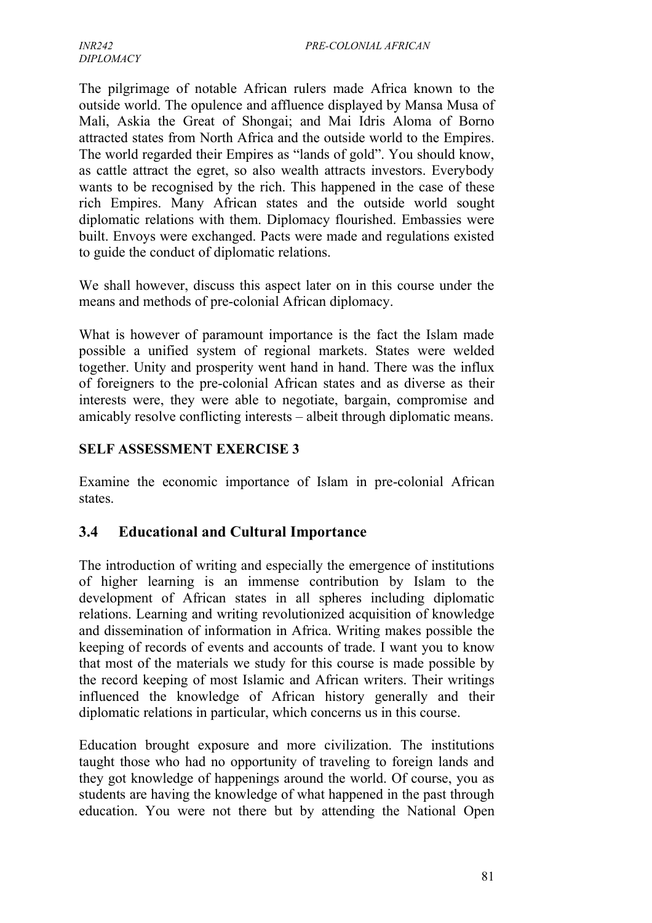The pilgrimage of notable African rulers made Africa known to the outside world. The opulence and affluence displayed by Mansa Musa of Mali, Askia the Great of Shongai; and Mai Idris Aloma of Borno attracted states from North Africa and the outside world to the Empires. The world regarded their Empires as "lands of gold". You should know, as cattle attract the egret, so also wealth attracts investors. Everybody wants to be recognised by the rich. This happened in the case of these rich Empires. Many African states and the outside world sought diplomatic relations with them. Diplomacy flourished. Embassies were built. Envoys were exchanged. Pacts were made and regulations existed to guide the conduct of diplomatic relations.

We shall however, discuss this aspect later on in this course under the means and methods of pre-colonial African diplomacy.

What is however of paramount importance is the fact the Islam made possible a unified system of regional markets. States were welded together. Unity and prosperity went hand in hand. There was the influx of foreigners to the pre-colonial African states and as diverse as their interests were, they were able to negotiate, bargain, compromise and amicably resolve conflicting interests – albeit through diplomatic means.

### **SELF ASSESSMENT EXERCISE 3**

Examine the economic importance of Islam in pre-colonial African states.

### **3.4 Educational and Cultural Importance**

The introduction of writing and especially the emergence of institutions of higher learning is an immense contribution by Islam to the development of African states in all spheres including diplomatic relations. Learning and writing revolutionized acquisition of knowledge and dissemination of information in Africa. Writing makes possible the keeping of records of events and accounts of trade. I want you to know that most of the materials we study for this course is made possible by the record keeping of most Islamic and African writers. Their writings influenced the knowledge of African history generally and their diplomatic relations in particular, which concerns us in this course.

Education brought exposure and more civilization. The institutions taught those who had no opportunity of traveling to foreign lands and they got knowledge of happenings around the world. Of course, you as students are having the knowledge of what happened in the past through education. You were not there but by attending the National Open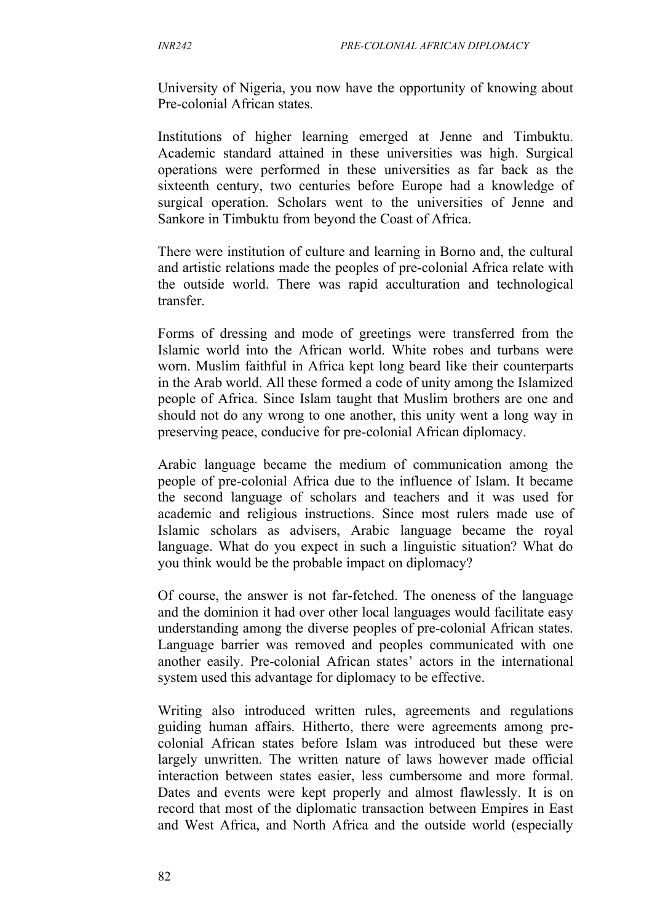University of Nigeria, you now have the opportunity of knowing about Pre-colonial African states.

Institutions of higher learning emerged at Jenne and Timbuktu. Academic standard attained in these universities was high. Surgical operations were performed in these universities as far back as the sixteenth century, two centuries before Europe had a knowledge of surgical operation. Scholars went to the universities of Jenne and Sankore in Timbuktu from beyond the Coast of Africa.

There were institution of culture and learning in Borno and, the cultural and artistic relations made the peoples of pre-colonial Africa relate with the outside world. There was rapid acculturation and technological transfer.

Forms of dressing and mode of greetings were transferred from the Islamic world into the African world. White robes and turbans were worn. Muslim faithful in Africa kept long beard like their counterparts in the Arab world. All these formed a code of unity among the Islamized people of Africa. Since Islam taught that Muslim brothers are one and should not do any wrong to one another, this unity went a long way in preserving peace, conducive for pre-colonial African diplomacy.

Arabic language became the medium of communication among the people of pre-colonial Africa due to the influence of Islam. It became the second language of scholars and teachers and it was used for academic and religious instructions. Since most rulers made use of Islamic scholars as advisers, Arabic language became the royal language. What do you expect in such a linguistic situation? What do you think would be the probable impact on diplomacy?

Of course, the answer is not far-fetched. The oneness of the language and the dominion it had over other local languages would facilitate easy understanding among the diverse peoples of pre-colonial African states. Language barrier was removed and peoples communicated with one another easily. Pre-colonial African states' actors in the international system used this advantage for diplomacy to be effective.

Writing also introduced written rules, agreements and regulations guiding human affairs. Hitherto, there were agreements among precolonial African states before Islam was introduced but these were largely unwritten. The written nature of laws however made official interaction between states easier, less cumbersome and more formal. Dates and events were kept properly and almost flawlessly. It is on record that most of the diplomatic transaction between Empires in East and West Africa, and North Africa and the outside world (especially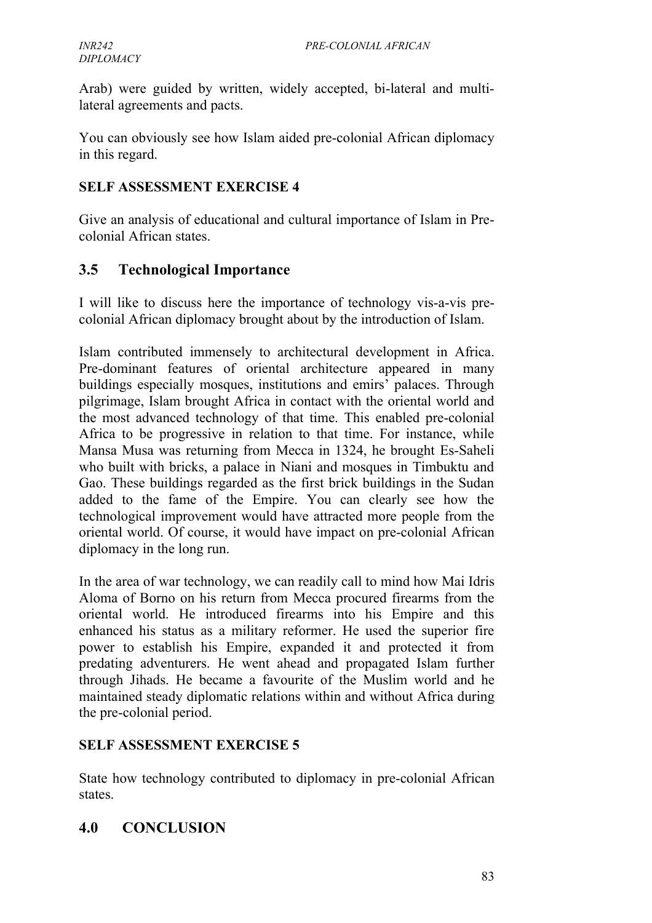Arab) were guided by written, widely accepted, bi-lateral and multilateral agreements and pacts.

You can obviously see how Islam aided pre-colonial African diplomacy in this regard.

### **SELF ASSESSMENT EXERCISE 4**

Give an analysis of educational and cultural importance of Islam in Precolonial African states.

### **3.5 Technological Importance**

I will like to discuss here the importance of technology vis-a-vis precolonial African diplomacy brought about by the introduction of Islam.

Islam contributed immensely to architectural development in Africa. Pre-dominant features of oriental architecture appeared in many buildings especially mosques, institutions and emirs' palaces. Through pilgrimage, Islam brought Africa in contact with the oriental world and the most advanced technology of that time. This enabled pre-colonial Africa to be progressive in relation to that time. For instance, while Mansa Musa was returning from Mecca in 1324, he brought Es-Saheli who built with bricks, a palace in Niani and mosques in Timbuktu and Gao. These buildings regarded as the first brick buildings in the Sudan added to the fame of the Empire. You can clearly see how the technological improvement would have attracted more people from the oriental world. Of course, it would have impact on pre-colonial African diplomacy in the long run.

In the area of war technology, we can readily call to mind how Mai Idris Aloma of Borno on his return from Mecca procured firearms from the oriental world. He introduced firearms into his Empire and this enhanced his status as a military reformer. He used the superior fire power to establish his Empire, expanded it and protected it from predating adventurers. He went ahead and propagated Islam further through Jihads. He became a favourite of the Muslim world and he maintained steady diplomatic relations within and without Africa during the pre-colonial period.

#### **SELF ASSESSMENT EXERCISE 5**

State how technology contributed to diplomacy in pre-colonial African states.

### **4.0 CONCLUSION**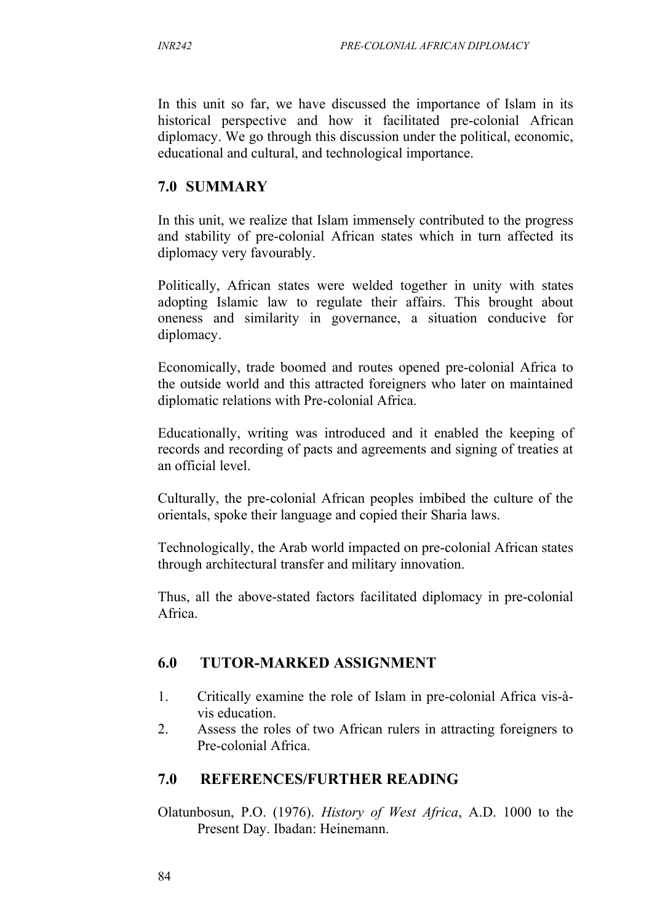In this unit so far, we have discussed the importance of Islam in its historical perspective and how it facilitated pre-colonial African diplomacy. We go through this discussion under the political, economic, educational and cultural, and technological importance.

## **7.0 SUMMARY**

In this unit, we realize that Islam immensely contributed to the progress and stability of pre-colonial African states which in turn affected its diplomacy very favourably.

Politically, African states were welded together in unity with states adopting Islamic law to regulate their affairs. This brought about oneness and similarity in governance, a situation conducive for diplomacy.

Economically, trade boomed and routes opened pre-colonial Africa to the outside world and this attracted foreigners who later on maintained diplomatic relations with Pre-colonial Africa.

Educationally, writing was introduced and it enabled the keeping of records and recording of pacts and agreements and signing of treaties at an official level.

Culturally, the pre-colonial African peoples imbibed the culture of the orientals, spoke their language and copied their Sharia laws.

Technologically, the Arab world impacted on pre-colonial African states through architectural transfer and military innovation.

Thus, all the above-stated factors facilitated diplomacy in pre-colonial Africa.

### **6.0 TUTOR-MARKED ASSIGNMENT**

- 1. Critically examine the role of Islam in pre-colonial Africa vis-àvis education.
- 2. Assess the roles of two African rulers in attracting foreigners to Pre-colonial Africa.

## **7.0 REFERENCES/FURTHER READING**

Olatunbosun, P.O. (1976). *History of West Africa*, A.D. 1000 to the Present Day. Ibadan: Heinemann.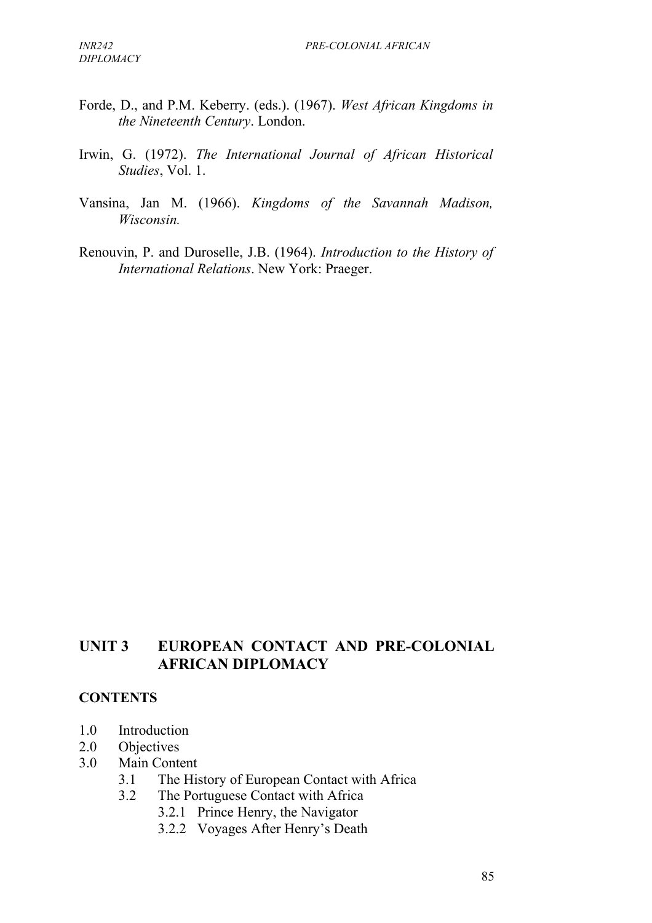- Forde, D., and P.M. Keberry. (eds.). (1967). *West African Kingdoms in the Nineteenth Century*. London.
- Irwin, G. (1972). *The International Journal of African Historical Studies*, Vol. 1.
- Vansina, Jan M. (1966). *Kingdoms of the Savannah Madison, Wisconsin.*
- Renouvin, P. and Duroselle, J.B. (1964). *Introduction to the History of International Relations*. New York: Praeger.

### **UNIT 3 EUROPEAN CONTACT AND PRE-COLONIAL AFRICAN DIPLOMACY**

### **CONTENTS**

- 1.0 Introduction
- 2.0 Objectives
- 3.0 Main Content
	- 3.1 The History of European Contact with Africa
	- 3.2 The Portuguese Contact with Africa
		- 3.2.1 Prince Henry, the Navigator
		- 3.2.2 Voyages After Henry's Death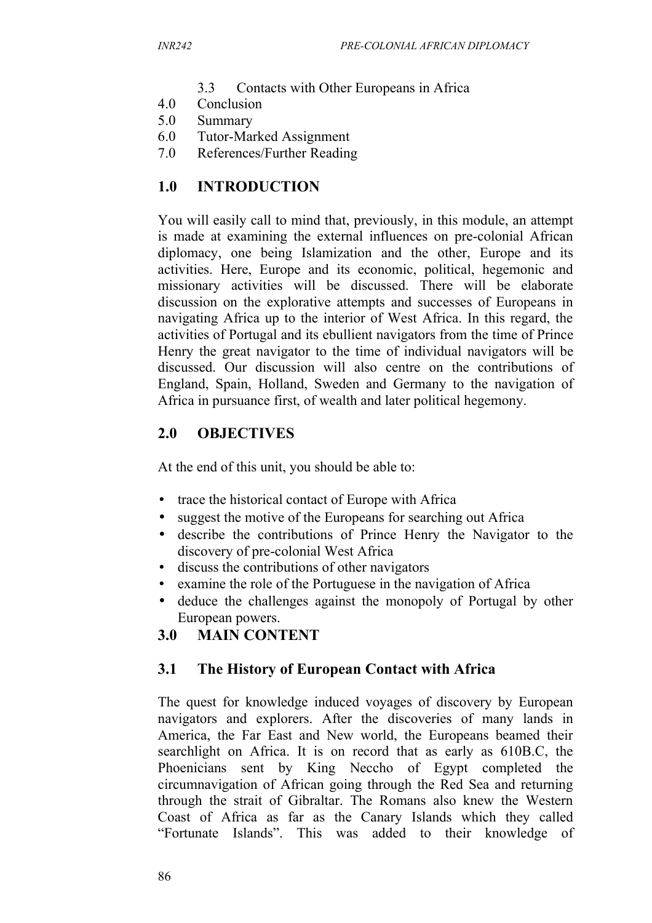- 3.3 Contacts with Other Europeans in Africa
- 4.0 Conclusion
- 5.0 Summary
- 6.0 Tutor-Marked Assignment
- 7.0 References/Further Reading

### **1.0 INTRODUCTION**

You will easily call to mind that, previously, in this module, an attempt is made at examining the external influences on pre-colonial African diplomacy, one being Islamization and the other, Europe and its activities. Here, Europe and its economic, political, hegemonic and missionary activities will be discussed. There will be elaborate discussion on the explorative attempts and successes of Europeans in navigating Africa up to the interior of West Africa. In this regard, the activities of Portugal and its ebullient navigators from the time of Prince Henry the great navigator to the time of individual navigators will be discussed. Our discussion will also centre on the contributions of England, Spain, Holland, Sweden and Germany to the navigation of Africa in pursuance first, of wealth and later political hegemony.

### **2.0 OBJECTIVES**

At the end of this unit, you should be able to:

- trace the historical contact of Europe with Africa
- suggest the motive of the Europeans for searching out Africa
- describe the contributions of Prince Henry the Navigator to the discovery of pre-colonial West Africa
- discuss the contributions of other navigators
- examine the role of the Portuguese in the navigation of Africa
- deduce the challenges against the monopoly of Portugal by other European powers.

## **3.0 MAIN CONTENT**

### **3.1 The History of European Contact with Africa**

The quest for knowledge induced voyages of discovery by European navigators and explorers. After the discoveries of many lands in America, the Far East and New world, the Europeans beamed their searchlight on Africa. It is on record that as early as 610B.C, the Phoenicians sent by King Neccho of Egypt completed the circumnavigation of African going through the Red Sea and returning through the strait of Gibraltar. The Romans also knew the Western Coast of Africa as far as the Canary Islands which they called "Fortunate Islands". This was added to their knowledge of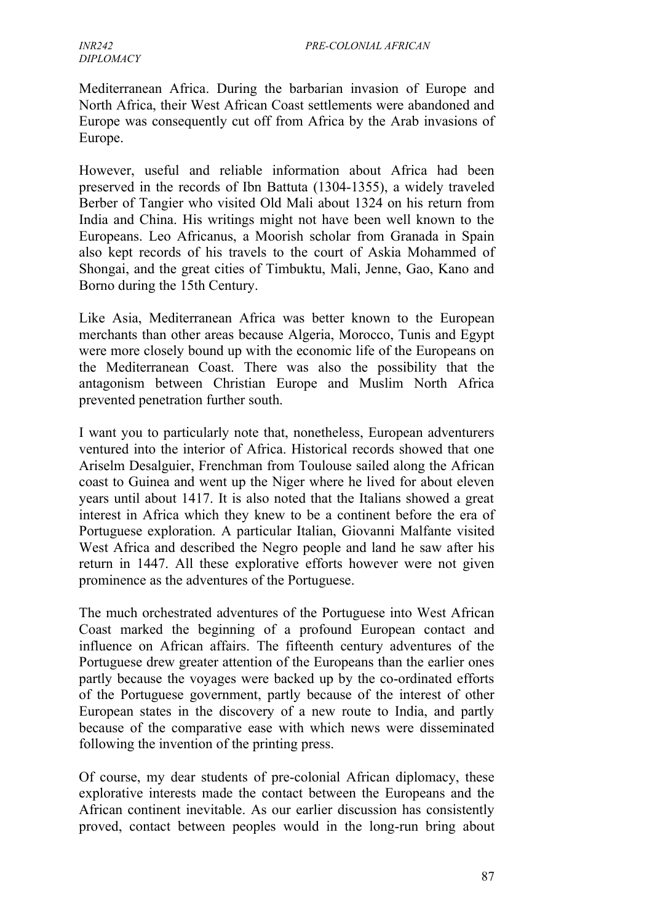Mediterranean Africa. During the barbarian invasion of Europe and North Africa, their West African Coast settlements were abandoned and Europe was consequently cut off from Africa by the Arab invasions of Europe.

However, useful and reliable information about Africa had been preserved in the records of Ibn Battuta (1304-1355), a widely traveled Berber of Tangier who visited Old Mali about 1324 on his return from India and China. His writings might not have been well known to the Europeans. Leo Africanus, a Moorish scholar from Granada in Spain also kept records of his travels to the court of Askia Mohammed of Shongai, and the great cities of Timbuktu, Mali, Jenne, Gao, Kano and Borno during the 15th Century.

Like Asia, Mediterranean Africa was better known to the European merchants than other areas because Algeria, Morocco, Tunis and Egypt were more closely bound up with the economic life of the Europeans on the Mediterranean Coast. There was also the possibility that the antagonism between Christian Europe and Muslim North Africa prevented penetration further south.

I want you to particularly note that, nonetheless, European adventurers ventured into the interior of Africa. Historical records showed that one Ariselm Desalguier, Frenchman from Toulouse sailed along the African coast to Guinea and went up the Niger where he lived for about eleven years until about 1417. It is also noted that the Italians showed a great interest in Africa which they knew to be a continent before the era of Portuguese exploration. A particular Italian, Giovanni Malfante visited West Africa and described the Negro people and land he saw after his return in 1447. All these explorative efforts however were not given prominence as the adventures of the Portuguese.

The much orchestrated adventures of the Portuguese into West African Coast marked the beginning of a profound European contact and influence on African affairs. The fifteenth century adventures of the Portuguese drew greater attention of the Europeans than the earlier ones partly because the voyages were backed up by the co-ordinated efforts of the Portuguese government, partly because of the interest of other European states in the discovery of a new route to India, and partly because of the comparative ease with which news were disseminated following the invention of the printing press.

Of course, my dear students of pre-colonial African diplomacy, these explorative interests made the contact between the Europeans and the African continent inevitable. As our earlier discussion has consistently proved, contact between peoples would in the long-run bring about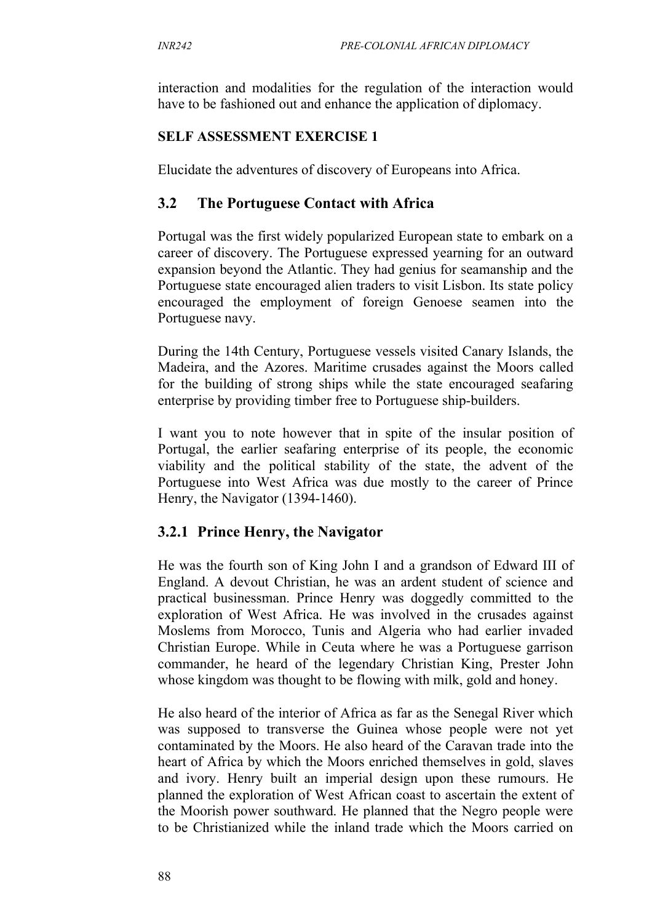interaction and modalities for the regulation of the interaction would have to be fashioned out and enhance the application of diplomacy.

### **SELF ASSESSMENT EXERCISE 1**

Elucidate the adventures of discovery of Europeans into Africa.

## **3.2 The Portuguese Contact with Africa**

Portugal was the first widely popularized European state to embark on a career of discovery. The Portuguese expressed yearning for an outward expansion beyond the Atlantic. They had genius for seamanship and the Portuguese state encouraged alien traders to visit Lisbon. Its state policy encouraged the employment of foreign Genoese seamen into the Portuguese navy.

During the 14th Century, Portuguese vessels visited Canary Islands, the Madeira, and the Azores. Maritime crusades against the Moors called for the building of strong ships while the state encouraged seafaring enterprise by providing timber free to Portuguese ship-builders.

I want you to note however that in spite of the insular position of Portugal, the earlier seafaring enterprise of its people, the economic viability and the political stability of the state, the advent of the Portuguese into West Africa was due mostly to the career of Prince Henry, the Navigator (1394-1460).

## **3.2.1 Prince Henry, the Navigator**

He was the fourth son of King John I and a grandson of Edward III of England. A devout Christian, he was an ardent student of science and practical businessman. Prince Henry was doggedly committed to the exploration of West Africa. He was involved in the crusades against Moslems from Morocco, Tunis and Algeria who had earlier invaded Christian Europe. While in Ceuta where he was a Portuguese garrison commander, he heard of the legendary Christian King, Prester John whose kingdom was thought to be flowing with milk, gold and honey.

He also heard of the interior of Africa as far as the Senegal River which was supposed to transverse the Guinea whose people were not yet contaminated by the Moors. He also heard of the Caravan trade into the heart of Africa by which the Moors enriched themselves in gold, slaves and ivory. Henry built an imperial design upon these rumours. He planned the exploration of West African coast to ascertain the extent of the Moorish power southward. He planned that the Negro people were to be Christianized while the inland trade which the Moors carried on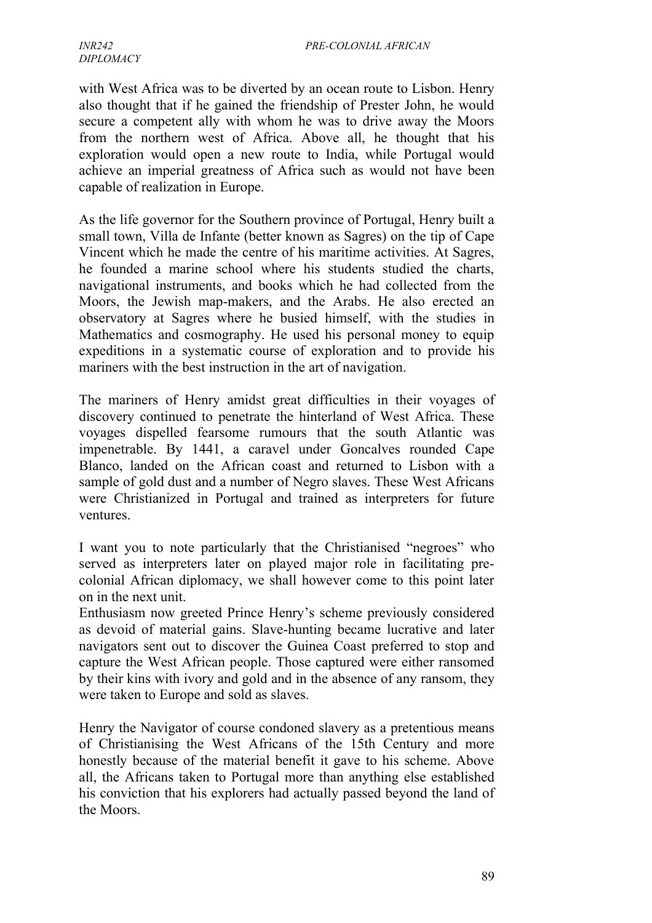with West Africa was to be diverted by an ocean route to Lisbon. Henry also thought that if he gained the friendship of Prester John, he would secure a competent ally with whom he was to drive away the Moors from the northern west of Africa. Above all, he thought that his exploration would open a new route to India, while Portugal would achieve an imperial greatness of Africa such as would not have been capable of realization in Europe.

As the life governor for the Southern province of Portugal, Henry built a small town, Villa de Infante (better known as Sagres) on the tip of Cape Vincent which he made the centre of his maritime activities. At Sagres, he founded a marine school where his students studied the charts, navigational instruments, and books which he had collected from the Moors, the Jewish map-makers, and the Arabs. He also erected an observatory at Sagres where he busied himself, with the studies in Mathematics and cosmography. He used his personal money to equip expeditions in a systematic course of exploration and to provide his mariners with the best instruction in the art of navigation.

The mariners of Henry amidst great difficulties in their voyages of discovery continued to penetrate the hinterland of West Africa. These voyages dispelled fearsome rumours that the south Atlantic was impenetrable. By 1441, a caravel under Goncalves rounded Cape Blanco, landed on the African coast and returned to Lisbon with a sample of gold dust and a number of Negro slaves. These West Africans were Christianized in Portugal and trained as interpreters for future ventures.

I want you to note particularly that the Christianised "negroes" who served as interpreters later on played major role in facilitating precolonial African diplomacy, we shall however come to this point later on in the next unit.

Enthusiasm now greeted Prince Henry's scheme previously considered as devoid of material gains. Slave-hunting became lucrative and later navigators sent out to discover the Guinea Coast preferred to stop and capture the West African people. Those captured were either ransomed by their kins with ivory and gold and in the absence of any ransom, they were taken to Europe and sold as slaves.

Henry the Navigator of course condoned slavery as a pretentious means of Christianising the West Africans of the 15th Century and more honestly because of the material benefit it gave to his scheme. Above all, the Africans taken to Portugal more than anything else established his conviction that his explorers had actually passed beyond the land of the Moors.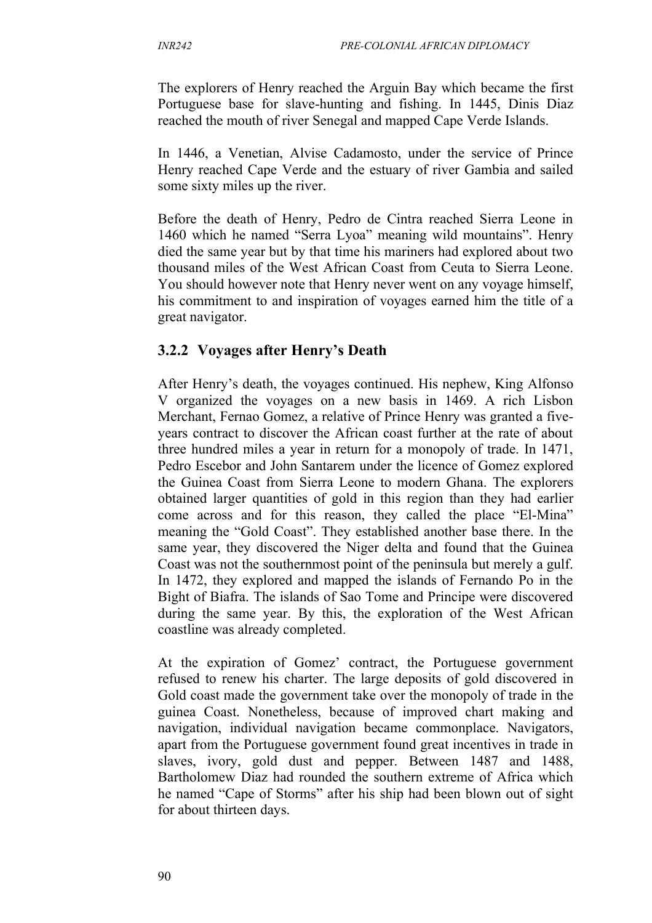The explorers of Henry reached the Arguin Bay which became the first Portuguese base for slave-hunting and fishing. In 1445, Dinis Diaz reached the mouth of river Senegal and mapped Cape Verde Islands.

In 1446, a Venetian, Alvise Cadamosto, under the service of Prince Henry reached Cape Verde and the estuary of river Gambia and sailed some sixty miles up the river.

Before the death of Henry, Pedro de Cintra reached Sierra Leone in 1460 which he named "Serra Lyoa" meaning wild mountains". Henry died the same year but by that time his mariners had explored about two thousand miles of the West African Coast from Ceuta to Sierra Leone. You should however note that Henry never went on any voyage himself, his commitment to and inspiration of voyages earned him the title of a great navigator.

### **3.2.2 Voyages after Henry's Death**

After Henry's death, the voyages continued. His nephew, King Alfonso V organized the voyages on a new basis in 1469. A rich Lisbon Merchant, Fernao Gomez, a relative of Prince Henry was granted a fiveyears contract to discover the African coast further at the rate of about three hundred miles a year in return for a monopoly of trade. In 1471, Pedro Escebor and John Santarem under the licence of Gomez explored the Guinea Coast from Sierra Leone to modern Ghana. The explorers obtained larger quantities of gold in this region than they had earlier come across and for this reason, they called the place "El-Mina" meaning the "Gold Coast". They established another base there. In the same year, they discovered the Niger delta and found that the Guinea Coast was not the southernmost point of the peninsula but merely a gulf. In 1472, they explored and mapped the islands of Fernando Po in the Bight of Biafra. The islands of Sao Tome and Principe were discovered during the same year. By this, the exploration of the West African coastline was already completed.

At the expiration of Gomez' contract, the Portuguese government refused to renew his charter. The large deposits of gold discovered in Gold coast made the government take over the monopoly of trade in the guinea Coast. Nonetheless, because of improved chart making and navigation, individual navigation became commonplace. Navigators, apart from the Portuguese government found great incentives in trade in slaves, ivory, gold dust and pepper. Between 1487 and 1488, Bartholomew Diaz had rounded the southern extreme of Africa which he named "Cape of Storms" after his ship had been blown out of sight for about thirteen days.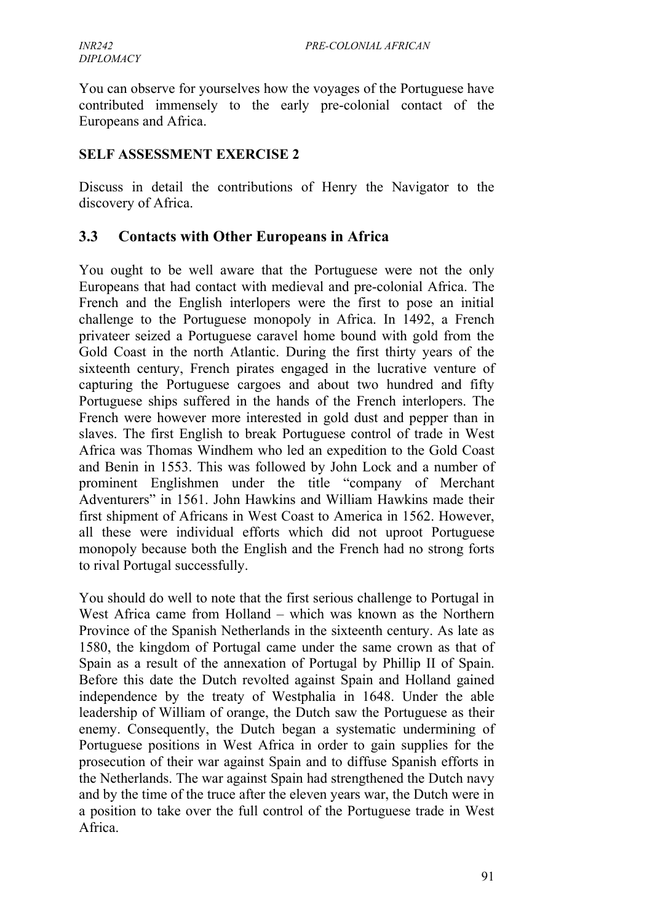You can observe for yourselves how the voyages of the Portuguese have contributed immensely to the early pre-colonial contact of the Europeans and Africa.

### **SELF ASSESSMENT EXERCISE 2**

Discuss in detail the contributions of Henry the Navigator to the discovery of Africa.

### **3.3 Contacts with Other Europeans in Africa**

You ought to be well aware that the Portuguese were not the only Europeans that had contact with medieval and pre-colonial Africa. The French and the English interlopers were the first to pose an initial challenge to the Portuguese monopoly in Africa. In 1492, a French privateer seized a Portuguese caravel home bound with gold from the Gold Coast in the north Atlantic. During the first thirty years of the sixteenth century, French pirates engaged in the lucrative venture of capturing the Portuguese cargoes and about two hundred and fifty Portuguese ships suffered in the hands of the French interlopers. The French were however more interested in gold dust and pepper than in slaves. The first English to break Portuguese control of trade in West Africa was Thomas Windhem who led an expedition to the Gold Coast and Benin in 1553. This was followed by John Lock and a number of prominent Englishmen under the title "company of Merchant Adventurers" in 1561. John Hawkins and William Hawkins made their first shipment of Africans in West Coast to America in 1562. However, all these were individual efforts which did not uproot Portuguese monopoly because both the English and the French had no strong forts to rival Portugal successfully.

You should do well to note that the first serious challenge to Portugal in West Africa came from Holland – which was known as the Northern Province of the Spanish Netherlands in the sixteenth century. As late as 1580, the kingdom of Portugal came under the same crown as that of Spain as a result of the annexation of Portugal by Phillip II of Spain. Before this date the Dutch revolted against Spain and Holland gained independence by the treaty of Westphalia in 1648. Under the able leadership of William of orange, the Dutch saw the Portuguese as their enemy. Consequently, the Dutch began a systematic undermining of Portuguese positions in West Africa in order to gain supplies for the prosecution of their war against Spain and to diffuse Spanish efforts in the Netherlands. The war against Spain had strengthened the Dutch navy and by the time of the truce after the eleven years war, the Dutch were in a position to take over the full control of the Portuguese trade in West Africa.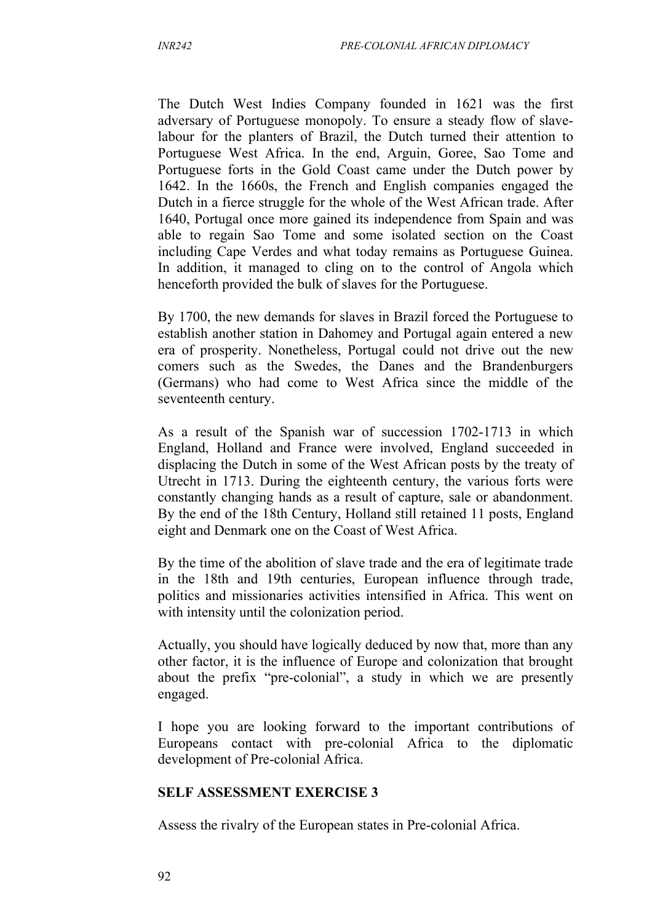The Dutch West Indies Company founded in 1621 was the first adversary of Portuguese monopoly. To ensure a steady flow of slavelabour for the planters of Brazil, the Dutch turned their attention to Portuguese West Africa. In the end, Arguin, Goree, Sao Tome and Portuguese forts in the Gold Coast came under the Dutch power by 1642. In the 1660s, the French and English companies engaged the Dutch in a fierce struggle for the whole of the West African trade. After 1640, Portugal once more gained its independence from Spain and was able to regain Sao Tome and some isolated section on the Coast including Cape Verdes and what today remains as Portuguese Guinea. In addition, it managed to cling on to the control of Angola which henceforth provided the bulk of slaves for the Portuguese.

By 1700, the new demands for slaves in Brazil forced the Portuguese to establish another station in Dahomey and Portugal again entered a new era of prosperity. Nonetheless, Portugal could not drive out the new comers such as the Swedes, the Danes and the Brandenburgers (Germans) who had come to West Africa since the middle of the seventeenth century.

As a result of the Spanish war of succession 1702-1713 in which England, Holland and France were involved, England succeeded in displacing the Dutch in some of the West African posts by the treaty of Utrecht in 1713. During the eighteenth century, the various forts were constantly changing hands as a result of capture, sale or abandonment. By the end of the 18th Century, Holland still retained 11 posts, England eight and Denmark one on the Coast of West Africa.

By the time of the abolition of slave trade and the era of legitimate trade in the 18th and 19th centuries, European influence through trade, politics and missionaries activities intensified in Africa. This went on with intensity until the colonization period.

Actually, you should have logically deduced by now that, more than any other factor, it is the influence of Europe and colonization that brought about the prefix "pre-colonial", a study in which we are presently engaged.

I hope you are looking forward to the important contributions of Europeans contact with pre-colonial Africa to the diplomatic development of Pre-colonial Africa.

### **SELF ASSESSMENT EXERCISE 3**

Assess the rivalry of the European states in Pre-colonial Africa.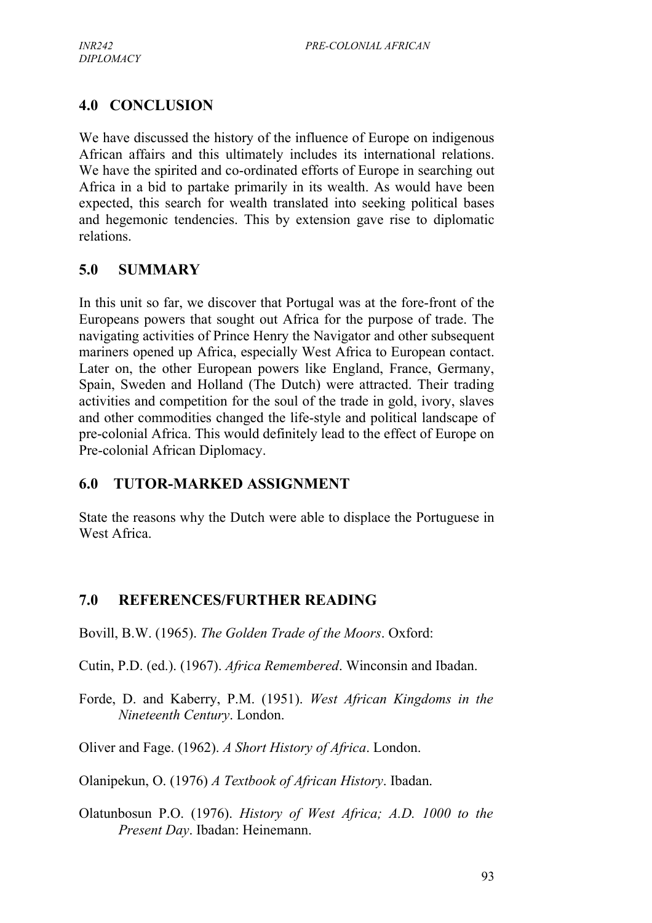## **4.0 CONCLUSION**

We have discussed the history of the influence of Europe on indigenous African affairs and this ultimately includes its international relations. We have the spirited and co-ordinated efforts of Europe in searching out Africa in a bid to partake primarily in its wealth. As would have been expected, this search for wealth translated into seeking political bases and hegemonic tendencies. This by extension gave rise to diplomatic relations.

## **5.0 SUMMARY**

In this unit so far, we discover that Portugal was at the fore-front of the Europeans powers that sought out Africa for the purpose of trade. The navigating activities of Prince Henry the Navigator and other subsequent mariners opened up Africa, especially West Africa to European contact. Later on, the other European powers like England, France, Germany, Spain, Sweden and Holland (The Dutch) were attracted. Their trading activities and competition for the soul of the trade in gold, ivory, slaves and other commodities changed the life-style and political landscape of pre-colonial Africa. This would definitely lead to the effect of Europe on Pre-colonial African Diplomacy.

## **6.0 TUTOR-MARKED ASSIGNMENT**

State the reasons why the Dutch were able to displace the Portuguese in West Africa.

## **7.0 REFERENCES/FURTHER READING**

Bovill, B.W. (1965). *The Golden Trade of the Moors*. Oxford:

Cutin, P.D. (ed.). (1967). *Africa Remembered*. Winconsin and Ibadan.

Forde, D. and Kaberry, P.M. (1951). *West African Kingdoms in the Nineteenth Century*. London.

Oliver and Fage. (1962). *A Short History of Africa*. London.

Olanipekun, O. (1976) *A Textbook of African History*. Ibadan.

Olatunbosun P.O. (1976). *History of West Africa; A.D. 1000 to the Present Day*. Ibadan: Heinemann.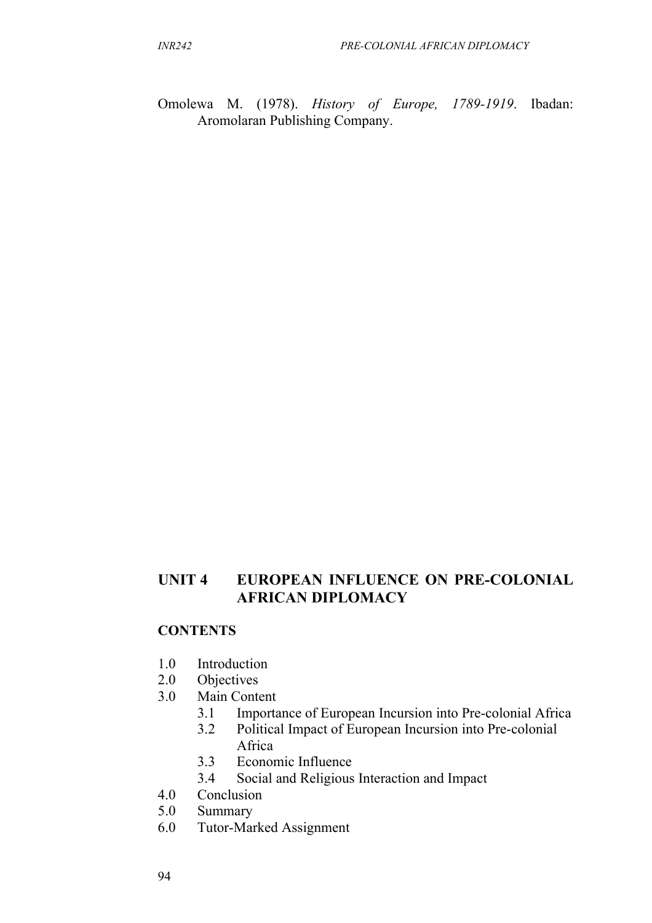## **UNIT 4 EUROPEAN INFLUENCE ON PRE-COLONIAL AFRICAN DIPLOMACY**

### **CONTENTS**

- 1.0 Introduction
- 2.0 Objectives
- 3.0 Main Content
	- 3.1 Importance of European Incursion into Pre-colonial Africa
	- 3.2 Political Impact of European Incursion into Pre-colonial Africa
	- 3.3 Economic Influence
	- 3.4 Social and Religious Interaction and Impact
- 4.0 Conclusion
- 5.0 Summary
- 6.0 Tutor-Marked Assignment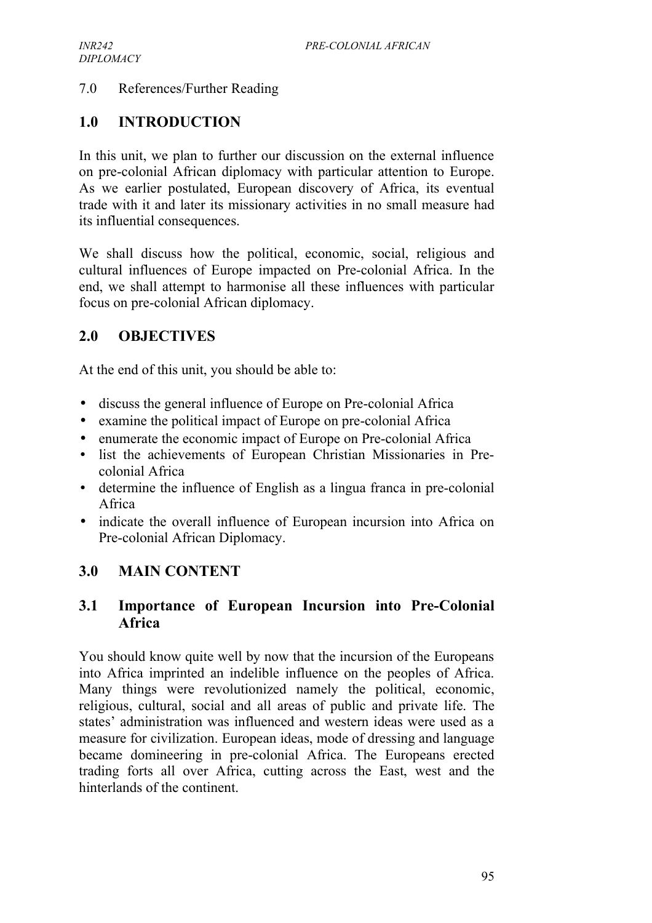### 7.0 References/Further Reading

# **1.0 INTRODUCTION**

In this unit, we plan to further our discussion on the external influence on pre-colonial African diplomacy with particular attention to Europe. As we earlier postulated, European discovery of Africa, its eventual trade with it and later its missionary activities in no small measure had its influential consequences.

We shall discuss how the political, economic, social, religious and cultural influences of Europe impacted on Pre-colonial Africa. In the end, we shall attempt to harmonise all these influences with particular focus on pre-colonial African diplomacy.

## **2.0 OBJECTIVES**

At the end of this unit, you should be able to:

- discuss the general influence of Europe on Pre-colonial Africa
- examine the political impact of Europe on pre-colonial Africa
- enumerate the economic impact of Europe on Pre-colonial Africa
- list the achievements of European Christian Missionaries in Precolonial Africa
- determine the influence of English as a lingua franca in pre-colonial Africa
- indicate the overall influence of European incursion into Africa on Pre-colonial African Diplomacy.

## **3.0 MAIN CONTENT**

## **3.1 Importance of European Incursion into Pre-Colonial Africa**

You should know quite well by now that the incursion of the Europeans into Africa imprinted an indelible influence on the peoples of Africa. Many things were revolutionized namely the political, economic, religious, cultural, social and all areas of public and private life. The states' administration was influenced and western ideas were used as a measure for civilization. European ideas, mode of dressing and language became domineering in pre-colonial Africa. The Europeans erected trading forts all over Africa, cutting across the East, west and the hinterlands of the continent.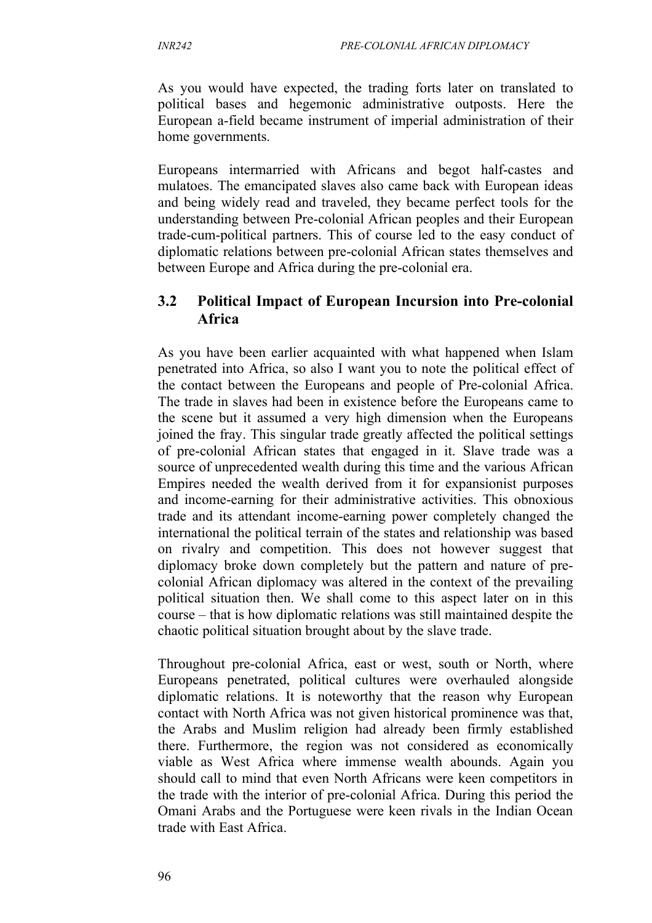As you would have expected, the trading forts later on translated to political bases and hegemonic administrative outposts. Here the European a-field became instrument of imperial administration of their home governments.

Europeans intermarried with Africans and begot half-castes and mulatoes. The emancipated slaves also came back with European ideas and being widely read and traveled, they became perfect tools for the understanding between Pre-colonial African peoples and their European trade-cum-political partners. This of course led to the easy conduct of diplomatic relations between pre-colonial African states themselves and between Europe and Africa during the pre-colonial era.

## **3.2 Political Impact of European Incursion into Pre-colonial Africa**

As you have been earlier acquainted with what happened when Islam penetrated into Africa, so also I want you to note the political effect of the contact between the Europeans and people of Pre-colonial Africa. The trade in slaves had been in existence before the Europeans came to the scene but it assumed a very high dimension when the Europeans joined the fray. This singular trade greatly affected the political settings of pre-colonial African states that engaged in it. Slave trade was a source of unprecedented wealth during this time and the various African Empires needed the wealth derived from it for expansionist purposes and income-earning for their administrative activities. This obnoxious trade and its attendant income-earning power completely changed the international the political terrain of the states and relationship was based on rivalry and competition. This does not however suggest that diplomacy broke down completely but the pattern and nature of precolonial African diplomacy was altered in the context of the prevailing political situation then. We shall come to this aspect later on in this course – that is how diplomatic relations was still maintained despite the chaotic political situation brought about by the slave trade.

Throughout pre-colonial Africa, east or west, south or North, where Europeans penetrated, political cultures were overhauled alongside diplomatic relations. It is noteworthy that the reason why European contact with North Africa was not given historical prominence was that, the Arabs and Muslim religion had already been firmly established there. Furthermore, the region was not considered as economically viable as West Africa where immense wealth abounds. Again you should call to mind that even North Africans were keen competitors in the trade with the interior of pre-colonial Africa. During this period the Omani Arabs and the Portuguese were keen rivals in the Indian Ocean trade with East Africa.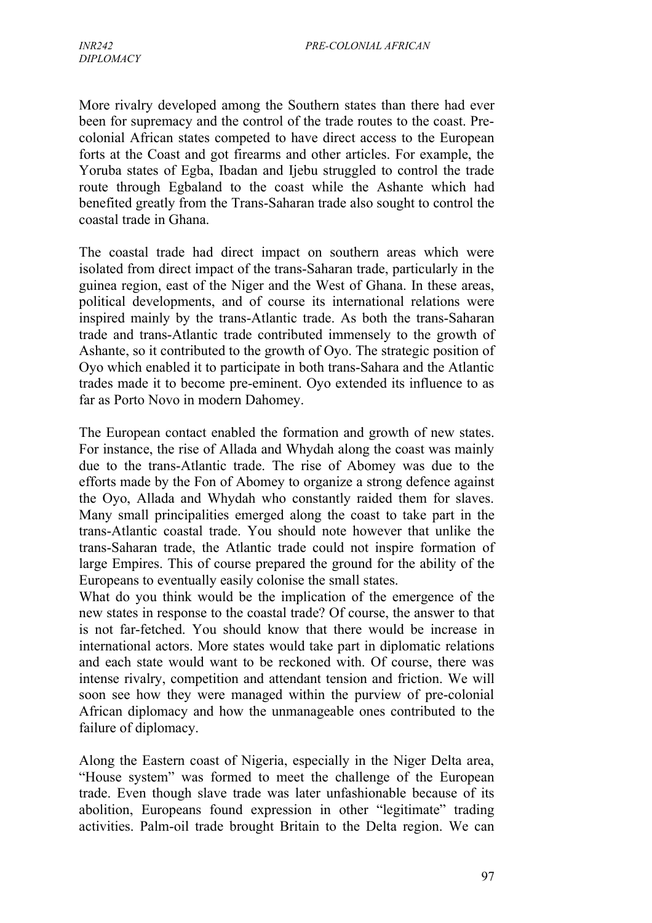More rivalry developed among the Southern states than there had ever been for supremacy and the control of the trade routes to the coast. Precolonial African states competed to have direct access to the European forts at the Coast and got firearms and other articles. For example, the Yoruba states of Egba, Ibadan and Ijebu struggled to control the trade route through Egbaland to the coast while the Ashante which had benefited greatly from the Trans-Saharan trade also sought to control the coastal trade in Ghana.

The coastal trade had direct impact on southern areas which were isolated from direct impact of the trans-Saharan trade, particularly in the guinea region, east of the Niger and the West of Ghana. In these areas, political developments, and of course its international relations were inspired mainly by the trans-Atlantic trade. As both the trans-Saharan trade and trans-Atlantic trade contributed immensely to the growth of Ashante, so it contributed to the growth of Oyo. The strategic position of Oyo which enabled it to participate in both trans-Sahara and the Atlantic trades made it to become pre-eminent. Oyo extended its influence to as far as Porto Novo in modern Dahomey.

The European contact enabled the formation and growth of new states. For instance, the rise of Allada and Whydah along the coast was mainly due to the trans-Atlantic trade. The rise of Abomey was due to the efforts made by the Fon of Abomey to organize a strong defence against the Oyo, Allada and Whydah who constantly raided them for slaves. Many small principalities emerged along the coast to take part in the trans-Atlantic coastal trade. You should note however that unlike the trans-Saharan trade, the Atlantic trade could not inspire formation of large Empires. This of course prepared the ground for the ability of the Europeans to eventually easily colonise the small states.

What do you think would be the implication of the emergence of the new states in response to the coastal trade? Of course, the answer to that is not far-fetched. You should know that there would be increase in international actors. More states would take part in diplomatic relations and each state would want to be reckoned with. Of course, there was intense rivalry, competition and attendant tension and friction. We will soon see how they were managed within the purview of pre-colonial African diplomacy and how the unmanageable ones contributed to the failure of diplomacy.

Along the Eastern coast of Nigeria, especially in the Niger Delta area, "House system" was formed to meet the challenge of the European trade. Even though slave trade was later unfashionable because of its abolition, Europeans found expression in other "legitimate" trading activities. Palm-oil trade brought Britain to the Delta region. We can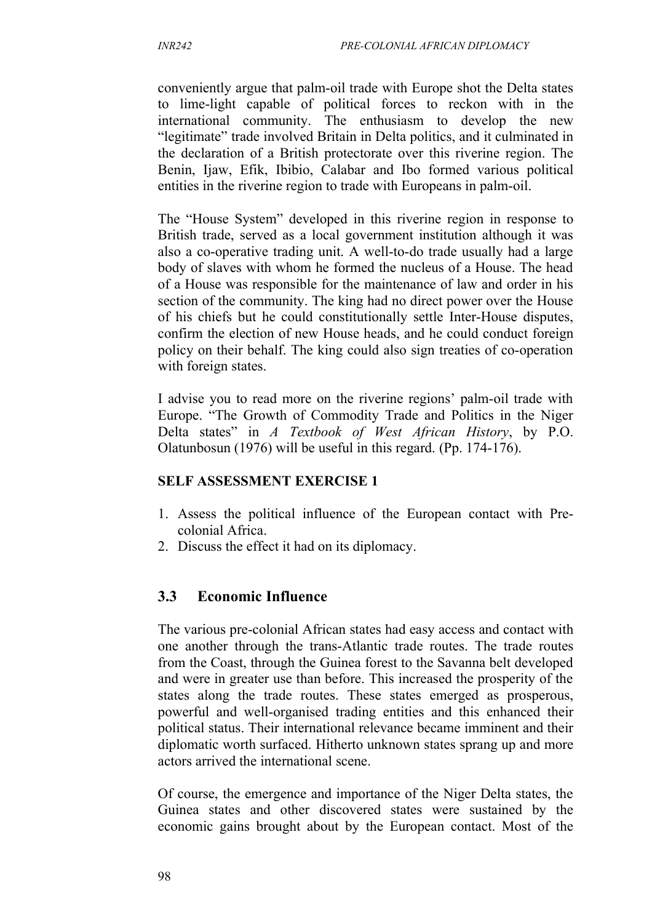conveniently argue that palm-oil trade with Europe shot the Delta states to lime-light capable of political forces to reckon with in the international community. The enthusiasm to develop the new "legitimate" trade involved Britain in Delta politics, and it culminated in the declaration of a British protectorate over this riverine region. The Benin, Ijaw, Efik, Ibibio, Calabar and Ibo formed various political entities in the riverine region to trade with Europeans in palm-oil.

The "House System" developed in this riverine region in response to British trade, served as a local government institution although it was also a co-operative trading unit. A well-to-do trade usually had a large body of slaves with whom he formed the nucleus of a House. The head of a House was responsible for the maintenance of law and order in his section of the community. The king had no direct power over the House of his chiefs but he could constitutionally settle Inter-House disputes, confirm the election of new House heads, and he could conduct foreign policy on their behalf. The king could also sign treaties of co-operation with foreign states.

I advise you to read more on the riverine regions' palm-oil trade with Europe. "The Growth of Commodity Trade and Politics in the Niger Delta states" in *A Textbook of West African History*, by P.O. Olatunbosun (1976) will be useful in this regard. (Pp. 174-176).

### **SELF ASSESSMENT EXERCISE 1**

- 1. Assess the political influence of the European contact with Precolonial Africa.
- 2. Discuss the effect it had on its diplomacy.

# **3.3 Economic Influence**

The various pre-colonial African states had easy access and contact with one another through the trans-Atlantic trade routes. The trade routes from the Coast, through the Guinea forest to the Savanna belt developed and were in greater use than before. This increased the prosperity of the states along the trade routes. These states emerged as prosperous, powerful and well-organised trading entities and this enhanced their political status. Their international relevance became imminent and their diplomatic worth surfaced. Hitherto unknown states sprang up and more actors arrived the international scene.

Of course, the emergence and importance of the Niger Delta states, the Guinea states and other discovered states were sustained by the economic gains brought about by the European contact. Most of the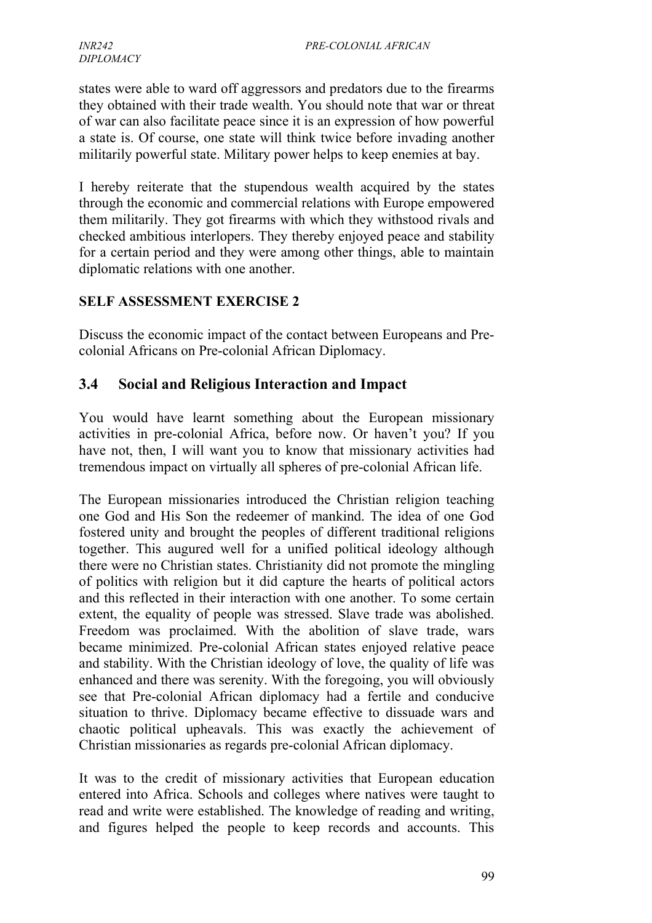states were able to ward off aggressors and predators due to the firearms they obtained with their trade wealth. You should note that war or threat of war can also facilitate peace since it is an expression of how powerful a state is. Of course, one state will think twice before invading another militarily powerful state. Military power helps to keep enemies at bay.

I hereby reiterate that the stupendous wealth acquired by the states through the economic and commercial relations with Europe empowered them militarily. They got firearms with which they withstood rivals and checked ambitious interlopers. They thereby enjoyed peace and stability for a certain period and they were among other things, able to maintain diplomatic relations with one another.

### **SELF ASSESSMENT EXERCISE 2**

Discuss the economic impact of the contact between Europeans and Precolonial Africans on Pre-colonial African Diplomacy.

### **3.4 Social and Religious Interaction and Impact**

You would have learnt something about the European missionary activities in pre-colonial Africa, before now. Or haven't you? If you have not, then, I will want you to know that missionary activities had tremendous impact on virtually all spheres of pre-colonial African life.

The European missionaries introduced the Christian religion teaching one God and His Son the redeemer of mankind. The idea of one God fostered unity and brought the peoples of different traditional religions together. This augured well for a unified political ideology although there were no Christian states. Christianity did not promote the mingling of politics with religion but it did capture the hearts of political actors and this reflected in their interaction with one another. To some certain extent, the equality of people was stressed. Slave trade was abolished. Freedom was proclaimed. With the abolition of slave trade, wars became minimized. Pre-colonial African states enjoyed relative peace and stability. With the Christian ideology of love, the quality of life was enhanced and there was serenity. With the foregoing, you will obviously see that Pre-colonial African diplomacy had a fertile and conducive situation to thrive. Diplomacy became effective to dissuade wars and chaotic political upheavals. This was exactly the achievement of Christian missionaries as regards pre-colonial African diplomacy.

It was to the credit of missionary activities that European education entered into Africa. Schools and colleges where natives were taught to read and write were established. The knowledge of reading and writing, and figures helped the people to keep records and accounts. This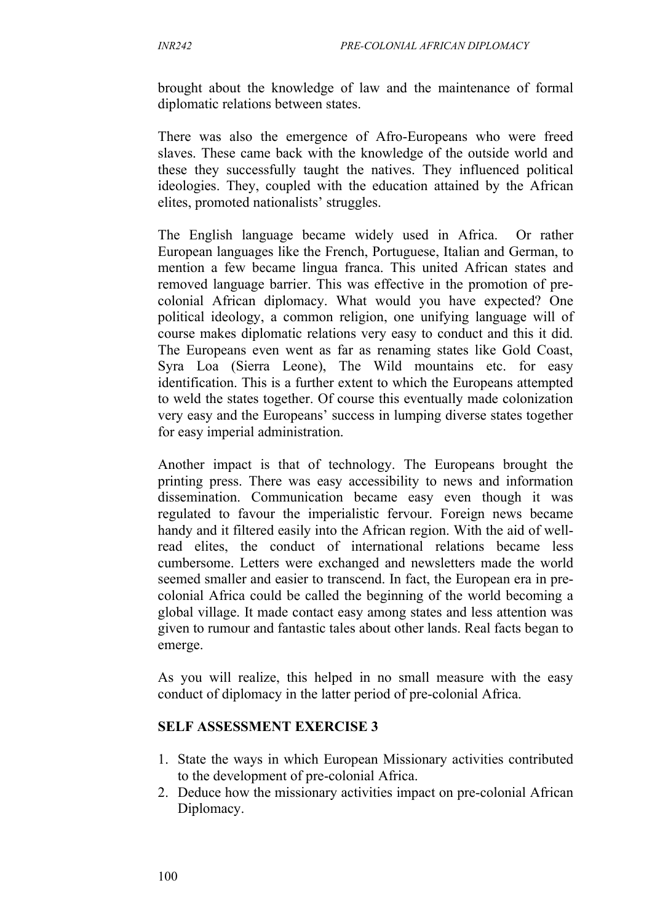brought about the knowledge of law and the maintenance of formal diplomatic relations between states.

There was also the emergence of Afro-Europeans who were freed slaves. These came back with the knowledge of the outside world and these they successfully taught the natives. They influenced political ideologies. They, coupled with the education attained by the African elites, promoted nationalists' struggles.

The English language became widely used in Africa. Or rather European languages like the French, Portuguese, Italian and German, to mention a few became lingua franca. This united African states and removed language barrier. This was effective in the promotion of precolonial African diplomacy. What would you have expected? One political ideology, a common religion, one unifying language will of course makes diplomatic relations very easy to conduct and this it did. The Europeans even went as far as renaming states like Gold Coast, Syra Loa (Sierra Leone), The Wild mountains etc. for easy identification. This is a further extent to which the Europeans attempted to weld the states together. Of course this eventually made colonization very easy and the Europeans' success in lumping diverse states together for easy imperial administration.

Another impact is that of technology. The Europeans brought the printing press. There was easy accessibility to news and information dissemination. Communication became easy even though it was regulated to favour the imperialistic fervour. Foreign news became handy and it filtered easily into the African region. With the aid of wellread elites, the conduct of international relations became less cumbersome. Letters were exchanged and newsletters made the world seemed smaller and easier to transcend. In fact, the European era in precolonial Africa could be called the beginning of the world becoming a global village. It made contact easy among states and less attention was given to rumour and fantastic tales about other lands. Real facts began to emerge.

As you will realize, this helped in no small measure with the easy conduct of diplomacy in the latter period of pre-colonial Africa.

## **SELF ASSESSMENT EXERCISE 3**

- 1. State the ways in which European Missionary activities contributed to the development of pre-colonial Africa.
- 2. Deduce how the missionary activities impact on pre-colonial African Diplomacy.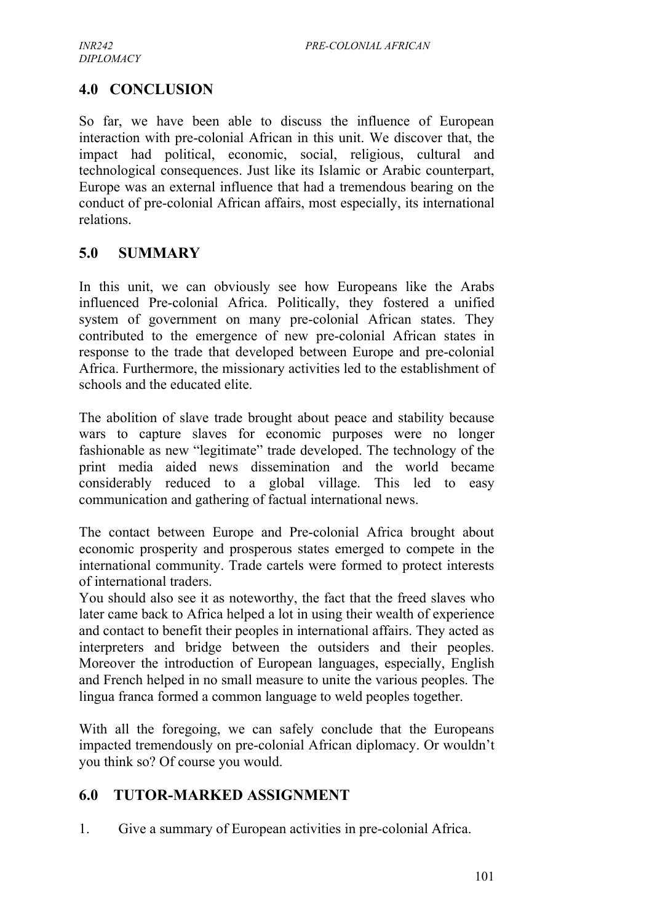# **4.0 CONCLUSION**

So far, we have been able to discuss the influence of European interaction with pre-colonial African in this unit. We discover that, the impact had political, economic, social, religious, cultural and technological consequences. Just like its Islamic or Arabic counterpart, Europe was an external influence that had a tremendous bearing on the conduct of pre-colonial African affairs, most especially, its international relations.

## **5.0 SUMMARY**

In this unit, we can obviously see how Europeans like the Arabs influenced Pre-colonial Africa. Politically, they fostered a unified system of government on many pre-colonial African states. They contributed to the emergence of new pre-colonial African states in response to the trade that developed between Europe and pre-colonial Africa. Furthermore, the missionary activities led to the establishment of schools and the educated elite.

The abolition of slave trade brought about peace and stability because wars to capture slaves for economic purposes were no longer fashionable as new "legitimate" trade developed. The technology of the print media aided news dissemination and the world became considerably reduced to a global village. This led to easy communication and gathering of factual international news.

The contact between Europe and Pre-colonial Africa brought about economic prosperity and prosperous states emerged to compete in the international community. Trade cartels were formed to protect interests of international traders.

You should also see it as noteworthy, the fact that the freed slaves who later came back to Africa helped a lot in using their wealth of experience and contact to benefit their peoples in international affairs. They acted as interpreters and bridge between the outsiders and their peoples. Moreover the introduction of European languages, especially, English and French helped in no small measure to unite the various peoples. The lingua franca formed a common language to weld peoples together.

With all the foregoing, we can safely conclude that the Europeans impacted tremendously on pre-colonial African diplomacy. Or wouldn't you think so? Of course you would.

# **6.0 TUTOR-MARKED ASSIGNMENT**

1. Give a summary of European activities in pre-colonial Africa.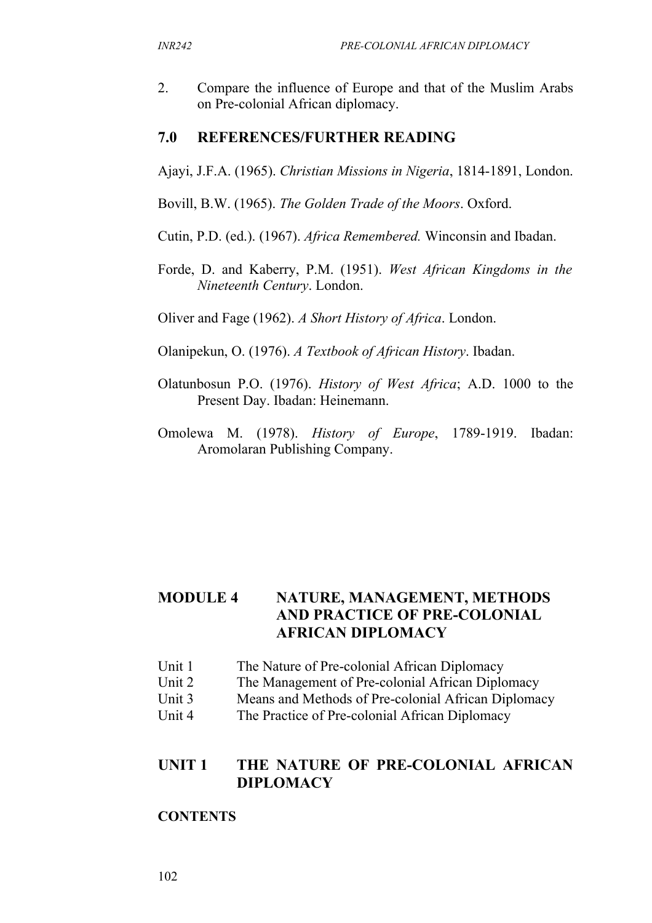2. Compare the influence of Europe and that of the Muslim Arabs on Pre-colonial African diplomacy.

### **7.0 REFERENCES/FURTHER READING**

Ajayi, J.F.A. (1965). *Christian Missions in Nigeria*, 1814-1891, London.

Bovill, B.W. (1965). *The Golden Trade of the Moors*. Oxford.

Cutin, P.D. (ed.). (1967). *Africa Remembered.* Winconsin and Ibadan.

Forde, D. and Kaberry, P.M. (1951). *West African Kingdoms in the Nineteenth Century*. London.

Oliver and Fage (1962). *A Short History of Africa*. London.

- Olanipekun, O. (1976). *A Textbook of African History*. Ibadan.
- Olatunbosun P.O. (1976). *History of West Africa*; A.D. 1000 to the Present Day. Ibadan: Heinemann.
- Omolewa M. (1978). *History of Europe*, 1789-1919. Ibadan: Aromolaran Publishing Company.

## **MODULE 4 NATURE, MANAGEMENT, METHODS AND PRACTICE OF PRE-COLONIAL AFRICAN DIPLOMACY**

- Unit 1 The Nature of Pre-colonial African Diplomacy
- Unit 2 The Management of Pre-colonial African Diplomacy
- Unit 3 Means and Methods of Pre-colonial African Diplomacy
- Unit 4 The Practice of Pre-colonial African Diplomacy

### **UNIT 1 THE NATURE OF PRE-COLONIAL AFRICAN DIPLOMACY**

### **CONTENTS**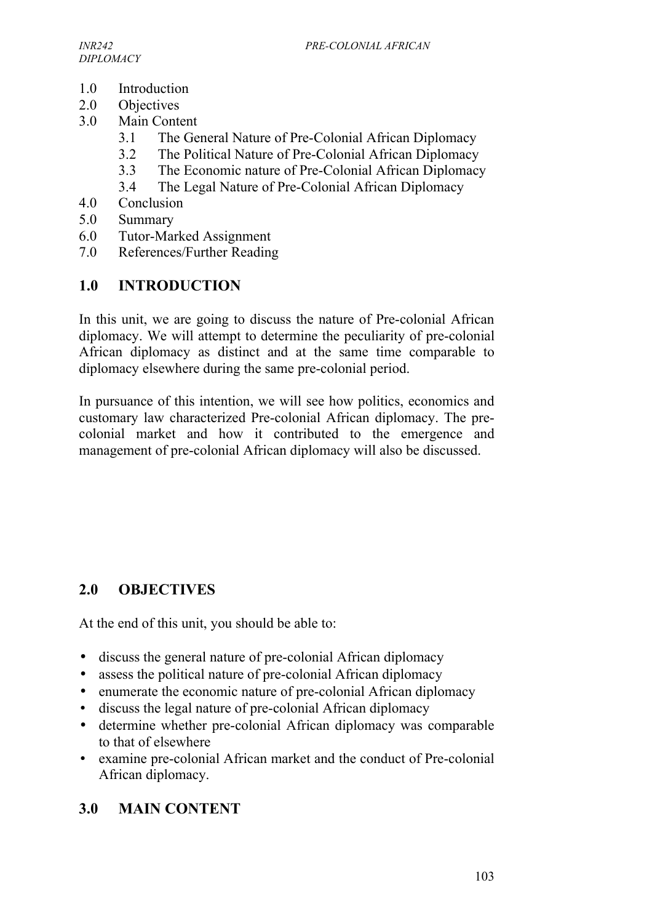- 1.0 Introduction
- 2.0 Objectives
- 3.0 Main Content
	- 3.1 The General Nature of Pre-Colonial African Diplomacy
	- 3.2 The Political Nature of Pre-Colonial African Diplomacy
	- 3.3 The Economic nature of Pre-Colonial African Diplomacy
	- 3.4 The Legal Nature of Pre-Colonial African Diplomacy
- 4.0 Conclusion
- 5.0 Summary
- 6.0 Tutor-Marked Assignment
- 7.0 References/Further Reading

## **1.0 INTRODUCTION**

In this unit, we are going to discuss the nature of Pre-colonial African diplomacy. We will attempt to determine the peculiarity of pre-colonial African diplomacy as distinct and at the same time comparable to diplomacy elsewhere during the same pre-colonial period.

In pursuance of this intention, we will see how politics, economics and customary law characterized Pre-colonial African diplomacy. The precolonial market and how it contributed to the emergence and management of pre-colonial African diplomacy will also be discussed.

# **2.0 OBJECTIVES**

At the end of this unit, you should be able to:

- discuss the general nature of pre-colonial African diplomacy
- assess the political nature of pre-colonial African diplomacy
- enumerate the economic nature of pre-colonial African diplomacy
- discuss the legal nature of pre-colonial African diplomacy
- determine whether pre-colonial African diplomacy was comparable to that of elsewhere
- examine pre-colonial African market and the conduct of Pre-colonial African diplomacy.

# **3.0 MAIN CONTENT**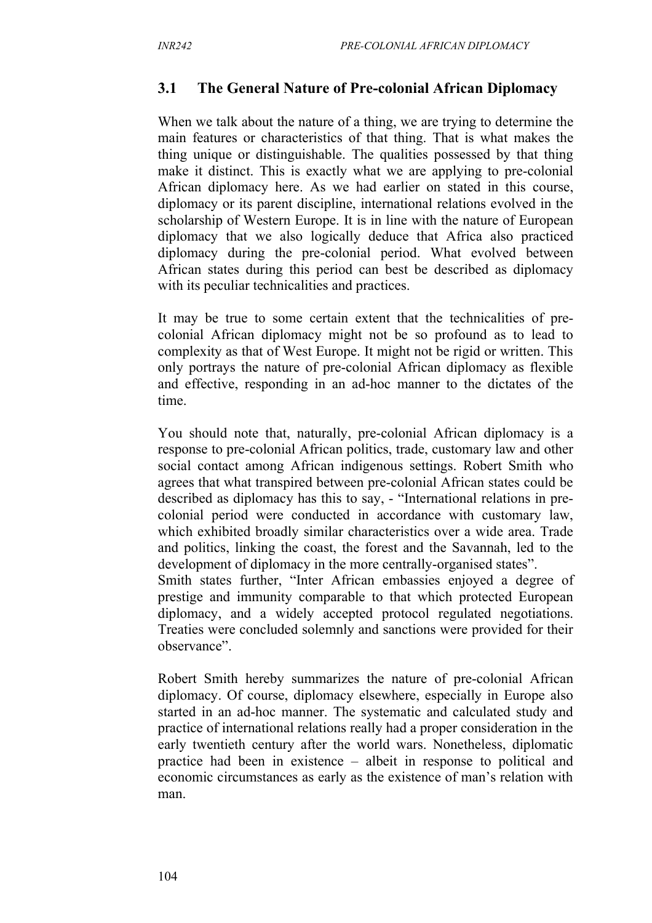## **3.1 The General Nature of Pre-colonial African Diplomacy**

When we talk about the nature of a thing, we are trying to determine the main features or characteristics of that thing. That is what makes the thing unique or distinguishable. The qualities possessed by that thing make it distinct. This is exactly what we are applying to pre-colonial African diplomacy here. As we had earlier on stated in this course, diplomacy or its parent discipline, international relations evolved in the scholarship of Western Europe. It is in line with the nature of European diplomacy that we also logically deduce that Africa also practiced diplomacy during the pre-colonial period. What evolved between African states during this period can best be described as diplomacy with its peculiar technicalities and practices.

It may be true to some certain extent that the technicalities of precolonial African diplomacy might not be so profound as to lead to complexity as that of West Europe. It might not be rigid or written. This only portrays the nature of pre-colonial African diplomacy as flexible and effective, responding in an ad-hoc manner to the dictates of the time.

You should note that, naturally, pre-colonial African diplomacy is a response to pre-colonial African politics, trade, customary law and other social contact among African indigenous settings. Robert Smith who agrees that what transpired between pre-colonial African states could be described as diplomacy has this to say, - "International relations in precolonial period were conducted in accordance with customary law, which exhibited broadly similar characteristics over a wide area. Trade and politics, linking the coast, the forest and the Savannah, led to the development of diplomacy in the more centrally-organised states". Smith states further, "Inter African embassies enjoyed a degree of

prestige and immunity comparable to that which protected European diplomacy, and a widely accepted protocol regulated negotiations. Treaties were concluded solemnly and sanctions were provided for their observance".

Robert Smith hereby summarizes the nature of pre-colonial African diplomacy. Of course, diplomacy elsewhere, especially in Europe also started in an ad-hoc manner. The systematic and calculated study and practice of international relations really had a proper consideration in the early twentieth century after the world wars. Nonetheless, diplomatic practice had been in existence – albeit in response to political and economic circumstances as early as the existence of man's relation with man.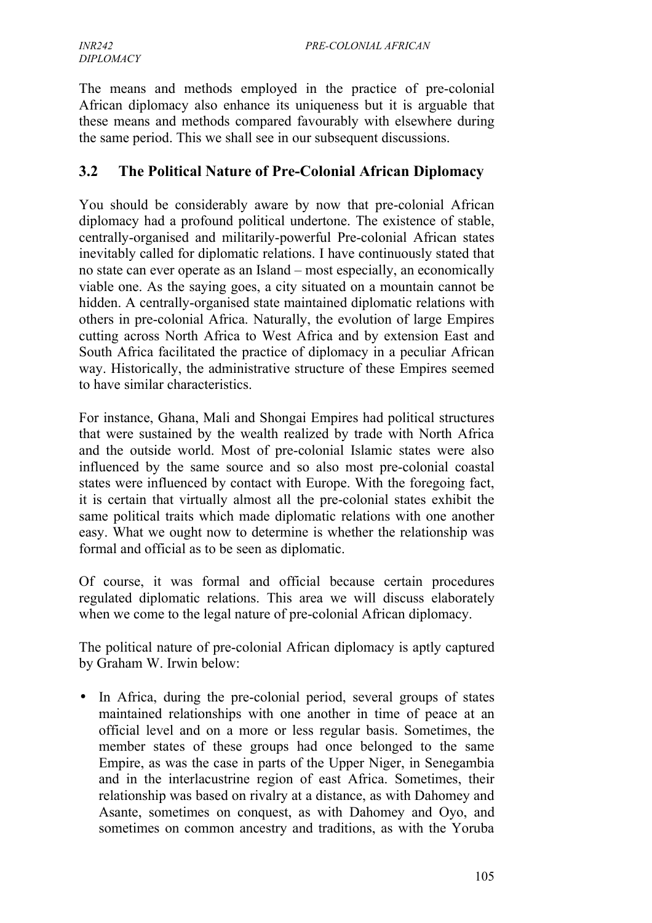The means and methods employed in the practice of pre-colonial African diplomacy also enhance its uniqueness but it is arguable that these means and methods compared favourably with elsewhere during the same period. This we shall see in our subsequent discussions.

## **3.2 The Political Nature of Pre-Colonial African Diplomacy**

You should be considerably aware by now that pre-colonial African diplomacy had a profound political undertone. The existence of stable, centrally-organised and militarily-powerful Pre-colonial African states inevitably called for diplomatic relations. I have continuously stated that no state can ever operate as an Island – most especially, an economically viable one. As the saying goes, a city situated on a mountain cannot be hidden. A centrally-organised state maintained diplomatic relations with others in pre-colonial Africa. Naturally, the evolution of large Empires cutting across North Africa to West Africa and by extension East and South Africa facilitated the practice of diplomacy in a peculiar African way. Historically, the administrative structure of these Empires seemed to have similar characteristics.

For instance, Ghana, Mali and Shongai Empires had political structures that were sustained by the wealth realized by trade with North Africa and the outside world. Most of pre-colonial Islamic states were also influenced by the same source and so also most pre-colonial coastal states were influenced by contact with Europe. With the foregoing fact, it is certain that virtually almost all the pre-colonial states exhibit the same political traits which made diplomatic relations with one another easy. What we ought now to determine is whether the relationship was formal and official as to be seen as diplomatic.

Of course, it was formal and official because certain procedures regulated diplomatic relations. This area we will discuss elaborately when we come to the legal nature of pre-colonial African diplomacy.

The political nature of pre-colonial African diplomacy is aptly captured by Graham W. Irwin below:

• In Africa, during the pre-colonial period, several groups of states maintained relationships with one another in time of peace at an official level and on a more or less regular basis. Sometimes, the member states of these groups had once belonged to the same Empire, as was the case in parts of the Upper Niger, in Senegambia and in the interlacustrine region of east Africa. Sometimes, their relationship was based on rivalry at a distance, as with Dahomey and Asante, sometimes on conquest, as with Dahomey and Oyo, and sometimes on common ancestry and traditions, as with the Yoruba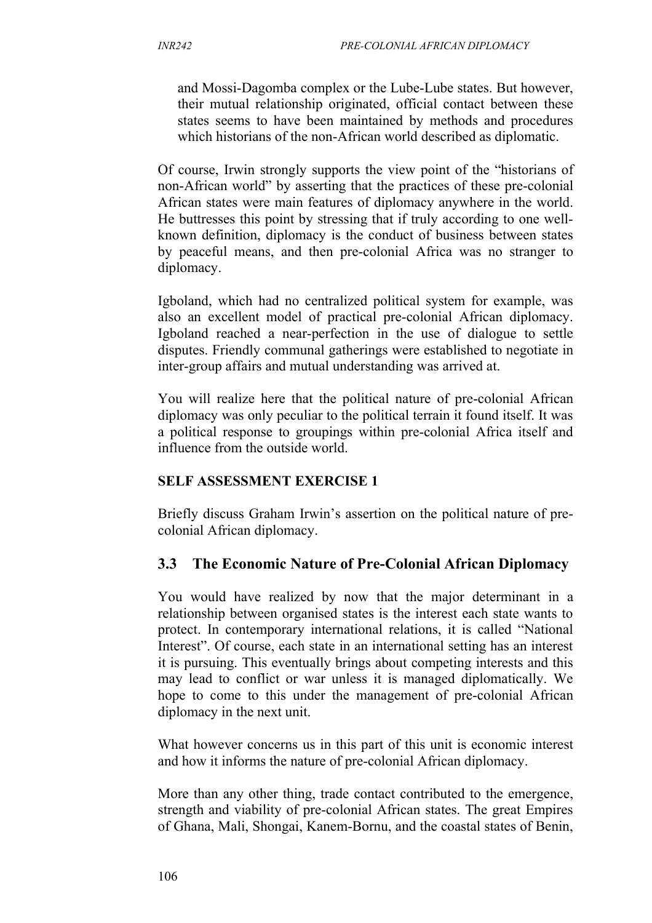and Mossi-Dagomba complex or the Lube-Lube states. But however, their mutual relationship originated, official contact between these states seems to have been maintained by methods and procedures which historians of the non-African world described as diplomatic.

Of course, Irwin strongly supports the view point of the "historians of non-African world" by asserting that the practices of these pre-colonial African states were main features of diplomacy anywhere in the world. He buttresses this point by stressing that if truly according to one wellknown definition, diplomacy is the conduct of business between states by peaceful means, and then pre-colonial Africa was no stranger to diplomacy.

Igboland, which had no centralized political system for example, was also an excellent model of practical pre-colonial African diplomacy. Igboland reached a near-perfection in the use of dialogue to settle disputes. Friendly communal gatherings were established to negotiate in inter-group affairs and mutual understanding was arrived at.

You will realize here that the political nature of pre-colonial African diplomacy was only peculiar to the political terrain it found itself. It was a political response to groupings within pre-colonial Africa itself and influence from the outside world.

### **SELF ASSESSMENT EXERCISE 1**

Briefly discuss Graham Irwin's assertion on the political nature of precolonial African diplomacy.

## **3.3 The Economic Nature of Pre-Colonial African Diplomacy**

You would have realized by now that the major determinant in a relationship between organised states is the interest each state wants to protect. In contemporary international relations, it is called "National Interest". Of course, each state in an international setting has an interest it is pursuing. This eventually brings about competing interests and this may lead to conflict or war unless it is managed diplomatically. We hope to come to this under the management of pre-colonial African diplomacy in the next unit.

What however concerns us in this part of this unit is economic interest and how it informs the nature of pre-colonial African diplomacy.

More than any other thing, trade contact contributed to the emergence, strength and viability of pre-colonial African states. The great Empires of Ghana, Mali, Shongai, Kanem-Bornu, and the coastal states of Benin,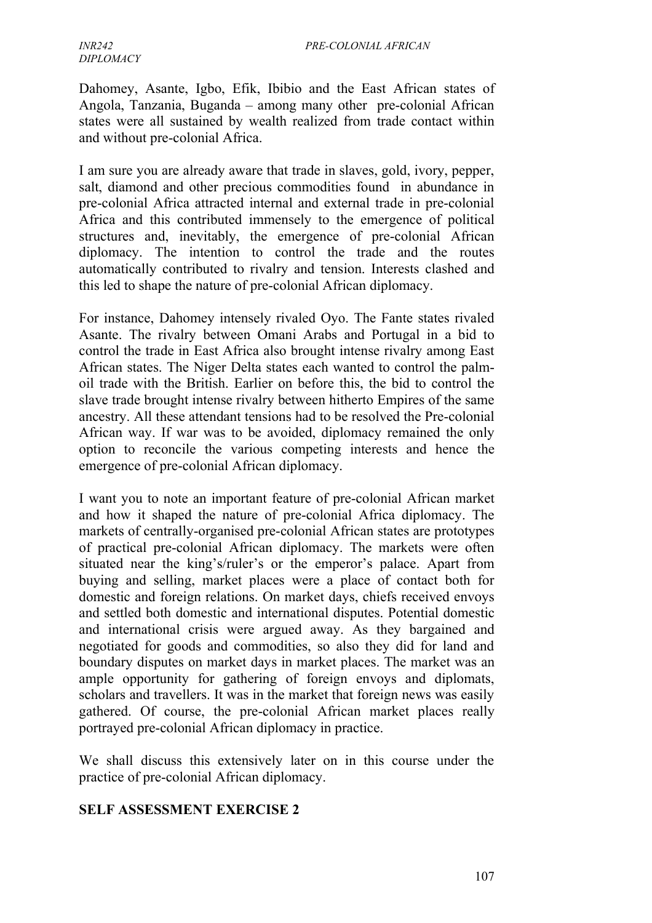Dahomey, Asante, Igbo, Efik, Ibibio and the East African states of Angola, Tanzania, Buganda – among many other pre-colonial African states were all sustained by wealth realized from trade contact within and without pre-colonial Africa.

I am sure you are already aware that trade in slaves, gold, ivory, pepper, salt, diamond and other precious commodities found in abundance in pre-colonial Africa attracted internal and external trade in pre-colonial Africa and this contributed immensely to the emergence of political structures and, inevitably, the emergence of pre-colonial African diplomacy. The intention to control the trade and the routes automatically contributed to rivalry and tension. Interests clashed and this led to shape the nature of pre-colonial African diplomacy.

For instance, Dahomey intensely rivaled Oyo. The Fante states rivaled Asante. The rivalry between Omani Arabs and Portugal in a bid to control the trade in East Africa also brought intense rivalry among East African states. The Niger Delta states each wanted to control the palmoil trade with the British. Earlier on before this, the bid to control the slave trade brought intense rivalry between hitherto Empires of the same ancestry. All these attendant tensions had to be resolved the Pre-colonial African way. If war was to be avoided, diplomacy remained the only option to reconcile the various competing interests and hence the emergence of pre-colonial African diplomacy.

I want you to note an important feature of pre-colonial African market and how it shaped the nature of pre-colonial Africa diplomacy. The markets of centrally-organised pre-colonial African states are prototypes of practical pre-colonial African diplomacy. The markets were often situated near the king's/ruler's or the emperor's palace. Apart from buying and selling, market places were a place of contact both for domestic and foreign relations. On market days, chiefs received envoys and settled both domestic and international disputes. Potential domestic and international crisis were argued away. As they bargained and negotiated for goods and commodities, so also they did for land and boundary disputes on market days in market places. The market was an ample opportunity for gathering of foreign envoys and diplomats, scholars and travellers. It was in the market that foreign news was easily gathered. Of course, the pre-colonial African market places really portrayed pre-colonial African diplomacy in practice.

We shall discuss this extensively later on in this course under the practice of pre-colonial African diplomacy.

### **SELF ASSESSMENT EXERCISE 2**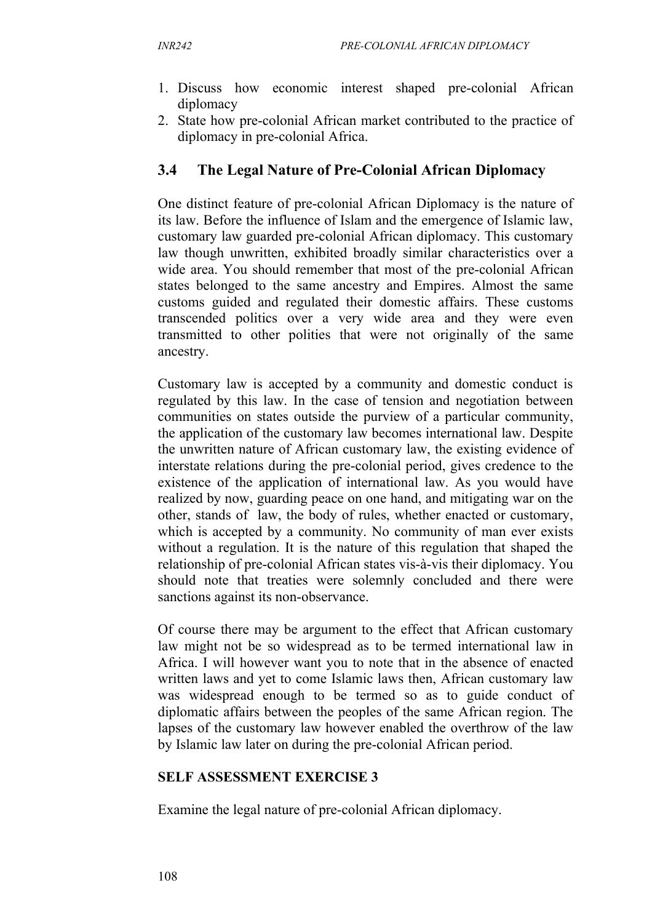- 1. Discuss how economic interest shaped pre-colonial African diplomacy
- 2. State how pre-colonial African market contributed to the practice of diplomacy in pre-colonial Africa.

## **3.4 The Legal Nature of Pre-Colonial African Diplomacy**

One distinct feature of pre-colonial African Diplomacy is the nature of its law. Before the influence of Islam and the emergence of Islamic law, customary law guarded pre-colonial African diplomacy. This customary law though unwritten, exhibited broadly similar characteristics over a wide area. You should remember that most of the pre-colonial African states belonged to the same ancestry and Empires. Almost the same customs guided and regulated their domestic affairs. These customs transcended politics over a very wide area and they were even transmitted to other polities that were not originally of the same ancestry.

Customary law is accepted by a community and domestic conduct is regulated by this law. In the case of tension and negotiation between communities on states outside the purview of a particular community, the application of the customary law becomes international law. Despite the unwritten nature of African customary law, the existing evidence of interstate relations during the pre-colonial period, gives credence to the existence of the application of international law. As you would have realized by now, guarding peace on one hand, and mitigating war on the other, stands of law, the body of rules, whether enacted or customary, which is accepted by a community. No community of man ever exists without a regulation. It is the nature of this regulation that shaped the relationship of pre-colonial African states vis-à-vis their diplomacy. You should note that treaties were solemnly concluded and there were sanctions against its non-observance.

Of course there may be argument to the effect that African customary law might not be so widespread as to be termed international law in Africa. I will however want you to note that in the absence of enacted written laws and yet to come Islamic laws then, African customary law was widespread enough to be termed so as to guide conduct of diplomatic affairs between the peoples of the same African region. The lapses of the customary law however enabled the overthrow of the law by Islamic law later on during the pre-colonial African period.

### **SELF ASSESSMENT EXERCISE 3**

Examine the legal nature of pre-colonial African diplomacy.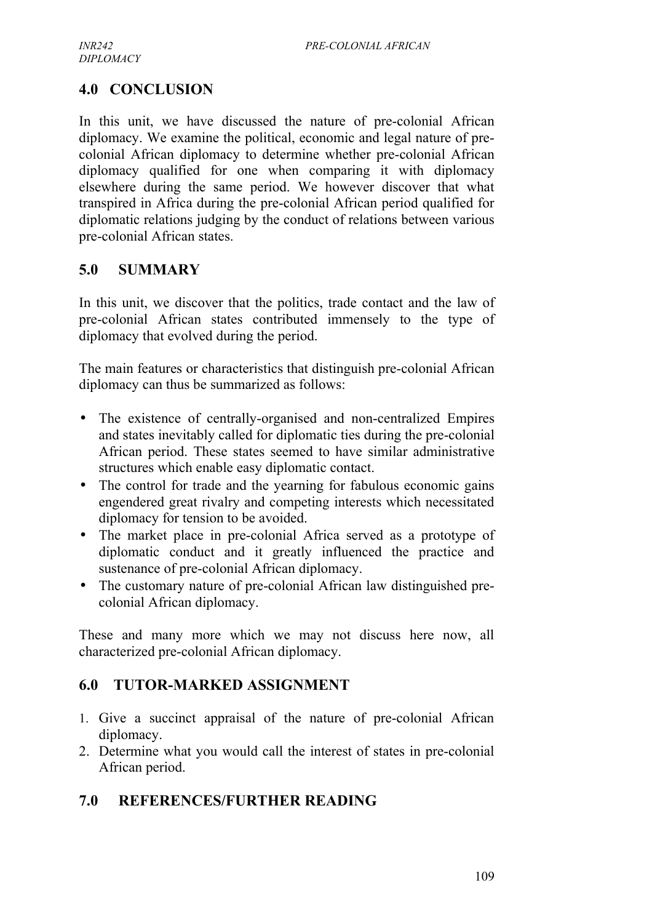# **4.0 CONCLUSION**

In this unit, we have discussed the nature of pre-colonial African diplomacy. We examine the political, economic and legal nature of precolonial African diplomacy to determine whether pre-colonial African diplomacy qualified for one when comparing it with diplomacy elsewhere during the same period. We however discover that what transpired in Africa during the pre-colonial African period qualified for diplomatic relations judging by the conduct of relations between various pre-colonial African states.

## **5.0 SUMMARY**

In this unit, we discover that the politics, trade contact and the law of pre-colonial African states contributed immensely to the type of diplomacy that evolved during the period.

The main features or characteristics that distinguish pre-colonial African diplomacy can thus be summarized as follows:

- The existence of centrally-organised and non-centralized Empires and states inevitably called for diplomatic ties during the pre-colonial African period. These states seemed to have similar administrative structures which enable easy diplomatic contact.
- The control for trade and the yearning for fabulous economic gains engendered great rivalry and competing interests which necessitated diplomacy for tension to be avoided.
- The market place in pre-colonial Africa served as a prototype of diplomatic conduct and it greatly influenced the practice and sustenance of pre-colonial African diplomacy.
- The customary nature of pre-colonial African law distinguished precolonial African diplomacy.

These and many more which we may not discuss here now, all characterized pre-colonial African diplomacy.

# **6.0 TUTOR-MARKED ASSIGNMENT**

- 1. Give a succinct appraisal of the nature of pre-colonial African diplomacy.
- 2. Determine what you would call the interest of states in pre-colonial African period.

# **7.0 REFERENCES/FURTHER READING**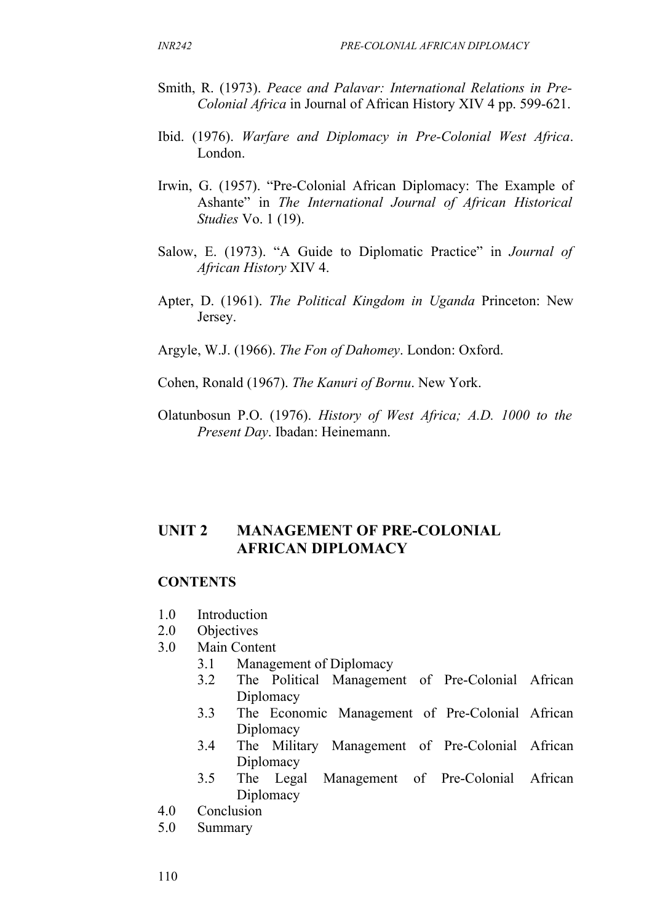- Smith, R. (1973). *Peace and Palavar: International Relations in Pre-Colonial Africa* in Journal of African History XIV 4 pp. 599-621.
- Ibid. (1976). *Warfare and Diplomacy in Pre-Colonial West Africa*. London.
- Irwin, G. (1957). "Pre-Colonial African Diplomacy: The Example of Ashante" in *The International Journal of African Historical Studies* Vo. 1 (19).
- Salow, E. (1973). "A Guide to Diplomatic Practice" in *Journal of African History* XIV 4.
- Apter, D. (1961). *The Political Kingdom in Uganda* Princeton: New Jersey.

Argyle, W.J. (1966). *The Fon of Dahomey*. London: Oxford.

- Cohen, Ronald (1967). *The Kanuri of Bornu*. New York.
- Olatunbosun P.O. (1976). *History of West Africa; A.D. 1000 to the Present Day*. Ibadan: Heinemann.

### **UNIT 2 MANAGEMENT OF PRE-COLONIAL AFRICAN DIPLOMACY**

#### **CONTENTS**

- 1.0 Introduction
- 2.0 Objectives
- 3.0 Main Content
	- 3.1 Management of Diplomacy
	- 3.2 The Political Management of Pre-Colonial African **Diplomacy**
	- 3.3 The Economic Management of Pre-Colonial African **Diplomacy**
	- 3.4 The Military Management of Pre-Colonial African **Diplomacy**
	- 3.5 The Legal Management of Pre-Colonial African **Diplomacy**
- 4.0 Conclusion
- 5.0 Summary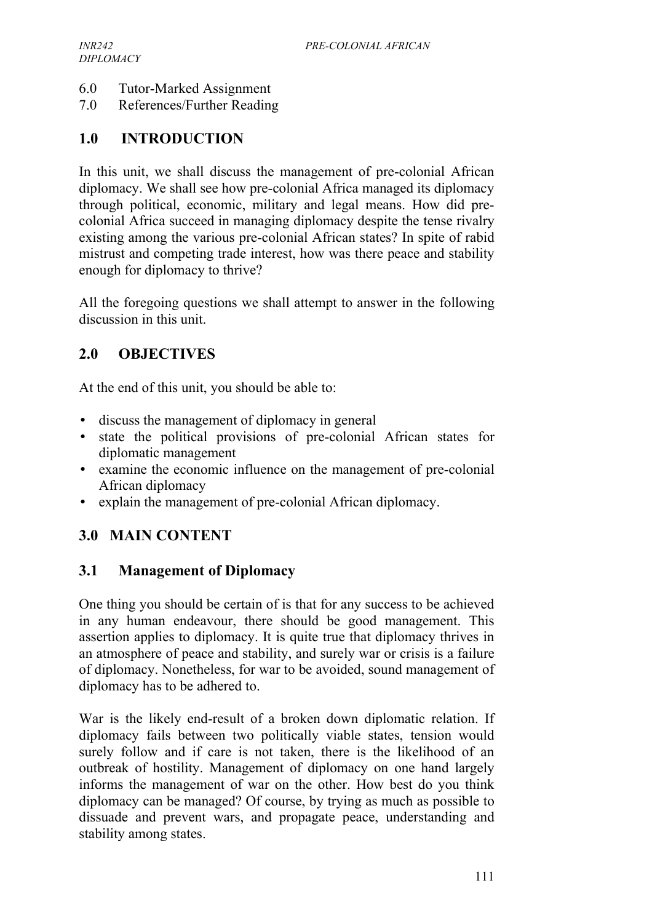- 6.0 Tutor-Marked Assignment
- 7.0 References/Further Reading

# **1.0 INTRODUCTION**

In this unit, we shall discuss the management of pre-colonial African diplomacy. We shall see how pre-colonial Africa managed its diplomacy through political, economic, military and legal means. How did precolonial Africa succeed in managing diplomacy despite the tense rivalry existing among the various pre-colonial African states? In spite of rabid mistrust and competing trade interest, how was there peace and stability enough for diplomacy to thrive?

All the foregoing questions we shall attempt to answer in the following discussion in this unit.

# **2.0 OBJECTIVES**

At the end of this unit, you should be able to:

- discuss the management of diplomacy in general
- state the political provisions of pre-colonial African states for diplomatic management
- examine the economic influence on the management of pre-colonial African diplomacy
- explain the management of pre-colonial African diplomacy.

# **3.0 MAIN CONTENT**

# **3.1 Management of Diplomacy**

One thing you should be certain of is that for any success to be achieved in any human endeavour, there should be good management. This assertion applies to diplomacy. It is quite true that diplomacy thrives in an atmosphere of peace and stability, and surely war or crisis is a failure of diplomacy. Nonetheless, for war to be avoided, sound management of diplomacy has to be adhered to.

War is the likely end-result of a broken down diplomatic relation. If diplomacy fails between two politically viable states, tension would surely follow and if care is not taken, there is the likelihood of an outbreak of hostility. Management of diplomacy on one hand largely informs the management of war on the other. How best do you think diplomacy can be managed? Of course, by trying as much as possible to dissuade and prevent wars, and propagate peace, understanding and stability among states.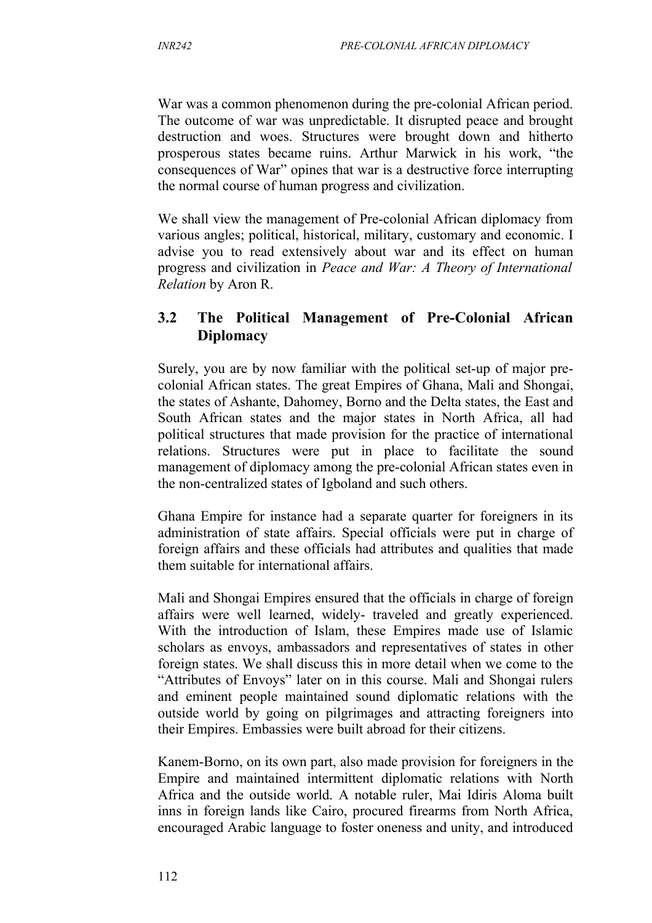War was a common phenomenon during the pre-colonial African period. The outcome of war was unpredictable. It disrupted peace and brought destruction and woes. Structures were brought down and hitherto prosperous states became ruins. Arthur Marwick in his work, "the consequences of War" opines that war is a destructive force interrupting the normal course of human progress and civilization.

We shall view the management of Pre-colonial African diplomacy from various angles; political, historical, military, customary and economic. I advise you to read extensively about war and its effect on human progress and civilization in *Peace and War: A Theory of International Relation* by Aron R.

## **3.2 The Political Management of Pre-Colonial African Diplomacy**

Surely, you are by now familiar with the political set-up of major precolonial African states. The great Empires of Ghana, Mali and Shongai, the states of Ashante, Dahomey, Borno and the Delta states, the East and South African states and the major states in North Africa, all had political structures that made provision for the practice of international relations. Structures were put in place to facilitate the sound management of diplomacy among the pre-colonial African states even in the non-centralized states of Igboland and such others.

Ghana Empire for instance had a separate quarter for foreigners in its administration of state affairs. Special officials were put in charge of foreign affairs and these officials had attributes and qualities that made them suitable for international affairs.

Mali and Shongai Empires ensured that the officials in charge of foreign affairs were well learned, widely- traveled and greatly experienced. With the introduction of Islam, these Empires made use of Islamic scholars as envoys, ambassadors and representatives of states in other foreign states. We shall discuss this in more detail when we come to the "Attributes of Envoys" later on in this course. Mali and Shongai rulers and eminent people maintained sound diplomatic relations with the outside world by going on pilgrimages and attracting foreigners into their Empires. Embassies were built abroad for their citizens.

Kanem-Borno, on its own part, also made provision for foreigners in the Empire and maintained intermittent diplomatic relations with North Africa and the outside world. A notable ruler, Mai Idiris Aloma built inns in foreign lands like Cairo, procured firearms from North Africa, encouraged Arabic language to foster oneness and unity, and introduced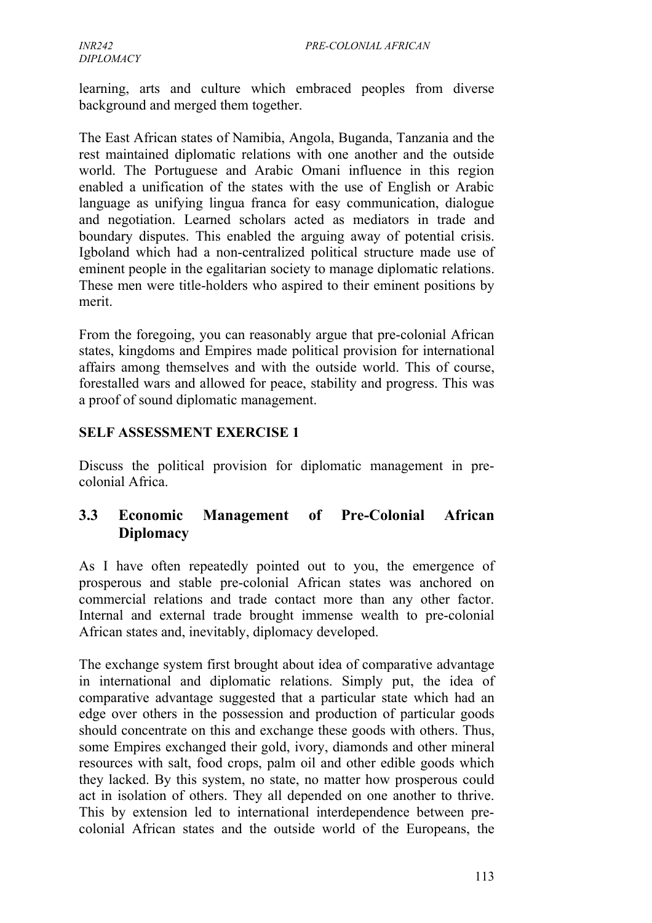learning, arts and culture which embraced peoples from diverse background and merged them together.

The East African states of Namibia, Angola, Buganda, Tanzania and the rest maintained diplomatic relations with one another and the outside world. The Portuguese and Arabic Omani influence in this region enabled a unification of the states with the use of English or Arabic language as unifying lingua franca for easy communication, dialogue and negotiation. Learned scholars acted as mediators in trade and boundary disputes. This enabled the arguing away of potential crisis. Igboland which had a non-centralized political structure made use of eminent people in the egalitarian society to manage diplomatic relations. These men were title-holders who aspired to their eminent positions by merit.

From the foregoing, you can reasonably argue that pre-colonial African states, kingdoms and Empires made political provision for international affairs among themselves and with the outside world. This of course, forestalled wars and allowed for peace, stability and progress. This was a proof of sound diplomatic management.

## **SELF ASSESSMENT EXERCISE 1**

Discuss the political provision for diplomatic management in precolonial Africa.

## **3.3 Economic Management of Pre-Colonial African Diplomacy**

As I have often repeatedly pointed out to you, the emergence of prosperous and stable pre-colonial African states was anchored on commercial relations and trade contact more than any other factor. Internal and external trade brought immense wealth to pre-colonial African states and, inevitably, diplomacy developed.

The exchange system first brought about idea of comparative advantage in international and diplomatic relations. Simply put, the idea of comparative advantage suggested that a particular state which had an edge over others in the possession and production of particular goods should concentrate on this and exchange these goods with others. Thus, some Empires exchanged their gold, ivory, diamonds and other mineral resources with salt, food crops, palm oil and other edible goods which they lacked. By this system, no state, no matter how prosperous could act in isolation of others. They all depended on one another to thrive. This by extension led to international interdependence between precolonial African states and the outside world of the Europeans, the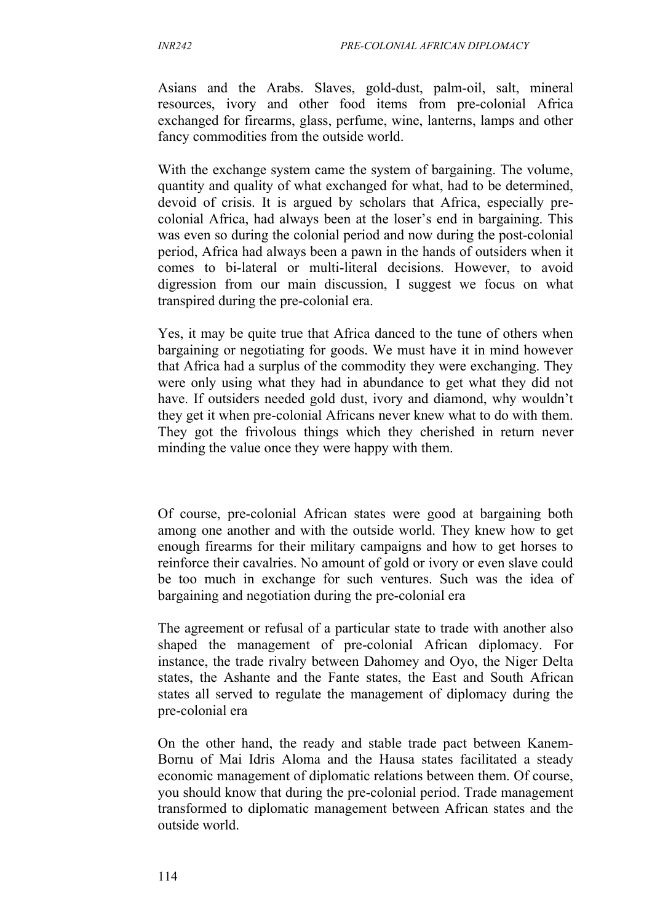Asians and the Arabs. Slaves, gold-dust, palm-oil, salt, mineral resources, ivory and other food items from pre-colonial Africa exchanged for firearms, glass, perfume, wine, lanterns, lamps and other fancy commodities from the outside world.

With the exchange system came the system of bargaining. The volume, quantity and quality of what exchanged for what, had to be determined, devoid of crisis. It is argued by scholars that Africa, especially precolonial Africa, had always been at the loser's end in bargaining. This was even so during the colonial period and now during the post-colonial period, Africa had always been a pawn in the hands of outsiders when it comes to bi-lateral or multi-literal decisions. However, to avoid digression from our main discussion, I suggest we focus on what transpired during the pre-colonial era.

Yes, it may be quite true that Africa danced to the tune of others when bargaining or negotiating for goods. We must have it in mind however that Africa had a surplus of the commodity they were exchanging. They were only using what they had in abundance to get what they did not have. If outsiders needed gold dust, ivory and diamond, why wouldn't they get it when pre-colonial Africans never knew what to do with them. They got the frivolous things which they cherished in return never minding the value once they were happy with them.

Of course, pre-colonial African states were good at bargaining both among one another and with the outside world. They knew how to get enough firearms for their military campaigns and how to get horses to reinforce their cavalries. No amount of gold or ivory or even slave could be too much in exchange for such ventures. Such was the idea of bargaining and negotiation during the pre-colonial era

The agreement or refusal of a particular state to trade with another also shaped the management of pre-colonial African diplomacy. For instance, the trade rivalry between Dahomey and Oyo, the Niger Delta states, the Ashante and the Fante states, the East and South African states all served to regulate the management of diplomacy during the pre-colonial era

On the other hand, the ready and stable trade pact between Kanem-Bornu of Mai Idris Aloma and the Hausa states facilitated a steady economic management of diplomatic relations between them. Of course, you should know that during the pre-colonial period. Trade management transformed to diplomatic management between African states and the outside world.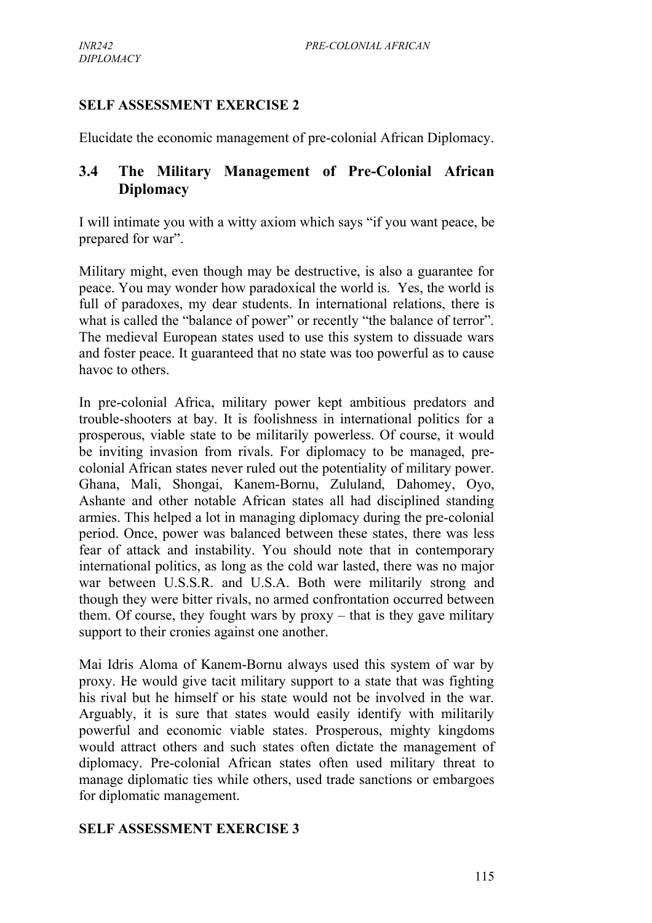### **SELF ASSESSMENT EXERCISE 2**

Elucidate the economic management of pre-colonial African Diplomacy.

## **3.4 The Military Management of Pre-Colonial African Diplomacy**

I will intimate you with a witty axiom which says "if you want peace, be prepared for war".

Military might, even though may be destructive, is also a guarantee for peace. You may wonder how paradoxical the world is. Yes, the world is full of paradoxes, my dear students. In international relations, there is what is called the "balance of power" or recently "the balance of terror". The medieval European states used to use this system to dissuade wars and foster peace. It guaranteed that no state was too powerful as to cause havoc to others.

In pre-colonial Africa, military power kept ambitious predators and trouble-shooters at bay. It is foolishness in international politics for a prosperous, viable state to be militarily powerless. Of course, it would be inviting invasion from rivals. For diplomacy to be managed, precolonial African states never ruled out the potentiality of military power. Ghana, Mali, Shongai, Kanem-Bornu, Zululand, Dahomey, Oyo, Ashante and other notable African states all had disciplined standing armies. This helped a lot in managing diplomacy during the pre-colonial period. Once, power was balanced between these states, there was less fear of attack and instability. You should note that in contemporary international politics, as long as the cold war lasted, there was no major war between U.S.S.R. and U.S.A. Both were militarily strong and though they were bitter rivals, no armed confrontation occurred between them. Of course, they fought wars by proxy – that is they gave military support to their cronies against one another.

Mai Idris Aloma of Kanem-Bornu always used this system of war by proxy. He would give tacit military support to a state that was fighting his rival but he himself or his state would not be involved in the war. Arguably, it is sure that states would easily identify with militarily powerful and economic viable states. Prosperous, mighty kingdoms would attract others and such states often dictate the management of diplomacy. Pre-colonial African states often used military threat to manage diplomatic ties while others, used trade sanctions or embargoes for diplomatic management.

### **SELF ASSESSMENT EXERCISE 3**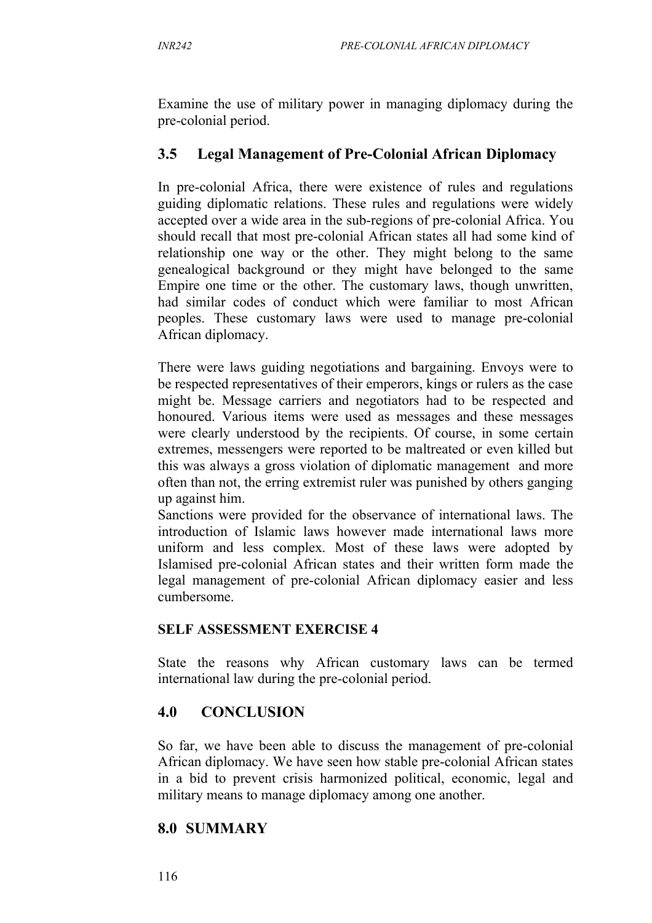Examine the use of military power in managing diplomacy during the pre-colonial period.

## **3.5 Legal Management of Pre-Colonial African Diplomacy**

In pre-colonial Africa, there were existence of rules and regulations guiding diplomatic relations. These rules and regulations were widely accepted over a wide area in the sub-regions of pre-colonial Africa. You should recall that most pre-colonial African states all had some kind of relationship one way or the other. They might belong to the same genealogical background or they might have belonged to the same Empire one time or the other. The customary laws, though unwritten, had similar codes of conduct which were familiar to most African peoples. These customary laws were used to manage pre-colonial African diplomacy.

There were laws guiding negotiations and bargaining. Envoys were to be respected representatives of their emperors, kings or rulers as the case might be. Message carriers and negotiators had to be respected and honoured. Various items were used as messages and these messages were clearly understood by the recipients. Of course, in some certain extremes, messengers were reported to be maltreated or even killed but this was always a gross violation of diplomatic management and more often than not, the erring extremist ruler was punished by others ganging up against him.

Sanctions were provided for the observance of international laws. The introduction of Islamic laws however made international laws more uniform and less complex. Most of these laws were adopted by Islamised pre-colonial African states and their written form made the legal management of pre-colonial African diplomacy easier and less cumbersome.

### **SELF ASSESSMENT EXERCISE 4**

State the reasons why African customary laws can be termed international law during the pre-colonial period.

### **4.0 CONCLUSION**

So far, we have been able to discuss the management of pre-colonial African diplomacy. We have seen how stable pre-colonial African states in a bid to prevent crisis harmonized political, economic, legal and military means to manage diplomacy among one another.

### **8.0 SUMMARY**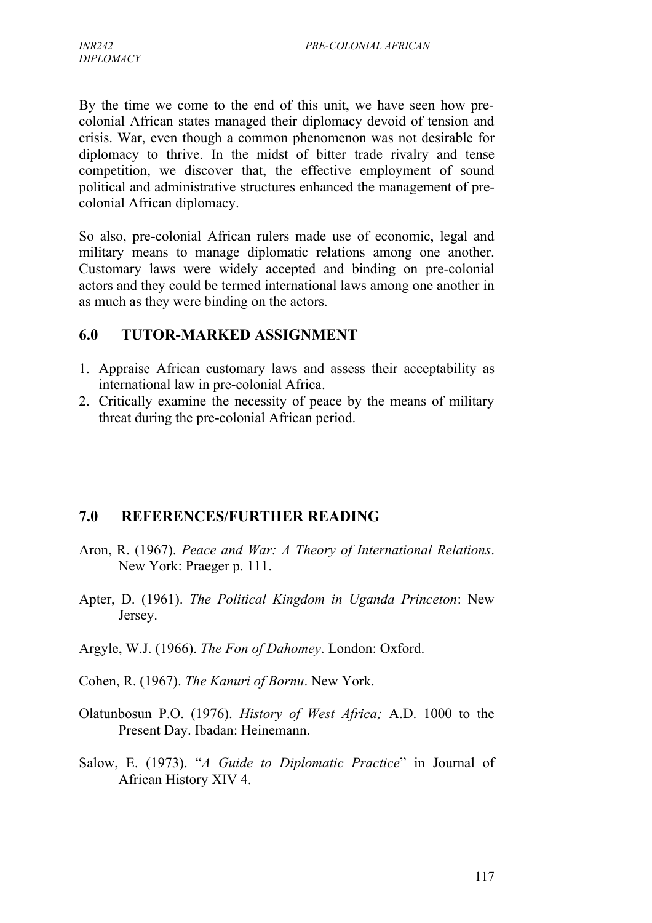By the time we come to the end of this unit, we have seen how precolonial African states managed their diplomacy devoid of tension and crisis. War, even though a common phenomenon was not desirable for diplomacy to thrive. In the midst of bitter trade rivalry and tense competition, we discover that, the effective employment of sound political and administrative structures enhanced the management of precolonial African diplomacy.

So also, pre-colonial African rulers made use of economic, legal and military means to manage diplomatic relations among one another. Customary laws were widely accepted and binding on pre-colonial actors and they could be termed international laws among one another in as much as they were binding on the actors.

### **6.0 TUTOR-MARKED ASSIGNMENT**

- 1. Appraise African customary laws and assess their acceptability as international law in pre-colonial Africa.
- 2. Critically examine the necessity of peace by the means of military threat during the pre-colonial African period.

## **7.0 REFERENCES/FURTHER READING**

- Aron, R. (1967). *Peace and War: A Theory of International Relations*. New York: Praeger p. 111.
- Apter, D. (1961). *The Political Kingdom in Uganda Princeton*: New Jersey.
- Argyle, W.J. (1966). *The Fon of Dahomey*. London: Oxford.
- Cohen, R. (1967). *The Kanuri of Bornu*. New York.
- Olatunbosun P.O. (1976). *History of West Africa;* A.D. 1000 to the Present Day. Ibadan: Heinemann.
- Salow, E. (1973). "*A Guide to Diplomatic Practice*" in Journal of African History XIV 4.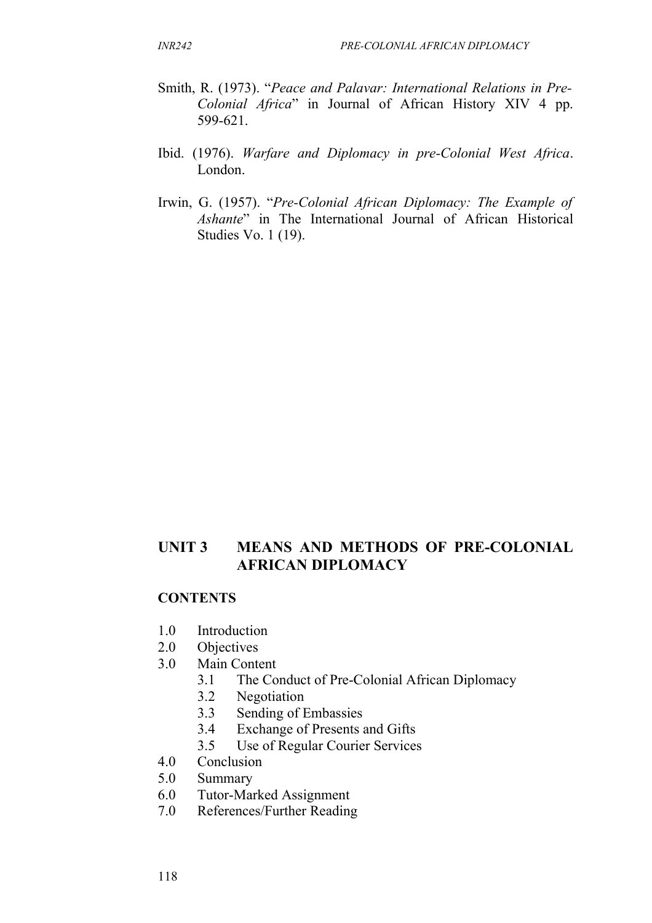- Smith, R. (1973). "*Peace and Palavar: International Relations in Pre-Colonial Africa*" in Journal of African History XIV 4 pp. 599-621.
- Ibid. (1976). *Warfare and Diplomacy in pre-Colonial West Africa*. London.
- Irwin, G. (1957). "*Pre-Colonial African Diplomacy: The Example of Ashante*" in The International Journal of African Historical Studies Vo. 1 (19).

## **UNIT 3 MEANS AND METHODS OF PRE-COLONIAL AFRICAN DIPLOMACY**

#### **CONTENTS**

- 1.0 Introduction
- 2.0 Objectives
- 3.0 Main Content
	- 3.1 The Conduct of Pre-Colonial African Diplomacy
	- 3.2 Negotiation
	- 3.3 Sending of Embassies
	- 3.4 Exchange of Presents and Gifts
	- 3.5 Use of Regular Courier Services
- 4.0 Conclusion
- 5.0 Summary
- 6.0 Tutor-Marked Assignment
- 7.0 References/Further Reading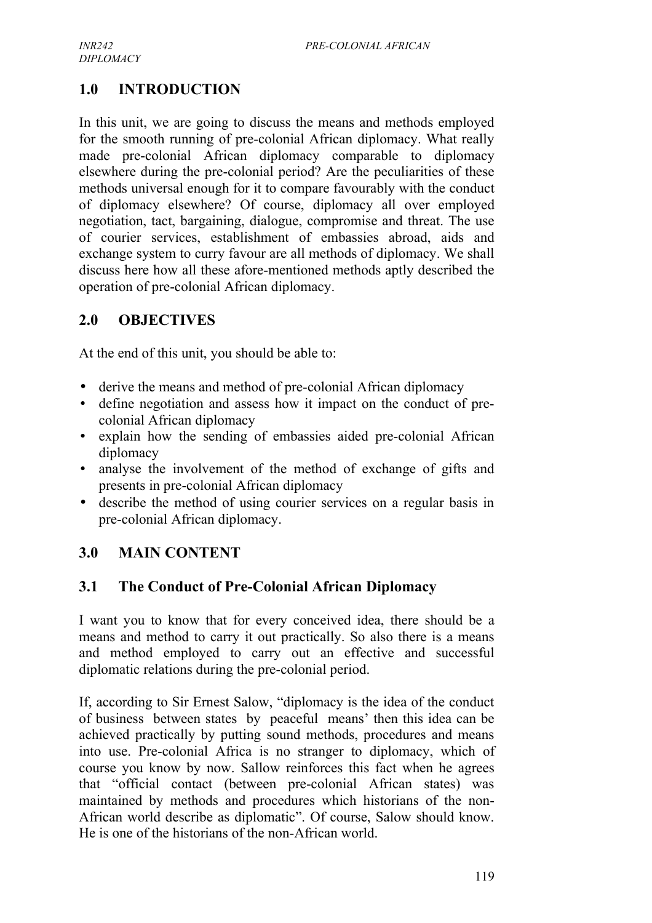# **1.0 INTRODUCTION**

In this unit, we are going to discuss the means and methods employed for the smooth running of pre-colonial African diplomacy. What really made pre-colonial African diplomacy comparable to diplomacy elsewhere during the pre-colonial period? Are the peculiarities of these methods universal enough for it to compare favourably with the conduct of diplomacy elsewhere? Of course, diplomacy all over employed negotiation, tact, bargaining, dialogue, compromise and threat. The use of courier services, establishment of embassies abroad, aids and exchange system to curry favour are all methods of diplomacy. We shall discuss here how all these afore-mentioned methods aptly described the operation of pre-colonial African diplomacy.

## **2.0 OBJECTIVES**

At the end of this unit, you should be able to:

- derive the means and method of pre-colonial African diplomacy
- define negotiation and assess how it impact on the conduct of precolonial African diplomacy
- explain how the sending of embassies aided pre-colonial African diplomacy
- analyse the involvement of the method of exchange of gifts and presents in pre-colonial African diplomacy
- describe the method of using courier services on a regular basis in pre-colonial African diplomacy.

# **3.0 MAIN CONTENT**

# **3.1 The Conduct of Pre-Colonial African Diplomacy**

I want you to know that for every conceived idea, there should be a means and method to carry it out practically. So also there is a means and method employed to carry out an effective and successful diplomatic relations during the pre-colonial period.

If, according to Sir Ernest Salow, "diplomacy is the idea of the conduct of business between states by peaceful means' then this idea can be achieved practically by putting sound methods, procedures and means into use. Pre-colonial Africa is no stranger to diplomacy, which of course you know by now. Sallow reinforces this fact when he agrees that "official contact (between pre-colonial African states) was maintained by methods and procedures which historians of the non-African world describe as diplomatic". Of course, Salow should know. He is one of the historians of the non-African world.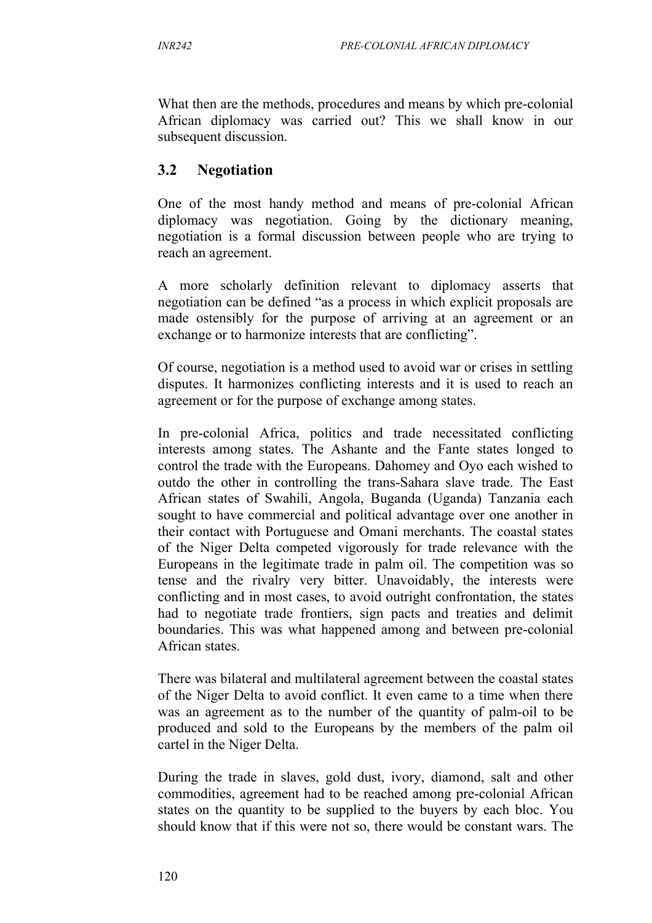What then are the methods, procedures and means by which pre-colonial African diplomacy was carried out? This we shall know in our subsequent discussion.

## **3.2 Negotiation**

One of the most handy method and means of pre-colonial African diplomacy was negotiation. Going by the dictionary meaning, negotiation is a formal discussion between people who are trying to reach an agreement.

A more scholarly definition relevant to diplomacy asserts that negotiation can be defined "as a process in which explicit proposals are made ostensibly for the purpose of arriving at an agreement or an exchange or to harmonize interests that are conflicting".

Of course, negotiation is a method used to avoid war or crises in settling disputes. It harmonizes conflicting interests and it is used to reach an agreement or for the purpose of exchange among states.

In pre-colonial Africa, politics and trade necessitated conflicting interests among states. The Ashante and the Fante states longed to control the trade with the Europeans. Dahomey and Oyo each wished to outdo the other in controlling the trans-Sahara slave trade. The East African states of Swahili, Angola, Buganda (Uganda) Tanzania each sought to have commercial and political advantage over one another in their contact with Portuguese and Omani merchants. The coastal states of the Niger Delta competed vigorously for trade relevance with the Europeans in the legitimate trade in palm oil. The competition was so tense and the rivalry very bitter. Unavoidably, the interests were conflicting and in most cases, to avoid outright confrontation, the states had to negotiate trade frontiers, sign pacts and treaties and delimit boundaries. This was what happened among and between pre-colonial African states.

There was bilateral and multilateral agreement between the coastal states of the Niger Delta to avoid conflict. It even came to a time when there was an agreement as to the number of the quantity of palm-oil to be produced and sold to the Europeans by the members of the palm oil cartel in the Niger Delta.

During the trade in slaves, gold dust, ivory, diamond, salt and other commodities, agreement had to be reached among pre-colonial African states on the quantity to be supplied to the buyers by each bloc. You should know that if this were not so, there would be constant wars. The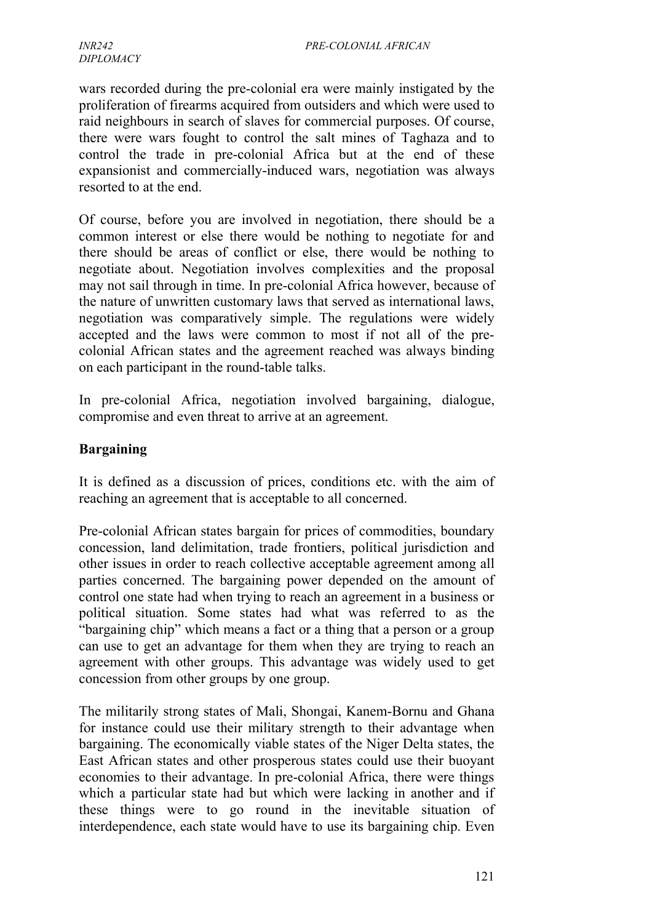wars recorded during the pre-colonial era were mainly instigated by the proliferation of firearms acquired from outsiders and which were used to raid neighbours in search of slaves for commercial purposes. Of course, there were wars fought to control the salt mines of Taghaza and to control the trade in pre-colonial Africa but at the end of these expansionist and commercially-induced wars, negotiation was always resorted to at the end.

Of course, before you are involved in negotiation, there should be a common interest or else there would be nothing to negotiate for and there should be areas of conflict or else, there would be nothing to negotiate about. Negotiation involves complexities and the proposal may not sail through in time. In pre-colonial Africa however, because of the nature of unwritten customary laws that served as international laws, negotiation was comparatively simple. The regulations were widely accepted and the laws were common to most if not all of the precolonial African states and the agreement reached was always binding on each participant in the round-table talks.

In pre-colonial Africa, negotiation involved bargaining, dialogue, compromise and even threat to arrive at an agreement.

### **Bargaining**

It is defined as a discussion of prices, conditions etc. with the aim of reaching an agreement that is acceptable to all concerned.

Pre-colonial African states bargain for prices of commodities, boundary concession, land delimitation, trade frontiers, political jurisdiction and other issues in order to reach collective acceptable agreement among all parties concerned. The bargaining power depended on the amount of control one state had when trying to reach an agreement in a business or political situation. Some states had what was referred to as the "bargaining chip" which means a fact or a thing that a person or a group can use to get an advantage for them when they are trying to reach an agreement with other groups. This advantage was widely used to get concession from other groups by one group.

The militarily strong states of Mali, Shongai, Kanem-Bornu and Ghana for instance could use their military strength to their advantage when bargaining. The economically viable states of the Niger Delta states, the East African states and other prosperous states could use their buoyant economies to their advantage. In pre-colonial Africa, there were things which a particular state had but which were lacking in another and if these things were to go round in the inevitable situation of interdependence, each state would have to use its bargaining chip. Even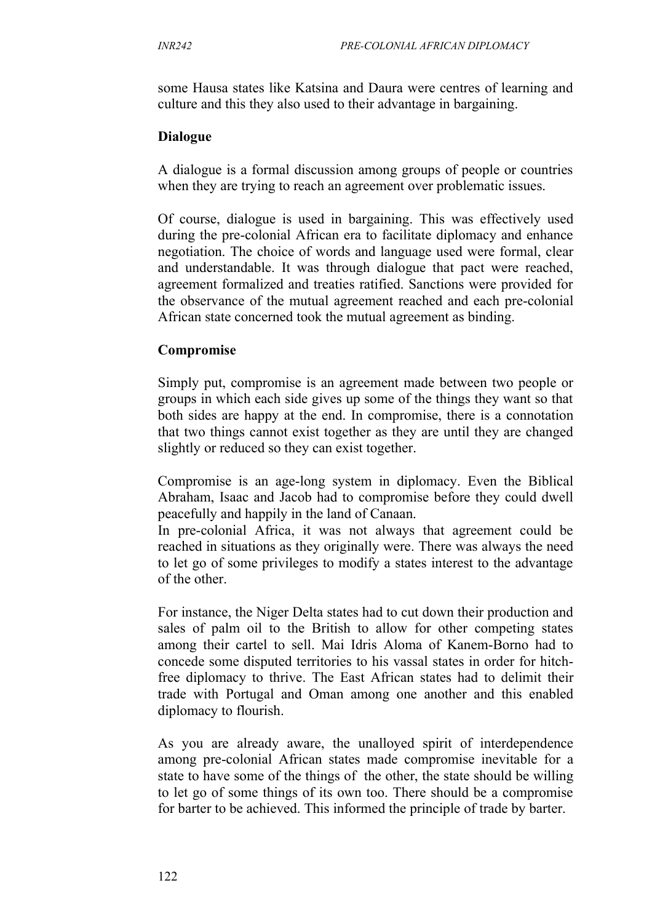some Hausa states like Katsina and Daura were centres of learning and culture and this they also used to their advantage in bargaining.

### **Dialogue**

A dialogue is a formal discussion among groups of people or countries when they are trying to reach an agreement over problematic issues.

Of course, dialogue is used in bargaining. This was effectively used during the pre-colonial African era to facilitate diplomacy and enhance negotiation. The choice of words and language used were formal, clear and understandable. It was through dialogue that pact were reached, agreement formalized and treaties ratified. Sanctions were provided for the observance of the mutual agreement reached and each pre-colonial African state concerned took the mutual agreement as binding.

### **Compromise**

Simply put, compromise is an agreement made between two people or groups in which each side gives up some of the things they want so that both sides are happy at the end. In compromise, there is a connotation that two things cannot exist together as they are until they are changed slightly or reduced so they can exist together.

Compromise is an age-long system in diplomacy. Even the Biblical Abraham, Isaac and Jacob had to compromise before they could dwell peacefully and happily in the land of Canaan.

In pre-colonial Africa, it was not always that agreement could be reached in situations as they originally were. There was always the need to let go of some privileges to modify a states interest to the advantage of the other.

For instance, the Niger Delta states had to cut down their production and sales of palm oil to the British to allow for other competing states among their cartel to sell. Mai Idris Aloma of Kanem-Borno had to concede some disputed territories to his vassal states in order for hitchfree diplomacy to thrive. The East African states had to delimit their trade with Portugal and Oman among one another and this enabled diplomacy to flourish.

As you are already aware, the unalloyed spirit of interdependence among pre-colonial African states made compromise inevitable for a state to have some of the things of the other, the state should be willing to let go of some things of its own too. There should be a compromise for barter to be achieved. This informed the principle of trade by barter.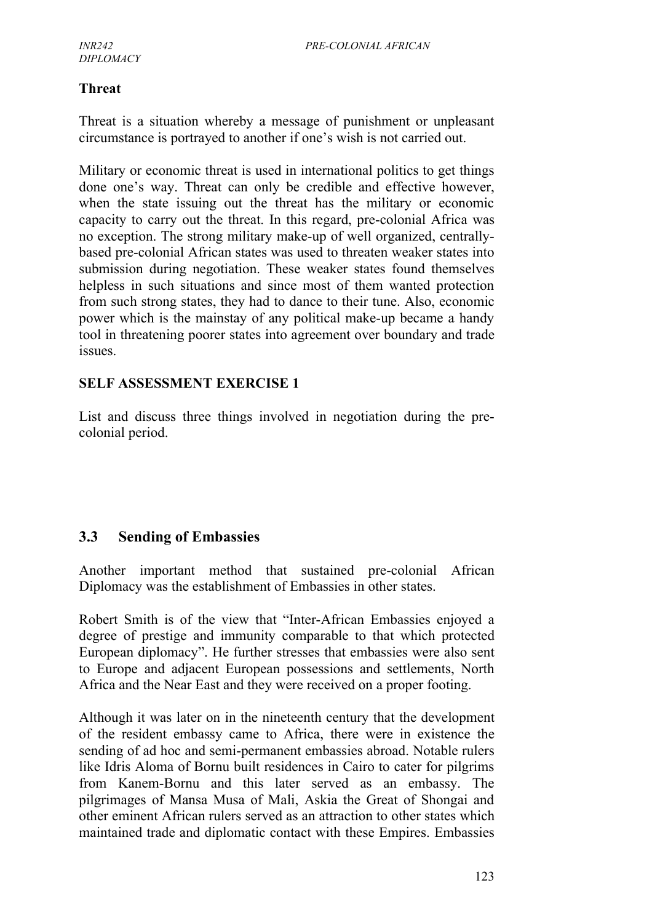### **Threat**

Threat is a situation whereby a message of punishment or unpleasant circumstance is portrayed to another if one's wish is not carried out.

Military or economic threat is used in international politics to get things done one's way. Threat can only be credible and effective however, when the state issuing out the threat has the military or economic capacity to carry out the threat. In this regard, pre-colonial Africa was no exception. The strong military make-up of well organized, centrallybased pre-colonial African states was used to threaten weaker states into submission during negotiation. These weaker states found themselves helpless in such situations and since most of them wanted protection from such strong states, they had to dance to their tune. Also, economic power which is the mainstay of any political make-up became a handy tool in threatening poorer states into agreement over boundary and trade issues.

### **SELF ASSESSMENT EXERCISE 1**

List and discuss three things involved in negotiation during the precolonial period.

## **3.3 Sending of Embassies**

Another important method that sustained pre-colonial African Diplomacy was the establishment of Embassies in other states.

Robert Smith is of the view that "Inter-African Embassies enjoyed a degree of prestige and immunity comparable to that which protected European diplomacy". He further stresses that embassies were also sent to Europe and adjacent European possessions and settlements, North Africa and the Near East and they were received on a proper footing.

Although it was later on in the nineteenth century that the development of the resident embassy came to Africa, there were in existence the sending of ad hoc and semi-permanent embassies abroad. Notable rulers like Idris Aloma of Bornu built residences in Cairo to cater for pilgrims from Kanem-Bornu and this later served as an embassy. The pilgrimages of Mansa Musa of Mali, Askia the Great of Shongai and other eminent African rulers served as an attraction to other states which maintained trade and diplomatic contact with these Empires. Embassies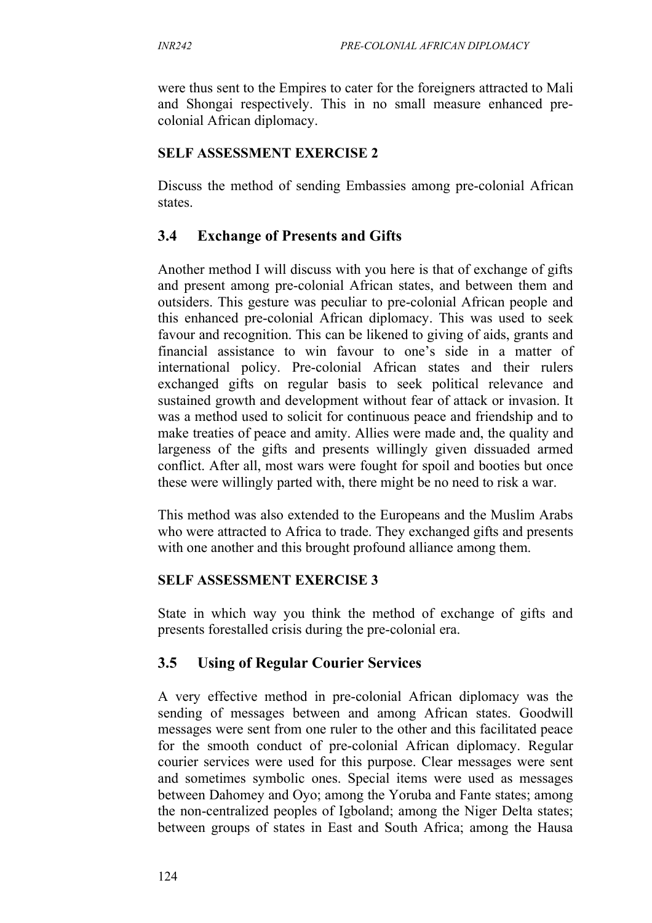were thus sent to the Empires to cater for the foreigners attracted to Mali and Shongai respectively. This in no small measure enhanced precolonial African diplomacy.

### **SELF ASSESSMENT EXERCISE 2**

Discuss the method of sending Embassies among pre-colonial African states.

## **3.4 Exchange of Presents and Gifts**

Another method I will discuss with you here is that of exchange of gifts and present among pre-colonial African states, and between them and outsiders. This gesture was peculiar to pre-colonial African people and this enhanced pre-colonial African diplomacy. This was used to seek favour and recognition. This can be likened to giving of aids, grants and financial assistance to win favour to one's side in a matter of international policy. Pre-colonial African states and their rulers exchanged gifts on regular basis to seek political relevance and sustained growth and development without fear of attack or invasion. It was a method used to solicit for continuous peace and friendship and to make treaties of peace and amity. Allies were made and, the quality and largeness of the gifts and presents willingly given dissuaded armed conflict. After all, most wars were fought for spoil and booties but once these were willingly parted with, there might be no need to risk a war.

This method was also extended to the Europeans and the Muslim Arabs who were attracted to Africa to trade. They exchanged gifts and presents with one another and this brought profound alliance among them.

### **SELF ASSESSMENT EXERCISE 3**

State in which way you think the method of exchange of gifts and presents forestalled crisis during the pre-colonial era.

# **3.5 Using of Regular Courier Services**

A very effective method in pre-colonial African diplomacy was the sending of messages between and among African states. Goodwill messages were sent from one ruler to the other and this facilitated peace for the smooth conduct of pre-colonial African diplomacy. Regular courier services were used for this purpose. Clear messages were sent and sometimes symbolic ones. Special items were used as messages between Dahomey and Oyo; among the Yoruba and Fante states; among the non-centralized peoples of Igboland; among the Niger Delta states; between groups of states in East and South Africa; among the Hausa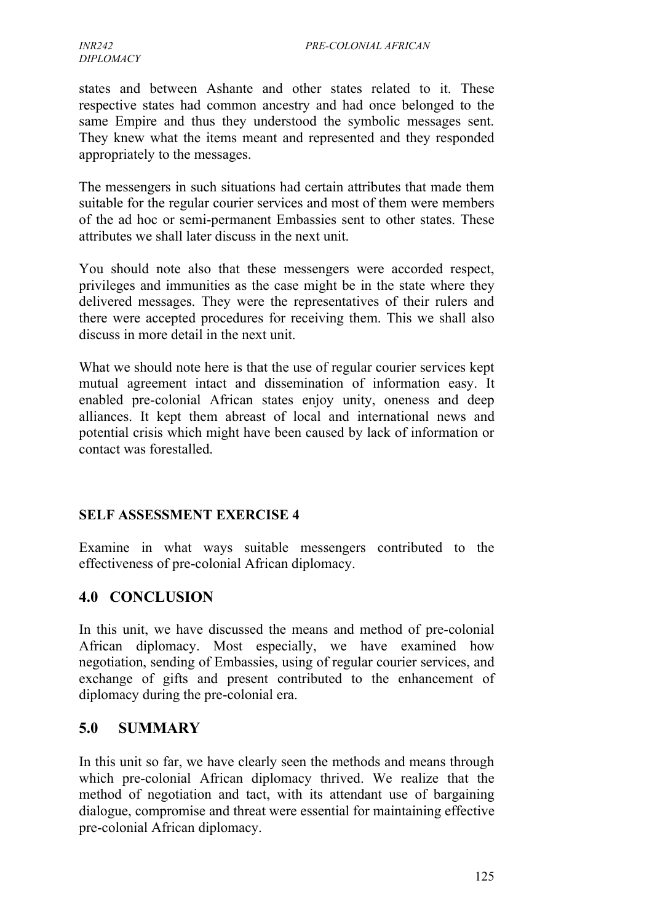states and between Ashante and other states related to it. These respective states had common ancestry and had once belonged to the same Empire and thus they understood the symbolic messages sent. They knew what the items meant and represented and they responded appropriately to the messages.

The messengers in such situations had certain attributes that made them suitable for the regular courier services and most of them were members of the ad hoc or semi-permanent Embassies sent to other states. These attributes we shall later discuss in the next unit.

You should note also that these messengers were accorded respect, privileges and immunities as the case might be in the state where they delivered messages. They were the representatives of their rulers and there were accepted procedures for receiving them. This we shall also discuss in more detail in the next unit.

What we should note here is that the use of regular courier services kept mutual agreement intact and dissemination of information easy. It enabled pre-colonial African states enjoy unity, oneness and deep alliances. It kept them abreast of local and international news and potential crisis which might have been caused by lack of information or contact was forestalled.

### **SELF ASSESSMENT EXERCISE 4**

Examine in what ways suitable messengers contributed to the effectiveness of pre-colonial African diplomacy.

## **4.0 CONCLUSION**

In this unit, we have discussed the means and method of pre-colonial African diplomacy. Most especially, we have examined how negotiation, sending of Embassies, using of regular courier services, and exchange of gifts and present contributed to the enhancement of diplomacy during the pre-colonial era.

### **5.0 SUMMARY**

In this unit so far, we have clearly seen the methods and means through which pre-colonial African diplomacy thrived. We realize that the method of negotiation and tact, with its attendant use of bargaining dialogue, compromise and threat were essential for maintaining effective pre-colonial African diplomacy.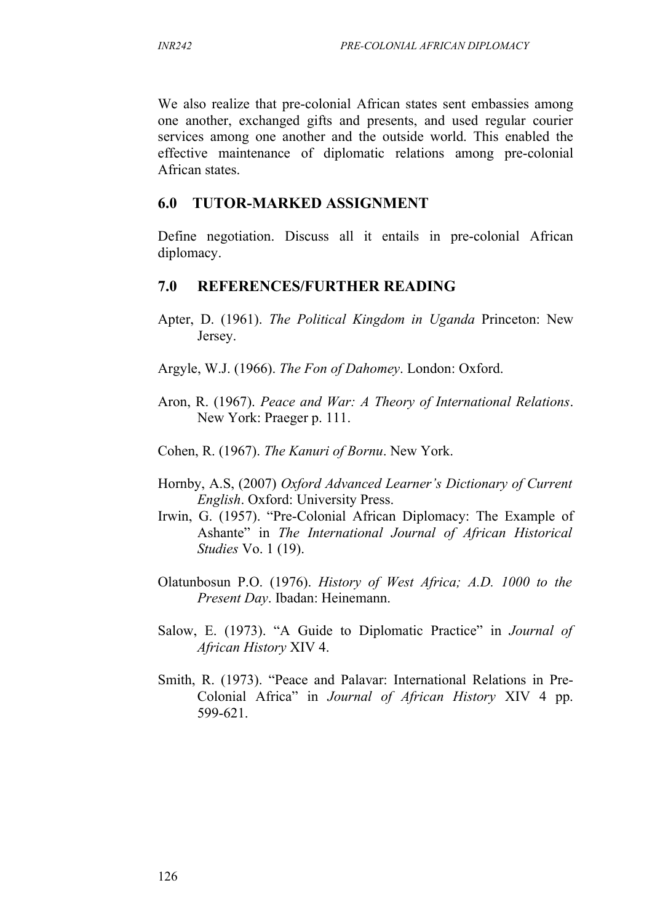We also realize that pre-colonial African states sent embassies among one another, exchanged gifts and presents, and used regular courier services among one another and the outside world. This enabled the effective maintenance of diplomatic relations among pre-colonial African states.

### **6.0 TUTOR-MARKED ASSIGNMENT**

Define negotiation. Discuss all it entails in pre-colonial African diplomacy.

### **7.0 REFERENCES/FURTHER READING**

- Apter, D. (1961). *The Political Kingdom in Uganda* Princeton: New Jersey.
- Argyle, W.J. (1966). *The Fon of Dahomey*. London: Oxford.
- Aron, R. (1967). *Peace and War: A Theory of International Relations*. New York: Praeger p. 111.
- Cohen, R. (1967). *The Kanuri of Bornu*. New York.
- Hornby, A.S, (2007) *Oxford Advanced Learner's Dictionary of Current English*. Oxford: University Press.
- Irwin, G. (1957). "Pre-Colonial African Diplomacy: The Example of Ashante" in *The International Journal of African Historical Studies* Vo. 1 (19).
- Olatunbosun P.O. (1976). *History of West Africa; A.D. 1000 to the Present Day*. Ibadan: Heinemann.
- Salow, E. (1973). "A Guide to Diplomatic Practice" in *Journal of African History* XIV 4.
- Smith, R. (1973). "Peace and Palavar: International Relations in Pre-Colonial Africa" in *Journal of African History* XIV 4 pp. 599-621.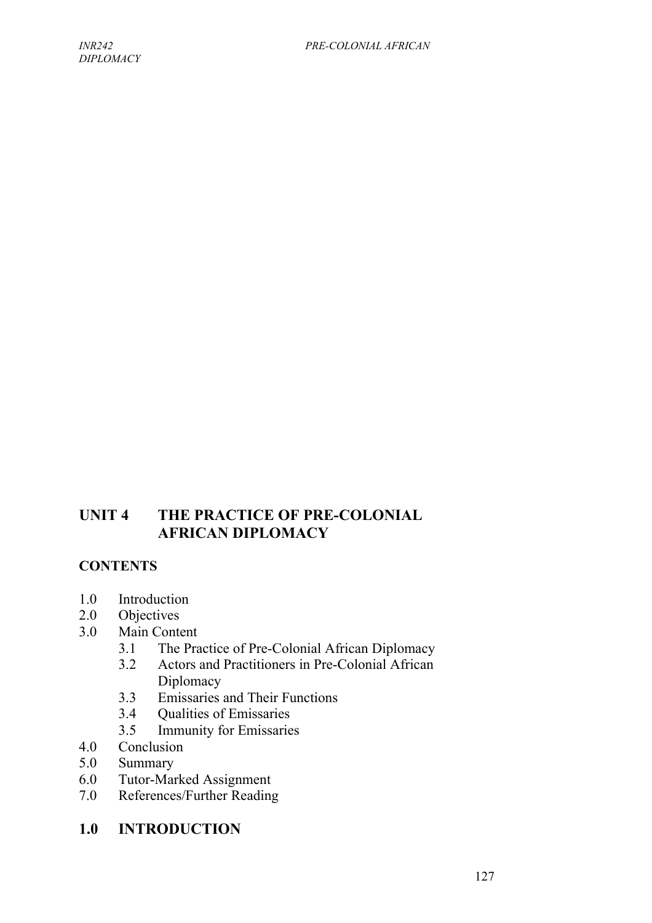## **UNIT 4 THE PRACTICE OF PRE-COLONIAL AFRICAN DIPLOMACY**

## **CONTENTS**

- 1.0 Introduction
- 2.0 Objectives<br>3.0 Main Conte
- Main Content
	- 3.1 The Practice of Pre-Colonial African Diplomacy
	- 3.2 Actors and Practitioners in Pre-Colonial African Diplomacy
	- 3.3 Emissaries and Their Functions
	- 3.4 Qualities of Emissaries
	- 3.5 Immunity for Emissaries
- 4.0 Conclusion
- 5.0 Summary
- 6.0 Tutor-Marked Assignment
- 7.0 References/Further Reading
- **1.0 INTRODUCTION**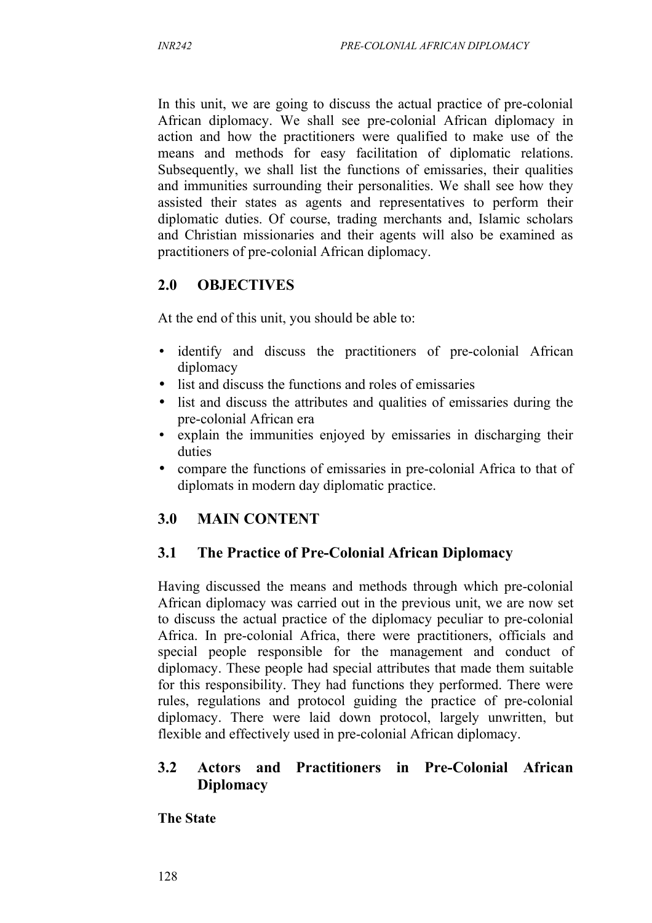In this unit, we are going to discuss the actual practice of pre-colonial African diplomacy. We shall see pre-colonial African diplomacy in action and how the practitioners were qualified to make use of the means and methods for easy facilitation of diplomatic relations. Subsequently, we shall list the functions of emissaries, their qualities and immunities surrounding their personalities. We shall see how they assisted their states as agents and representatives to perform their diplomatic duties. Of course, trading merchants and, Islamic scholars and Christian missionaries and their agents will also be examined as practitioners of pre-colonial African diplomacy.

## **2.0 OBJECTIVES**

At the end of this unit, you should be able to:

- identify and discuss the practitioners of pre-colonial African diplomacy
- list and discuss the functions and roles of emissaries
- list and discuss the attributes and qualities of emissaries during the pre-colonial African era
- explain the immunities enjoyed by emissaries in discharging their duties
- compare the functions of emissaries in pre-colonial Africa to that of diplomats in modern day diplomatic practice.

## **3.0 MAIN CONTENT**

## **3.1 The Practice of Pre-Colonial African Diplomacy**

Having discussed the means and methods through which pre-colonial African diplomacy was carried out in the previous unit, we are now set to discuss the actual practice of the diplomacy peculiar to pre-colonial Africa. In pre-colonial Africa, there were practitioners, officials and special people responsible for the management and conduct of diplomacy. These people had special attributes that made them suitable for this responsibility. They had functions they performed. There were rules, regulations and protocol guiding the practice of pre-colonial diplomacy. There were laid down protocol, largely unwritten, but flexible and effectively used in pre-colonial African diplomacy.

### **3.2 Actors and Practitioners in Pre-Colonial African Diplomacy**

**The State**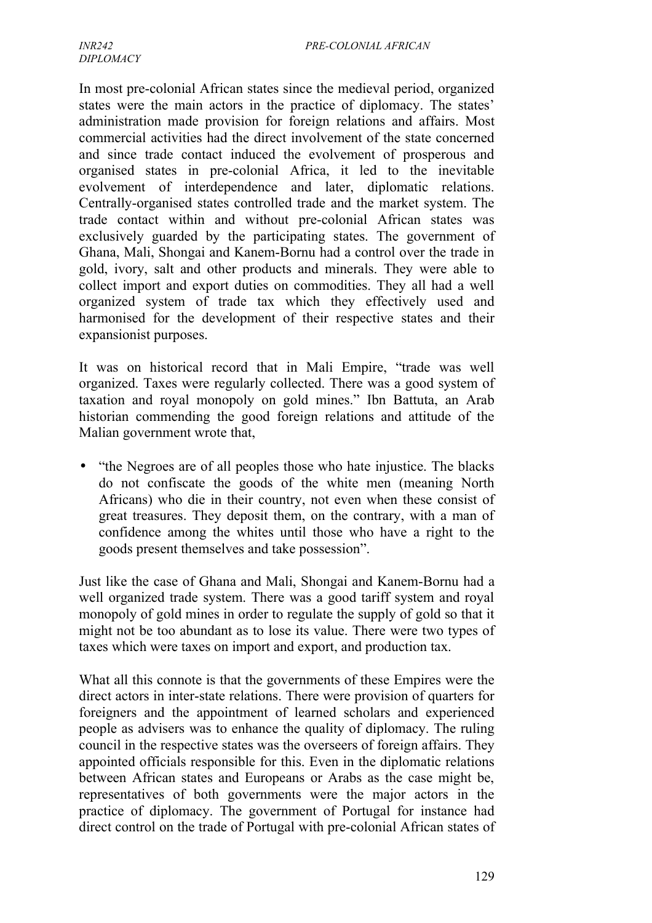In most pre-colonial African states since the medieval period, organized states were the main actors in the practice of diplomacy. The states' administration made provision for foreign relations and affairs. Most commercial activities had the direct involvement of the state concerned and since trade contact induced the evolvement of prosperous and organised states in pre-colonial Africa, it led to the inevitable evolvement of interdependence and later, diplomatic relations. Centrally-organised states controlled trade and the market system. The trade contact within and without pre-colonial African states was exclusively guarded by the participating states. The government of Ghana, Mali, Shongai and Kanem-Bornu had a control over the trade in gold, ivory, salt and other products and minerals. They were able to collect import and export duties on commodities. They all had a well organized system of trade tax which they effectively used and harmonised for the development of their respective states and their expansionist purposes.

It was on historical record that in Mali Empire, "trade was well organized. Taxes were regularly collected. There was a good system of taxation and royal monopoly on gold mines." Ibn Battuta, an Arab historian commending the good foreign relations and attitude of the Malian government wrote that,

• "the Negroes are of all peoples those who hate injustice. The blacks do not confiscate the goods of the white men (meaning North Africans) who die in their country, not even when these consist of great treasures. They deposit them, on the contrary, with a man of confidence among the whites until those who have a right to the goods present themselves and take possession".

Just like the case of Ghana and Mali, Shongai and Kanem-Bornu had a well organized trade system. There was a good tariff system and royal monopoly of gold mines in order to regulate the supply of gold so that it might not be too abundant as to lose its value. There were two types of taxes which were taxes on import and export, and production tax.

What all this connote is that the governments of these Empires were the direct actors in inter-state relations. There were provision of quarters for foreigners and the appointment of learned scholars and experienced people as advisers was to enhance the quality of diplomacy. The ruling council in the respective states was the overseers of foreign affairs. They appointed officials responsible for this. Even in the diplomatic relations between African states and Europeans or Arabs as the case might be, representatives of both governments were the major actors in the practice of diplomacy. The government of Portugal for instance had direct control on the trade of Portugal with pre-colonial African states of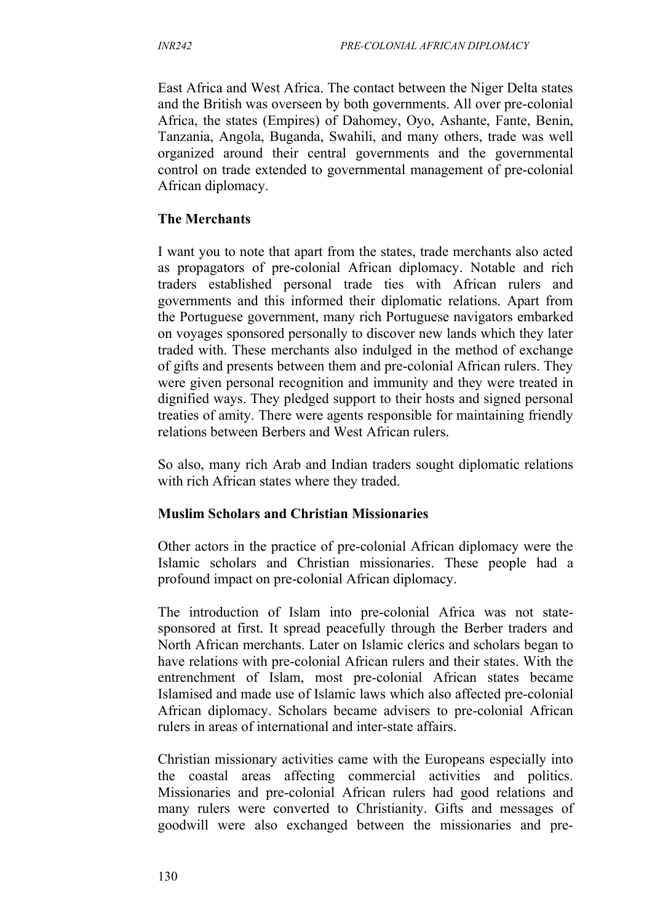East Africa and West Africa. The contact between the Niger Delta states and the British was overseen by both governments. All over pre-colonial Africa, the states (Empires) of Dahomey, Oyo, Ashante, Fante, Benin, Tanzania, Angola, Buganda, Swahili, and many others, trade was well organized around their central governments and the governmental control on trade extended to governmental management of pre-colonial African diplomacy.

## **The Merchants**

I want you to note that apart from the states, trade merchants also acted as propagators of pre-colonial African diplomacy. Notable and rich traders established personal trade ties with African rulers and governments and this informed their diplomatic relations. Apart from the Portuguese government, many rich Portuguese navigators embarked on voyages sponsored personally to discover new lands which they later traded with. These merchants also indulged in the method of exchange of gifts and presents between them and pre-colonial African rulers. They were given personal recognition and immunity and they were treated in dignified ways. They pledged support to their hosts and signed personal treaties of amity. There were agents responsible for maintaining friendly relations between Berbers and West African rulers.

So also, many rich Arab and Indian traders sought diplomatic relations with rich African states where they traded.

## **Muslim Scholars and Christian Missionaries**

Other actors in the practice of pre-colonial African diplomacy were the Islamic scholars and Christian missionaries. These people had a profound impact on pre-colonial African diplomacy.

The introduction of Islam into pre-colonial Africa was not statesponsored at first. It spread peacefully through the Berber traders and North African merchants. Later on Islamic clerics and scholars began to have relations with pre-colonial African rulers and their states. With the entrenchment of Islam, most pre-colonial African states became Islamised and made use of Islamic laws which also affected pre-colonial African diplomacy. Scholars became advisers to pre-colonial African rulers in areas of international and inter-state affairs.

Christian missionary activities came with the Europeans especially into the coastal areas affecting commercial activities and politics. Missionaries and pre-colonial African rulers had good relations and many rulers were converted to Christianity. Gifts and messages of goodwill were also exchanged between the missionaries and pre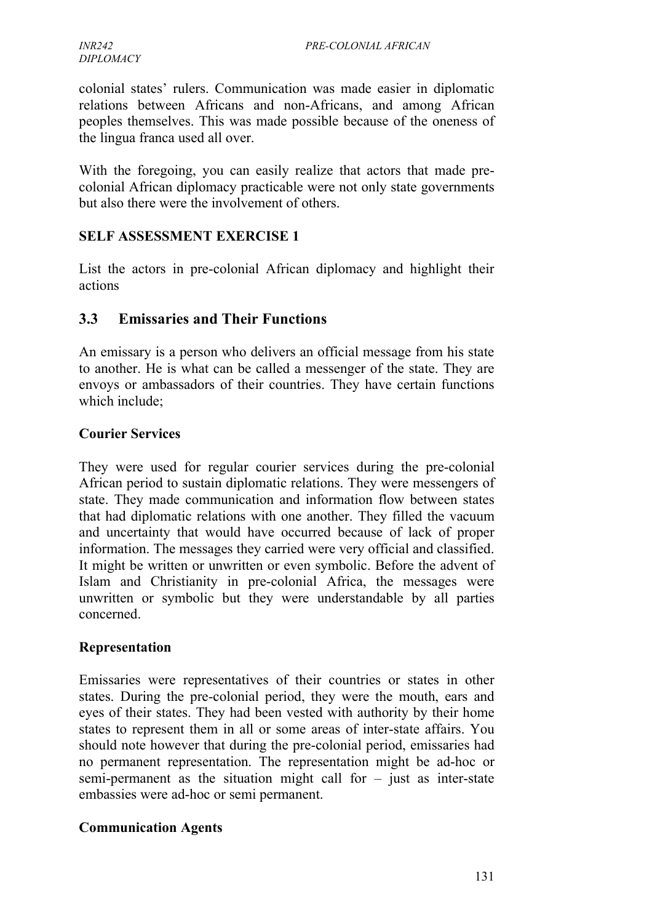colonial states' rulers. Communication was made easier in diplomatic relations between Africans and non-Africans, and among African peoples themselves. This was made possible because of the oneness of the lingua franca used all over.

With the foregoing, you can easily realize that actors that made precolonial African diplomacy practicable were not only state governments but also there were the involvement of others.

### **SELF ASSESSMENT EXERCISE 1**

List the actors in pre-colonial African diplomacy and highlight their actions

### **3.3 Emissaries and Their Functions**

An emissary is a person who delivers an official message from his state to another. He is what can be called a messenger of the state. They are envoys or ambassadors of their countries. They have certain functions which include;

#### **Courier Services**

They were used for regular courier services during the pre-colonial African period to sustain diplomatic relations. They were messengers of state. They made communication and information flow between states that had diplomatic relations with one another. They filled the vacuum and uncertainty that would have occurred because of lack of proper information. The messages they carried were very official and classified. It might be written or unwritten or even symbolic. Before the advent of Islam and Christianity in pre-colonial Africa, the messages were unwritten or symbolic but they were understandable by all parties concerned.

### **Representation**

Emissaries were representatives of their countries or states in other states. During the pre-colonial period, they were the mouth, ears and eyes of their states. They had been vested with authority by their home states to represent them in all or some areas of inter-state affairs. You should note however that during the pre-colonial period, emissaries had no permanent representation. The representation might be ad-hoc or semi-permanent as the situation might call for – just as inter-state embassies were ad-hoc or semi permanent.

#### **Communication Agents**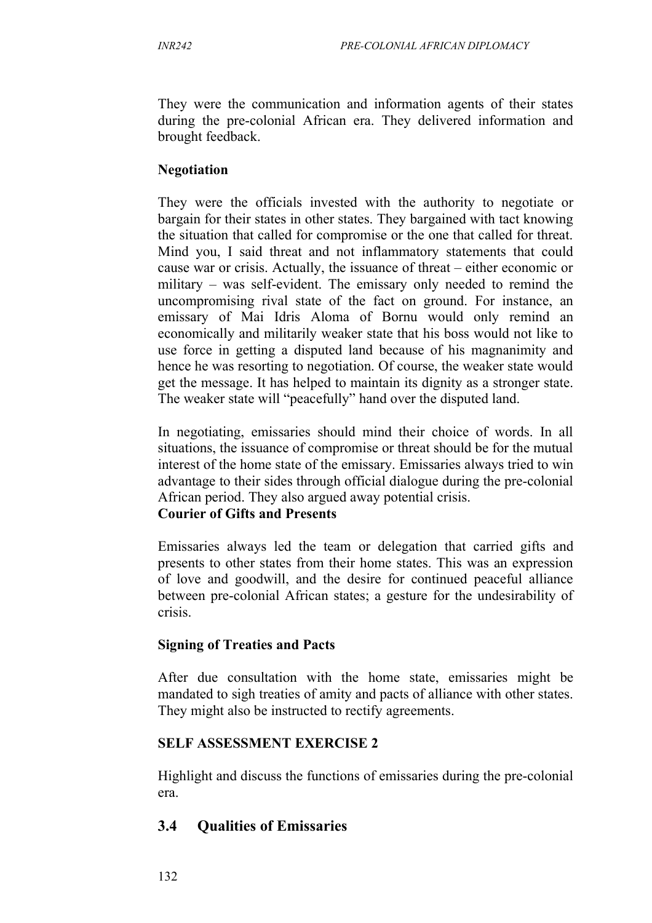They were the communication and information agents of their states during the pre-colonial African era. They delivered information and brought feedback.

### **Negotiation**

They were the officials invested with the authority to negotiate or bargain for their states in other states. They bargained with tact knowing the situation that called for compromise or the one that called for threat. Mind you, I said threat and not inflammatory statements that could cause war or crisis. Actually, the issuance of threat – either economic or military – was self-evident. The emissary only needed to remind the uncompromising rival state of the fact on ground. For instance, an emissary of Mai Idris Aloma of Bornu would only remind an economically and militarily weaker state that his boss would not like to use force in getting a disputed land because of his magnanimity and hence he was resorting to negotiation. Of course, the weaker state would get the message. It has helped to maintain its dignity as a stronger state. The weaker state will "peacefully" hand over the disputed land.

In negotiating, emissaries should mind their choice of words. In all situations, the issuance of compromise or threat should be for the mutual interest of the home state of the emissary. Emissaries always tried to win advantage to their sides through official dialogue during the pre-colonial African period. They also argued away potential crisis.

### **Courier of Gifts and Presents**

Emissaries always led the team or delegation that carried gifts and presents to other states from their home states. This was an expression of love and goodwill, and the desire for continued peaceful alliance between pre-colonial African states; a gesture for the undesirability of crisis.

### **Signing of Treaties and Pacts**

After due consultation with the home state, emissaries might be mandated to sigh treaties of amity and pacts of alliance with other states. They might also be instructed to rectify agreements.

## **SELF ASSESSMENT EXERCISE 2**

Highlight and discuss the functions of emissaries during the pre-colonial era.

## **3.4 Qualities of Emissaries**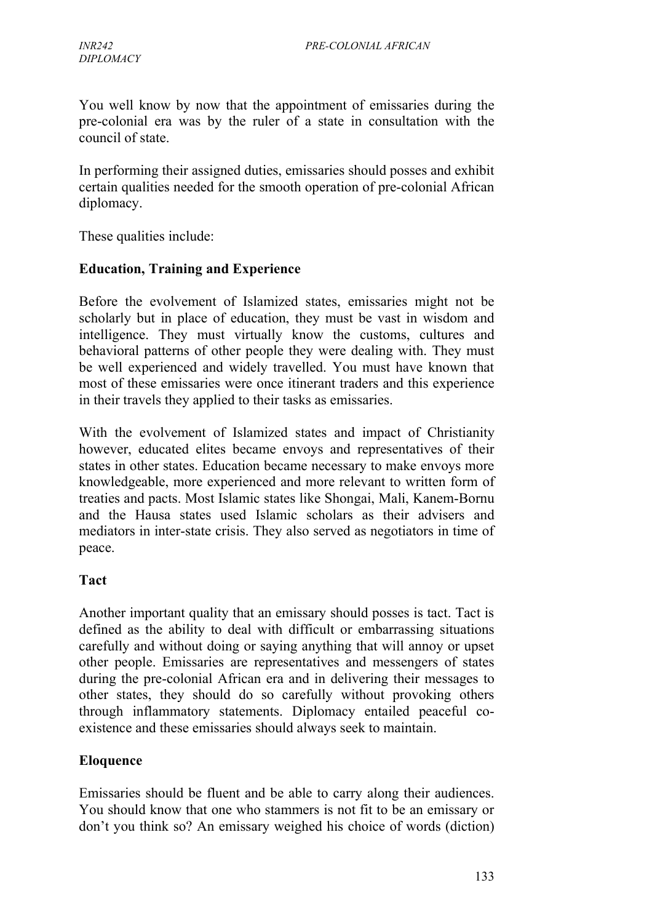You well know by now that the appointment of emissaries during the pre-colonial era was by the ruler of a state in consultation with the council of state.

In performing their assigned duties, emissaries should posses and exhibit certain qualities needed for the smooth operation of pre-colonial African diplomacy.

These qualities include:

### **Education, Training and Experience**

Before the evolvement of Islamized states, emissaries might not be scholarly but in place of education, they must be vast in wisdom and intelligence. They must virtually know the customs, cultures and behavioral patterns of other people they were dealing with. They must be well experienced and widely travelled. You must have known that most of these emissaries were once itinerant traders and this experience in their travels they applied to their tasks as emissaries.

With the evolvement of Islamized states and impact of Christianity however, educated elites became envoys and representatives of their states in other states. Education became necessary to make envoys more knowledgeable, more experienced and more relevant to written form of treaties and pacts. Most Islamic states like Shongai, Mali, Kanem-Bornu and the Hausa states used Islamic scholars as their advisers and mediators in inter-state crisis. They also served as negotiators in time of peace.

### **Tact**

Another important quality that an emissary should posses is tact. Tact is defined as the ability to deal with difficult or embarrassing situations carefully and without doing or saying anything that will annoy or upset other people. Emissaries are representatives and messengers of states during the pre-colonial African era and in delivering their messages to other states, they should do so carefully without provoking others through inflammatory statements. Diplomacy entailed peaceful coexistence and these emissaries should always seek to maintain.

### **Eloquence**

Emissaries should be fluent and be able to carry along their audiences. You should know that one who stammers is not fit to be an emissary or don't you think so? An emissary weighed his choice of words (diction)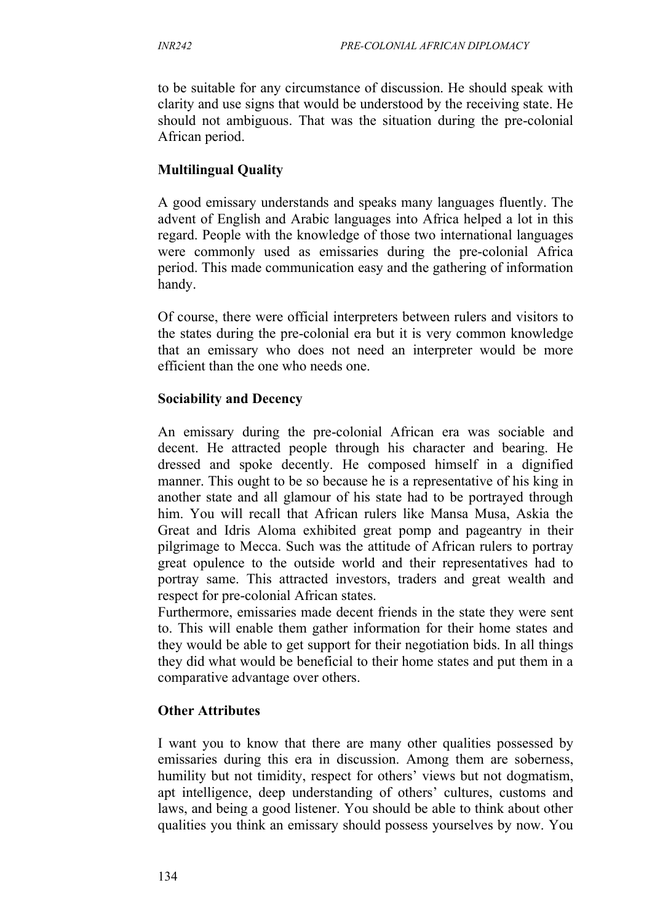to be suitable for any circumstance of discussion. He should speak with clarity and use signs that would be understood by the receiving state. He should not ambiguous. That was the situation during the pre-colonial African period.

## **Multilingual Quality**

A good emissary understands and speaks many languages fluently. The advent of English and Arabic languages into Africa helped a lot in this regard. People with the knowledge of those two international languages were commonly used as emissaries during the pre-colonial Africa period. This made communication easy and the gathering of information handy.

Of course, there were official interpreters between rulers and visitors to the states during the pre-colonial era but it is very common knowledge that an emissary who does not need an interpreter would be more efficient than the one who needs one.

## **Sociability and Decency**

An emissary during the pre-colonial African era was sociable and decent. He attracted people through his character and bearing. He dressed and spoke decently. He composed himself in a dignified manner. This ought to be so because he is a representative of his king in another state and all glamour of his state had to be portrayed through him. You will recall that African rulers like Mansa Musa, Askia the Great and Idris Aloma exhibited great pomp and pageantry in their pilgrimage to Mecca. Such was the attitude of African rulers to portray great opulence to the outside world and their representatives had to portray same. This attracted investors, traders and great wealth and respect for pre-colonial African states.

Furthermore, emissaries made decent friends in the state they were sent to. This will enable them gather information for their home states and they would be able to get support for their negotiation bids. In all things they did what would be beneficial to their home states and put them in a comparative advantage over others.

### **Other Attributes**

I want you to know that there are many other qualities possessed by emissaries during this era in discussion. Among them are soberness, humility but not timidity, respect for others' views but not dogmatism, apt intelligence, deep understanding of others' cultures, customs and laws, and being a good listener. You should be able to think about other qualities you think an emissary should possess yourselves by now. You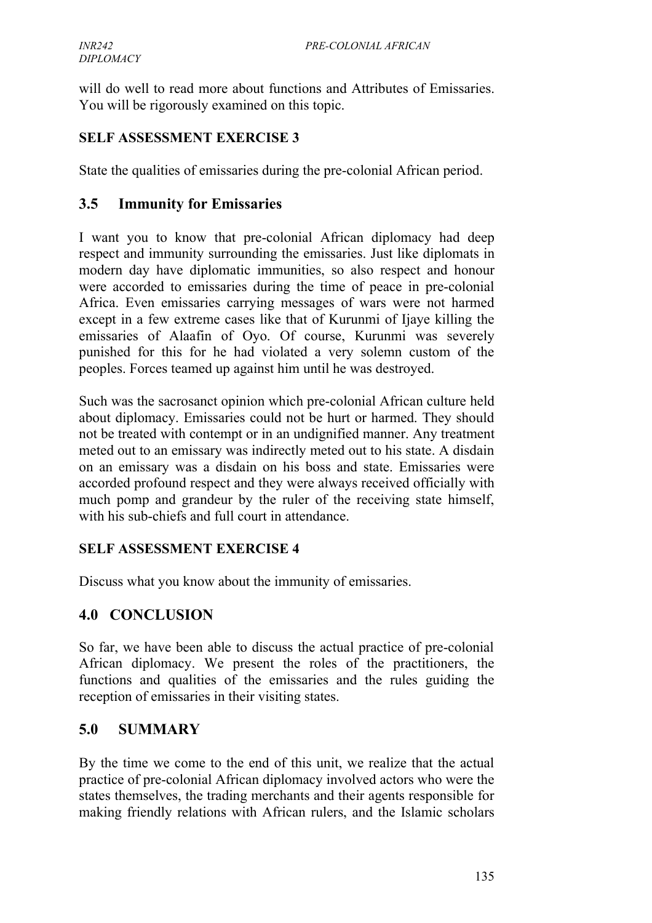will do well to read more about functions and Attributes of Emissaries. You will be rigorously examined on this topic.

### **SELF ASSESSMENT EXERCISE 3**

State the qualities of emissaries during the pre-colonial African period.

### **3.5 Immunity for Emissaries**

I want you to know that pre-colonial African diplomacy had deep respect and immunity surrounding the emissaries. Just like diplomats in modern day have diplomatic immunities, so also respect and honour were accorded to emissaries during the time of peace in pre-colonial Africa. Even emissaries carrying messages of wars were not harmed except in a few extreme cases like that of Kurunmi of Ijaye killing the emissaries of Alaafin of Oyo. Of course, Kurunmi was severely punished for this for he had violated a very solemn custom of the peoples. Forces teamed up against him until he was destroyed.

Such was the sacrosanct opinion which pre-colonial African culture held about diplomacy. Emissaries could not be hurt or harmed. They should not be treated with contempt or in an undignified manner. Any treatment meted out to an emissary was indirectly meted out to his state. A disdain on an emissary was a disdain on his boss and state. Emissaries were accorded profound respect and they were always received officially with much pomp and grandeur by the ruler of the receiving state himself, with his sub-chiefs and full court in attendance.

### **SELF ASSESSMENT EXERCISE 4**

Discuss what you know about the immunity of emissaries.

## **4.0 CONCLUSION**

So far, we have been able to discuss the actual practice of pre-colonial African diplomacy. We present the roles of the practitioners, the functions and qualities of the emissaries and the rules guiding the reception of emissaries in their visiting states.

## **5.0 SUMMARY**

By the time we come to the end of this unit, we realize that the actual practice of pre-colonial African diplomacy involved actors who were the states themselves, the trading merchants and their agents responsible for making friendly relations with African rulers, and the Islamic scholars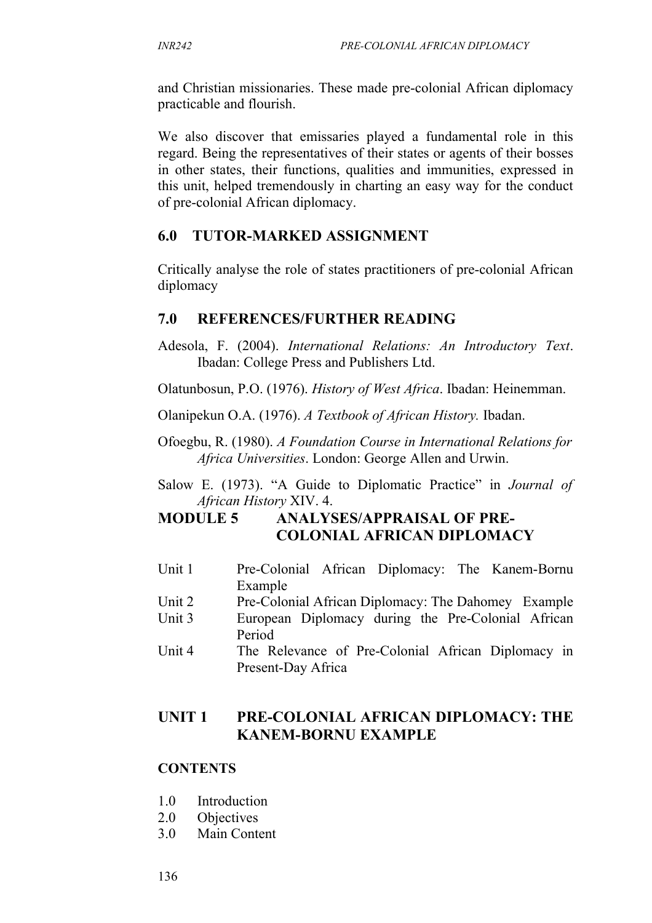and Christian missionaries. These made pre-colonial African diplomacy practicable and flourish.

We also discover that emissaries played a fundamental role in this regard. Being the representatives of their states or agents of their bosses in other states, their functions, qualities and immunities, expressed in this unit, helped tremendously in charting an easy way for the conduct of pre-colonial African diplomacy.

## **6.0 TUTOR-MARKED ASSIGNMENT**

Critically analyse the role of states practitioners of pre-colonial African diplomacy

## **7.0 REFERENCES/FURTHER READING**

Adesola, F. (2004). *International Relations: An Introductory Text*. Ibadan: College Press and Publishers Ltd.

Olatunbosun, P.O. (1976). *History of West Africa*. Ibadan: Heinemman.

Olanipekun O.A. (1976). *A Textbook of African History.* Ibadan.

Ofoegbu, R. (1980). *A Foundation Course in International Relations for Africa Universities*. London: George Allen and Urwin.

Salow E. (1973). "A Guide to Diplomatic Practice" in *Journal of African History* XIV. 4.

## **MODULE 5 ANALYSES/APPRAISAL OF PRE-COLONIAL AFRICAN DIPLOMACY**

- Unit 1 Pre-Colonial African Diplomacy: The Kanem-Bornu Example
- Unit 2 Pre-Colonial African Diplomacy: The Dahomey Example
- Unit 3 European Diplomacy during the Pre-Colonial African Period
- Unit 4 The Relevance of Pre-Colonial African Diplomacy in Present-Day Africa

## **UNIT 1 PRE-COLONIAL AFRICAN DIPLOMACY: THE KANEM-BORNU EXAMPLE**

## **CONTENTS**

- 1.0 Introduction
- 2.0 Objectives
- 3.0 Main Content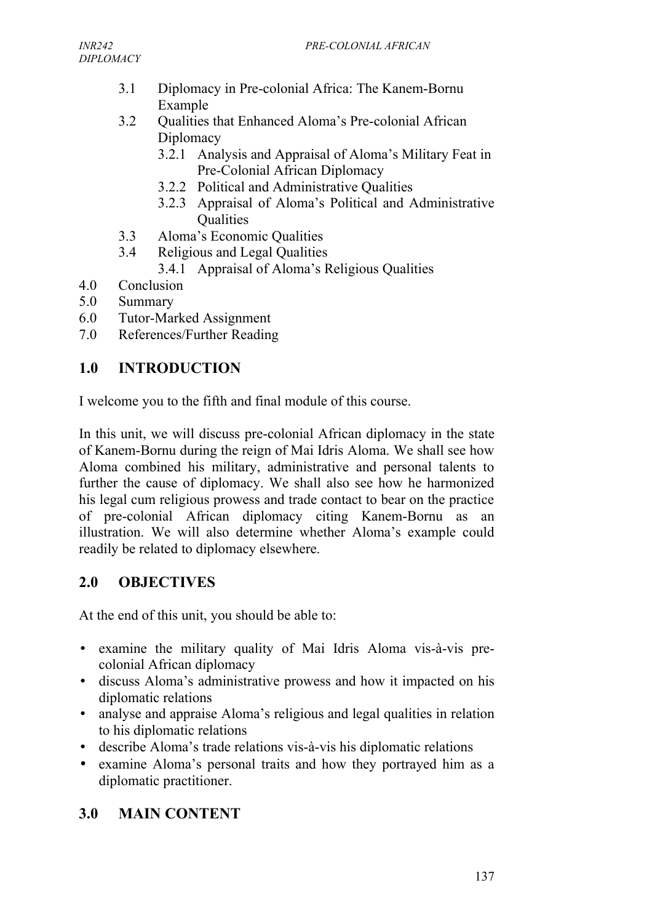- 3.1 Diplomacy in Pre-colonial Africa: The Kanem-Bornu Example
- 3.2 Qualities that Enhanced Aloma's Pre-colonial African **Diplomacy** 
	- 3.2.1 Analysis and Appraisal of Aloma's Military Feat in Pre-Colonial African Diplomacy
	- 3.2.2 Political and Administrative Qualities
	- 3.2.3 Appraisal of Aloma's Political and Administrative **Qualities**
- 3.3 Aloma's Economic Qualities
- 3.4 Religious and Legal Qualities
	- 3.4.1 Appraisal of Aloma's Religious Qualities
- 4.0 Conclusion
- 5.0 Summary
- 6.0 Tutor-Marked Assignment
- 7.0 References/Further Reading

# **1.0 INTRODUCTION**

I welcome you to the fifth and final module of this course.

In this unit, we will discuss pre-colonial African diplomacy in the state of Kanem-Bornu during the reign of Mai Idris Aloma. We shall see how Aloma combined his military, administrative and personal talents to further the cause of diplomacy. We shall also see how he harmonized his legal cum religious prowess and trade contact to bear on the practice of pre-colonial African diplomacy citing Kanem-Bornu as an illustration. We will also determine whether Aloma's example could readily be related to diplomacy elsewhere.

## **2.0 OBJECTIVES**

At the end of this unit, you should be able to:

- examine the military quality of Mai Idris Aloma vis-à-vis precolonial African diplomacy
- discuss Aloma's administrative prowess and how it impacted on his diplomatic relations
- analyse and appraise Aloma's religious and legal qualities in relation to his diplomatic relations
- describe Aloma's trade relations vis-à-vis his diplomatic relations
- examine Aloma's personal traits and how they portrayed him as a diplomatic practitioner.

## **3.0 MAIN CONTENT**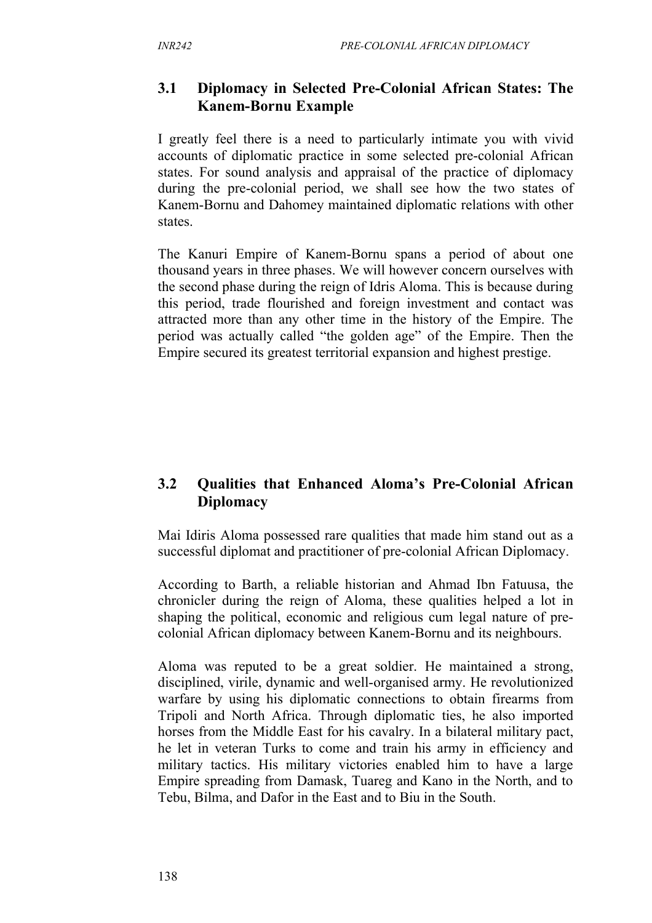## **3.1 Diplomacy in Selected Pre-Colonial African States: The Kanem-Bornu Example**

I greatly feel there is a need to particularly intimate you with vivid accounts of diplomatic practice in some selected pre-colonial African states. For sound analysis and appraisal of the practice of diplomacy during the pre-colonial period, we shall see how the two states of Kanem-Bornu and Dahomey maintained diplomatic relations with other states.

The Kanuri Empire of Kanem-Bornu spans a period of about one thousand years in three phases. We will however concern ourselves with the second phase during the reign of Idris Aloma. This is because during this period, trade flourished and foreign investment and contact was attracted more than any other time in the history of the Empire. The period was actually called "the golden age" of the Empire. Then the Empire secured its greatest territorial expansion and highest prestige.

# **3.2 Qualities that Enhanced Aloma's Pre-Colonial African Diplomacy**

Mai Idiris Aloma possessed rare qualities that made him stand out as a successful diplomat and practitioner of pre-colonial African Diplomacy.

According to Barth, a reliable historian and Ahmad Ibn Fatuusa, the chronicler during the reign of Aloma, these qualities helped a lot in shaping the political, economic and religious cum legal nature of precolonial African diplomacy between Kanem-Bornu and its neighbours.

Aloma was reputed to be a great soldier. He maintained a strong, disciplined, virile, dynamic and well-organised army. He revolutionized warfare by using his diplomatic connections to obtain firearms from Tripoli and North Africa. Through diplomatic ties, he also imported horses from the Middle East for his cavalry. In a bilateral military pact, he let in veteran Turks to come and train his army in efficiency and military tactics. His military victories enabled him to have a large Empire spreading from Damask, Tuareg and Kano in the North, and to Tebu, Bilma, and Dafor in the East and to Biu in the South.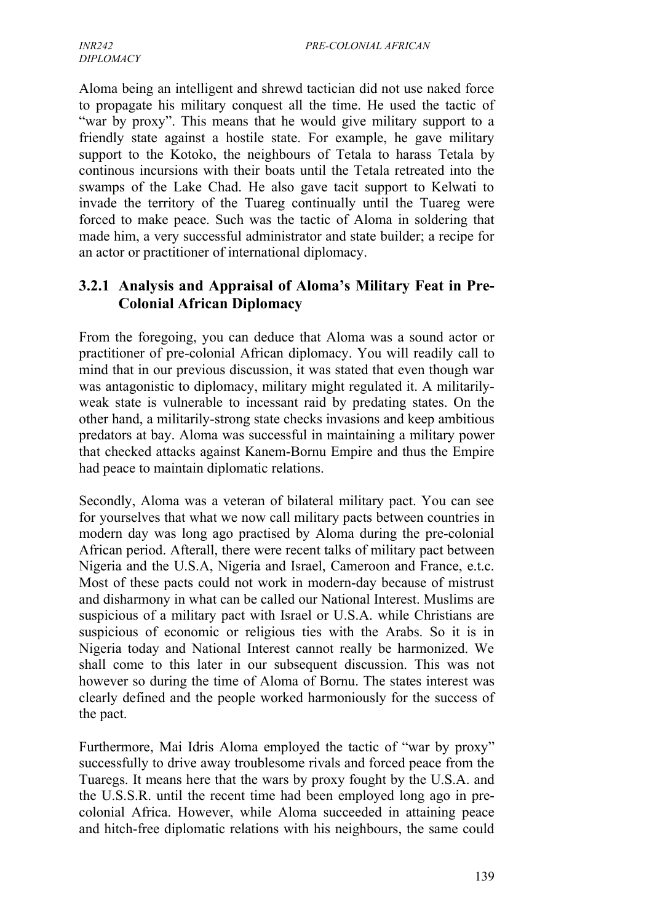Aloma being an intelligent and shrewd tactician did not use naked force to propagate his military conquest all the time. He used the tactic of "war by proxy". This means that he would give military support to a friendly state against a hostile state. For example, he gave military support to the Kotoko, the neighbours of Tetala to harass Tetala by continous incursions with their boats until the Tetala retreated into the swamps of the Lake Chad. He also gave tacit support to Kelwati to invade the territory of the Tuareg continually until the Tuareg were forced to make peace. Such was the tactic of Aloma in soldering that made him, a very successful administrator and state builder; a recipe for an actor or practitioner of international diplomacy.

## **3.2.1 Analysis and Appraisal of Aloma's Military Feat in Pre-Colonial African Diplomacy**

From the foregoing, you can deduce that Aloma was a sound actor or practitioner of pre-colonial African diplomacy. You will readily call to mind that in our previous discussion, it was stated that even though war was antagonistic to diplomacy, military might regulated it. A militarilyweak state is vulnerable to incessant raid by predating states. On the other hand, a militarily-strong state checks invasions and keep ambitious predators at bay. Aloma was successful in maintaining a military power that checked attacks against Kanem-Bornu Empire and thus the Empire had peace to maintain diplomatic relations.

Secondly, Aloma was a veteran of bilateral military pact. You can see for yourselves that what we now call military pacts between countries in modern day was long ago practised by Aloma during the pre-colonial African period. Afterall, there were recent talks of military pact between Nigeria and the U.S.A, Nigeria and Israel, Cameroon and France, e.t.c. Most of these pacts could not work in modern-day because of mistrust and disharmony in what can be called our National Interest. Muslims are suspicious of a military pact with Israel or U.S.A. while Christians are suspicious of economic or religious ties with the Arabs. So it is in Nigeria today and National Interest cannot really be harmonized. We shall come to this later in our subsequent discussion. This was not however so during the time of Aloma of Bornu. The states interest was clearly defined and the people worked harmoniously for the success of the pact.

Furthermore, Mai Idris Aloma employed the tactic of "war by proxy" successfully to drive away troublesome rivals and forced peace from the Tuaregs. It means here that the wars by proxy fought by the U.S.A. and the U.S.S.R. until the recent time had been employed long ago in precolonial Africa. However, while Aloma succeeded in attaining peace and hitch-free diplomatic relations with his neighbours, the same could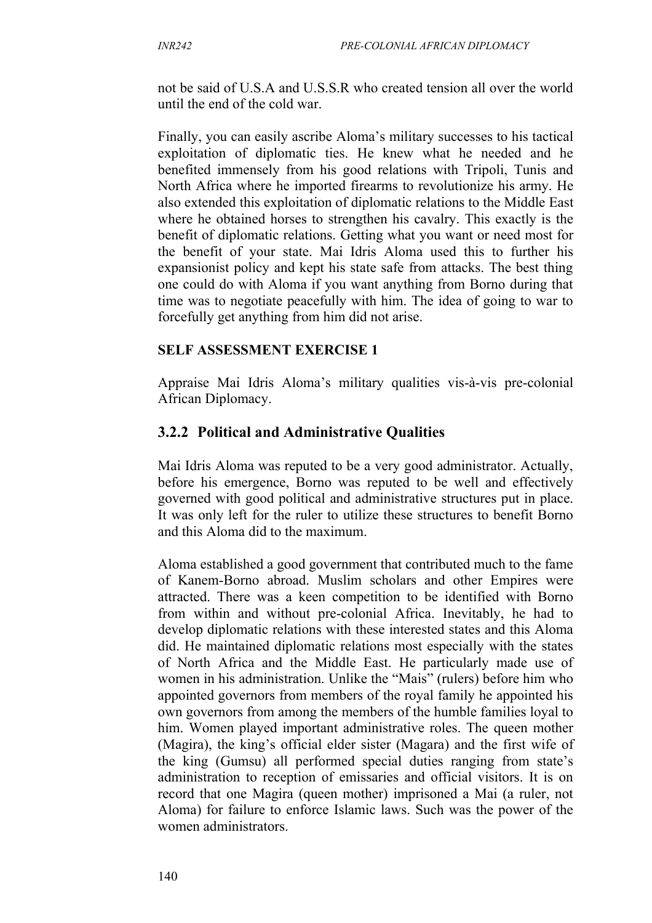not be said of U.S.A and U.S.S.R who created tension all over the world until the end of the cold war.

Finally, you can easily ascribe Aloma's military successes to his tactical exploitation of diplomatic ties. He knew what he needed and he benefited immensely from his good relations with Tripoli, Tunis and North Africa where he imported firearms to revolutionize his army. He also extended this exploitation of diplomatic relations to the Middle East where he obtained horses to strengthen his cavalry. This exactly is the benefit of diplomatic relations. Getting what you want or need most for the benefit of your state. Mai Idris Aloma used this to further his expansionist policy and kept his state safe from attacks. The best thing one could do with Aloma if you want anything from Borno during that time was to negotiate peacefully with him. The idea of going to war to forcefully get anything from him did not arise.

## **SELF ASSESSMENT EXERCISE 1**

Appraise Mai Idris Aloma's military qualities vis-à-vis pre-colonial African Diplomacy.

## **3.2.2 Political and Administrative Qualities**

Mai Idris Aloma was reputed to be a very good administrator. Actually, before his emergence, Borno was reputed to be well and effectively governed with good political and administrative structures put in place. It was only left for the ruler to utilize these structures to benefit Borno and this Aloma did to the maximum.

Aloma established a good government that contributed much to the fame of Kanem-Borno abroad. Muslim scholars and other Empires were attracted. There was a keen competition to be identified with Borno from within and without pre-colonial Africa. Inevitably, he had to develop diplomatic relations with these interested states and this Aloma did. He maintained diplomatic relations most especially with the states of North Africa and the Middle East. He particularly made use of women in his administration. Unlike the "Mais" (rulers) before him who appointed governors from members of the royal family he appointed his own governors from among the members of the humble families loyal to him. Women played important administrative roles. The queen mother (Magira), the king's official elder sister (Magara) and the first wife of the king (Gumsu) all performed special duties ranging from state's administration to reception of emissaries and official visitors. It is on record that one Magira (queen mother) imprisoned a Mai (a ruler, not Aloma) for failure to enforce Islamic laws. Such was the power of the women administrators.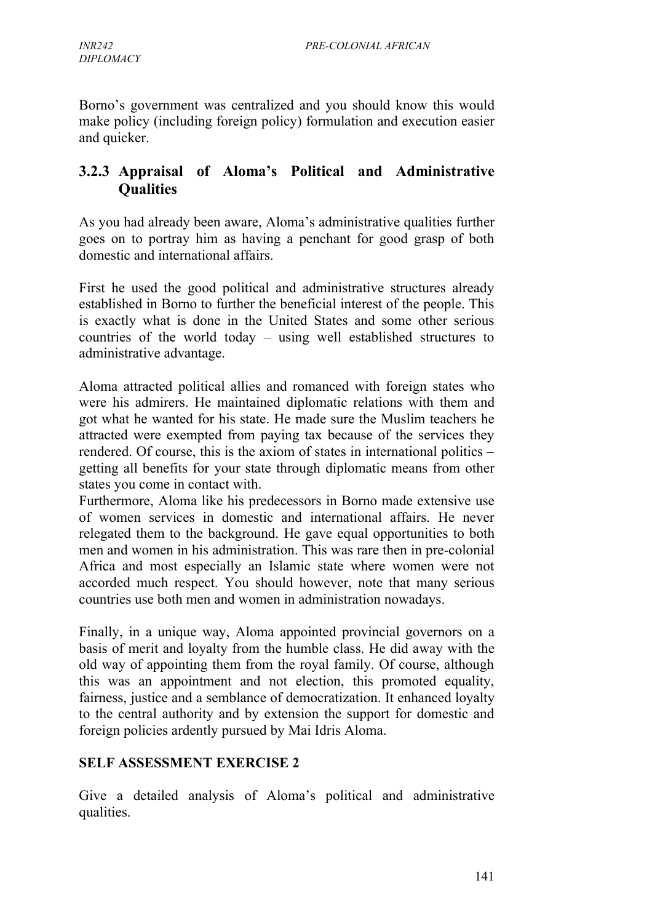Borno's government was centralized and you should know this would make policy (including foreign policy) formulation and execution easier and quicker.

## **3.2.3 Appraisal of Aloma's Political and Administrative Qualities**

As you had already been aware, Aloma's administrative qualities further goes on to portray him as having a penchant for good grasp of both domestic and international affairs.

First he used the good political and administrative structures already established in Borno to further the beneficial interest of the people. This is exactly what is done in the United States and some other serious countries of the world today – using well established structures to administrative advantage.

Aloma attracted political allies and romanced with foreign states who were his admirers. He maintained diplomatic relations with them and got what he wanted for his state. He made sure the Muslim teachers he attracted were exempted from paying tax because of the services they rendered. Of course, this is the axiom of states in international politics – getting all benefits for your state through diplomatic means from other states you come in contact with.

Furthermore, Aloma like his predecessors in Borno made extensive use of women services in domestic and international affairs. He never relegated them to the background. He gave equal opportunities to both men and women in his administration. This was rare then in pre-colonial Africa and most especially an Islamic state where women were not accorded much respect. You should however, note that many serious countries use both men and women in administration nowadays.

Finally, in a unique way, Aloma appointed provincial governors on a basis of merit and loyalty from the humble class. He did away with the old way of appointing them from the royal family. Of course, although this was an appointment and not election, this promoted equality, fairness, justice and a semblance of democratization. It enhanced loyalty to the central authority and by extension the support for domestic and foreign policies ardently pursued by Mai Idris Aloma.

## **SELF ASSESSMENT EXERCISE 2**

Give a detailed analysis of Aloma's political and administrative qualities.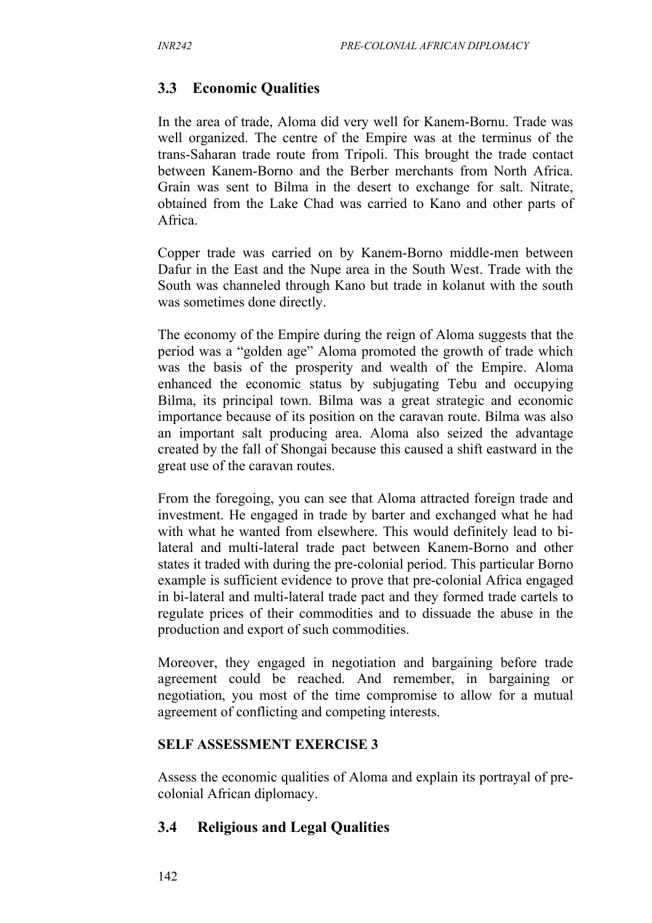## **3.3 Economic Qualities**

In the area of trade, Aloma did very well for Kanem-Bornu. Trade was well organized. The centre of the Empire was at the terminus of the trans-Saharan trade route from Tripoli. This brought the trade contact between Kanem-Borno and the Berber merchants from North Africa. Grain was sent to Bilma in the desert to exchange for salt. Nitrate, obtained from the Lake Chad was carried to Kano and other parts of Africa.

Copper trade was carried on by Kanem-Borno middle-men between Dafur in the East and the Nupe area in the South West. Trade with the South was channeled through Kano but trade in kolanut with the south was sometimes done directly.

The economy of the Empire during the reign of Aloma suggests that the period was a "golden age" Aloma promoted the growth of trade which was the basis of the prosperity and wealth of the Empire. Aloma enhanced the economic status by subjugating Tebu and occupying Bilma, its principal town. Bilma was a great strategic and economic importance because of its position on the caravan route. Bilma was also an important salt producing area. Aloma also seized the advantage created by the fall of Shongai because this caused a shift eastward in the great use of the caravan routes.

From the foregoing, you can see that Aloma attracted foreign trade and investment. He engaged in trade by barter and exchanged what he had with what he wanted from elsewhere. This would definitely lead to bilateral and multi-lateral trade pact between Kanem-Borno and other states it traded with during the pre-colonial period. This particular Borno example is sufficient evidence to prove that pre-colonial Africa engaged in bi-lateral and multi-lateral trade pact and they formed trade cartels to regulate prices of their commodities and to dissuade the abuse in the production and export of such commodities.

Moreover, they engaged in negotiation and bargaining before trade agreement could be reached. And remember, in bargaining or negotiation, you most of the time compromise to allow for a mutual agreement of conflicting and competing interests.

### **SELF ASSESSMENT EXERCISE 3**

Assess the economic qualities of Aloma and explain its portrayal of precolonial African diplomacy.

## **3.4 Religious and Legal Qualities**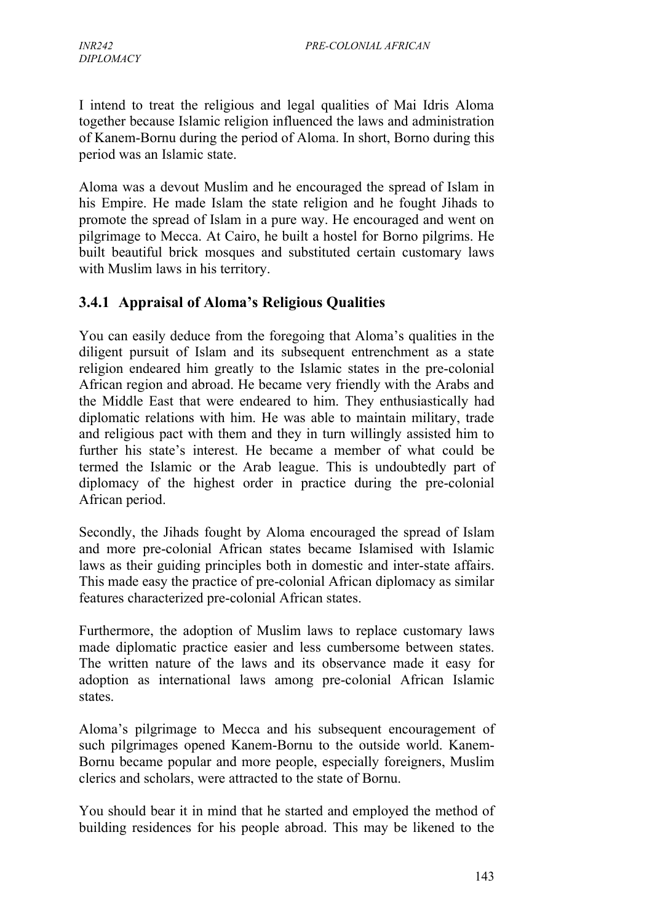I intend to treat the religious and legal qualities of Mai Idris Aloma together because Islamic religion influenced the laws and administration of Kanem-Bornu during the period of Aloma. In short, Borno during this period was an Islamic state.

Aloma was a devout Muslim and he encouraged the spread of Islam in his Empire. He made Islam the state religion and he fought Jihads to promote the spread of Islam in a pure way. He encouraged and went on pilgrimage to Mecca. At Cairo, he built a hostel for Borno pilgrims. He built beautiful brick mosques and substituted certain customary laws with Muslim laws in his territory.

## **3.4.1 Appraisal of Aloma's Religious Qualities**

You can easily deduce from the foregoing that Aloma's qualities in the diligent pursuit of Islam and its subsequent entrenchment as a state religion endeared him greatly to the Islamic states in the pre-colonial African region and abroad. He became very friendly with the Arabs and the Middle East that were endeared to him. They enthusiastically had diplomatic relations with him. He was able to maintain military, trade and religious pact with them and they in turn willingly assisted him to further his state's interest. He became a member of what could be termed the Islamic or the Arab league. This is undoubtedly part of diplomacy of the highest order in practice during the pre-colonial African period.

Secondly, the Jihads fought by Aloma encouraged the spread of Islam and more pre-colonial African states became Islamised with Islamic laws as their guiding principles both in domestic and inter-state affairs. This made easy the practice of pre-colonial African diplomacy as similar features characterized pre-colonial African states.

Furthermore, the adoption of Muslim laws to replace customary laws made diplomatic practice easier and less cumbersome between states. The written nature of the laws and its observance made it easy for adoption as international laws among pre-colonial African Islamic states.

Aloma's pilgrimage to Mecca and his subsequent encouragement of such pilgrimages opened Kanem-Bornu to the outside world. Kanem-Bornu became popular and more people, especially foreigners, Muslim clerics and scholars, were attracted to the state of Bornu.

You should bear it in mind that he started and employed the method of building residences for his people abroad. This may be likened to the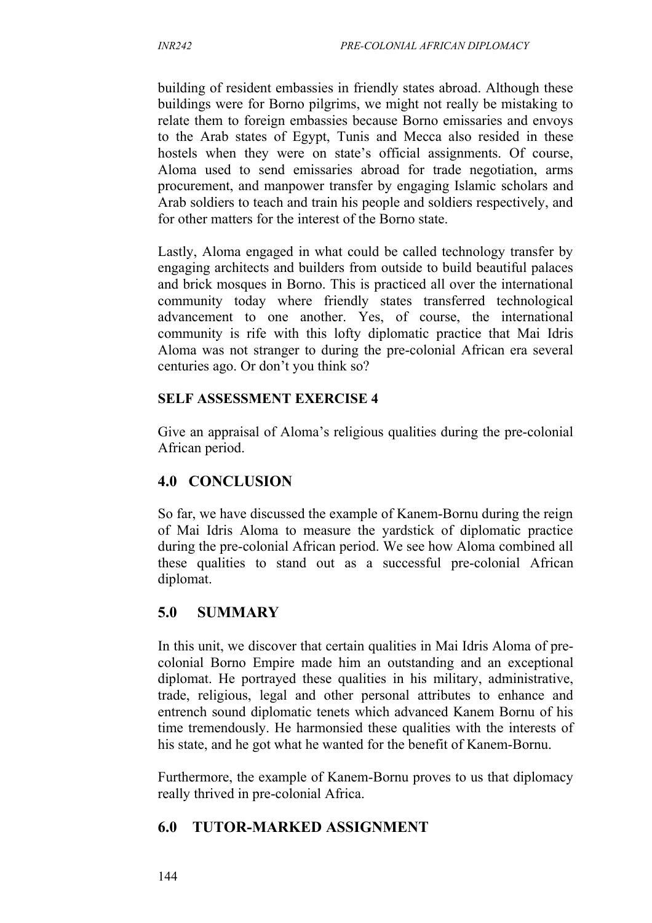building of resident embassies in friendly states abroad. Although these buildings were for Borno pilgrims, we might not really be mistaking to relate them to foreign embassies because Borno emissaries and envoys to the Arab states of Egypt, Tunis and Mecca also resided in these hostels when they were on state's official assignments. Of course, Aloma used to send emissaries abroad for trade negotiation, arms procurement, and manpower transfer by engaging Islamic scholars and Arab soldiers to teach and train his people and soldiers respectively, and for other matters for the interest of the Borno state.

Lastly, Aloma engaged in what could be called technology transfer by engaging architects and builders from outside to build beautiful palaces and brick mosques in Borno. This is practiced all over the international community today where friendly states transferred technological advancement to one another. Yes, of course, the international community is rife with this lofty diplomatic practice that Mai Idris Aloma was not stranger to during the pre-colonial African era several centuries ago. Or don't you think so?

## **SELF ASSESSMENT EXERCISE 4**

Give an appraisal of Aloma's religious qualities during the pre-colonial African period.

## **4.0 CONCLUSION**

So far, we have discussed the example of Kanem-Bornu during the reign of Mai Idris Aloma to measure the yardstick of diplomatic practice during the pre-colonial African period. We see how Aloma combined all these qualities to stand out as a successful pre-colonial African diplomat.

## **5.0 SUMMARY**

In this unit, we discover that certain qualities in Mai Idris Aloma of precolonial Borno Empire made him an outstanding and an exceptional diplomat. He portrayed these qualities in his military, administrative, trade, religious, legal and other personal attributes to enhance and entrench sound diplomatic tenets which advanced Kanem Bornu of his time tremendously. He harmonsied these qualities with the interests of his state, and he got what he wanted for the benefit of Kanem-Bornu.

Furthermore, the example of Kanem-Bornu proves to us that diplomacy really thrived in pre-colonial Africa.

## **6.0 TUTOR-MARKED ASSIGNMENT**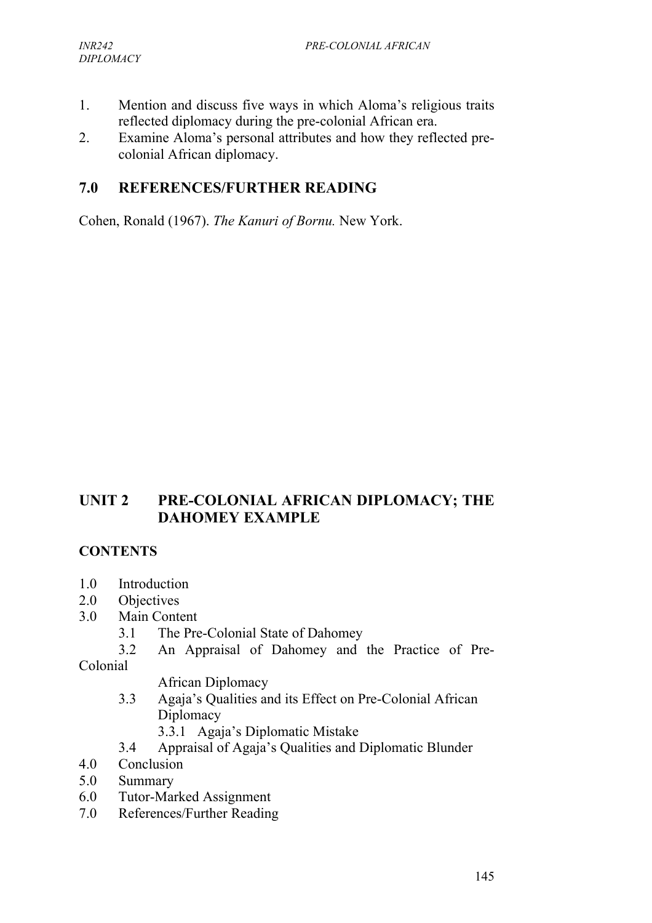- 1. Mention and discuss five ways in which Aloma's religious traits reflected diplomacy during the pre-colonial African era.
- 2. Examine Aloma's personal attributes and how they reflected precolonial African diplomacy.

## **7.0 REFERENCES/FURTHER READING**

Cohen, Ronald (1967). *The Kanuri of Bornu.* New York.

## **UNIT 2 PRE-COLONIAL AFRICAN DIPLOMACY; THE DAHOMEY EXAMPLE**

## **CONTENTS**

- 1.0 Introduction
- 2.0 Objectives
- 3.0 Main Content
	- 3.1 The Pre-Colonial State of Dahomey
	- 3.2 An Appraisal of Dahomey and the Practice of Pre-

Colonial

African Diplomacy

- 3.3 Agaja's Qualities and its Effect on Pre-Colonial African **Diplomacy** 
	- 3.3.1 Agaja's Diplomatic Mistake
- 3.4 Appraisal of Agaja's Qualities and Diplomatic Blunder
- 4.0 Conclusion
- 5.0 Summary
- 6.0 Tutor-Marked Assignment
- 7.0 References/Further Reading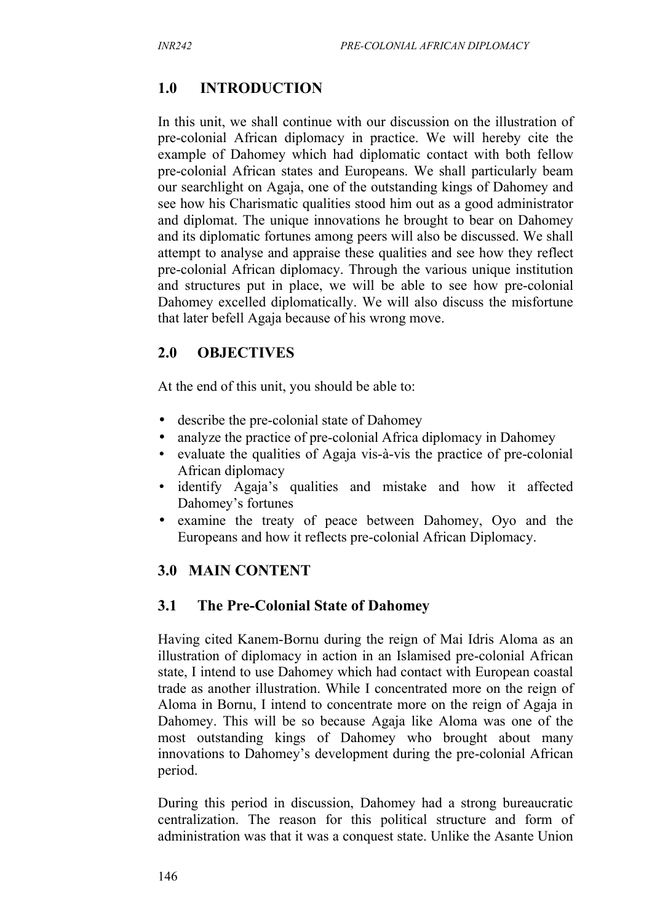## **1.0 INTRODUCTION**

In this unit, we shall continue with our discussion on the illustration of pre-colonial African diplomacy in practice. We will hereby cite the example of Dahomey which had diplomatic contact with both fellow pre-colonial African states and Europeans. We shall particularly beam our searchlight on Agaja, one of the outstanding kings of Dahomey and see how his Charismatic qualities stood him out as a good administrator and diplomat. The unique innovations he brought to bear on Dahomey and its diplomatic fortunes among peers will also be discussed. We shall attempt to analyse and appraise these qualities and see how they reflect pre-colonial African diplomacy. Through the various unique institution and structures put in place, we will be able to see how pre-colonial Dahomey excelled diplomatically. We will also discuss the misfortune that later befell Agaja because of his wrong move.

## **2.0 OBJECTIVES**

At the end of this unit, you should be able to:

- describe the pre-colonial state of Dahomey
- analyze the practice of pre-colonial Africa diplomacy in Dahomey
- evaluate the qualities of Agaja vis-à-vis the practice of pre-colonial African diplomacy
- identify Agaja's qualities and mistake and how it affected Dahomey's fortunes
- examine the treaty of peace between Dahomey, Oyo and the Europeans and how it reflects pre-colonial African Diplomacy.

## **3.0 MAIN CONTENT**

### **3.1 The Pre-Colonial State of Dahomey**

Having cited Kanem-Bornu during the reign of Mai Idris Aloma as an illustration of diplomacy in action in an Islamised pre-colonial African state, I intend to use Dahomey which had contact with European coastal trade as another illustration. While I concentrated more on the reign of Aloma in Bornu, I intend to concentrate more on the reign of Agaja in Dahomey. This will be so because Agaja like Aloma was one of the most outstanding kings of Dahomey who brought about many innovations to Dahomey's development during the pre-colonial African period.

During this period in discussion, Dahomey had a strong bureaucratic centralization. The reason for this political structure and form of administration was that it was a conquest state. Unlike the Asante Union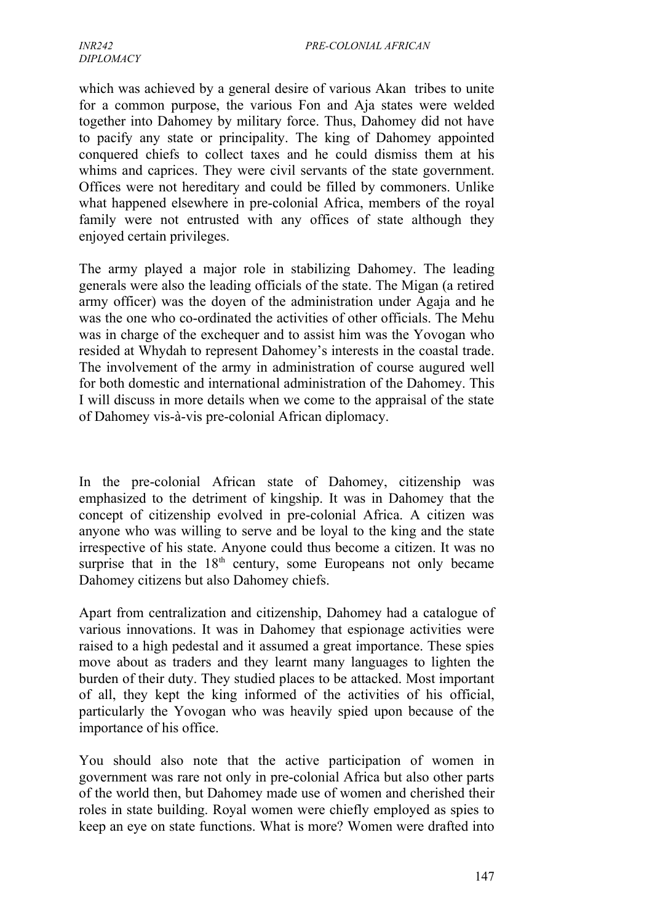which was achieved by a general desire of various Akan tribes to unite for a common purpose, the various Fon and Aja states were welded together into Dahomey by military force. Thus, Dahomey did not have to pacify any state or principality. The king of Dahomey appointed conquered chiefs to collect taxes and he could dismiss them at his whims and caprices. They were civil servants of the state government. Offices were not hereditary and could be filled by commoners. Unlike what happened elsewhere in pre-colonial Africa, members of the royal family were not entrusted with any offices of state although they enjoyed certain privileges.

The army played a major role in stabilizing Dahomey. The leading generals were also the leading officials of the state. The Migan (a retired army officer) was the doyen of the administration under Agaja and he was the one who co-ordinated the activities of other officials. The Mehu was in charge of the exchequer and to assist him was the Yovogan who resided at Whydah to represent Dahomey's interests in the coastal trade. The involvement of the army in administration of course augured well for both domestic and international administration of the Dahomey. This I will discuss in more details when we come to the appraisal of the state of Dahomey vis-à-vis pre-colonial African diplomacy.

In the pre-colonial African state of Dahomey, citizenship was emphasized to the detriment of kingship. It was in Dahomey that the concept of citizenship evolved in pre-colonial Africa. A citizen was anyone who was willing to serve and be loyal to the king and the state irrespective of his state. Anyone could thus become a citizen. It was no surprise that in the  $18<sup>th</sup>$  century, some Europeans not only became Dahomey citizens but also Dahomey chiefs.

Apart from centralization and citizenship, Dahomey had a catalogue of various innovations. It was in Dahomey that espionage activities were raised to a high pedestal and it assumed a great importance. These spies move about as traders and they learnt many languages to lighten the burden of their duty. They studied places to be attacked. Most important of all, they kept the king informed of the activities of his official, particularly the Yovogan who was heavily spied upon because of the importance of his office.

You should also note that the active participation of women in government was rare not only in pre-colonial Africa but also other parts of the world then, but Dahomey made use of women and cherished their roles in state building. Royal women were chiefly employed as spies to keep an eye on state functions. What is more? Women were drafted into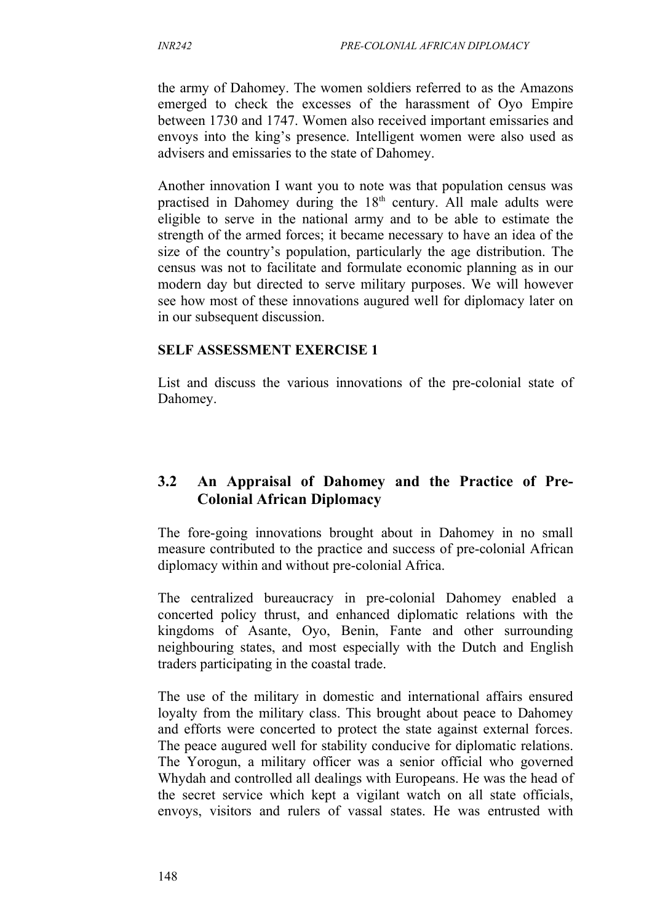the army of Dahomey. The women soldiers referred to as the Amazons emerged to check the excesses of the harassment of Oyo Empire between 1730 and 1747. Women also received important emissaries and envoys into the king's presence. Intelligent women were also used as advisers and emissaries to the state of Dahomey.

Another innovation I want you to note was that population census was practised in Dahomey during the  $18<sup>th</sup>$  century. All male adults were eligible to serve in the national army and to be able to estimate the strength of the armed forces; it became necessary to have an idea of the size of the country's population, particularly the age distribution. The census was not to facilitate and formulate economic planning as in our modern day but directed to serve military purposes. We will however see how most of these innovations augured well for diplomacy later on in our subsequent discussion.

### **SELF ASSESSMENT EXERCISE 1**

List and discuss the various innovations of the pre-colonial state of Dahomey.

## **3.2 An Appraisal of Dahomey and the Practice of Pre-Colonial African Diplomacy**

The fore-going innovations brought about in Dahomey in no small measure contributed to the practice and success of pre-colonial African diplomacy within and without pre-colonial Africa.

The centralized bureaucracy in pre-colonial Dahomey enabled a concerted policy thrust, and enhanced diplomatic relations with the kingdoms of Asante, Oyo, Benin, Fante and other surrounding neighbouring states, and most especially with the Dutch and English traders participating in the coastal trade.

The use of the military in domestic and international affairs ensured loyalty from the military class. This brought about peace to Dahomey and efforts were concerted to protect the state against external forces. The peace augured well for stability conducive for diplomatic relations. The Yorogun, a military officer was a senior official who governed Whydah and controlled all dealings with Europeans. He was the head of the secret service which kept a vigilant watch on all state officials, envoys, visitors and rulers of vassal states. He was entrusted with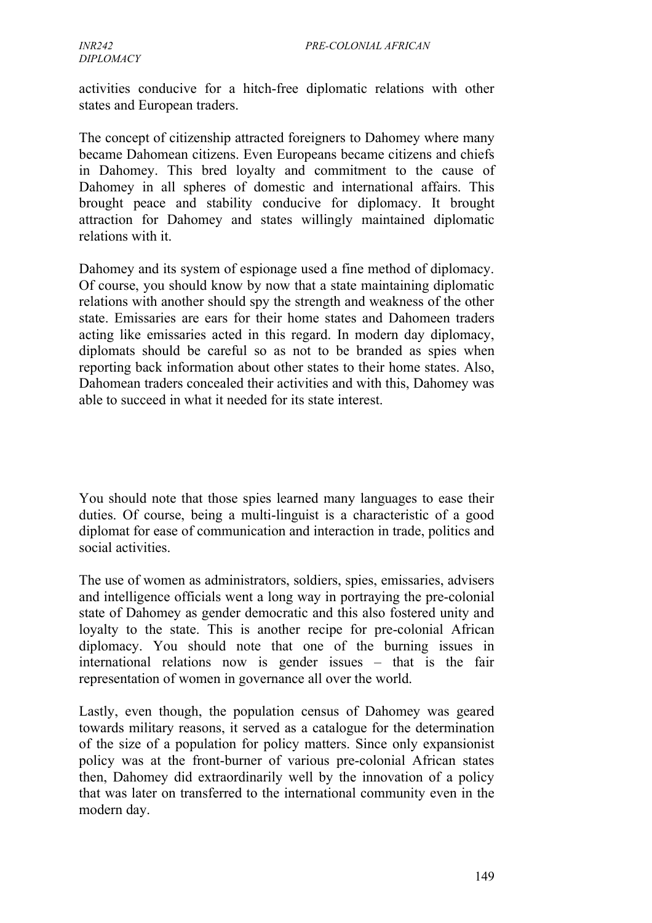activities conducive for a hitch-free diplomatic relations with other states and European traders.

The concept of citizenship attracted foreigners to Dahomey where many became Dahomean citizens. Even Europeans became citizens and chiefs in Dahomey. This bred loyalty and commitment to the cause of Dahomey in all spheres of domestic and international affairs. This brought peace and stability conducive for diplomacy. It brought attraction for Dahomey and states willingly maintained diplomatic relations with it.

Dahomey and its system of espionage used a fine method of diplomacy. Of course, you should know by now that a state maintaining diplomatic relations with another should spy the strength and weakness of the other state. Emissaries are ears for their home states and Dahomeen traders acting like emissaries acted in this regard. In modern day diplomacy, diplomats should be careful so as not to be branded as spies when reporting back information about other states to their home states. Also, Dahomean traders concealed their activities and with this, Dahomey was able to succeed in what it needed for its state interest.

You should note that those spies learned many languages to ease their duties. Of course, being a multi-linguist is a characteristic of a good diplomat for ease of communication and interaction in trade, politics and social activities.

The use of women as administrators, soldiers, spies, emissaries, advisers and intelligence officials went a long way in portraying the pre-colonial state of Dahomey as gender democratic and this also fostered unity and loyalty to the state. This is another recipe for pre-colonial African diplomacy. You should note that one of the burning issues in international relations now is gender issues – that is the fair representation of women in governance all over the world.

Lastly, even though, the population census of Dahomey was geared towards military reasons, it served as a catalogue for the determination of the size of a population for policy matters. Since only expansionist policy was at the front-burner of various pre-colonial African states then, Dahomey did extraordinarily well by the innovation of a policy that was later on transferred to the international community even in the modern day.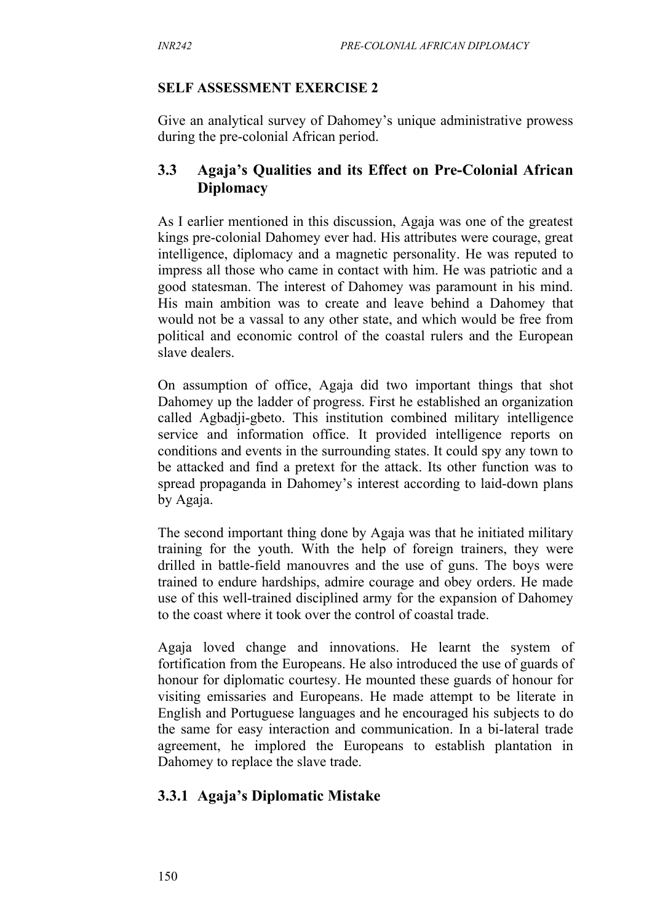## **SELF ASSESSMENT EXERCISE 2**

Give an analytical survey of Dahomey's unique administrative prowess during the pre-colonial African period.

## **3.3 Agaja's Qualities and its Effect on Pre-Colonial African Diplomacy**

As I earlier mentioned in this discussion, Agaja was one of the greatest kings pre-colonial Dahomey ever had. His attributes were courage, great intelligence, diplomacy and a magnetic personality. He was reputed to impress all those who came in contact with him. He was patriotic and a good statesman. The interest of Dahomey was paramount in his mind. His main ambition was to create and leave behind a Dahomey that would not be a vassal to any other state, and which would be free from political and economic control of the coastal rulers and the European slave dealers.

On assumption of office, Agaja did two important things that shot Dahomey up the ladder of progress. First he established an organization called Agbadji-gbeto. This institution combined military intelligence service and information office. It provided intelligence reports on conditions and events in the surrounding states. It could spy any town to be attacked and find a pretext for the attack. Its other function was to spread propaganda in Dahomey's interest according to laid-down plans by Agaja.

The second important thing done by Agaja was that he initiated military training for the youth. With the help of foreign trainers, they were drilled in battle-field manouvres and the use of guns. The boys were trained to endure hardships, admire courage and obey orders. He made use of this well-trained disciplined army for the expansion of Dahomey to the coast where it took over the control of coastal trade.

Agaja loved change and innovations. He learnt the system of fortification from the Europeans. He also introduced the use of guards of honour for diplomatic courtesy. He mounted these guards of honour for visiting emissaries and Europeans. He made attempt to be literate in English and Portuguese languages and he encouraged his subjects to do the same for easy interaction and communication. In a bi-lateral trade agreement, he implored the Europeans to establish plantation in Dahomey to replace the slave trade.

# **3.3.1 Agaja's Diplomatic Mistake**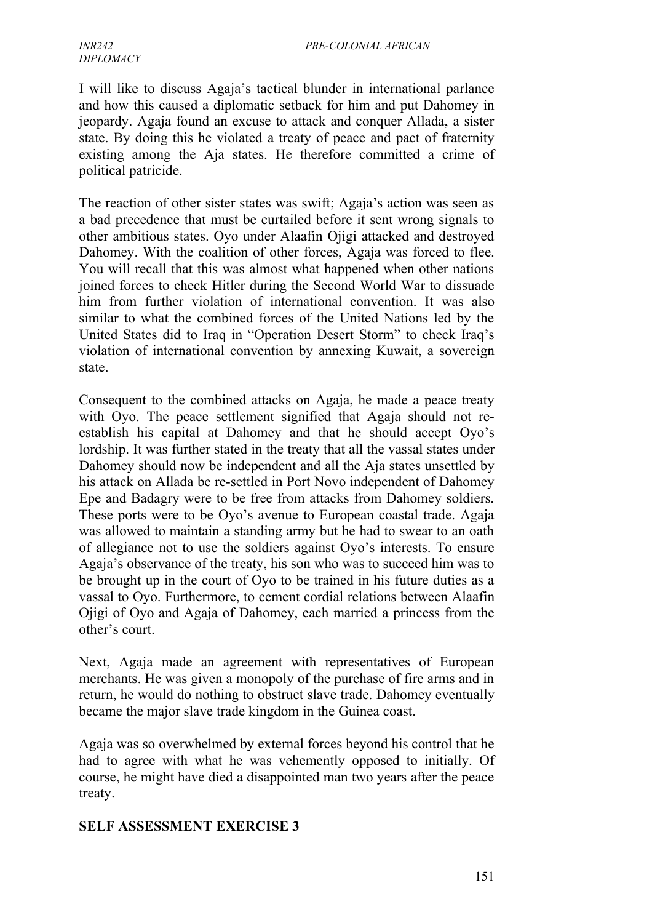I will like to discuss Agaja's tactical blunder in international parlance and how this caused a diplomatic setback for him and put Dahomey in jeopardy. Agaja found an excuse to attack and conquer Allada, a sister state. By doing this he violated a treaty of peace and pact of fraternity existing among the Aja states. He therefore committed a crime of political patricide.

The reaction of other sister states was swift; Agaja's action was seen as a bad precedence that must be curtailed before it sent wrong signals to other ambitious states. Oyo under Alaafin Ojigi attacked and destroyed Dahomey. With the coalition of other forces, Agaja was forced to flee. You will recall that this was almost what happened when other nations joined forces to check Hitler during the Second World War to dissuade him from further violation of international convention. It was also similar to what the combined forces of the United Nations led by the United States did to Iraq in "Operation Desert Storm" to check Iraq's violation of international convention by annexing Kuwait, a sovereign state.

Consequent to the combined attacks on Agaja, he made a peace treaty with Oyo. The peace settlement signified that Agaia should not reestablish his capital at Dahomey and that he should accept Oyo's lordship. It was further stated in the treaty that all the vassal states under Dahomey should now be independent and all the Aja states unsettled by his attack on Allada be re-settled in Port Novo independent of Dahomey Epe and Badagry were to be free from attacks from Dahomey soldiers. These ports were to be Oyo's avenue to European coastal trade. Agaja was allowed to maintain a standing army but he had to swear to an oath of allegiance not to use the soldiers against Oyo's interests. To ensure Agaja's observance of the treaty, his son who was to succeed him was to be brought up in the court of Oyo to be trained in his future duties as a vassal to Oyo. Furthermore, to cement cordial relations between Alaafin Ojigi of Oyo and Agaja of Dahomey, each married a princess from the other's court.

Next, Agaja made an agreement with representatives of European merchants. He was given a monopoly of the purchase of fire arms and in return, he would do nothing to obstruct slave trade. Dahomey eventually became the major slave trade kingdom in the Guinea coast.

Agaja was so overwhelmed by external forces beyond his control that he had to agree with what he was vehemently opposed to initially. Of course, he might have died a disappointed man two years after the peace treaty.

### **SELF ASSESSMENT EXERCISE 3**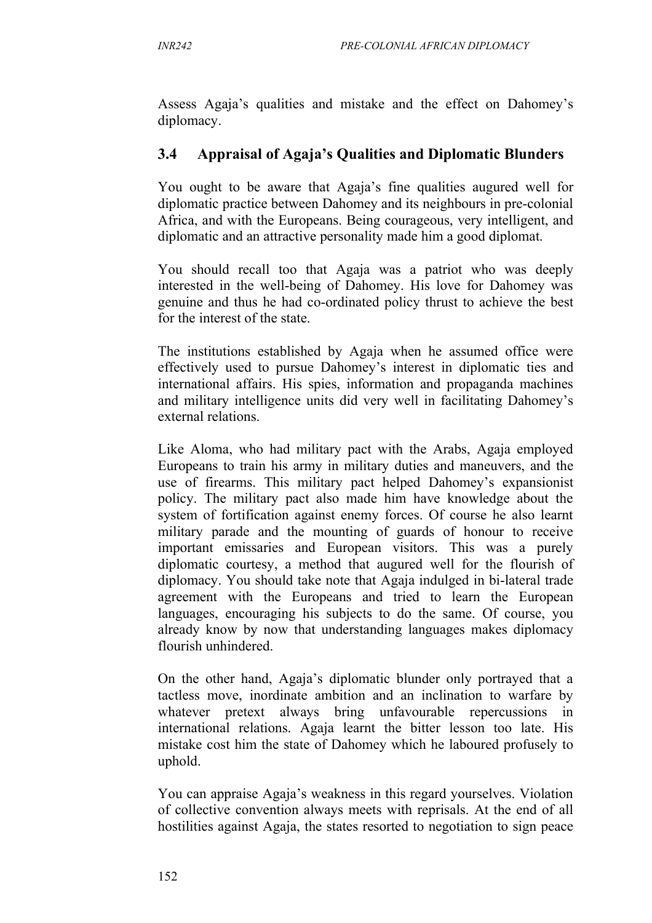Assess Agaja's qualities and mistake and the effect on Dahomey's diplomacy.

## **3.4 Appraisal of Agaja's Qualities and Diplomatic Blunders**

You ought to be aware that Agaja's fine qualities augured well for diplomatic practice between Dahomey and its neighbours in pre-colonial Africa, and with the Europeans. Being courageous, very intelligent, and diplomatic and an attractive personality made him a good diplomat.

You should recall too that Agaja was a patriot who was deeply interested in the well-being of Dahomey. His love for Dahomey was genuine and thus he had co-ordinated policy thrust to achieve the best for the interest of the state.

The institutions established by Agaja when he assumed office were effectively used to pursue Dahomey's interest in diplomatic ties and international affairs. His spies, information and propaganda machines and military intelligence units did very well in facilitating Dahomey's external relations.

Like Aloma, who had military pact with the Arabs, Agaja employed Europeans to train his army in military duties and maneuvers, and the use of firearms. This military pact helped Dahomey's expansionist policy. The military pact also made him have knowledge about the system of fortification against enemy forces. Of course he also learnt military parade and the mounting of guards of honour to receive important emissaries and European visitors. This was a purely diplomatic courtesy, a method that augured well for the flourish of diplomacy. You should take note that Agaja indulged in bi-lateral trade agreement with the Europeans and tried to learn the European languages, encouraging his subjects to do the same. Of course, you already know by now that understanding languages makes diplomacy flourish unhindered.

On the other hand, Agaja's diplomatic blunder only portrayed that a tactless move, inordinate ambition and an inclination to warfare by whatever pretext always bring unfavourable repercussions in international relations. Agaja learnt the bitter lesson too late. His mistake cost him the state of Dahomey which he laboured profusely to uphold.

You can appraise Agaja's weakness in this regard yourselves. Violation of collective convention always meets with reprisals. At the end of all hostilities against Agaja, the states resorted to negotiation to sign peace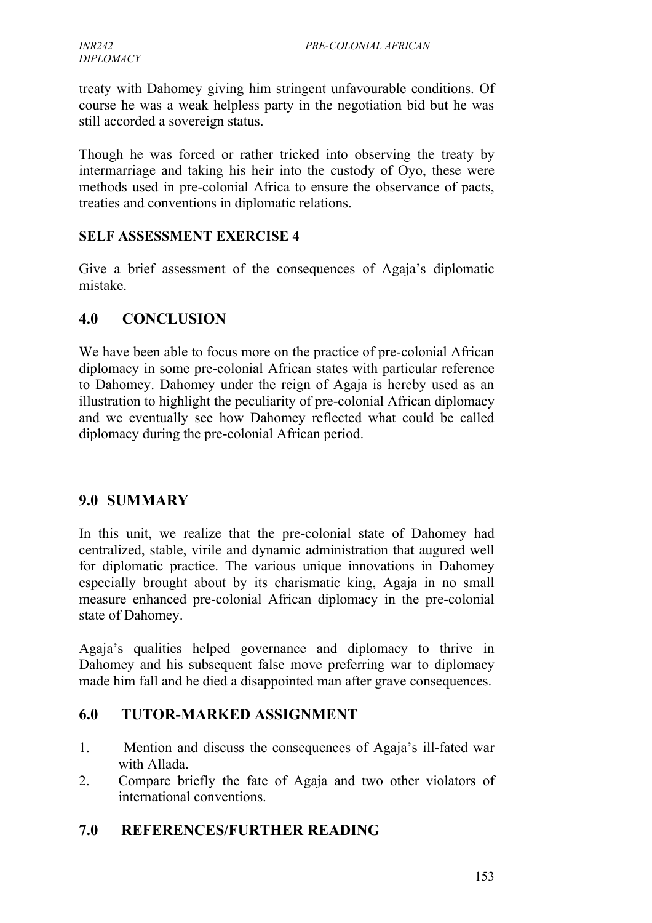treaty with Dahomey giving him stringent unfavourable conditions. Of course he was a weak helpless party in the negotiation bid but he was still accorded a sovereign status.

Though he was forced or rather tricked into observing the treaty by intermarriage and taking his heir into the custody of Oyo, these were methods used in pre-colonial Africa to ensure the observance of pacts, treaties and conventions in diplomatic relations.

#### **SELF ASSESSMENT EXERCISE 4**

Give a brief assessment of the consequences of Agaja's diplomatic mistake.

### **4.0 CONCLUSION**

We have been able to focus more on the practice of pre-colonial African diplomacy in some pre-colonial African states with particular reference to Dahomey. Dahomey under the reign of Agaja is hereby used as an illustration to highlight the peculiarity of pre-colonial African diplomacy and we eventually see how Dahomey reflected what could be called diplomacy during the pre-colonial African period.

### **9.0 SUMMARY**

In this unit, we realize that the pre-colonial state of Dahomey had centralized, stable, virile and dynamic administration that augured well for diplomatic practice. The various unique innovations in Dahomey especially brought about by its charismatic king, Agaja in no small measure enhanced pre-colonial African diplomacy in the pre-colonial state of Dahomey.

Agaja's qualities helped governance and diplomacy to thrive in Dahomey and his subsequent false move preferring war to diplomacy made him fall and he died a disappointed man after grave consequences.

### **6.0 TUTOR-MARKED ASSIGNMENT**

- 1. Mention and discuss the consequences of Agaja's ill-fated war with Allada.
- 2. Compare briefly the fate of Agaja and two other violators of international conventions.

### **7.0 REFERENCES/FURTHER READING**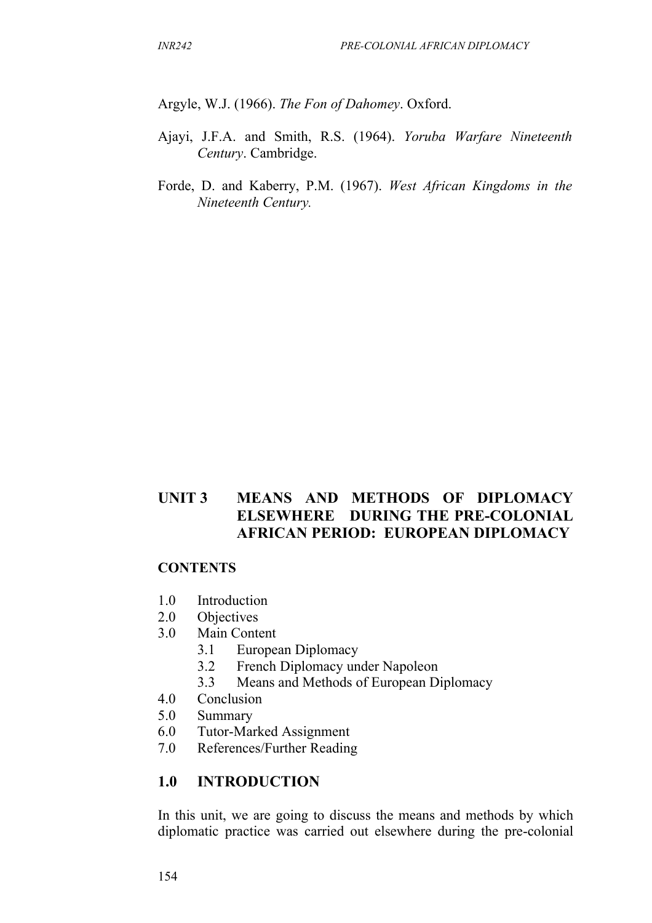Argyle, W.J. (1966). *The Fon of Dahomey*. Oxford.

- Ajayi, J.F.A. and Smith, R.S. (1964). *Yoruba Warfare Nineteenth Century*. Cambridge.
- Forde, D. and Kaberry, P.M. (1967). *West African Kingdoms in the Nineteenth Century.*

## **UNIT 3 MEANS AND METHODS OF DIPLOMACY ELSEWHERE DURING THE PRE-COLONIAL AFRICAN PERIOD: EUROPEAN DIPLOMACY**

#### **CONTENTS**

- 1.0 Introduction
- 2.0 Objectives
- 3.0 Main Content
	- 3.1 European Diplomacy
	- 3.2 French Diplomacy under Napoleon
	- 3.3 Means and Methods of European Diplomacy
- 4.0 Conclusion
- 5.0 Summary
- 6.0 Tutor-Marked Assignment
- 7.0 References/Further Reading

## **1.0 INTRODUCTION**

In this unit, we are going to discuss the means and methods by which diplomatic practice was carried out elsewhere during the pre-colonial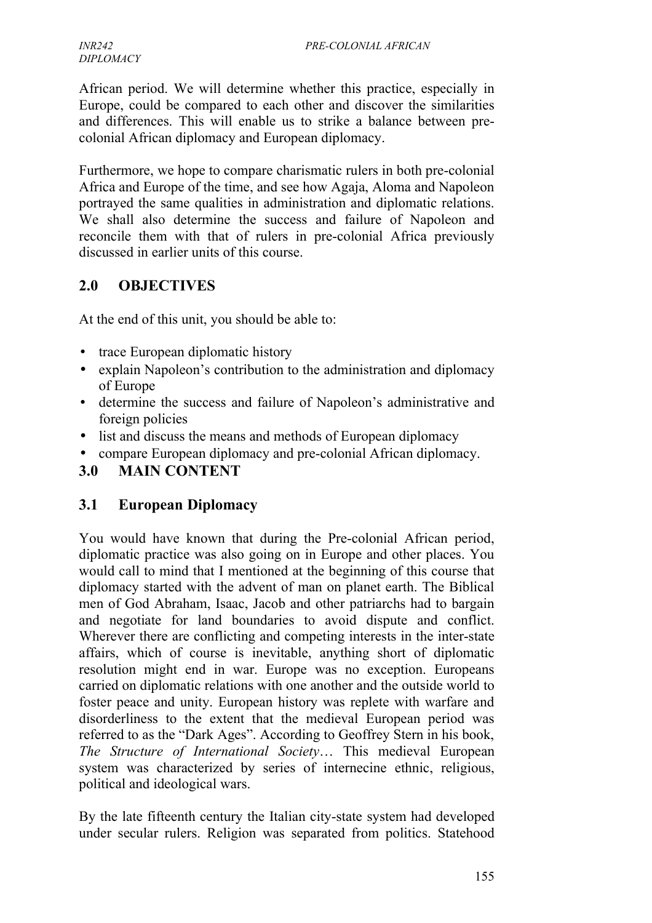African period. We will determine whether this practice, especially in Europe, could be compared to each other and discover the similarities and differences. This will enable us to strike a balance between precolonial African diplomacy and European diplomacy.

Furthermore, we hope to compare charismatic rulers in both pre-colonial Africa and Europe of the time, and see how Agaja, Aloma and Napoleon portrayed the same qualities in administration and diplomatic relations. We shall also determine the success and failure of Napoleon and reconcile them with that of rulers in pre-colonial Africa previously discussed in earlier units of this course.

## **2.0 OBJECTIVES**

At the end of this unit, you should be able to:

- trace European diplomatic history
- explain Napoleon's contribution to the administration and diplomacy of Europe
- determine the success and failure of Napoleon's administrative and foreign policies
- list and discuss the means and methods of European diplomacy
- compare European diplomacy and pre-colonial African diplomacy.

## **3.0 MAIN CONTENT**

## **3.1 European Diplomacy**

You would have known that during the Pre-colonial African period, diplomatic practice was also going on in Europe and other places. You would call to mind that I mentioned at the beginning of this course that diplomacy started with the advent of man on planet earth. The Biblical men of God Abraham, Isaac, Jacob and other patriarchs had to bargain and negotiate for land boundaries to avoid dispute and conflict. Wherever there are conflicting and competing interests in the inter-state affairs, which of course is inevitable, anything short of diplomatic resolution might end in war. Europe was no exception. Europeans carried on diplomatic relations with one another and the outside world to foster peace and unity. European history was replete with warfare and disorderliness to the extent that the medieval European period was referred to as the "Dark Ages". According to Geoffrey Stern in his book, *The Structure of International Society*… This medieval European system was characterized by series of internecine ethnic, religious, political and ideological wars.

By the late fifteenth century the Italian city-state system had developed under secular rulers. Religion was separated from politics. Statehood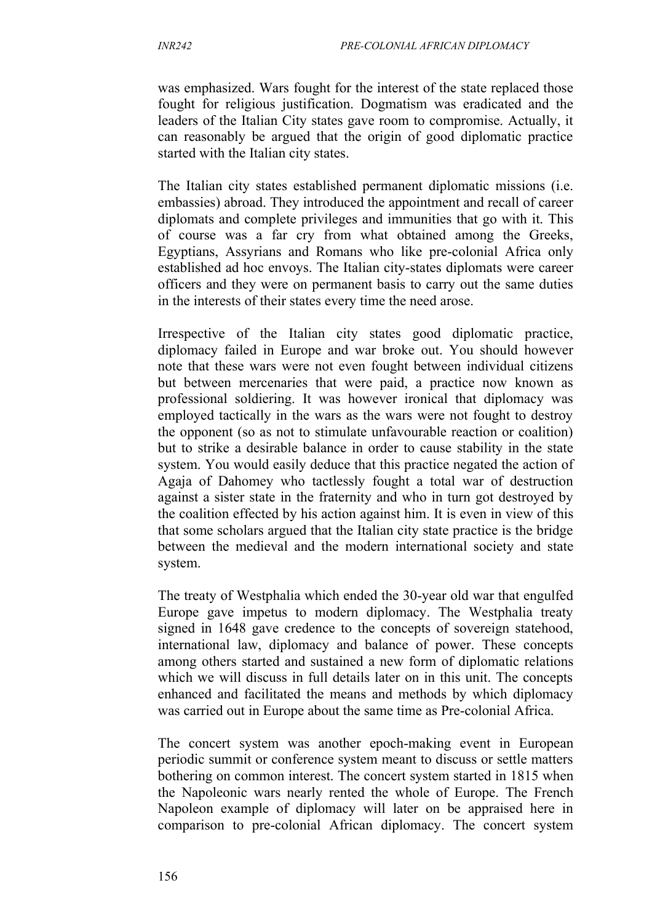was emphasized. Wars fought for the interest of the state replaced those fought for religious justification. Dogmatism was eradicated and the leaders of the Italian City states gave room to compromise. Actually, it can reasonably be argued that the origin of good diplomatic practice started with the Italian city states.

The Italian city states established permanent diplomatic missions (i.e. embassies) abroad. They introduced the appointment and recall of career diplomats and complete privileges and immunities that go with it. This of course was a far cry from what obtained among the Greeks, Egyptians, Assyrians and Romans who like pre-colonial Africa only established ad hoc envoys. The Italian city-states diplomats were career officers and they were on permanent basis to carry out the same duties in the interests of their states every time the need arose.

Irrespective of the Italian city states good diplomatic practice, diplomacy failed in Europe and war broke out. You should however note that these wars were not even fought between individual citizens but between mercenaries that were paid, a practice now known as professional soldiering. It was however ironical that diplomacy was employed tactically in the wars as the wars were not fought to destroy the opponent (so as not to stimulate unfavourable reaction or coalition) but to strike a desirable balance in order to cause stability in the state system. You would easily deduce that this practice negated the action of Agaja of Dahomey who tactlessly fought a total war of destruction against a sister state in the fraternity and who in turn got destroyed by the coalition effected by his action against him. It is even in view of this that some scholars argued that the Italian city state practice is the bridge between the medieval and the modern international society and state system.

The treaty of Westphalia which ended the 30-year old war that engulfed Europe gave impetus to modern diplomacy. The Westphalia treaty signed in 1648 gave credence to the concepts of sovereign statehood, international law, diplomacy and balance of power. These concepts among others started and sustained a new form of diplomatic relations which we will discuss in full details later on in this unit. The concepts enhanced and facilitated the means and methods by which diplomacy was carried out in Europe about the same time as Pre-colonial Africa.

The concert system was another epoch-making event in European periodic summit or conference system meant to discuss or settle matters bothering on common interest. The concert system started in 1815 when the Napoleonic wars nearly rented the whole of Europe. The French Napoleon example of diplomacy will later on be appraised here in comparison to pre-colonial African diplomacy. The concert system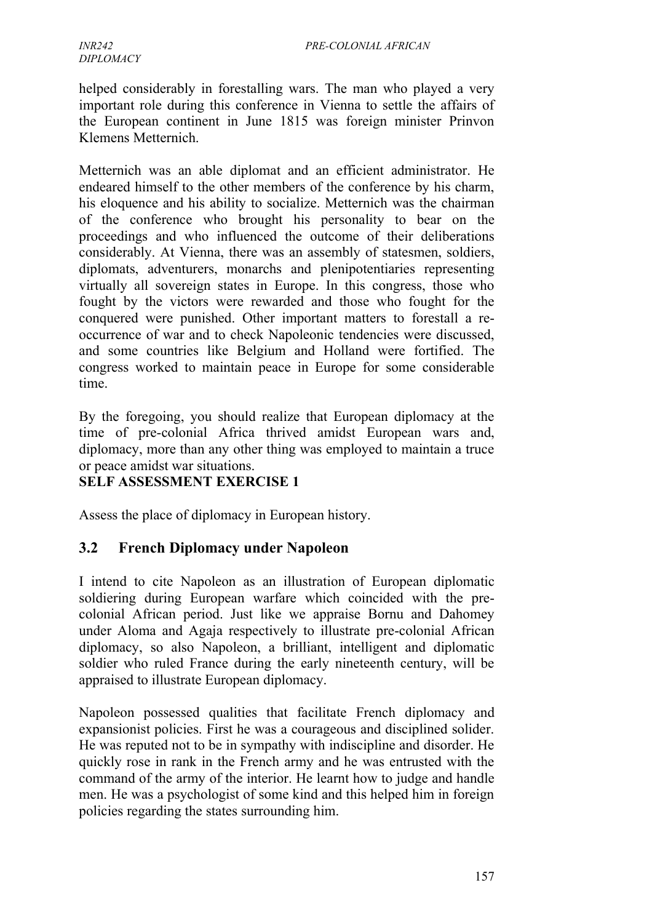helped considerably in forestalling wars. The man who played a very important role during this conference in Vienna to settle the affairs of the European continent in June 1815 was foreign minister Prinvon Klemens Metternich.

Metternich was an able diplomat and an efficient administrator. He endeared himself to the other members of the conference by his charm, his eloquence and his ability to socialize. Metternich was the chairman of the conference who brought his personality to bear on the proceedings and who influenced the outcome of their deliberations considerably. At Vienna, there was an assembly of statesmen, soldiers, diplomats, adventurers, monarchs and plenipotentiaries representing virtually all sovereign states in Europe. In this congress, those who fought by the victors were rewarded and those who fought for the conquered were punished. Other important matters to forestall a reoccurrence of war and to check Napoleonic tendencies were discussed, and some countries like Belgium and Holland were fortified. The congress worked to maintain peace in Europe for some considerable time.

By the foregoing, you should realize that European diplomacy at the time of pre-colonial Africa thrived amidst European wars and, diplomacy, more than any other thing was employed to maintain a truce or peace amidst war situations.

## **SELF ASSESSMENT EXERCISE 1**

Assess the place of diplomacy in European history.

### **3.2 French Diplomacy under Napoleon**

I intend to cite Napoleon as an illustration of European diplomatic soldiering during European warfare which coincided with the precolonial African period. Just like we appraise Bornu and Dahomey under Aloma and Agaja respectively to illustrate pre-colonial African diplomacy, so also Napoleon, a brilliant, intelligent and diplomatic soldier who ruled France during the early nineteenth century, will be appraised to illustrate European diplomacy.

Napoleon possessed qualities that facilitate French diplomacy and expansionist policies. First he was a courageous and disciplined solider. He was reputed not to be in sympathy with indiscipline and disorder. He quickly rose in rank in the French army and he was entrusted with the command of the army of the interior. He learnt how to judge and handle men. He was a psychologist of some kind and this helped him in foreign policies regarding the states surrounding him.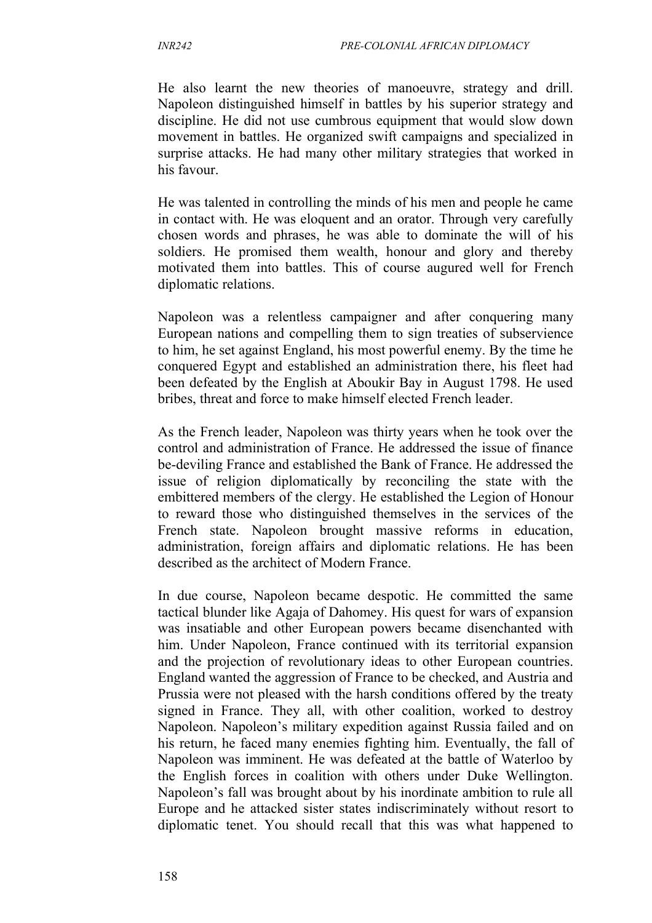He also learnt the new theories of manoeuvre, strategy and drill. Napoleon distinguished himself in battles by his superior strategy and discipline. He did not use cumbrous equipment that would slow down movement in battles. He organized swift campaigns and specialized in surprise attacks. He had many other military strategies that worked in his favour.

He was talented in controlling the minds of his men and people he came in contact with. He was eloquent and an orator. Through very carefully chosen words and phrases, he was able to dominate the will of his soldiers. He promised them wealth, honour and glory and thereby motivated them into battles. This of course augured well for French diplomatic relations.

Napoleon was a relentless campaigner and after conquering many European nations and compelling them to sign treaties of subservience to him, he set against England, his most powerful enemy. By the time he conquered Egypt and established an administration there, his fleet had been defeated by the English at Aboukir Bay in August 1798. He used bribes, threat and force to make himself elected French leader.

As the French leader, Napoleon was thirty years when he took over the control and administration of France. He addressed the issue of finance be-deviling France and established the Bank of France. He addressed the issue of religion diplomatically by reconciling the state with the embittered members of the clergy. He established the Legion of Honour to reward those who distinguished themselves in the services of the French state. Napoleon brought massive reforms in education, administration, foreign affairs and diplomatic relations. He has been described as the architect of Modern France.

In due course, Napoleon became despotic. He committed the same tactical blunder like Agaja of Dahomey. His quest for wars of expansion was insatiable and other European powers became disenchanted with him. Under Napoleon, France continued with its territorial expansion and the projection of revolutionary ideas to other European countries. England wanted the aggression of France to be checked, and Austria and Prussia were not pleased with the harsh conditions offered by the treaty signed in France. They all, with other coalition, worked to destroy Napoleon. Napoleon's military expedition against Russia failed and on his return, he faced many enemies fighting him. Eventually, the fall of Napoleon was imminent. He was defeated at the battle of Waterloo by the English forces in coalition with others under Duke Wellington. Napoleon's fall was brought about by his inordinate ambition to rule all Europe and he attacked sister states indiscriminately without resort to diplomatic tenet. You should recall that this was what happened to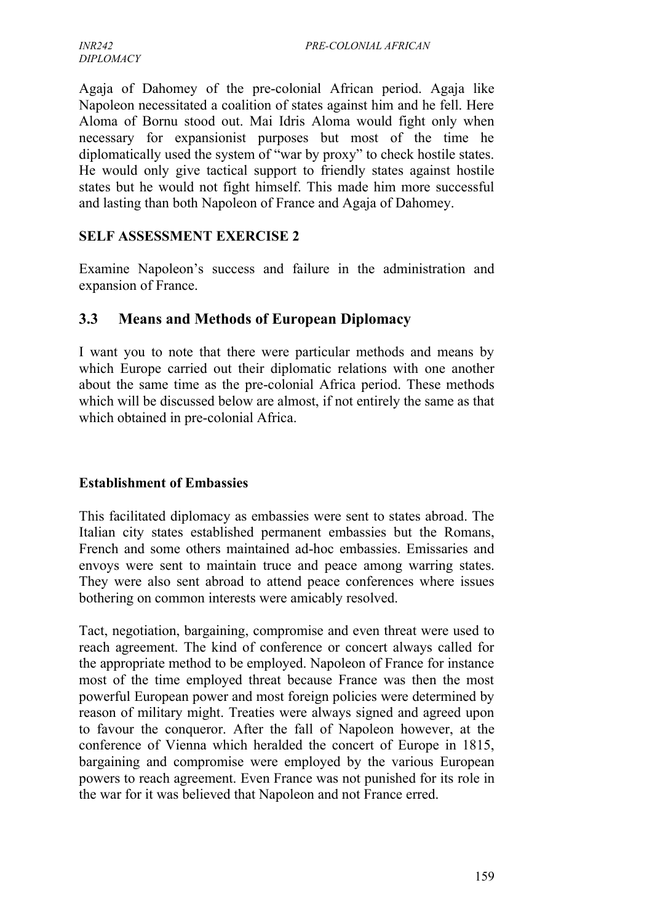Agaja of Dahomey of the pre-colonial African period. Agaja like Napoleon necessitated a coalition of states against him and he fell. Here Aloma of Bornu stood out. Mai Idris Aloma would fight only when necessary for expansionist purposes but most of the time he diplomatically used the system of "war by proxy" to check hostile states. He would only give tactical support to friendly states against hostile states but he would not fight himself. This made him more successful and lasting than both Napoleon of France and Agaja of Dahomey.

#### **SELF ASSESSMENT EXERCISE 2**

Examine Napoleon's success and failure in the administration and expansion of France.

### **3.3 Means and Methods of European Diplomacy**

I want you to note that there were particular methods and means by which Europe carried out their diplomatic relations with one another about the same time as the pre-colonial Africa period. These methods which will be discussed below are almost, if not entirely the same as that which obtained in pre-colonial Africa.

### **Establishment of Embassies**

This facilitated diplomacy as embassies were sent to states abroad. The Italian city states established permanent embassies but the Romans, French and some others maintained ad-hoc embassies. Emissaries and envoys were sent to maintain truce and peace among warring states. They were also sent abroad to attend peace conferences where issues bothering on common interests were amicably resolved.

Tact, negotiation, bargaining, compromise and even threat were used to reach agreement. The kind of conference or concert always called for the appropriate method to be employed. Napoleon of France for instance most of the time employed threat because France was then the most powerful European power and most foreign policies were determined by reason of military might. Treaties were always signed and agreed upon to favour the conqueror. After the fall of Napoleon however, at the conference of Vienna which heralded the concert of Europe in 1815, bargaining and compromise were employed by the various European powers to reach agreement. Even France was not punished for its role in the war for it was believed that Napoleon and not France erred.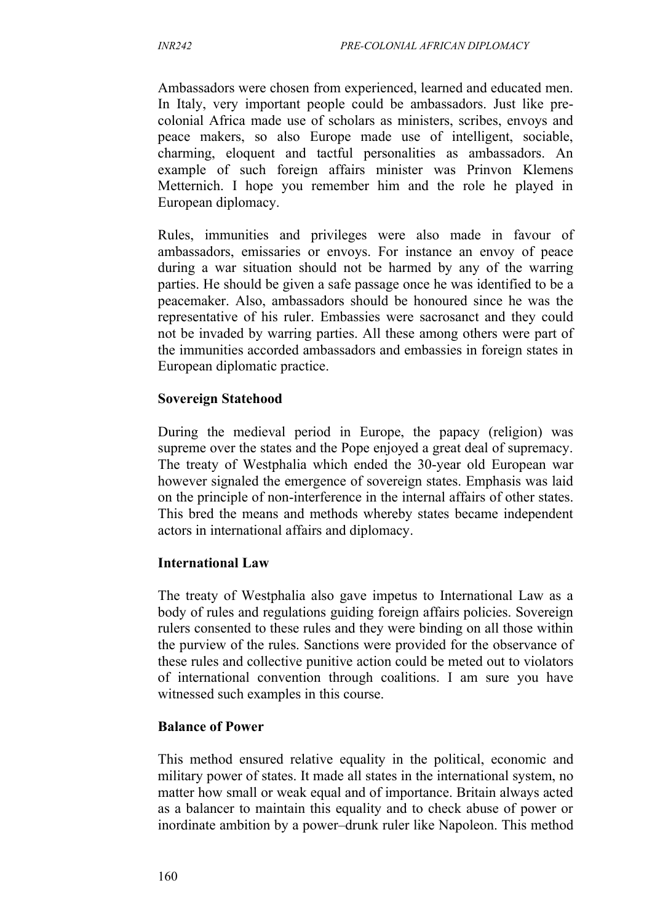Ambassadors were chosen from experienced, learned and educated men. In Italy, very important people could be ambassadors. Just like precolonial Africa made use of scholars as ministers, scribes, envoys and peace makers, so also Europe made use of intelligent, sociable, charming, eloquent and tactful personalities as ambassadors. An example of such foreign affairs minister was Prinvon Klemens Metternich. I hope you remember him and the role he played in European diplomacy.

Rules, immunities and privileges were also made in favour of ambassadors, emissaries or envoys. For instance an envoy of peace during a war situation should not be harmed by any of the warring parties. He should be given a safe passage once he was identified to be a peacemaker. Also, ambassadors should be honoured since he was the representative of his ruler. Embassies were sacrosanct and they could not be invaded by warring parties. All these among others were part of the immunities accorded ambassadors and embassies in foreign states in European diplomatic practice.

### **Sovereign Statehood**

During the medieval period in Europe, the papacy (religion) was supreme over the states and the Pope enjoyed a great deal of supremacy. The treaty of Westphalia which ended the 30-year old European war however signaled the emergence of sovereign states. Emphasis was laid on the principle of non-interference in the internal affairs of other states. This bred the means and methods whereby states became independent actors in international affairs and diplomacy.

### **International Law**

The treaty of Westphalia also gave impetus to International Law as a body of rules and regulations guiding foreign affairs policies. Sovereign rulers consented to these rules and they were binding on all those within the purview of the rules. Sanctions were provided for the observance of these rules and collective punitive action could be meted out to violators of international convention through coalitions. I am sure you have witnessed such examples in this course.

## **Balance of Power**

This method ensured relative equality in the political, economic and military power of states. It made all states in the international system, no matter how small or weak equal and of importance. Britain always acted as a balancer to maintain this equality and to check abuse of power or inordinate ambition by a power–drunk ruler like Napoleon. This method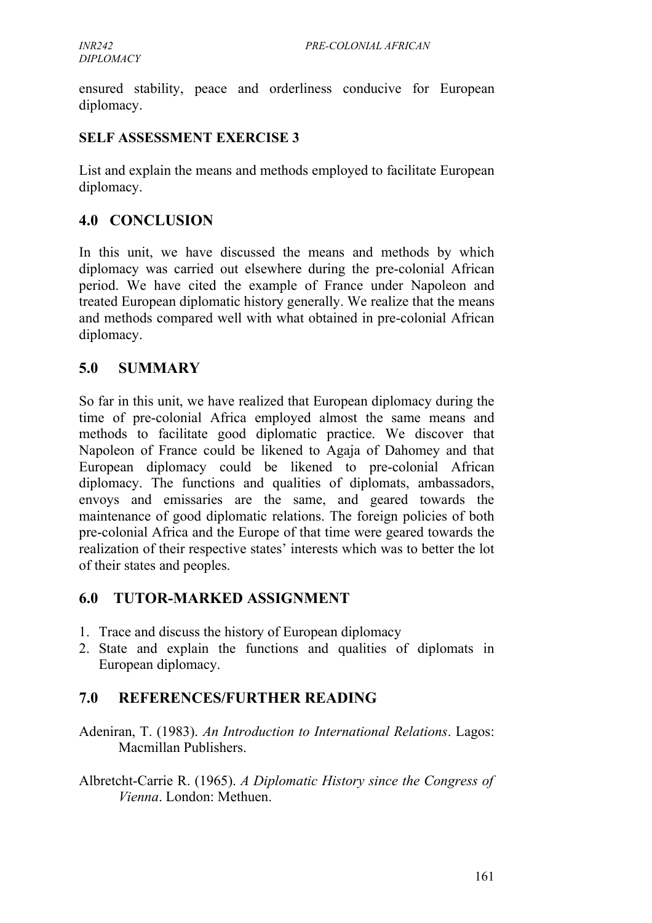ensured stability, peace and orderliness conducive for European diplomacy.

### **SELF ASSESSMENT EXERCISE 3**

List and explain the means and methods employed to facilitate European diplomacy.

## **4.0 CONCLUSION**

In this unit, we have discussed the means and methods by which diplomacy was carried out elsewhere during the pre-colonial African period. We have cited the example of France under Napoleon and treated European diplomatic history generally. We realize that the means and methods compared well with what obtained in pre-colonial African diplomacy.

### **5.0 SUMMARY**

So far in this unit, we have realized that European diplomacy during the time of pre-colonial Africa employed almost the same means and methods to facilitate good diplomatic practice. We discover that Napoleon of France could be likened to Agaja of Dahomey and that European diplomacy could be likened to pre-colonial African diplomacy. The functions and qualities of diplomats, ambassadors, envoys and emissaries are the same, and geared towards the maintenance of good diplomatic relations. The foreign policies of both pre-colonial Africa and the Europe of that time were geared towards the realization of their respective states' interests which was to better the lot of their states and peoples.

### **6.0 TUTOR-MARKED ASSIGNMENT**

- 1. Trace and discuss the history of European diplomacy
- 2. State and explain the functions and qualities of diplomats in European diplomacy.

## **7.0 REFERENCES/FURTHER READING**

- Adeniran, T. (1983). *An Introduction to International Relations*. Lagos: Macmillan Publishers.
- Albretcht-Carrie R. (1965). *A Diplomatic History since the Congress of Vienna*. London: Methuen.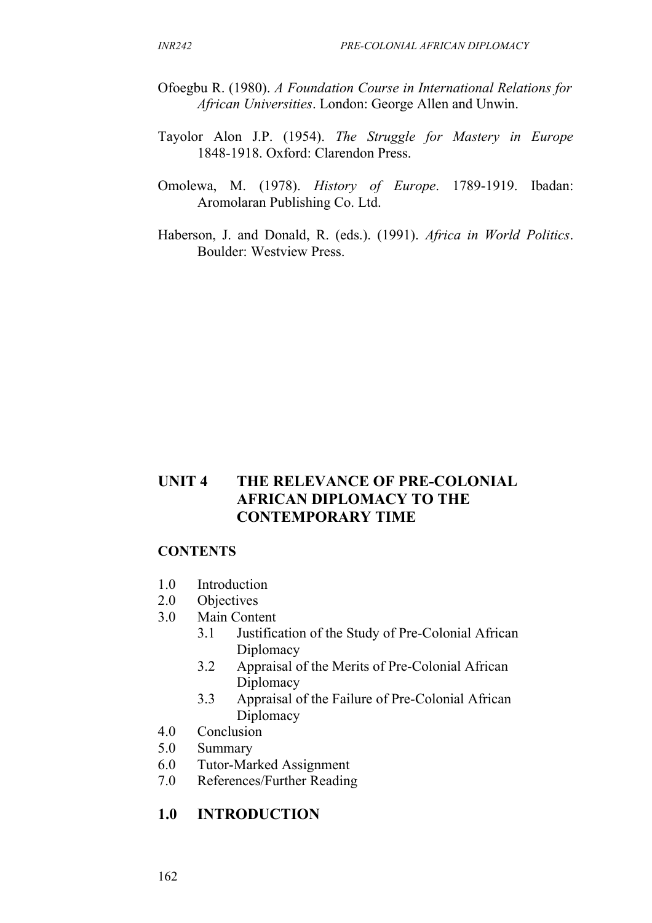- Ofoegbu R. (1980). *A Foundation Course in International Relations for African Universities*. London: George Allen and Unwin.
- Tayolor Alon J.P. (1954). *The Struggle for Mastery in Europe* 1848-1918. Oxford: Clarendon Press.
- Omolewa, M. (1978). *History of Europe*. 1789-1919. Ibadan: Aromolaran Publishing Co. Ltd.
- Haberson, J. and Donald, R. (eds.). (1991). *Africa in World Politics*. Boulder: Westview Press.

## **UNIT 4 THE RELEVANCE OF PRE-COLONIAL AFRICAN DIPLOMACY TO THE CONTEMPORARY TIME**

#### **CONTENTS**

- 1.0 Introduction
- 2.0 Objectives
- 3.0 Main Content
	- 3.1 Justification of the Study of Pre-Colonial African **Diplomacy**
	- 3.2 Appraisal of the Merits of Pre-Colonial African **Diplomacy**
	- 3.3 Appraisal of the Failure of Pre-Colonial African **Diplomacy**
- 4.0 Conclusion
- 5.0 Summary
- 6.0 Tutor-Marked Assignment
- 7.0 References/Further Reading

## **1.0 INTRODUCTION**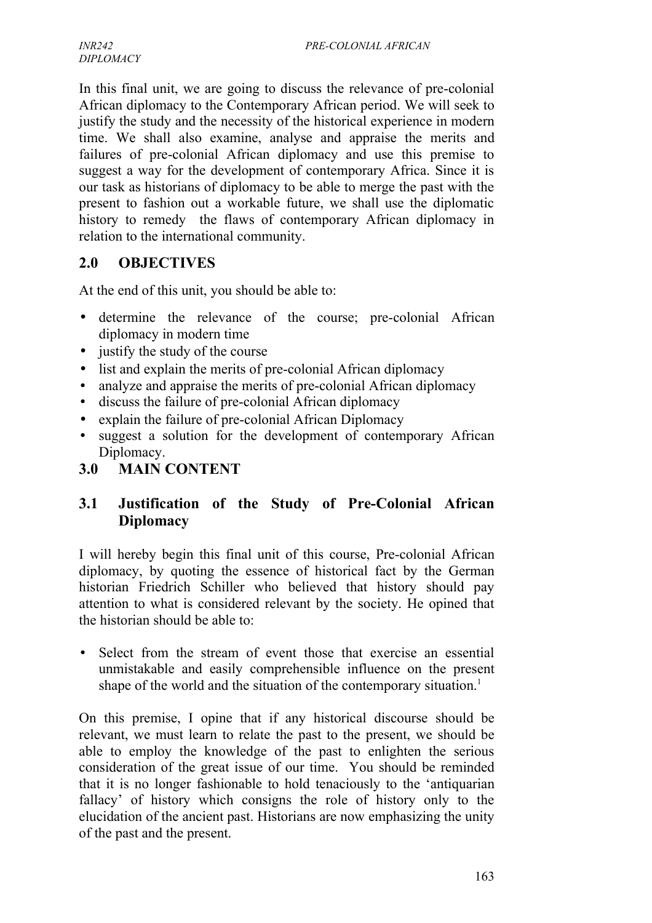In this final unit, we are going to discuss the relevance of pre-colonial African diplomacy to the Contemporary African period. We will seek to justify the study and the necessity of the historical experience in modern time. We shall also examine, analyse and appraise the merits and failures of pre-colonial African diplomacy and use this premise to suggest a way for the development of contemporary Africa. Since it is our task as historians of diplomacy to be able to merge the past with the present to fashion out a workable future, we shall use the diplomatic history to remedy the flaws of contemporary African diplomacy in relation to the international community.

### **2.0 OBJECTIVES**

At the end of this unit, you should be able to:

- determine the relevance of the course; pre-colonial African diplomacy in modern time
- justify the study of the course
- list and explain the merits of pre-colonial African diplomacy
- analyze and appraise the merits of pre-colonial African diplomacy
- discuss the failure of pre-colonial African diplomacy
- explain the failure of pre-colonial African Diplomacy
- suggest a solution for the development of contemporary African Diplomacy.
- **3.0 MAIN CONTENT**

# **3.1 Justification of the Study of Pre-Colonial African Diplomacy**

I will hereby begin this final unit of this course, Pre-colonial African diplomacy, by quoting the essence of historical fact by the German historian Friedrich Schiller who believed that history should pay attention to what is considered relevant by the society. He opined that the historian should be able to:

• Select from the stream of event those that exercise an essential unmistakable and easily comprehensible influence on the present shape of the world and the situation of the contemporary situation.<sup>1</sup>

On this premise, I opine that if any historical discourse should be relevant, we must learn to relate the past to the present, we should be able to employ the knowledge of the past to enlighten the serious consideration of the great issue of our time. You should be reminded that it is no longer fashionable to hold tenaciously to the 'antiquarian fallacy' of history which consigns the role of history only to the elucidation of the ancient past. Historians are now emphasizing the unity of the past and the present.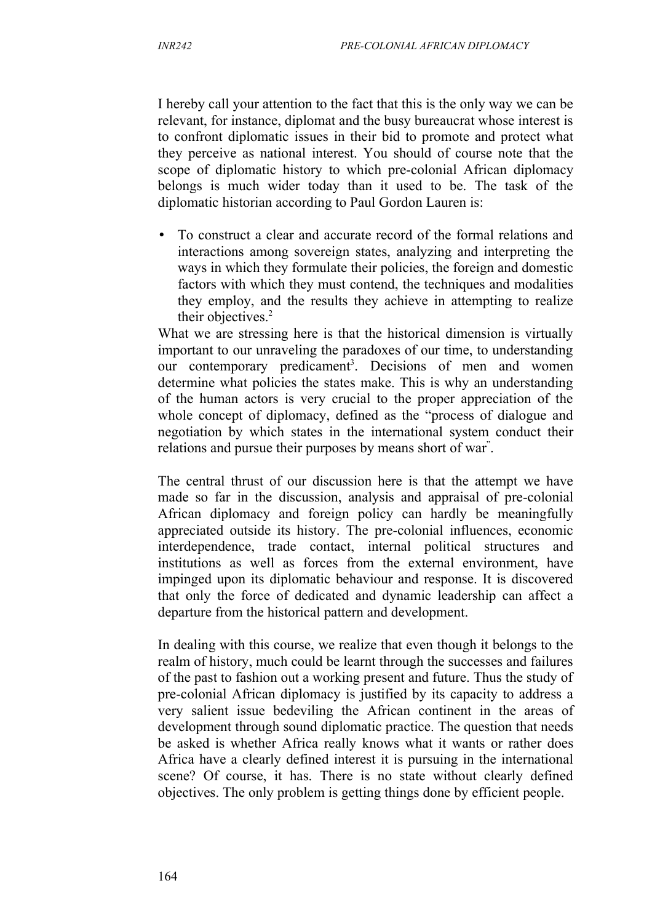I hereby call your attention to the fact that this is the only way we can be relevant, for instance, diplomat and the busy bureaucrat whose interest is to confront diplomatic issues in their bid to promote and protect what they perceive as national interest. You should of course note that the scope of diplomatic history to which pre-colonial African diplomacy belongs is much wider today than it used to be. The task of the diplomatic historian according to Paul Gordon Lauren is:

• To construct a clear and accurate record of the formal relations and interactions among sovereign states, analyzing and interpreting the ways in which they formulate their policies, the foreign and domestic factors with which they must contend, the techniques and modalities they employ, and the results they achieve in attempting to realize their objectives.<sup>2</sup>

What we are stressing here is that the historical dimension is virtually important to our unraveling the paradoxes of our time, to understanding our contemporary predicament<sup>3</sup>. Decisions of men and women determine what policies the states make. This is why an understanding of the human actors is very crucial to the proper appreciation of the whole concept of diplomacy, defined as the "process of dialogue and negotiation by which states in the international system conduct their relations and pursue their purposes by means short of war" .

The central thrust of our discussion here is that the attempt we have made so far in the discussion, analysis and appraisal of pre-colonial African diplomacy and foreign policy can hardly be meaningfully appreciated outside its history. The pre-colonial influences, economic interdependence, trade contact, internal political structures and institutions as well as forces from the external environment, have impinged upon its diplomatic behaviour and response. It is discovered that only the force of dedicated and dynamic leadership can affect a departure from the historical pattern and development.

In dealing with this course, we realize that even though it belongs to the realm of history, much could be learnt through the successes and failures of the past to fashion out a working present and future. Thus the study of pre-colonial African diplomacy is justified by its capacity to address a very salient issue bedeviling the African continent in the areas of development through sound diplomatic practice. The question that needs be asked is whether Africa really knows what it wants or rather does Africa have a clearly defined interest it is pursuing in the international scene? Of course, it has. There is no state without clearly defined objectives. The only problem is getting things done by efficient people.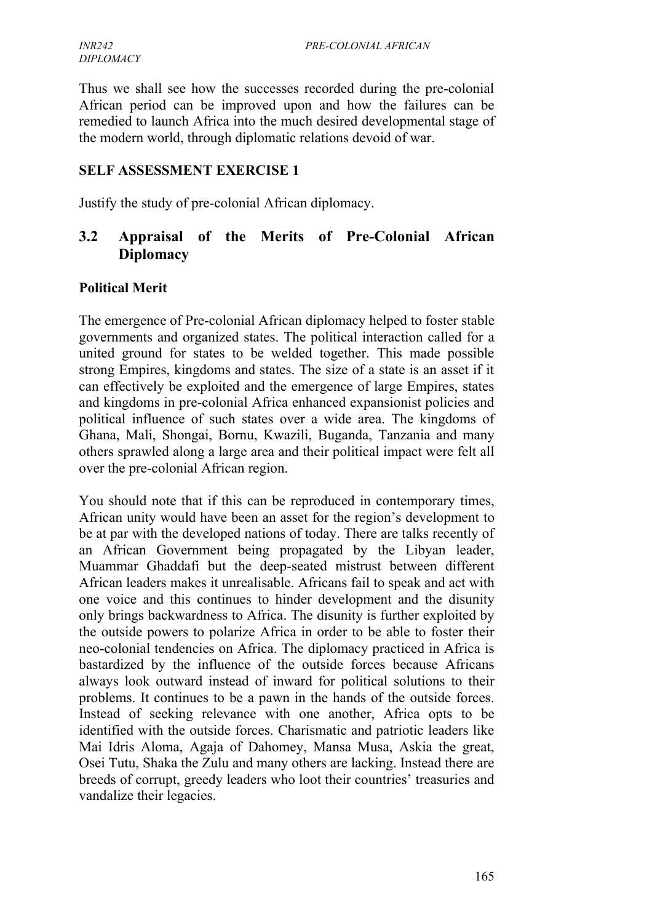Thus we shall see how the successes recorded during the pre-colonial African period can be improved upon and how the failures can be remedied to launch Africa into the much desired developmental stage of the modern world, through diplomatic relations devoid of war.

#### **SELF ASSESSMENT EXERCISE 1**

Justify the study of pre-colonial African diplomacy.

### **3.2 Appraisal of the Merits of Pre-Colonial African Diplomacy**

#### **Political Merit**

The emergence of Pre-colonial African diplomacy helped to foster stable governments and organized states. The political interaction called for a united ground for states to be welded together. This made possible strong Empires, kingdoms and states. The size of a state is an asset if it can effectively be exploited and the emergence of large Empires, states and kingdoms in pre-colonial Africa enhanced expansionist policies and political influence of such states over a wide area. The kingdoms of Ghana, Mali, Shongai, Bornu, Kwazili, Buganda, Tanzania and many others sprawled along a large area and their political impact were felt all over the pre-colonial African region.

You should note that if this can be reproduced in contemporary times, African unity would have been an asset for the region's development to be at par with the developed nations of today. There are talks recently of an African Government being propagated by the Libyan leader, Muammar Ghaddafi but the deep-seated mistrust between different African leaders makes it unrealisable. Africans fail to speak and act with one voice and this continues to hinder development and the disunity only brings backwardness to Africa. The disunity is further exploited by the outside powers to polarize Africa in order to be able to foster their neo-colonial tendencies on Africa. The diplomacy practiced in Africa is bastardized by the influence of the outside forces because Africans always look outward instead of inward for political solutions to their problems. It continues to be a pawn in the hands of the outside forces. Instead of seeking relevance with one another, Africa opts to be identified with the outside forces. Charismatic and patriotic leaders like Mai Idris Aloma, Agaja of Dahomey, Mansa Musa, Askia the great, Osei Tutu, Shaka the Zulu and many others are lacking. Instead there are breeds of corrupt, greedy leaders who loot their countries' treasuries and vandalize their legacies.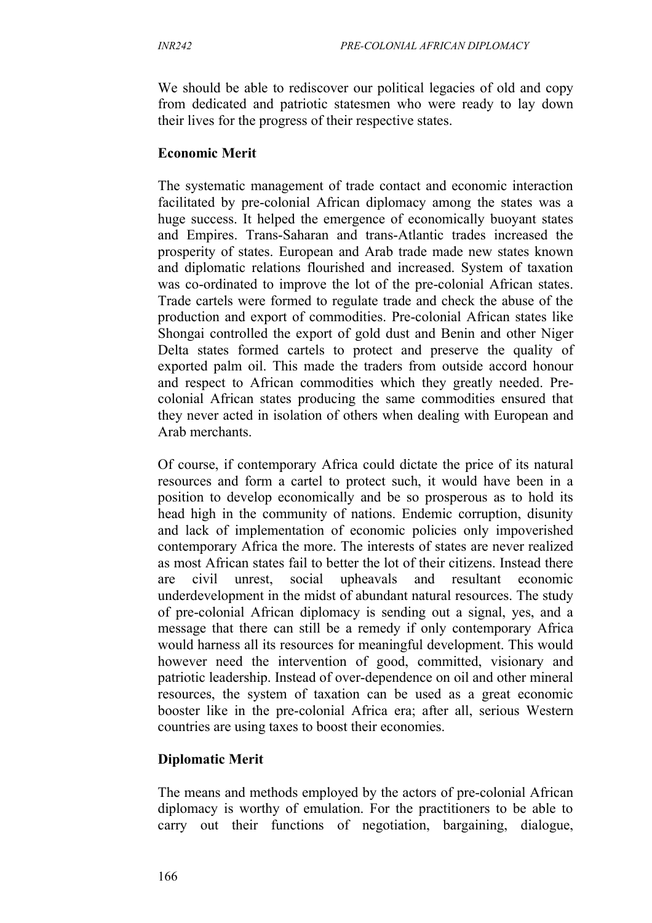We should be able to rediscover our political legacies of old and copy from dedicated and patriotic statesmen who were ready to lay down their lives for the progress of their respective states.

## **Economic Merit**

The systematic management of trade contact and economic interaction facilitated by pre-colonial African diplomacy among the states was a huge success. It helped the emergence of economically buoyant states and Empires. Trans-Saharan and trans-Atlantic trades increased the prosperity of states. European and Arab trade made new states known and diplomatic relations flourished and increased. System of taxation was co-ordinated to improve the lot of the pre-colonial African states. Trade cartels were formed to regulate trade and check the abuse of the production and export of commodities. Pre-colonial African states like Shongai controlled the export of gold dust and Benin and other Niger Delta states formed cartels to protect and preserve the quality of exported palm oil. This made the traders from outside accord honour and respect to African commodities which they greatly needed. Precolonial African states producing the same commodities ensured that they never acted in isolation of others when dealing with European and Arab merchants.

Of course, if contemporary Africa could dictate the price of its natural resources and form a cartel to protect such, it would have been in a position to develop economically and be so prosperous as to hold its head high in the community of nations. Endemic corruption, disunity and lack of implementation of economic policies only impoverished contemporary Africa the more. The interests of states are never realized as most African states fail to better the lot of their citizens. Instead there are civil unrest, social upheavals and resultant economic underdevelopment in the midst of abundant natural resources. The study of pre-colonial African diplomacy is sending out a signal, yes, and a message that there can still be a remedy if only contemporary Africa would harness all its resources for meaningful development. This would however need the intervention of good, committed, visionary and patriotic leadership. Instead of over-dependence on oil and other mineral resources, the system of taxation can be used as a great economic booster like in the pre-colonial Africa era; after all, serious Western countries are using taxes to boost their economies.

# **Diplomatic Merit**

The means and methods employed by the actors of pre-colonial African diplomacy is worthy of emulation. For the practitioners to be able to carry out their functions of negotiation, bargaining, dialogue,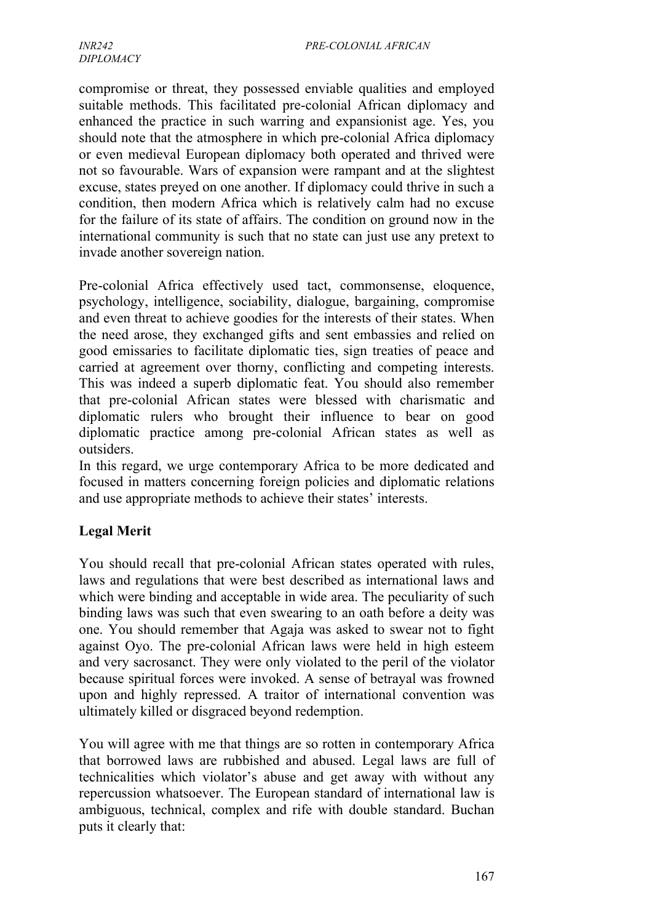compromise or threat, they possessed enviable qualities and employed suitable methods. This facilitated pre-colonial African diplomacy and enhanced the practice in such warring and expansionist age. Yes, you should note that the atmosphere in which pre-colonial Africa diplomacy or even medieval European diplomacy both operated and thrived were not so favourable. Wars of expansion were rampant and at the slightest excuse, states preyed on one another. If diplomacy could thrive in such a condition, then modern Africa which is relatively calm had no excuse for the failure of its state of affairs. The condition on ground now in the international community is such that no state can just use any pretext to invade another sovereign nation.

Pre-colonial Africa effectively used tact, commonsense, eloquence, psychology, intelligence, sociability, dialogue, bargaining, compromise and even threat to achieve goodies for the interests of their states. When the need arose, they exchanged gifts and sent embassies and relied on good emissaries to facilitate diplomatic ties, sign treaties of peace and carried at agreement over thorny, conflicting and competing interests. This was indeed a superb diplomatic feat. You should also remember that pre-colonial African states were blessed with charismatic and diplomatic rulers who brought their influence to bear on good diplomatic practice among pre-colonial African states as well as outsiders.

In this regard, we urge contemporary Africa to be more dedicated and focused in matters concerning foreign policies and diplomatic relations and use appropriate methods to achieve their states' interests.

# **Legal Merit**

You should recall that pre-colonial African states operated with rules, laws and regulations that were best described as international laws and which were binding and acceptable in wide area. The peculiarity of such binding laws was such that even swearing to an oath before a deity was one. You should remember that Agaja was asked to swear not to fight against Oyo. The pre-colonial African laws were held in high esteem and very sacrosanct. They were only violated to the peril of the violator because spiritual forces were invoked. A sense of betrayal was frowned upon and highly repressed. A traitor of international convention was ultimately killed or disgraced beyond redemption.

You will agree with me that things are so rotten in contemporary Africa that borrowed laws are rubbished and abused. Legal laws are full of technicalities which violator's abuse and get away with without any repercussion whatsoever. The European standard of international law is ambiguous, technical, complex and rife with double standard. Buchan puts it clearly that: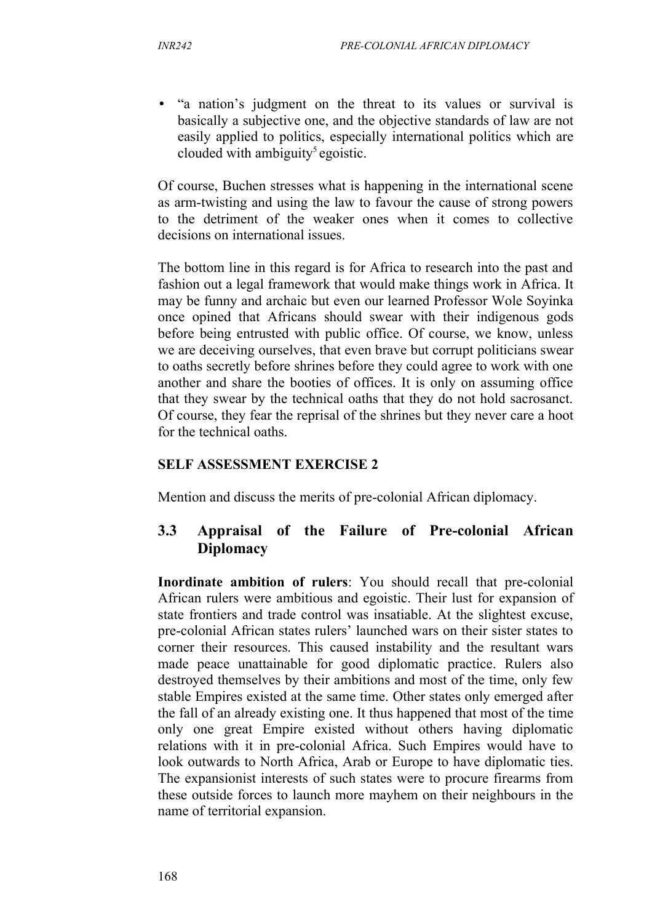• "a nation's judgment on the threat to its values or survival is basically a subjective one, and the objective standards of law are not easily applied to politics, especially international politics which are clouded with ambiguity<sup>5</sup> egoistic.

Of course, Buchen stresses what is happening in the international scene as arm-twisting and using the law to favour the cause of strong powers to the detriment of the weaker ones when it comes to collective decisions on international issues.

The bottom line in this regard is for Africa to research into the past and fashion out a legal framework that would make things work in Africa. It may be funny and archaic but even our learned Professor Wole Soyinka once opined that Africans should swear with their indigenous gods before being entrusted with public office. Of course, we know, unless we are deceiving ourselves, that even brave but corrupt politicians swear to oaths secretly before shrines before they could agree to work with one another and share the booties of offices. It is only on assuming office that they swear by the technical oaths that they do not hold sacrosanct. Of course, they fear the reprisal of the shrines but they never care a hoot for the technical oaths.

#### **SELF ASSESSMENT EXERCISE 2**

Mention and discuss the merits of pre-colonial African diplomacy.

# **3.3 Appraisal of the Failure of Pre-colonial African Diplomacy**

**Inordinate ambition of rulers**: You should recall that pre-colonial African rulers were ambitious and egoistic. Their lust for expansion of state frontiers and trade control was insatiable. At the slightest excuse, pre-colonial African states rulers' launched wars on their sister states to corner their resources. This caused instability and the resultant wars made peace unattainable for good diplomatic practice. Rulers also destroyed themselves by their ambitions and most of the time, only few stable Empires existed at the same time. Other states only emerged after the fall of an already existing one. It thus happened that most of the time only one great Empire existed without others having diplomatic relations with it in pre-colonial Africa. Such Empires would have to look outwards to North Africa, Arab or Europe to have diplomatic ties. The expansionist interests of such states were to procure firearms from these outside forces to launch more mayhem on their neighbours in the name of territorial expansion.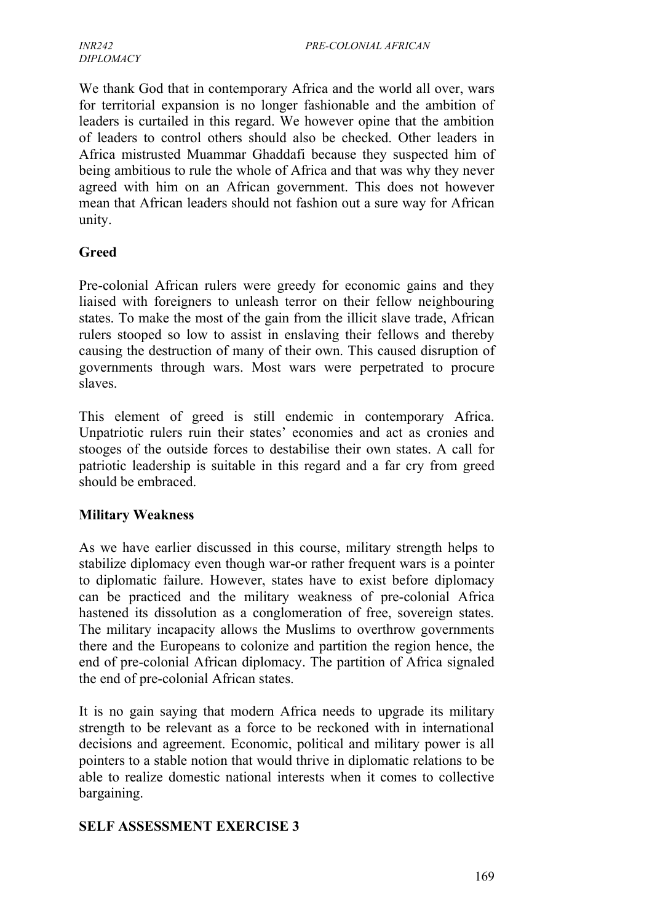We thank God that in contemporary Africa and the world all over, wars for territorial expansion is no longer fashionable and the ambition of leaders is curtailed in this regard. We however opine that the ambition of leaders to control others should also be checked. Other leaders in Africa mistrusted Muammar Ghaddafi because they suspected him of being ambitious to rule the whole of Africa and that was why they never agreed with him on an African government. This does not however mean that African leaders should not fashion out a sure way for African unity.

#### **Greed**

Pre-colonial African rulers were greedy for economic gains and they liaised with foreigners to unleash terror on their fellow neighbouring states. To make the most of the gain from the illicit slave trade, African rulers stooped so low to assist in enslaving their fellows and thereby causing the destruction of many of their own. This caused disruption of governments through wars. Most wars were perpetrated to procure slaves.

This element of greed is still endemic in contemporary Africa. Unpatriotic rulers ruin their states' economies and act as cronies and stooges of the outside forces to destabilise their own states. A call for patriotic leadership is suitable in this regard and a far cry from greed should be embraced.

#### **Military Weakness**

As we have earlier discussed in this course, military strength helps to stabilize diplomacy even though war-or rather frequent wars is a pointer to diplomatic failure. However, states have to exist before diplomacy can be practiced and the military weakness of pre-colonial Africa hastened its dissolution as a conglomeration of free, sovereign states. The military incapacity allows the Muslims to overthrow governments there and the Europeans to colonize and partition the region hence, the end of pre-colonial African diplomacy. The partition of Africa signaled the end of pre-colonial African states.

It is no gain saying that modern Africa needs to upgrade its military strength to be relevant as a force to be reckoned with in international decisions and agreement. Economic, political and military power is all pointers to a stable notion that would thrive in diplomatic relations to be able to realize domestic national interests when it comes to collective bargaining.

### **SELF ASSESSMENT EXERCISE 3**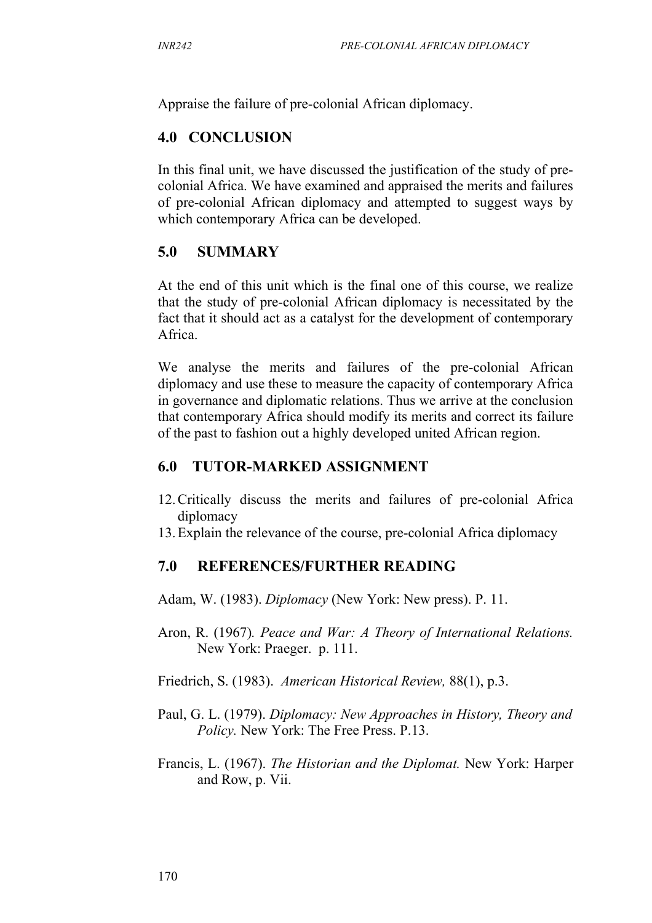Appraise the failure of pre-colonial African diplomacy.

# **4.0 CONCLUSION**

In this final unit, we have discussed the justification of the study of precolonial Africa. We have examined and appraised the merits and failures of pre-colonial African diplomacy and attempted to suggest ways by which contemporary Africa can be developed.

### **5.0 SUMMARY**

At the end of this unit which is the final one of this course, we realize that the study of pre-colonial African diplomacy is necessitated by the fact that it should act as a catalyst for the development of contemporary Africa.

We analyse the merits and failures of the pre-colonial African diplomacy and use these to measure the capacity of contemporary Africa in governance and diplomatic relations. Thus we arrive at the conclusion that contemporary Africa should modify its merits and correct its failure of the past to fashion out a highly developed united African region.

### **6.0 TUTOR-MARKED ASSIGNMENT**

- 12.Critically discuss the merits and failures of pre-colonial Africa diplomacy
- 13.Explain the relevance of the course, pre-colonial Africa diplomacy

### **7.0 REFERENCES/FURTHER READING**

Adam, W. (1983). *Diplomacy* (New York: New press). P. 11.

Aron, R. (1967)*. Peace and War: A Theory of International Relations.* New York: Praeger. p. 111.

Friedrich, S. (1983). *American Historical Review,* 88(1), p.3.

- Paul, G. L. (1979). *Diplomacy: New Approaches in History, Theory and Policy.* New York: The Free Press. P.13.
- Francis, L. (1967). *The Historian and the Diplomat.* New York: Harper and Row, p. Vii.